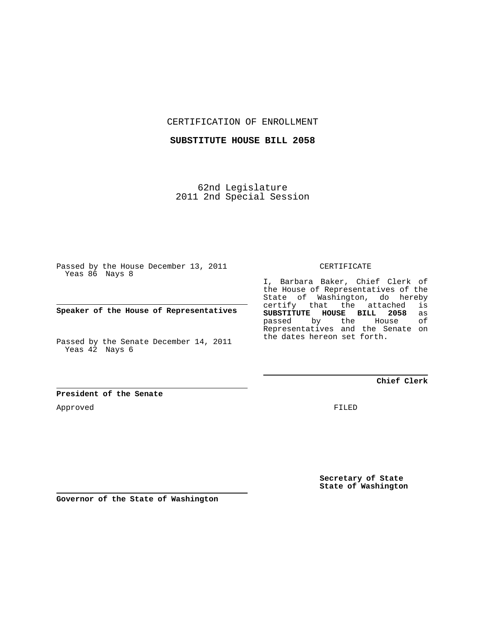CERTIFICATION OF ENROLLMENT

**SUBSTITUTE HOUSE BILL 2058**

62nd Legislature 2011 2nd Special Session

Passed by the House December 13, 2011 Yeas 86 Nays 8

**Speaker of the House of Representatives**

Passed by the Senate December 14, 2011 Yeas 42 Nays 6

**President of the Senate**

Approved

CERTIFICATE

I, Barbara Baker, Chief Clerk of the House of Representatives of the State of Washington, do hereby certify that the attached is<br>**SUBSTITUTE HOUSE BILL 2058** as **SUBSTITUTE HOUSE BILL 2058** as passed by the Representatives and the Senate on the dates hereon set forth.

**Chief Clerk**

FILED

**Secretary of State State of Washington**

**Governor of the State of Washington**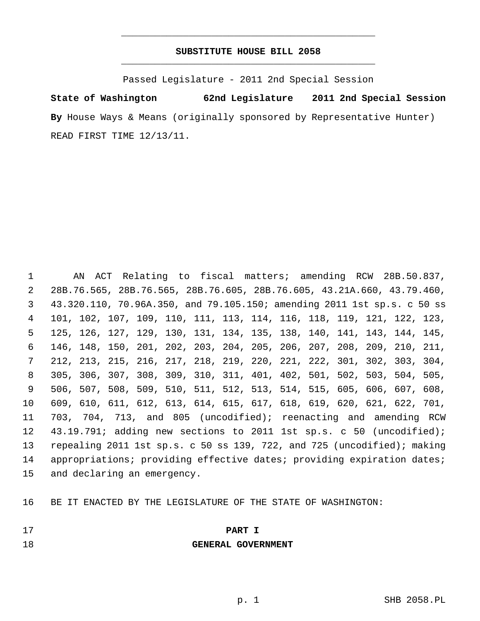# **SUBSTITUTE HOUSE BILL 2058** \_\_\_\_\_\_\_\_\_\_\_\_\_\_\_\_\_\_\_\_\_\_\_\_\_\_\_\_\_\_\_\_\_\_\_\_\_\_\_\_\_\_\_\_\_

\_\_\_\_\_\_\_\_\_\_\_\_\_\_\_\_\_\_\_\_\_\_\_\_\_\_\_\_\_\_\_\_\_\_\_\_\_\_\_\_\_\_\_\_\_

Passed Legislature - 2011 2nd Special Session

**State of Washington 62nd Legislature 2011 2nd Special Session By** House Ways & Means (originally sponsored by Representative Hunter) READ FIRST TIME 12/13/11.

 1 AN ACT Relating to fiscal matters; amending RCW 28B.50.837, 2 28B.76.565, 28B.76.565, 28B.76.605, 28B.76.605, 43.21A.660, 43.79.460, 3 43.320.110, 70.96A.350, and 79.105.150; amending 2011 1st sp.s. c 50 ss 4 101, 102, 107, 109, 110, 111, 113, 114, 116, 118, 119, 121, 122, 123, 5 125, 126, 127, 129, 130, 131, 134, 135, 138, 140, 141, 143, 144, 145, 6 146, 148, 150, 201, 202, 203, 204, 205, 206, 207, 208, 209, 210, 211, 7 212, 213, 215, 216, 217, 218, 219, 220, 221, 222, 301, 302, 303, 304, 8 305, 306, 307, 308, 309, 310, 311, 401, 402, 501, 502, 503, 504, 505, 9 506, 507, 508, 509, 510, 511, 512, 513, 514, 515, 605, 606, 607, 608, 10 609, 610, 611, 612, 613, 614, 615, 617, 618, 619, 620, 621, 622, 701, 11 703, 704, 713, and 805 (uncodified); reenacting and amending RCW 12 43.19.791; adding new sections to 2011 1st sp.s. c 50 (uncodified); 13 repealing 2011 1st sp.s. c 50 ss 139, 722, and 725 (uncodified); making 14 appropriations; providing effective dates; providing expiration dates; 15 and declaring an emergency.

16 BE IT ENACTED BY THE LEGISLATURE OF THE STATE OF WASHINGTON:

- 
- 17 **PART I**

### 18 **GENERAL GOVERNMENT**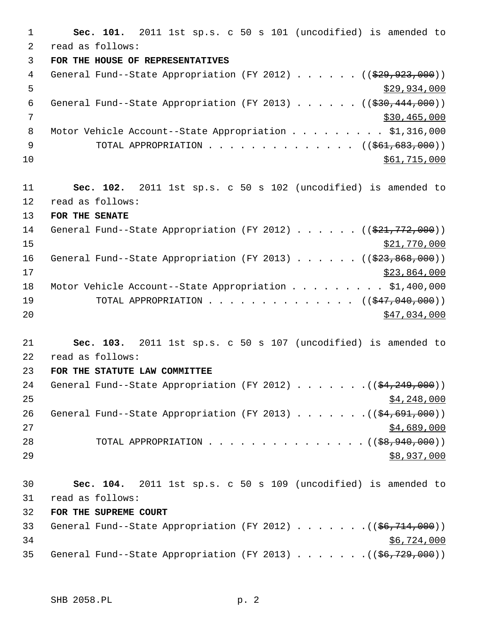1 **Sec. 101.** 2011 1st sp.s. c 50 s 101 (uncodified) is amended to 2 read as follows: 3 **FOR THE HOUSE OF REPRESENTATIVES** 4 General Fund--State Appropriation (FY 2012) . . . . . . ((\$29,923,000))  $5 - 5$  \$29,934,000 6 General Fund--State Appropriation (FY 2013) . . . . . .  $($   $($ \$30,444,000))  $7$   $$30,465,000$ 8 Motor Vehicle Account--State Appropriation . . . . . . . . \$1,316,000 9 TOTAL APPROPRIATION . . . . . . . . . . . . . ((\$61,683,000))  $\frac{$61,715,000}{ }$ 11 **Sec. 102.** 2011 1st sp.s. c 50 s 102 (uncodified) is amended to 12 read as follows: 13 **FOR THE SENATE** 14 General Fund--State Appropriation (FY 2012) . . . . . . ((\$21,772,000)) 15 \$21,770,000 16 General Fund--State Appropriation (FY 2013) . . . . . . ((\$23,868,000))  $17$  \$23,864,000 18 Motor Vehicle Account--State Appropriation . . . . . . . . . \$1,400,000 19 TOTAL APPROPRIATION . . . . . . . . . . . . . ((<del>\$47,040,000</del>)) 20 \$47,034,000 21 **Sec. 103.** 2011 1st sp.s. c 50 s 107 (uncodified) is amended to 22 read as follows: 23 **FOR THE STATUTE LAW COMMITTEE** 24 General Fund--State Appropriation (FY 2012) . . . . . . .((\$4,249,000))  $25$   $$4,248,000$ 26 General Fund--State Appropriation (FY 2013) . . . . . . . ((\$4,691,000))  $27$   $$4,689,000$ 28 TOTAL APPROPRIATION . . . . . . . . . . . . . . ((<del>\$8,940,000</del>)) 29 \$8,937,000 30 **Sec. 104.** 2011 1st sp.s. c 50 s 109 (uncodified) is amended to 31 read as follows: 32 **FOR THE SUPREME COURT** 33 General Fund--State Appropriation (FY 2012) . . . . . . .((\$6,714,000))  $34$   $$6,724,000$ 35 General Fund--State Appropriation (FY 2013) . . . . . . .((\$6,729,000))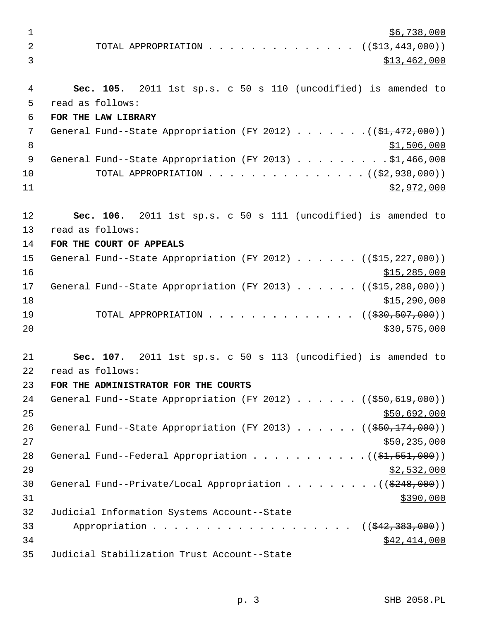$\frac{1}{26}$ ,738,000 2 TOTAL APPROPRIATION . . . . . . . . . . . . . ((<del>\$13,443,000</del>)) 3 \$13,462,000 4 **Sec. 105.** 2011 1st sp.s. c 50 s 110 (uncodified) is amended to 5 read as follows: 6 **FOR THE LAW LIBRARY** 7 General Fund--State Appropriation (FY 2012) . . . . . . . ((\$1,472,000)) 8  $31,506,000$ 9 General Fund--State Appropriation (FY 2013) . . . . . . . . . \$1,466,000 10 TOTAL APPROPRIATION . . . . . . . . . . . . . . ((<del>\$2,938,000</del>))  $11$  \$2,972,000 12 **Sec. 106.** 2011 1st sp.s. c 50 s 111 (uncodified) is amended to 13 read as follows: 14 **FOR THE COURT OF APPEALS** 15 General Fund--State Appropriation (FY 2012) . . . . . . ((\$15,227,000))  $16$  \$15,285,000 17 General Fund--State Appropriation (FY 2013) . . . . . . ((\$15,280,000))  $18$  \$15,290,000 19 TOTAL APPROPRIATION . . . . . . . . . . . . . ((<del>\$30,507,000</del>)) 20 \$30,575,000 \$30,575,000 21 **Sec. 107.** 2011 1st sp.s. c 50 s 113 (uncodified) is amended to 22 read as follows: 23 **FOR THE ADMINISTRATOR FOR THE COURTS** 24 General Fund--State Appropriation (FY 2012) . . . . . ((\$50,619,000)) 25 \$50,692,000 26 General Fund--State Appropriation (FY 2013) . . . . . ((\$50,174,000))  $27$   $\frac{$50,235,000}{500}$ 28 General Fund--Federal Appropriation  $\ldots$  . . . . . . . . . . ( $(\frac{21}{21}, 551, 000)$ )  $29$   $\frac{$2,532,000}{2}$ 30 General Fund--Private/Local Appropriation  $\ldots$ , ... ...  $($  (\$248,000))  $31$  \$390,000 32 Judicial Information Systems Account--State 33 Appropriation . . . . . . . . . . . . . . . . . ((\$42,383,000))  $34$   $$42,414,000$ 35 Judicial Stabilization Trust Account--State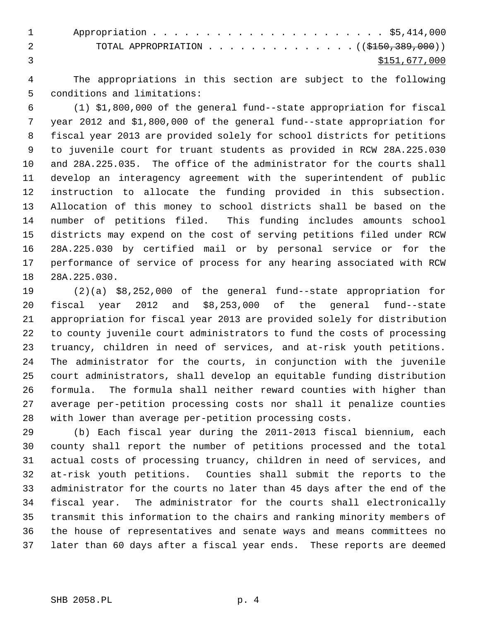1 Appropriation . . . . . . . . . . . . . . . . . . . . . . \$5,414,000 2 TOTAL APPROPRIATION . . . . . . . . . . . . . ((\$150,389,000)) 3 \$151,677,000

 4 The appropriations in this section are subject to the following 5 conditions and limitations:

 6 (1) \$1,800,000 of the general fund--state appropriation for fiscal 7 year 2012 and \$1,800,000 of the general fund--state appropriation for 8 fiscal year 2013 are provided solely for school districts for petitions 9 to juvenile court for truant students as provided in RCW 28A.225.030 10 and 28A.225.035. The office of the administrator for the courts shall 11 develop an interagency agreement with the superintendent of public 12 instruction to allocate the funding provided in this subsection. 13 Allocation of this money to school districts shall be based on the 14 number of petitions filed. This funding includes amounts school 15 districts may expend on the cost of serving petitions filed under RCW 16 28A.225.030 by certified mail or by personal service or for the 17 performance of service of process for any hearing associated with RCW 18 28A.225.030.

19 (2)(a) \$8,252,000 of the general fund--state appropriation for 20 fiscal year 2012 and \$8,253,000 of the general fund--state 21 appropriation for fiscal year 2013 are provided solely for distribution 22 to county juvenile court administrators to fund the costs of processing 23 truancy, children in need of services, and at-risk youth petitions. 24 The administrator for the courts, in conjunction with the juvenile 25 court administrators, shall develop an equitable funding distribution 26 formula. The formula shall neither reward counties with higher than 27 average per-petition processing costs nor shall it penalize counties 28 with lower than average per-petition processing costs.

29 (b) Each fiscal year during the 2011-2013 fiscal biennium, each 30 county shall report the number of petitions processed and the total 31 actual costs of processing truancy, children in need of services, and 32 at-risk youth petitions. Counties shall submit the reports to the 33 administrator for the courts no later than 45 days after the end of the 34 fiscal year. The administrator for the courts shall electronically 35 transmit this information to the chairs and ranking minority members of 36 the house of representatives and senate ways and means committees no 37 later than 60 days after a fiscal year ends. These reports are deemed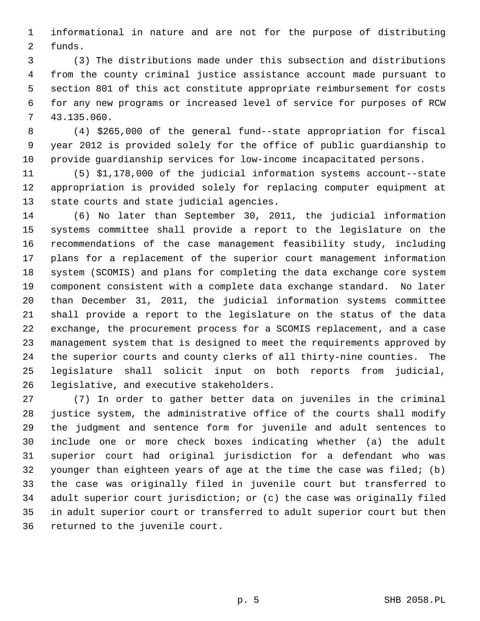1 informational in nature and are not for the purpose of distributing 2 funds.

 3 (3) The distributions made under this subsection and distributions 4 from the county criminal justice assistance account made pursuant to 5 section 801 of this act constitute appropriate reimbursement for costs 6 for any new programs or increased level of service for purposes of RCW 7 43.135.060.

 8 (4) \$265,000 of the general fund--state appropriation for fiscal 9 year 2012 is provided solely for the office of public guardianship to 10 provide guardianship services for low-income incapacitated persons.

11 (5) \$1,178,000 of the judicial information systems account--state 12 appropriation is provided solely for replacing computer equipment at 13 state courts and state judicial agencies.

14 (6) No later than September 30, 2011, the judicial information 15 systems committee shall provide a report to the legislature on the 16 recommendations of the case management feasibility study, including 17 plans for a replacement of the superior court management information 18 system (SCOMIS) and plans for completing the data exchange core system 19 component consistent with a complete data exchange standard. No later 20 than December 31, 2011, the judicial information systems committee 21 shall provide a report to the legislature on the status of the data 22 exchange, the procurement process for a SCOMIS replacement, and a case 23 management system that is designed to meet the requirements approved by 24 the superior courts and county clerks of all thirty-nine counties. The 25 legislature shall solicit input on both reports from judicial, 26 legislative, and executive stakeholders.

27 (7) In order to gather better data on juveniles in the criminal 28 justice system, the administrative office of the courts shall modify 29 the judgment and sentence form for juvenile and adult sentences to 30 include one or more check boxes indicating whether (a) the adult 31 superior court had original jurisdiction for a defendant who was 32 younger than eighteen years of age at the time the case was filed; (b) 33 the case was originally filed in juvenile court but transferred to 34 adult superior court jurisdiction; or (c) the case was originally filed 35 in adult superior court or transferred to adult superior court but then 36 returned to the juvenile court.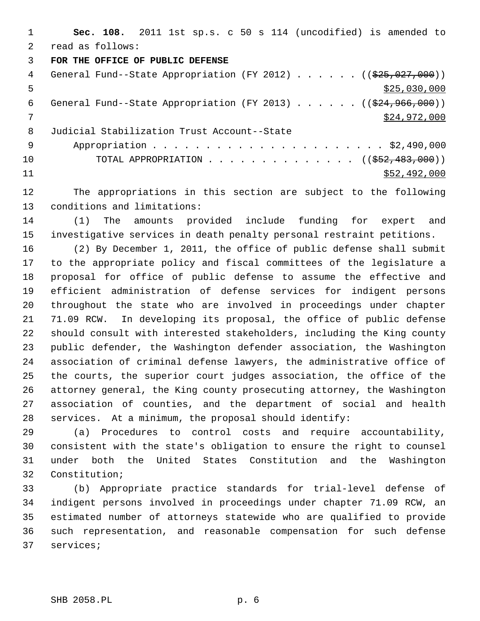1 **Sec. 108.** 2011 1st sp.s. c 50 s 114 (uncodified) is amended to 2 read as follows: 3 **FOR THE OFFICE OF PUBLIC DEFENSE** 4 General Fund--State Appropriation (FY 2012) . . . . . . ((\$25,027,000))  $\frac{$25,030,000}{200}$ 6 General Fund--State Appropriation (FY 2013) . . . . . . ((\$24,966,000)) 7 \$24,972,000 8 Judicial Stabilization Trust Account--State 9 Appropriation . . . . . . . . . . . . . . . . . . . . . . \$2,490,000 10 TOTAL APPROPRIATION . . . . . . . . . . . . . ((<del>\$52,483,000</del>))  $11$  \$52,492,000

12 The appropriations in this section are subject to the following 13 conditions and limitations:

14 (1) The amounts provided include funding for expert and 15 investigative services in death penalty personal restraint petitions.

16 (2) By December 1, 2011, the office of public defense shall submit 17 to the appropriate policy and fiscal committees of the legislature a 18 proposal for office of public defense to assume the effective and 19 efficient administration of defense services for indigent persons 20 throughout the state who are involved in proceedings under chapter 21 71.09 RCW. In developing its proposal, the office of public defense 22 should consult with interested stakeholders, including the King county 23 public defender, the Washington defender association, the Washington 24 association of criminal defense lawyers, the administrative office of 25 the courts, the superior court judges association, the office of the 26 attorney general, the King county prosecuting attorney, the Washington 27 association of counties, and the department of social and health 28 services. At a minimum, the proposal should identify:

29 (a) Procedures to control costs and require accountability, 30 consistent with the state's obligation to ensure the right to counsel 31 under both the United States Constitution and the Washington 32 Constitution;

33 (b) Appropriate practice standards for trial-level defense of 34 indigent persons involved in proceedings under chapter 71.09 RCW, an 35 estimated number of attorneys statewide who are qualified to provide 36 such representation, and reasonable compensation for such defense 37 services;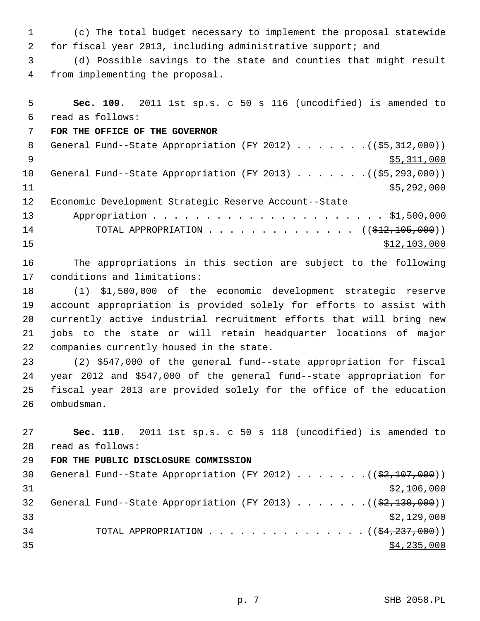1 (c) The total budget necessary to implement the proposal statewide 2 for fiscal year 2013, including administrative support; and

 3 (d) Possible savings to the state and counties that might result 4 from implementing the proposal.

```
 5 Sec. 109. 2011 1st sp.s. c 50 s 116 (uncodified) is amended to
  6 read as follows:
 7 FOR THE OFFICE OF THE GOVERNOR
8 General Fund--State Appropriation (FY 2012) . . . . . . . (($5,312,000))
\frac{1}{2} \frac{1}{2} \frac{1}{2} \frac{1}{2} \frac{1}{2} \frac{1}{2} \frac{1}{2} \frac{1}{2} \frac{1}{2} \frac{1}{2} \frac{1}{2} \frac{1}{2} \frac{1}{2} \frac{1}{2} \frac{1}{2} \frac{1}{2} \frac{1}{2} \frac{1}{2} \frac{1}{2} \frac{1}{2} \frac{1}{2} \frac{1}{2} 10 General Fund--State Appropriation (FY 2013) . . . . . . . (($5,293,000))
11 $5,292,000
12 Economic Development Strategic Reserve Account--State
13 Appropriation . . . . . . . . . . . . . . . . . . . . . . $1,500,000
14 TOTAL APPROPRIATION . . . . . . . . . . . . . ((<del>$12,105,000</del>))
15 $12,103,000
```
16 The appropriations in this section are subject to the following 17 conditions and limitations:

18 (1) \$1,500,000 of the economic development strategic reserve 19 account appropriation is provided solely for efforts to assist with 20 currently active industrial recruitment efforts that will bring new 21 jobs to the state or will retain headquarter locations of major 22 companies currently housed in the state.

23 (2) \$547,000 of the general fund--state appropriation for fiscal 24 year 2012 and \$547,000 of the general fund--state appropriation for 25 fiscal year 2013 are provided solely for the office of the education 26 ombudsman.

27 **Sec. 110.** 2011 1st sp.s. c 50 s 118 (uncodified) is amended to 28 read as follows:

```
29 FOR THE PUBLIC DISCLOSURE COMMISSION
30 General Fund--State Appropriation (FY 2012) \ldots . . . . . ((\frac{2}{7}, \frac{200}{7}))
31 $2,106,000
32 General Fund--State Appropriation (FY 2013) \ldots \ldots... ((\frac{62,130,000}{2}))
\frac{$2,129,000}{ }34 TOTAL APPROPRIATION \cdots, . . . . . . . . . . . . ((\frac{1}{24}, \frac{237}{100}))
\frac{$4,235,000}{ }
```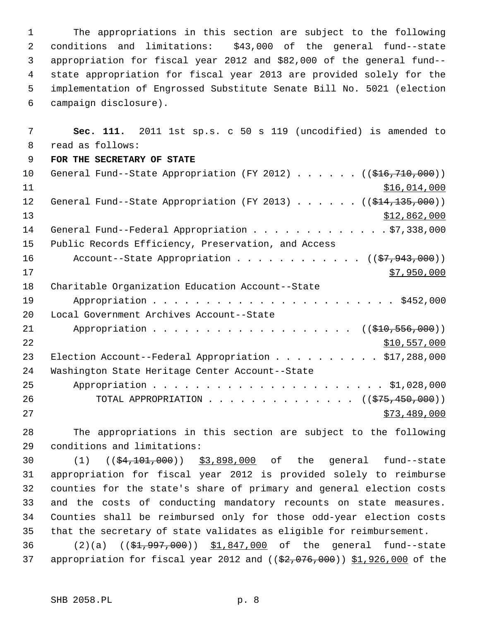1 The appropriations in this section are subject to the following 2 conditions and limitations: \$43,000 of the general fund--state 3 appropriation for fiscal year 2012 and \$82,000 of the general fund-- 4 state appropriation for fiscal year 2013 are provided solely for the 5 implementation of Engrossed Substitute Senate Bill No. 5021 (election 6 campaign disclosure).

 7 **Sec. 111.** 2011 1st sp.s. c 50 s 119 (uncodified) is amended to 8 read as follows: 9 **FOR THE SECRETARY OF STATE** 10 General Fund--State Appropriation (FY 2012)  $\ldots$  . . . (( $\text{\textsterling}16,710,000$ ))  $11$   $$16,014,000$ 12 General Fund--State Appropriation (FY 2013) . . . . . . ((\$14,135,000)) 13 \$12,862,000 14 General Fund--Federal Appropriation . . . . . . . . . . . . \$7,338,000 15 Public Records Efficiency, Preservation, and Access 16 Account--State Appropriation . . . . . . . . . . . ((\$7,943,000))  $17$  \$7,950,000 18 Charitable Organization Education Account--State 19 Appropriation . . . . . . . . . . . . . . . . . . . . . . . \$452,000 20 Local Government Archives Account--State 21 Appropriation . . . . . . . . . . . . . . . . . ((\$10,556,000)) 22 \$10,557,000 23 Election Account--Federal Appropriation . . . . . . . . . . \$17,288,000 24 Washington State Heritage Center Account--State 25 Appropriation . . . . . . . . . . . . . . . . . . . . . . \$1,028,000 26 TOTAL APPROPRIATION . . . . . . . . . . . . . ((<del>\$75,450,000</del>)) 27 \$73,489,000

28 The appropriations in this section are subject to the following 29 conditions and limitations:

30 (1) (( $\frac{64,101,000}{9}$ ) \$3,898,000 of the general fund--state 31 appropriation for fiscal year 2012 is provided solely to reimburse 32 counties for the state's share of primary and general election costs 33 and the costs of conducting mandatory recounts on state measures. 34 Counties shall be reimbursed only for those odd-year election costs 35 that the secretary of state validates as eligible for reimbursement.

36 (2)(a) ((\$1,997,000)) \$1,847,000 of the general fund--state 37 appropriation for fiscal year 2012 and  $((\$2,076,000)$  \$1,926,000 of the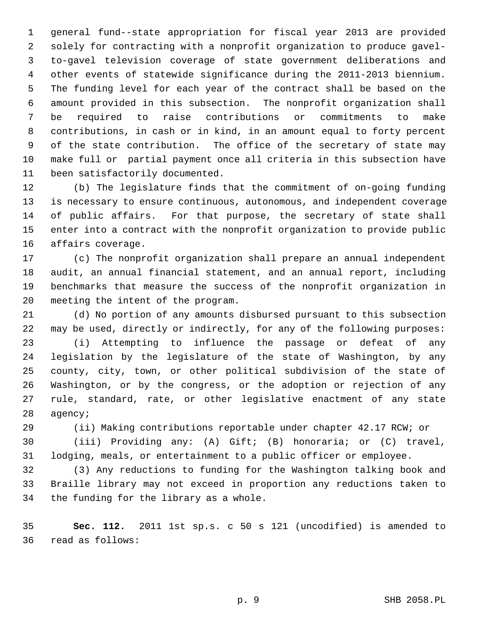1 general fund--state appropriation for fiscal year 2013 are provided 2 solely for contracting with a nonprofit organization to produce gavel- 3 to-gavel television coverage of state government deliberations and 4 other events of statewide significance during the 2011-2013 biennium. 5 The funding level for each year of the contract shall be based on the 6 amount provided in this subsection. The nonprofit organization shall 7 be required to raise contributions or commitments to make 8 contributions, in cash or in kind, in an amount equal to forty percent 9 of the state contribution. The office of the secretary of state may 10 make full or partial payment once all criteria in this subsection have 11 been satisfactorily documented.

12 (b) The legislature finds that the commitment of on-going funding 13 is necessary to ensure continuous, autonomous, and independent coverage 14 of public affairs. For that purpose, the secretary of state shall 15 enter into a contract with the nonprofit organization to provide public 16 affairs coverage.

17 (c) The nonprofit organization shall prepare an annual independent 18 audit, an annual financial statement, and an annual report, including 19 benchmarks that measure the success of the nonprofit organization in 20 meeting the intent of the program.

21 (d) No portion of any amounts disbursed pursuant to this subsection 22 may be used, directly or indirectly, for any of the following purposes: 23 (i) Attempting to influence the passage or defeat of any 24 legislation by the legislature of the state of Washington, by any 25 county, city, town, or other political subdivision of the state of 26 Washington, or by the congress, or the adoption or rejection of any 27 rule, standard, rate, or other legislative enactment of any state 28 agency;

29 (ii) Making contributions reportable under chapter 42.17 RCW; or

30 (iii) Providing any: (A) Gift; (B) honoraria; or (C) travel, 31 lodging, meals, or entertainment to a public officer or employee.

32 (3) Any reductions to funding for the Washington talking book and 33 Braille library may not exceed in proportion any reductions taken to 34 the funding for the library as a whole.

35 **Sec. 112.** 2011 1st sp.s. c 50 s 121 (uncodified) is amended to 36 read as follows: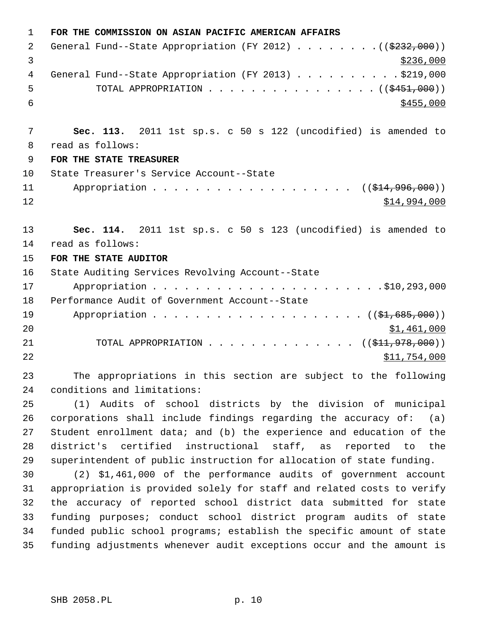| $\mathbf 1$ | FOR THE COMMISSION ON ASIAN PACIFIC AMERICAN AFFAIRS                   |
|-------------|------------------------------------------------------------------------|
| 2           | General Fund--State Appropriation (FY 2012) ( $(\frac{2332}{100})$ )   |
| 3           | \$236,000                                                              |
| 4           | General Fund--State Appropriation (FY 2013) \$219,000                  |
| 5           | TOTAL APPROPRIATION ( $(\frac{2451}{1000})$ )                          |
| 6           | \$455,000                                                              |
|             |                                                                        |
| 7           | Sec. 113. 2011 1st sp.s. c 50 s 122 (uncodified) is amended to         |
| 8           | read as follows:                                                       |
| 9           | FOR THE STATE TREASURER                                                |
| 10          | State Treasurer's Service Account--State                               |
| 11          | Appropriation ( $(\frac{124}{996}, 000)$ )                             |
| 12          | \$14,994,000                                                           |
|             |                                                                        |
| 13          | Sec. 114. 2011 1st sp.s. c 50 s 123 (uncodified) is amended to         |
| 14          | read as follows:                                                       |
| 15          | FOR THE STATE AUDITOR                                                  |
| 16          | State Auditing Services Revolving Account--State                       |
| 17          |                                                                        |
| 18          | Performance Audit of Government Account--State                         |
| 19          |                                                                        |
| 20          | \$1,461,000                                                            |
| 21          | TOTAL APPROPRIATION ( $(\frac{11}{7978},000)$ )                        |
| 22          | \$11,754,000                                                           |
| 23          | The appropriations in this section are subject to the following        |
| 24          | conditions and limitations:                                            |
| 25          | (1) Audits of school districts by the division of municipal            |
| 26          | corporations shall include findings regarding the accuracy of: $(a)$   |
| 27          | Student enrollment data; and (b) the experience and education of the   |
| 28          | district's certified instructional staff, as reported to the           |
| 29          | superintendent of public instruction for allocation of state funding.  |
| 30          | (2) \$1,461,000 of the performance audits of government account        |
| 31          | appropriation is provided solely for staff and related costs to verify |
| 32          | the accuracy of reported school district data submitted for state      |
| 33          | funding purposes; conduct school district program audits of state      |
| 34          | funded public school programs; establish the specific amount of state  |
| 35          | funding adjustments whenever audit exceptions occur and the amount is  |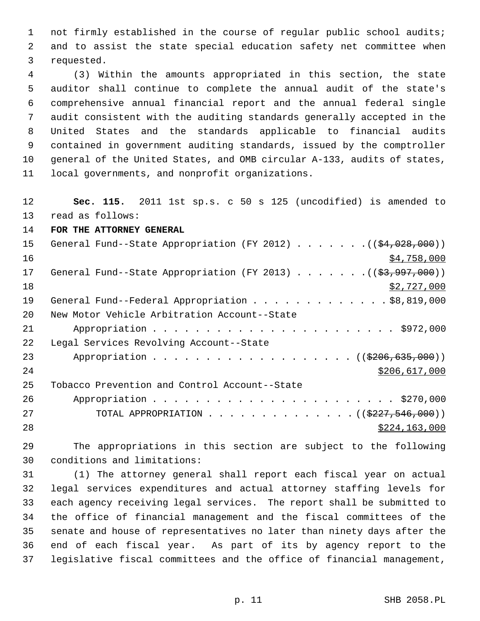1 not firmly established in the course of regular public school audits; 2 and to assist the state special education safety net committee when 3 requested.

 4 (3) Within the amounts appropriated in this section, the state 5 auditor shall continue to complete the annual audit of the state's 6 comprehensive annual financial report and the annual federal single 7 audit consistent with the auditing standards generally accepted in the 8 United States and the standards applicable to financial audits 9 contained in government auditing standards, issued by the comptroller 10 general of the United States, and OMB circular A-133, audits of states, 11 local governments, and nonprofit organizations.

12 **Sec. 115.** 2011 1st sp.s. c 50 s 125 (uncodified) is amended to

13 read as follows:

14 **FOR THE ATTORNEY GENERAL**

| 15 | General Fund--State Appropriation (FY 2012) ( $(\frac{24,028,000}{})$ |
|----|-----------------------------------------------------------------------|
| 16 | \$4,758,000                                                           |
| 17 | General Fund--State Appropriation (FY 2013) $($ $($ \$3,997,000))     |
| 18 | \$2,727,000                                                           |
| 19 | General Fund--Federal Appropriation \$8,819,000                       |
| 20 | New Motor Vehicle Arbitration Account--State                          |
| 21 |                                                                       |
| 22 | Legal Services Revolving Account--State                               |
| 23 | Appropriation ((\$206,635,000))                                       |
| 24 | \$206,617,000                                                         |
| 25 | Tobacco Prevention and Control Account--State                         |
| 26 |                                                                       |
| 27 | TOTAL APPROPRIATION ( $(\frac{2227}{546},000)$ )                      |
| 28 | \$224,163,000                                                         |

29 The appropriations in this section are subject to the following 30 conditions and limitations:

31 (1) The attorney general shall report each fiscal year on actual 32 legal services expenditures and actual attorney staffing levels for 33 each agency receiving legal services. The report shall be submitted to 34 the office of financial management and the fiscal committees of the 35 senate and house of representatives no later than ninety days after the 36 end of each fiscal year. As part of its by agency report to the 37 legislative fiscal committees and the office of financial management,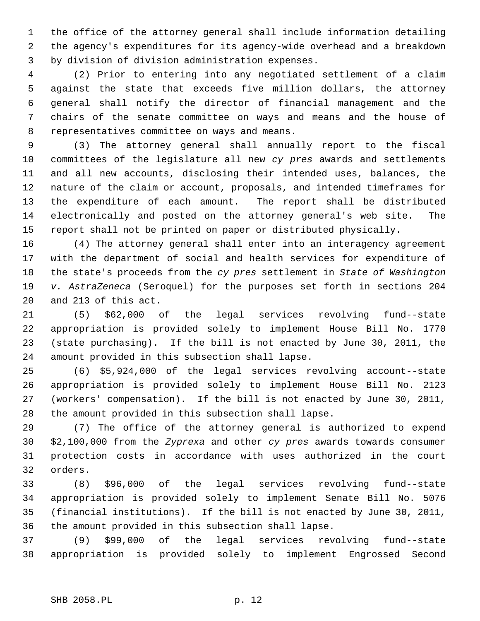1 the office of the attorney general shall include information detailing 2 the agency's expenditures for its agency-wide overhead and a breakdown 3 by division of division administration expenses.

 4 (2) Prior to entering into any negotiated settlement of a claim 5 against the state that exceeds five million dollars, the attorney 6 general shall notify the director of financial management and the 7 chairs of the senate committee on ways and means and the house of 8 representatives committee on ways and means.

 9 (3) The attorney general shall annually report to the fiscal 10 committees of the legislature all new *cy pres* awards and settlements 11 and all new accounts, disclosing their intended uses, balances, the 12 nature of the claim or account, proposals, and intended timeframes for 13 the expenditure of each amount. The report shall be distributed 14 electronically and posted on the attorney general's web site. The 15 report shall not be printed on paper or distributed physically.

16 (4) The attorney general shall enter into an interagency agreement 17 with the department of social and health services for expenditure of 18 the state's proceeds from the *cy pres* settlement in *State of Washington* 19 *v. AstraZeneca* (Seroquel) for the purposes set forth in sections 204 20 and 213 of this act.

21 (5) \$62,000 of the legal services revolving fund--state 22 appropriation is provided solely to implement House Bill No. 1770 23 (state purchasing). If the bill is not enacted by June 30, 2011, the 24 amount provided in this subsection shall lapse.

25 (6) \$5,924,000 of the legal services revolving account--state 26 appropriation is provided solely to implement House Bill No. 2123 27 (workers' compensation). If the bill is not enacted by June 30, 2011, 28 the amount provided in this subsection shall lapse.

29 (7) The office of the attorney general is authorized to expend 30 \$2,100,000 from the *Zyprexa* and other *cy pres* awards towards consumer 31 protection costs in accordance with uses authorized in the court 32 orders.

33 (8) \$96,000 of the legal services revolving fund--state 34 appropriation is provided solely to implement Senate Bill No. 5076 35 (financial institutions). If the bill is not enacted by June 30, 2011, 36 the amount provided in this subsection shall lapse.

37 (9) \$99,000 of the legal services revolving fund--state 38 appropriation is provided solely to implement Engrossed Second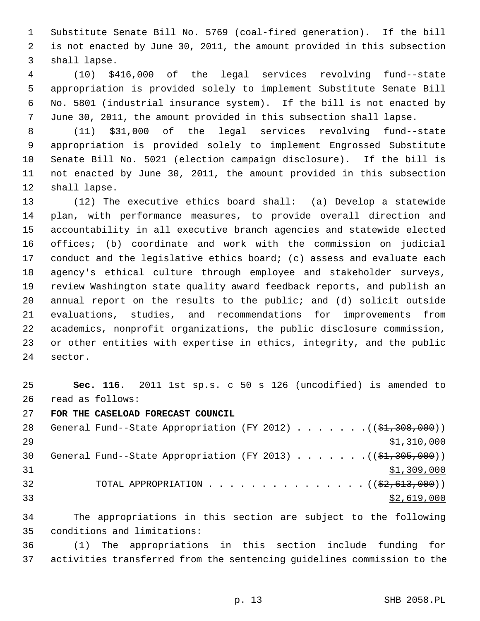1 Substitute Senate Bill No. 5769 (coal-fired generation). If the bill 2 is not enacted by June 30, 2011, the amount provided in this subsection 3 shall lapse.

 4 (10) \$416,000 of the legal services revolving fund--state 5 appropriation is provided solely to implement Substitute Senate Bill 6 No. 5801 (industrial insurance system). If the bill is not enacted by 7 June 30, 2011, the amount provided in this subsection shall lapse.

 8 (11) \$31,000 of the legal services revolving fund--state 9 appropriation is provided solely to implement Engrossed Substitute 10 Senate Bill No. 5021 (election campaign disclosure). If the bill is 11 not enacted by June 30, 2011, the amount provided in this subsection 12 shall lapse.

13 (12) The executive ethics board shall: (a) Develop a statewide 14 plan, with performance measures, to provide overall direction and 15 accountability in all executive branch agencies and statewide elected 16 offices; (b) coordinate and work with the commission on judicial 17 conduct and the legislative ethics board; (c) assess and evaluate each 18 agency's ethical culture through employee and stakeholder surveys, 19 review Washington state quality award feedback reports, and publish an 20 annual report on the results to the public; and (d) solicit outside 21 evaluations, studies, and recommendations for improvements from 22 academics, nonprofit organizations, the public disclosure commission, 23 or other entities with expertise in ethics, integrity, and the public 24 sector.

25 **Sec. 116.** 2011 1st sp.s. c 50 s 126 (uncodified) is amended to 26 read as follows:

27 **FOR THE CASELOAD FORECAST COUNCIL**

28 General Fund--State Appropriation (FY 2012) . . . . . . .((\$1,308,000)) 29 \$1,310,000 30 General Fund--State Appropriation (FY 2013) . . . . . . .((\$1,305,000))  $31$  \$1,309,000 32 TOTAL APPROPRIATION  $\ldots$ , . . . . . . . . . . . . ( $(\frac{2}{2}, 613, 000)$ )  $\frac{1}{2}$  33

34 The appropriations in this section are subject to the following 35 conditions and limitations:

36 (1) The appropriations in this section include funding for 37 activities transferred from the sentencing guidelines commission to the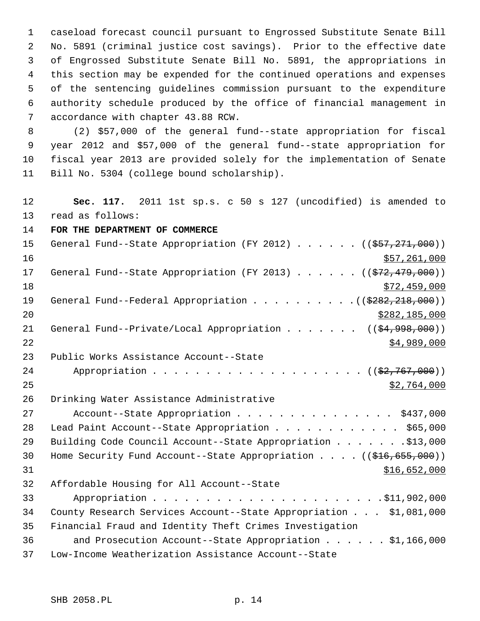1 caseload forecast council pursuant to Engrossed Substitute Senate Bill 2 No. 5891 (criminal justice cost savings). Prior to the effective date 3 of Engrossed Substitute Senate Bill No. 5891, the appropriations in 4 this section may be expended for the continued operations and expenses 5 of the sentencing guidelines commission pursuant to the expenditure 6 authority schedule produced by the office of financial management in 7 accordance with chapter 43.88 RCW.

 8 (2) \$57,000 of the general fund--state appropriation for fiscal 9 year 2012 and \$57,000 of the general fund--state appropriation for 10 fiscal year 2013 are provided solely for the implementation of Senate 11 Bill No. 5304 (college bound scholarship).

12 **Sec. 117.** 2011 1st sp.s. c 50 s 127 (uncodified) is amended to 13 read as follows:

14 **FOR THE DEPARTMENT OF COMMERCE**

| 15 | General Fund--State Appropriation (FY 2012) ( $(\frac{257}{271}, 271, 000)$ )             |
|----|-------------------------------------------------------------------------------------------|
| 16 | \$57,261,000                                                                              |
| 17 | General Fund--State Appropriation (FY 2013) ( $(\frac{272}{179},000)$ )                   |
| 18 | \$72,459,000                                                                              |
| 19 | General Fund--Federal Appropriation $($ $($ $\frac{2882}{202})$                           |
| 20 | \$282,185,000                                                                             |
| 21 | General Fund--Private/Local Appropriation ( $(\frac{24,998,000}{2})$ )                    |
| 22 | \$4,989,000                                                                               |
| 23 | Public Works Assistance Account--State                                                    |
| 24 |                                                                                           |
| 25 | \$2,764,000                                                                               |
| 26 | Drinking Water Assistance Administrative                                                  |
| 27 | Account--State Appropriation \$437,000                                                    |
| 28 | Lead Paint Account--State Appropriation \$65,000                                          |
| 29 | Building Code Council Account--State Appropriation \$13,000                               |
| 30 | Home Security Fund Account--State Appropriation $($ $($ $\frac{216}{655}, \frac{690}{1})$ |
| 31 | \$16,652,000                                                                              |
| 32 | Affordable Housing for All Account--State                                                 |
| 33 |                                                                                           |
| 34 | County Research Services Account--State Appropriation \$1,081,000                         |
| 35 | Financial Fraud and Identity Theft Crimes Investigation                                   |
| 36 | and Prosecution Account--State Appropriation $\ldots$ \$1,166,000                         |
| 37 | Low-Income Weatherization Assistance Account--State                                       |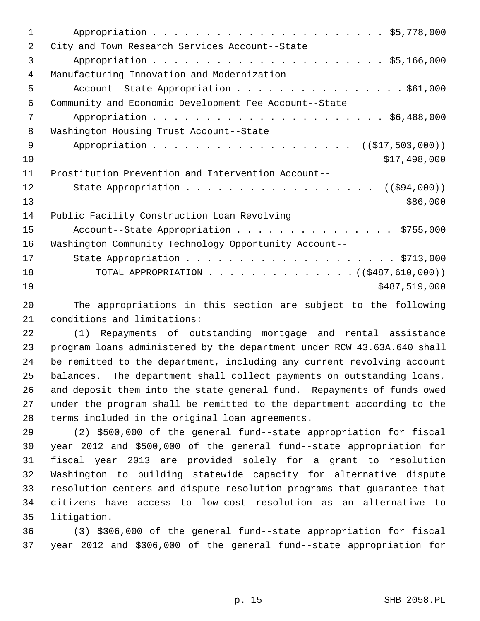| $\mathbf 1$ |                                                       |
|-------------|-------------------------------------------------------|
| 2           | City and Town Research Services Account--State        |
| 3           |                                                       |
| 4           | Manufacturing Innovation and Modernization            |
| 5           | Account--State Appropriation \$61,000                 |
| 6           | Community and Economic Development Fee Account--State |
| 7           |                                                       |
| 8           | Washington Housing Trust Account--State               |
| 9           | Appropriation ((\$17,503,000))                        |
| 10          | \$17,498,000                                          |
| 11          | Prostitution Prevention and Intervention Account--    |
| 12          | ( ( \$94,000) )                                       |
| 13          | \$86,000                                              |
| 14          | Public Facility Construction Loan Revolving           |
| 15          | Account--State Appropriation \$755,000                |
| 16          | Washington Community Technology Opportunity Account-- |
| 17          |                                                       |
| 18          | TOTAL APPROPRIATION ( $(\frac{2487,610,000}{s})$ )    |
| 19          | \$487,519,000                                         |
|             |                                                       |

20 The appropriations in this section are subject to the following 21 conditions and limitations:

22 (1) Repayments of outstanding mortgage and rental assistance 23 program loans administered by the department under RCW 43.63A.640 shall 24 be remitted to the department, including any current revolving account 25 balances. The department shall collect payments on outstanding loans, 26 and deposit them into the state general fund. Repayments of funds owed 27 under the program shall be remitted to the department according to the 28 terms included in the original loan agreements.

29 (2) \$500,000 of the general fund--state appropriation for fiscal 30 year 2012 and \$500,000 of the general fund--state appropriation for 31 fiscal year 2013 are provided solely for a grant to resolution 32 Washington to building statewide capacity for alternative dispute 33 resolution centers and dispute resolution programs that guarantee that 34 citizens have access to low-cost resolution as an alternative to 35 litigation.

36 (3) \$306,000 of the general fund--state appropriation for fiscal 37 year 2012 and \$306,000 of the general fund--state appropriation for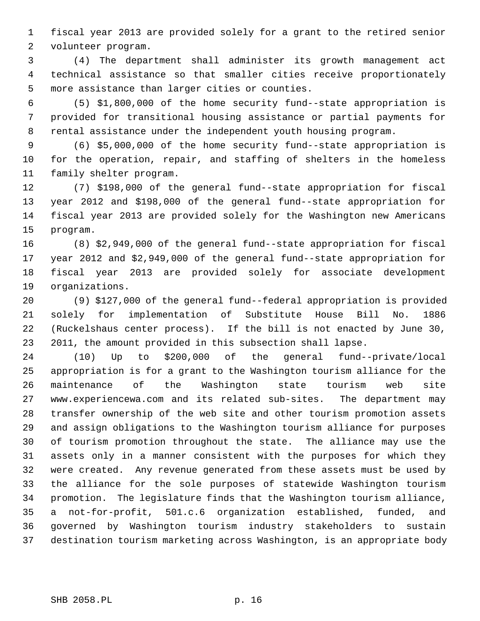1 fiscal year 2013 are provided solely for a grant to the retired senior 2 volunteer program.

 3 (4) The department shall administer its growth management act 4 technical assistance so that smaller cities receive proportionately 5 more assistance than larger cities or counties.

 6 (5) \$1,800,000 of the home security fund--state appropriation is 7 provided for transitional housing assistance or partial payments for 8 rental assistance under the independent youth housing program.

 9 (6) \$5,000,000 of the home security fund--state appropriation is 10 for the operation, repair, and staffing of shelters in the homeless 11 family shelter program.

12 (7) \$198,000 of the general fund--state appropriation for fiscal 13 year 2012 and \$198,000 of the general fund--state appropriation for 14 fiscal year 2013 are provided solely for the Washington new Americans 15 program.

16 (8) \$2,949,000 of the general fund--state appropriation for fiscal 17 year 2012 and \$2,949,000 of the general fund--state appropriation for 18 fiscal year 2013 are provided solely for associate development 19 organizations.

20 (9) \$127,000 of the general fund--federal appropriation is provided 21 solely for implementation of Substitute House Bill No. 1886 22 (Ruckelshaus center process). If the bill is not enacted by June 30, 23 2011, the amount provided in this subsection shall lapse.

24 (10) Up to \$200,000 of the general fund--private/local 25 appropriation is for a grant to the Washington tourism alliance for the 26 maintenance of the Washington state tourism web site 27 www.experiencewa.com and its related sub-sites. The department may 28 transfer ownership of the web site and other tourism promotion assets 29 and assign obligations to the Washington tourism alliance for purposes 30 of tourism promotion throughout the state. The alliance may use the 31 assets only in a manner consistent with the purposes for which they 32 were created. Any revenue generated from these assets must be used by 33 the alliance for the sole purposes of statewide Washington tourism 34 promotion. The legislature finds that the Washington tourism alliance, 35 a not-for-profit, 501.c.6 organization established, funded, and 36 governed by Washington tourism industry stakeholders to sustain 37 destination tourism marketing across Washington, is an appropriate body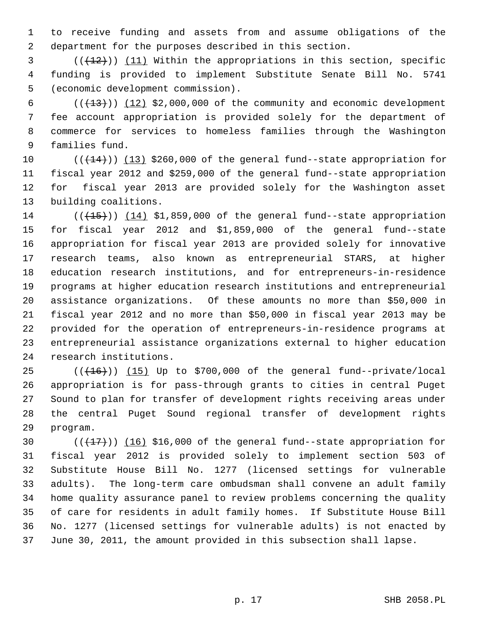1 to receive funding and assets from and assume obligations of the 2 department for the purposes described in this section.

 $(1, 2)$  (( $(1, 12)$ ) (11) Within the appropriations in this section, specific 4 funding is provided to implement Substitute Senate Bill No. 5741 5 (economic development commission).

 $6$  ( $(\frac{13}{13})$ ) (12) \$2,000,000 of the community and economic development 7 fee account appropriation is provided solely for the department of 8 commerce for services to homeless families through the Washington 9 families fund.

10  $((+14))$   $(13)$  \$260,000 of the general fund--state appropriation for 11 fiscal year 2012 and \$259,000 of the general fund--state appropriation 12 for fiscal year 2013 are provided solely for the Washington asset 13 building coalitions.

 $14$  ( $(\overline{+15})$ )  $(14)$  \$1,859,000 of the general fund--state appropriation 15 for fiscal year 2012 and \$1,859,000 of the general fund--state 16 appropriation for fiscal year 2013 are provided solely for innovative 17 research teams, also known as entrepreneurial STARS, at higher 18 education research institutions, and for entrepreneurs-in-residence 19 programs at higher education research institutions and entrepreneurial 20 assistance organizations. Of these amounts no more than \$50,000 in 21 fiscal year 2012 and no more than \$50,000 in fiscal year 2013 may be 22 provided for the operation of entrepreneurs-in-residence programs at 23 entrepreneurial assistance organizations external to higher education 24 research institutions.

25  $((+16))$   $(15)$  Up to \$700,000 of the general fund--private/local 26 appropriation is for pass-through grants to cities in central Puget 27 Sound to plan for transfer of development rights receiving areas under 28 the central Puget Sound regional transfer of development rights 29 program.

30  $((+17))$   $(16)$  \$16,000 of the general fund--state appropriation for 31 fiscal year 2012 is provided solely to implement section 503 of 32 Substitute House Bill No. 1277 (licensed settings for vulnerable 33 adults). The long-term care ombudsman shall convene an adult family 34 home quality assurance panel to review problems concerning the quality 35 of care for residents in adult family homes. If Substitute House Bill 36 No. 1277 (licensed settings for vulnerable adults) is not enacted by 37 June 30, 2011, the amount provided in this subsection shall lapse.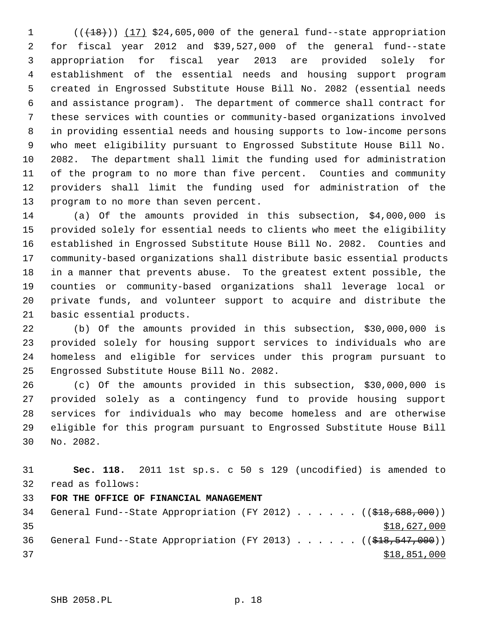$1$  ( $(\overline{+18})$ ) (17) \$24,605,000 of the general fund--state appropriation 2 for fiscal year 2012 and \$39,527,000 of the general fund--state 3 appropriation for fiscal year 2013 are provided solely for 4 establishment of the essential needs and housing support program 5 created in Engrossed Substitute House Bill No. 2082 (essential needs 6 and assistance program). The department of commerce shall contract for 7 these services with counties or community-based organizations involved 8 in providing essential needs and housing supports to low-income persons 9 who meet eligibility pursuant to Engrossed Substitute House Bill No. 10 2082. The department shall limit the funding used for administration 11 of the program to no more than five percent. Counties and community 12 providers shall limit the funding used for administration of the 13 program to no more than seven percent.

14 (a) Of the amounts provided in this subsection, \$4,000,000 is 15 provided solely for essential needs to clients who meet the eligibility 16 established in Engrossed Substitute House Bill No. 2082. Counties and 17 community-based organizations shall distribute basic essential products 18 in a manner that prevents abuse. To the greatest extent possible, the 19 counties or community-based organizations shall leverage local or 20 private funds, and volunteer support to acquire and distribute the 21 basic essential products.

22 (b) Of the amounts provided in this subsection, \$30,000,000 is 23 provided solely for housing support services to individuals who are 24 homeless and eligible for services under this program pursuant to 25 Engrossed Substitute House Bill No. 2082.

26 (c) Of the amounts provided in this subsection, \$30,000,000 is 27 provided solely as a contingency fund to provide housing support 28 services for individuals who may become homeless and are otherwise 29 eligible for this program pursuant to Engrossed Substitute House Bill 30 No. 2082.

| 31 | Sec. 118. 2011 1st sp.s. c 50 s 129 (uncodified) is amended to                       |
|----|--------------------------------------------------------------------------------------|
| 32 | read as follows:                                                                     |
| 33 | FOR THE OFFICE OF FINANCIAL MANAGEMENT                                               |
| 34 | General Fund--State Appropriation (FY 2012) $($ $($ $\frac{2012}{10}$ $)$            |
| 35 | \$18,627,000                                                                         |
| 36 | General Fund--State Appropriation (FY 2013) ( $(\frac{248}{518}, \frac{547}{500})$ ) |
| 37 | \$18,851,000                                                                         |
|    |                                                                                      |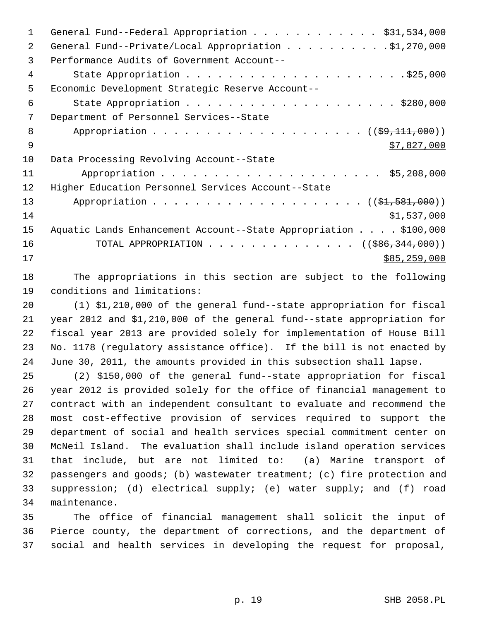| 1  | General Fund--Federal Appropriation \$31,534,000                 |
|----|------------------------------------------------------------------|
| 2  | General Fund--Private/Local Appropriation \$1,270,000            |
| 3  | Performance Audits of Government Account--                       |
| 4  |                                                                  |
| 5  | Economic Development Strategic Reserve Account--                 |
| 6  |                                                                  |
| 7  | Department of Personnel Services--State                          |
| 8  |                                                                  |
| 9  | \$7,827,000                                                      |
| 10 | Data Processing Revolving Account--State                         |
| 11 |                                                                  |
| 12 | Higher Education Personnel Services Account--State               |
| 13 |                                                                  |
| 14 | \$1,537,000                                                      |
| 15 | Aquatic Lands Enhancement Account--State Appropriation \$100,000 |
| 16 | TOTAL APPROPRIATION ( $(\frac{1}{586}, \frac{344}{100})$ )       |
| 17 | \$85,259,000                                                     |
|    |                                                                  |

18 The appropriations in this section are subject to the following 19 conditions and limitations:

20 (1) \$1,210,000 of the general fund--state appropriation for fiscal 21 year 2012 and \$1,210,000 of the general fund--state appropriation for 22 fiscal year 2013 are provided solely for implementation of House Bill 23 No. 1178 (regulatory assistance office). If the bill is not enacted by 24 June 30, 2011, the amounts provided in this subsection shall lapse.

25 (2) \$150,000 of the general fund--state appropriation for fiscal 26 year 2012 is provided solely for the office of financial management to 27 contract with an independent consultant to evaluate and recommend the 28 most cost-effective provision of services required to support the 29 department of social and health services special commitment center on 30 McNeil Island. The evaluation shall include island operation services 31 that include, but are not limited to: (a) Marine transport of 32 passengers and goods; (b) wastewater treatment; (c) fire protection and 33 suppression; (d) electrical supply; (e) water supply; and (f) road 34 maintenance.

35 The office of financial management shall solicit the input of 36 Pierce county, the department of corrections, and the department of 37 social and health services in developing the request for proposal,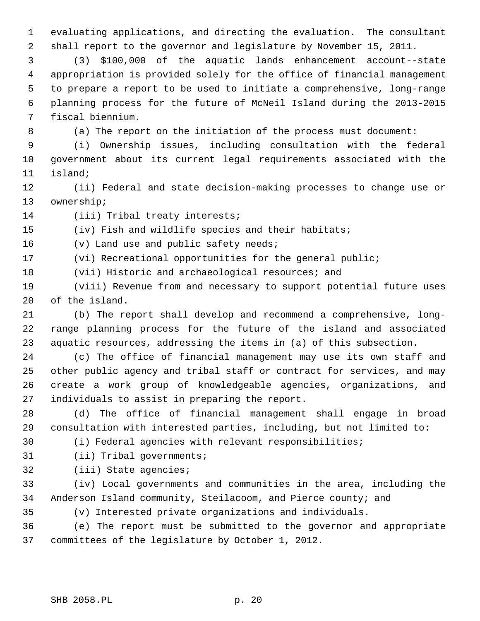1 evaluating applications, and directing the evaluation. The consultant

2 shall report to the governor and legislature by November 15, 2011.

 3 (3) \$100,000 of the aquatic lands enhancement account--state 4 appropriation is provided solely for the office of financial management 5 to prepare a report to be used to initiate a comprehensive, long-range 6 planning process for the future of McNeil Island during the 2013-2015 7 fiscal biennium.

8 (a) The report on the initiation of the process must document:

 9 (i) Ownership issues, including consultation with the federal 10 government about its current legal requirements associated with the 11 island;

12 (ii) Federal and state decision-making processes to change use or 13 ownership;

14 (iii) Tribal treaty interests;

15 (iv) Fish and wildlife species and their habitats;

16 (v) Land use and public safety needs;

17 (vi) Recreational opportunities for the general public;

18 (vii) Historic and archaeological resources; and

19 (viii) Revenue from and necessary to support potential future uses 20 of the island.

21 (b) The report shall develop and recommend a comprehensive, long-22 range planning process for the future of the island and associated 23 aquatic resources, addressing the items in (a) of this subsection.

24 (c) The office of financial management may use its own staff and 25 other public agency and tribal staff or contract for services, and may 26 create a work group of knowledgeable agencies, organizations, and 27 individuals to assist in preparing the report.

28 (d) The office of financial management shall engage in broad 29 consultation with interested parties, including, but not limited to:

30 (i) Federal agencies with relevant responsibilities;

31 (ii) Tribal governments;

32 (iii) State agencies;

33 (iv) Local governments and communities in the area, including the 34 Anderson Island community, Steilacoom, and Pierce county; and

35 (v) Interested private organizations and individuals.

36 (e) The report must be submitted to the governor and appropriate 37 committees of the legislature by October 1, 2012.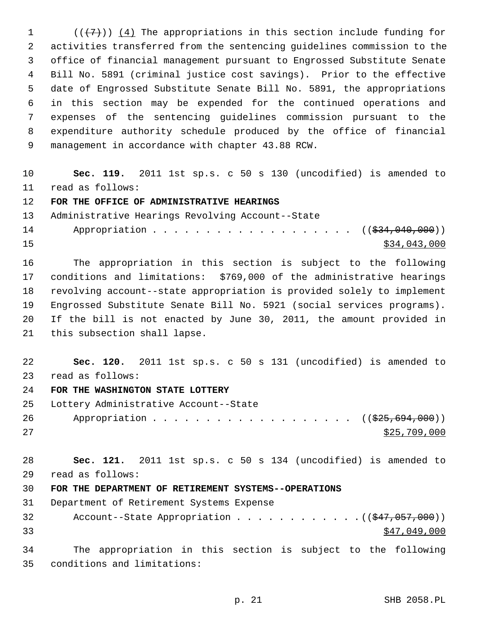1  $((+7))$   $(4)$  The appropriations in this section include funding for 2 activities transferred from the sentencing guidelines commission to the 3 office of financial management pursuant to Engrossed Substitute Senate 4 Bill No. 5891 (criminal justice cost savings). Prior to the effective 5 date of Engrossed Substitute Senate Bill No. 5891, the appropriations 6 in this section may be expended for the continued operations and 7 expenses of the sentencing guidelines commission pursuant to the 8 expenditure authority schedule produced by the office of financial 9 management in accordance with chapter 43.88 RCW.

10 **Sec. 119.** 2011 1st sp.s. c 50 s 130 (uncodified) is amended to 11 read as follows:

12 **FOR THE OFFICE OF ADMINISTRATIVE HEARINGS**

13 Administrative Hearings Revolving Account--State

14 Appropriation . . . . . . . . . . . . . . . . . ((\$34,040,000))  $\frac{15}{34}$ ,043,000

16 The appropriation in this section is subject to the following 17 conditions and limitations: \$769,000 of the administrative hearings 18 revolving account--state appropriation is provided solely to implement 19 Engrossed Substitute Senate Bill No. 5921 (social services programs). 20 If the bill is not enacted by June 30, 2011, the amount provided in 21 this subsection shall lapse.

22 **Sec. 120.** 2011 1st sp.s. c 50 s 131 (uncodified) is amended to 23 read as follows:

24 **FOR THE WASHINGTON STATE LOTTERY**

25 Lottery Administrative Account--State

26 Appropriation . . . . . . . . . . . . . . . . . ((\$25,694,000))  $27$  \$25,709,000

28 **Sec. 121.** 2011 1st sp.s. c 50 s 134 (uncodified) is amended to 29 read as follows:

30 **FOR THE DEPARTMENT OF RETIREMENT SYSTEMS--OPERATIONS**

31 Department of Retirement Systems Expense

32 Account--State Appropriation . . . . . . . . . . . . ((\$47,057,000))  $33$   $547,049,000$ 

34 The appropriation in this section is subject to the following 35 conditions and limitations: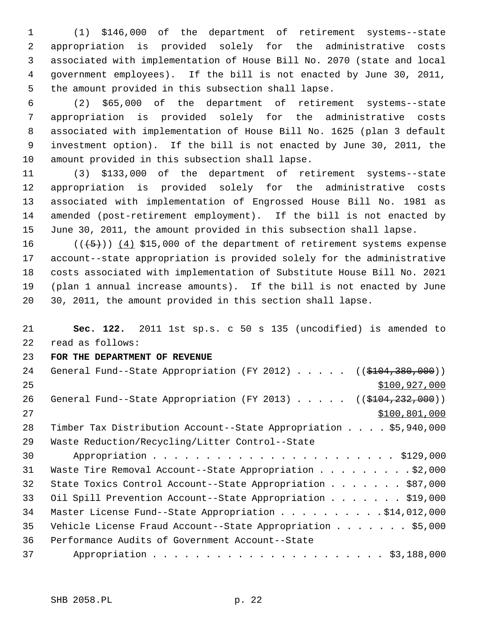1 (1) \$146,000 of the department of retirement systems--state 2 appropriation is provided solely for the administrative costs 3 associated with implementation of House Bill No. 2070 (state and local 4 government employees). If the bill is not enacted by June 30, 2011, 5 the amount provided in this subsection shall lapse.

 6 (2) \$65,000 of the department of retirement systems--state 7 appropriation is provided solely for the administrative costs 8 associated with implementation of House Bill No. 1625 (plan 3 default 9 investment option). If the bill is not enacted by June 30, 2011, the 10 amount provided in this subsection shall lapse.

11 (3) \$133,000 of the department of retirement systems--state 12 appropriation is provided solely for the administrative costs 13 associated with implementation of Engrossed House Bill No. 1981 as 14 amended (post-retirement employment). If the bill is not enacted by 15 June 30, 2011, the amount provided in this subsection shall lapse.

16  $((+5))$   $(4)$  \$15,000 of the department of retirement systems expense 17 account--state appropriation is provided solely for the administrative 18 costs associated with implementation of Substitute House Bill No. 2021 19 (plan 1 annual increase amounts). If the bill is not enacted by June 20 30, 2011, the amount provided in this section shall lapse.

21 **Sec. 122.** 2011 1st sp.s. c 50 s 135 (uncodified) is amended to 22 read as follows:

## 23 **FOR THE DEPARTMENT OF REVENUE**

| 24 | General Fund--State Appropriation (FY 2012) $($ (\$104,380,000))        |
|----|-------------------------------------------------------------------------|
| 25 | \$100, 927, 000                                                         |
| 26 | General Fund--State Appropriation (FY 2013) $($ $($ $$104, 232, 000)$ ) |
| 27 | \$100,801,000                                                           |
| 28 | Timber Tax Distribution Account--State Appropriation \$5,940,000        |
| 29 | Waste Reduction/Recycling/Litter Control--State                         |
| 30 |                                                                         |
| 31 | Waste Tire Removal Account--State Appropriation \$2,000                 |
| 32 | State Toxics Control Account--State Appropriation \$87,000              |
| 33 | Oil Spill Prevention Account--State Appropriation \$19,000              |
| 34 | Master License Fund--State Appropriation \$14,012,000                   |
| 35 | Vehicle License Fraud Account--State Appropriation \$5,000              |
| 36 | Performance Audits of Government Account--State                         |
| 37 |                                                                         |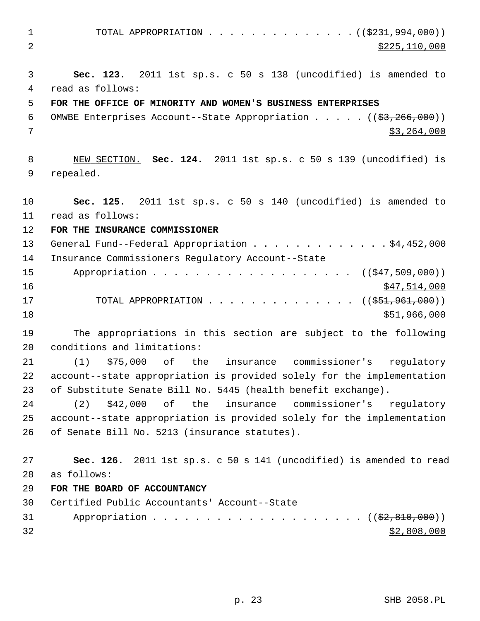1 TOTAL APPROPRIATION . . . . . . . . . . . . . ((\$231,994,000)) 2 \$225,110,000 3 **Sec. 123.** 2011 1st sp.s. c 50 s 138 (uncodified) is amended to 4 read as follows: 5 **FOR THE OFFICE OF MINORITY AND WOMEN'S BUSINESS ENTERPRISES** 6 OMWBE Enterprises Account--State Appropriation  $\ldots$ , ...  $($   $(\frac{2}{53}, \frac{266}{100})$  $7$   $\frac{1}{3}$ , 264,000 8 NEW SECTION. **Sec. 124.** 2011 1st sp.s. c 50 s 139 (uncodified) is 9 repealed. 10 **Sec. 125.** 2011 1st sp.s. c 50 s 140 (uncodified) is amended to 11 read as follows: 12 **FOR THE INSURANCE COMMISSIONER** 13 General Fund--Federal Appropriation . . . . . . . . . . . . \$4,452,000 14 Insurance Commissioners Regulatory Account--State 15 Appropriation . . . . . . . . . . . . . . . . . ((\$47,509,000))  $16$  \$47,514,000 17 TOTAL APPROPRIATION . . . . . . . . . . . . . ((\$51,961,000))  $18$  \$51,966,000 19 The appropriations in this section are subject to the following 20 conditions and limitations: 21 (1) \$75,000 of the insurance commissioner's regulatory 22 account--state appropriation is provided solely for the implementation 23 of Substitute Senate Bill No. 5445 (health benefit exchange). 24 (2) \$42,000 of the insurance commissioner's regulatory 25 account--state appropriation is provided solely for the implementation 26 of Senate Bill No. 5213 (insurance statutes). 27 **Sec. 126.** 2011 1st sp.s. c 50 s 141 (uncodified) is amended to read 28 as follows: 29 **FOR THE BOARD OF ACCOUNTANCY** 30 Certified Public Accountants' Account--State 31 Appropriation . . . . . . . . . . . . . . . . . .  $($   $($  $\frac{2}{3},$   $\frac{810}{100})$  $)$  $32$   $$2,808,000$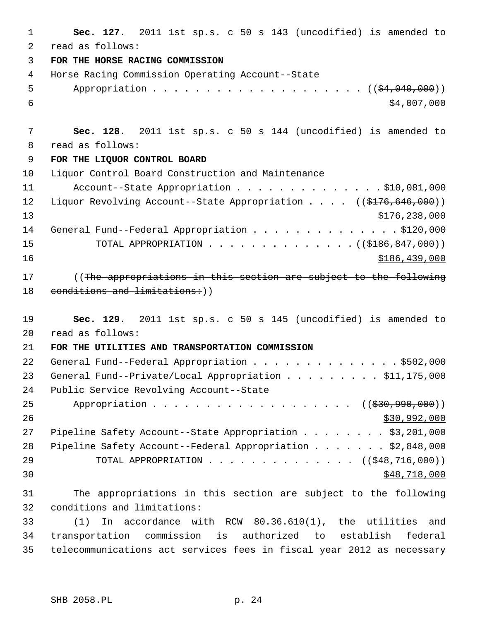| 1               | Sec. 127. 2011 1st sp.s. c 50 s 143 (uncodified) is amended to                            |
|-----------------|-------------------------------------------------------------------------------------------|
| 2               | read as follows:                                                                          |
| 3               | FOR THE HORSE RACING COMMISSION                                                           |
| 4               | Horse Racing Commission Operating Account--State                                          |
| 5               |                                                                                           |
| 6               | \$4,007,000                                                                               |
|                 |                                                                                           |
| $7\phantom{.0}$ | Sec. 128. 2011 1st sp.s. c 50 s 144 (uncodified) is amended to                            |
| 8               | read as follows:                                                                          |
| 9               | FOR THE LIQUOR CONTROL BOARD                                                              |
| 10              | Liquor Control Board Construction and Maintenance                                         |
| 11              | Account--State Appropriation $\ldots$ \$10,081,000                                        |
| 12              | Liquor Revolving Account--State Appropriation $($ $($ $\frac{176}{646}, \frac{646}{000})$ |
| 13              | \$176, 238, 000                                                                           |
| 14              | General Fund--Federal Appropriation \$120,000                                             |
| 15              | TOTAL APPROPRIATION ( $($186, 847, 000)$ )                                                |
| 16              | \$186,439,000                                                                             |
| 17              | ((The appropriations in this section are subject to the following                         |
| 18              | conditions and limitations: ) )                                                           |
|                 |                                                                                           |
| 19              | Sec. 129. 2011 1st sp.s. c 50 s 145 (uncodified) is amended to                            |
| 20              | read as follows:                                                                          |
| 21              | FOR THE UTILITIES AND TRANSPORTATION COMMISSION                                           |
| 22              | General Fund--Federal Appropriation \$502,000                                             |
| 23              | General Fund--Private/Local Appropriation \$11,175,000                                    |
| 24              | Public Service Revolving Account--State                                                   |
| 25              | Appropriation ((\$30,990,000))                                                            |
| 26              | \$30,992,000                                                                              |
| 27              | Pipeline Safety Account--State Appropriation \$3,201,000                                  |
| 28              | Pipeline Safety Account--Federal Appropriation \$2,848,000                                |
| 29              | TOTAL APPROPRIATION ( $(\frac{248}{716},000)$ )                                           |
| 30              | \$48,718,000                                                                              |
| 31              | The appropriations in this section are subject to the following                           |
| 32              | conditions and limitations:                                                               |
| 33              | In accordance with RCW 80.36.610(1), the utilities and<br>(1)                             |
| 34              | transportation commission is authorized to establish<br>federal                           |
| 35              | telecommunications act services fees in fiscal year 2012 as necessary                     |
|                 |                                                                                           |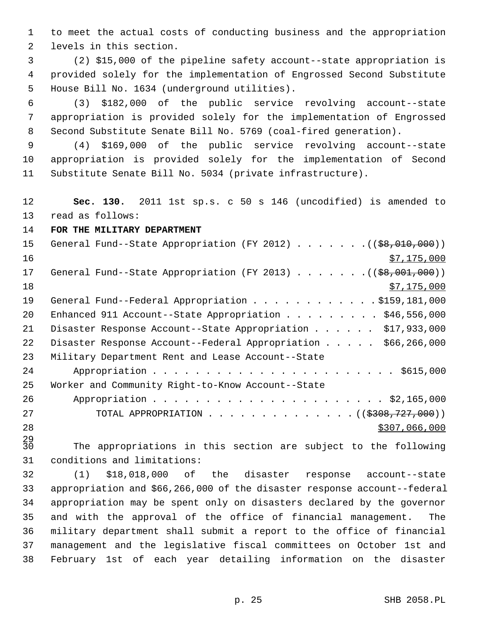1 to meet the actual costs of conducting business and the appropriation 2 levels in this section.

 3 (2) \$15,000 of the pipeline safety account--state appropriation is 4 provided solely for the implementation of Engrossed Second Substitute 5 House Bill No. 1634 (underground utilities).

 6 (3) \$182,000 of the public service revolving account--state 7 appropriation is provided solely for the implementation of Engrossed 8 Second Substitute Senate Bill No. 5769 (coal-fired generation).

 9 (4) \$169,000 of the public service revolving account--state 10 appropriation is provided solely for the implementation of Second 11 Substitute Senate Bill No. 5034 (private infrastructure).

12 **Sec. 130.** 2011 1st sp.s. c 50 s 146 (uncodified) is amended to 13 read as follows:

14 **FOR THE MILITARY DEPARTMENT**

| 15 | General Fund--State Appropriation (FY 2012) $($ $($ $\frac{69}{67}$ , 010, 000)) |
|----|----------------------------------------------------------------------------------|
| 16 | \$7,175,000                                                                      |
| 17 | General Fund--State Appropriation (FY 2013) ( $(\frac{28}{1001}, 000)$ )         |
| 18 | \$7,175,000                                                                      |
| 19 | General Fund--Federal Appropriation \$159,181,000                                |
| 20 | Enhanced 911 Account--State Appropriation \$46,556,000                           |
| 21 | Disaster Response Account--State Appropriation \$17,933,000                      |
| 22 | Disaster Response Account--Federal Appropriation \$66,266,000                    |
| 23 | Military Department Rent and Lease Account--State                                |
| 24 |                                                                                  |
| 25 | Worker and Community Right-to-Know Account--State                                |
| 26 |                                                                                  |
| 27 | TOTAL APPROPRIATION ( $(\frac{2308}{727},000)$ )                                 |
| 28 | \$307,066,000                                                                    |

 $\frac{29}{30}$ The appropriations in this section are subject to the following 31 conditions and limitations:

32 (1) \$18,018,000 of the disaster response account--state 33 appropriation and \$66,266,000 of the disaster response account--federal 34 appropriation may be spent only on disasters declared by the governor 35 and with the approval of the office of financial management. The 36 military department shall submit a report to the office of financial 37 management and the legislative fiscal committees on October 1st and 38 February 1st of each year detailing information on the disaster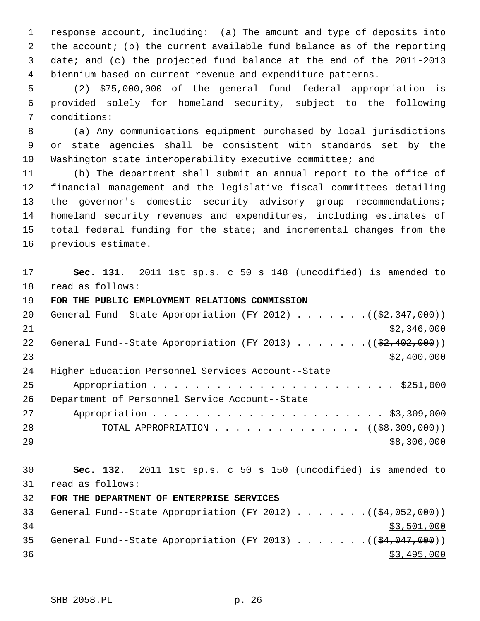1 response account, including: (a) The amount and type of deposits into 2 the account; (b) the current available fund balance as of the reporting 3 date; and (c) the projected fund balance at the end of the 2011-2013 4 biennium based on current revenue and expenditure patterns.

 5 (2) \$75,000,000 of the general fund--federal appropriation is 6 provided solely for homeland security, subject to the following 7 conditions:

 8 (a) Any communications equipment purchased by local jurisdictions 9 or state agencies shall be consistent with standards set by the 10 Washington state interoperability executive committee; and

11 (b) The department shall submit an annual report to the office of 12 financial management and the legislative fiscal committees detailing 13 the governor's domestic security advisory group recommendations; 14 homeland security revenues and expenditures, including estimates of 15 total federal funding for the state; and incremental changes from the 16 previous estimate.

17 **Sec. 131.** 2011 1st sp.s. c 50 s 148 (uncodified) is amended to 18 read as follows:

## 19 **FOR THE PUBLIC EMPLOYMENT RELATIONS COMMISSION**

| 20 | General Fund--State Appropriation (FY 2012) $($ $($ $\frac{27.347}{000})$ |
|----|---------------------------------------------------------------------------|
| 21 | \$2,346,000                                                               |
| 22 | General Fund--State Appropriation (FY 2013) $($ $($ \$2,402,000))         |
| 23 | \$2,400,000                                                               |
| 24 | Higher Education Personnel Services Account--State                        |
| 25 |                                                                           |
| 26 | Department of Personnel Service Account--State                            |
| 27 |                                                                           |
| 28 | TOTAL APPROPRIATION $($ $($ $\frac{1}{58}, \frac{309}{100})$              |
| 29 | \$8,306,000                                                               |

30 **Sec. 132.** 2011 1st sp.s. c 50 s 150 (uncodified) is amended to 31 read as follows:

# 32 **FOR THE DEPARTMENT OF ENTERPRISE SERVICES**

| 33 |  |  |  |  |  | General Fund--State Appropriation (FY 2012) $($ $(\frac{24.052.000}{})$ |
|----|--|--|--|--|--|-------------------------------------------------------------------------|
| 34 |  |  |  |  |  | \$3,501,000                                                             |
| 35 |  |  |  |  |  | General Fund--State Appropriation (FY 2013) $($ $(\frac{24.047.000}{})$ |
| 36 |  |  |  |  |  | \$3,495,000                                                             |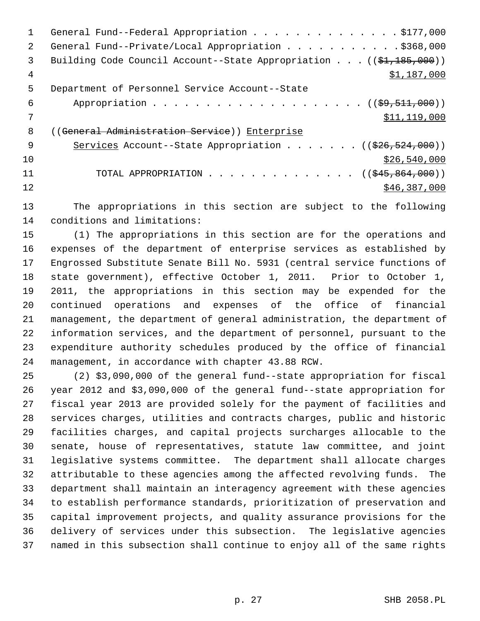|     | General Fund--Federal Appropriation \$177,000                                   |
|-----|---------------------------------------------------------------------------------|
| 2   | General Fund--Private/Local Appropriation \$368,000                             |
| 3   | Building Code Council Account--State Appropriation $((\frac{1}{21}, 185, 000))$ |
| 4   | \$1,187,000                                                                     |
| 5   | Department of Personnel Service Account--State                                  |
| 6   |                                                                                 |
|     | \$11,119,000                                                                    |
| 8   | ((General Administration Service)) Enterprise                                   |
| - 9 | Services Account--State Appropriation ( $(\frac{226}{526}, \frac{524}{900})$ )  |
| 10  | \$26,540,000                                                                    |
| 11  | TOTAL APPROPRIATION ( $(\frac{245}{645}, \frac{864}{600})$ )                    |
| 12  | \$46,387,000                                                                    |
|     |                                                                                 |

13 The appropriations in this section are subject to the following 14 conditions and limitations:

15 (1) The appropriations in this section are for the operations and 16 expenses of the department of enterprise services as established by 17 Engrossed Substitute Senate Bill No. 5931 (central service functions of 18 state government), effective October 1, 2011. Prior to October 1, 19 2011, the appropriations in this section may be expended for the 20 continued operations and expenses of the office of financial 21 management, the department of general administration, the department of 22 information services, and the department of personnel, pursuant to the 23 expenditure authority schedules produced by the office of financial 24 management, in accordance with chapter 43.88 RCW.

25 (2) \$3,090,000 of the general fund--state appropriation for fiscal 26 year 2012 and \$3,090,000 of the general fund--state appropriation for 27 fiscal year 2013 are provided solely for the payment of facilities and 28 services charges, utilities and contracts charges, public and historic 29 facilities charges, and capital projects surcharges allocable to the 30 senate, house of representatives, statute law committee, and joint 31 legislative systems committee. The department shall allocate charges 32 attributable to these agencies among the affected revolving funds. The 33 department shall maintain an interagency agreement with these agencies 34 to establish performance standards, prioritization of preservation and 35 capital improvement projects, and quality assurance provisions for the 36 delivery of services under this subsection. The legislative agencies 37 named in this subsection shall continue to enjoy all of the same rights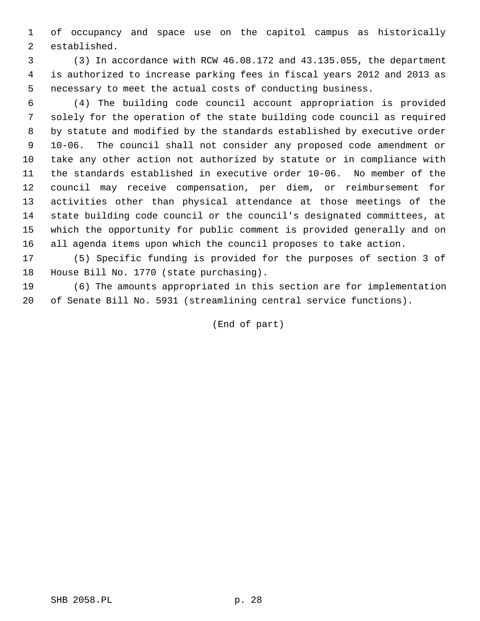1 of occupancy and space use on the capitol campus as historically 2 established.

 3 (3) In accordance with RCW 46.08.172 and 43.135.055, the department 4 is authorized to increase parking fees in fiscal years 2012 and 2013 as 5 necessary to meet the actual costs of conducting business.

 6 (4) The building code council account appropriation is provided 7 solely for the operation of the state building code council as required 8 by statute and modified by the standards established by executive order 9 10-06. The council shall not consider any proposed code amendment or 10 take any other action not authorized by statute or in compliance with 11 the standards established in executive order 10-06. No member of the 12 council may receive compensation, per diem, or reimbursement for 13 activities other than physical attendance at those meetings of the 14 state building code council or the council's designated committees, at 15 which the opportunity for public comment is provided generally and on 16 all agenda items upon which the council proposes to take action.

17 (5) Specific funding is provided for the purposes of section 3 of 18 House Bill No. 1770 (state purchasing).

19 (6) The amounts appropriated in this section are for implementation 20 of Senate Bill No. 5931 (streamlining central service functions).

(End of part)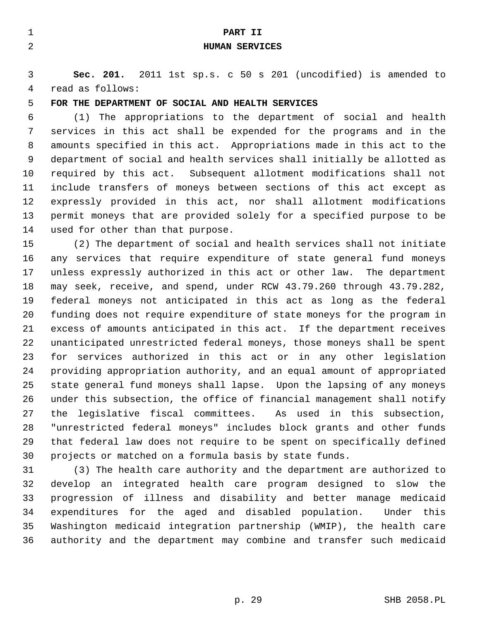| $\mathbf{1}$   | PART II                                                                 |
|----------------|-------------------------------------------------------------------------|
| $\overline{2}$ | <b>HUMAN SERVICES</b>                                                   |
|                |                                                                         |
| 3              | Sec. 201. 2011 1st sp.s. c 50 s 201 (uncodified) is amended to          |
| 4              | read as follows:                                                        |
| 5              | FOR THE DEPARTMENT OF SOCIAL AND HEALTH SERVICES                        |
| 6              | (1) The appropriations to the department of social and health           |
| 7              | services in this act shall be expended for the programs and in the      |
| 8              | amounts specified in this act. Appropriations made in this act to the   |
| 9              | department of social and health services shall initially be allotted as |
| 10             | required by this act. Subsequent allotment modifications shall not      |
| 11             | include transfers of moneys between sections of this act except as      |
| 12             | expressly provided in this act, nor shall allotment modifications       |
| 13             | permit moneys that are provided solely for a specified purpose to be    |
| 14             | used for other than that purpose.                                       |
| 15             | (2) The department of social and health services shall not initiate     |
| 16             | any services that require expenditure of state general fund moneys      |
| 17             | unless expressly authorized in this act or other law. The department    |
| 18             | may seek, receive, and spend, under RCW 43.79.260 through 43.79.282,    |
| 19             | federal moneys not anticipated in this act as long as the federal       |
| 20             | funding does not require expenditure of state moneys for the program in |
| 21             | excess of amounts anticipated in this act. If the department receives   |
| 22             | unanticipated unrestricted federal moneys, those moneys shall be spent  |
| 23             | services authorized in this act or in any other legislation<br>for      |
| 24             | providing appropriation authority, and an equal amount of appropriated  |
| 25             | state general fund moneys shall lapse. Upon the lapsing of any moneys   |

29 that federal law does not require to be spent on specifically defined 30 projects or matched on a formula basis by state funds. 31 (3) The health care authority and the department are authorized to 32 develop an integrated health care program designed to slow the 33 progression of illness and disability and better manage medicaid 34 expenditures for the aged and disabled population. Under this 35 Washington medicaid integration partnership (WMIP), the health care 36 authority and the department may combine and transfer such medicaid

26 under this subsection, the office of financial management shall notify 27 the legislative fiscal committees. As used in this subsection, 28 "unrestricted federal moneys" includes block grants and other funds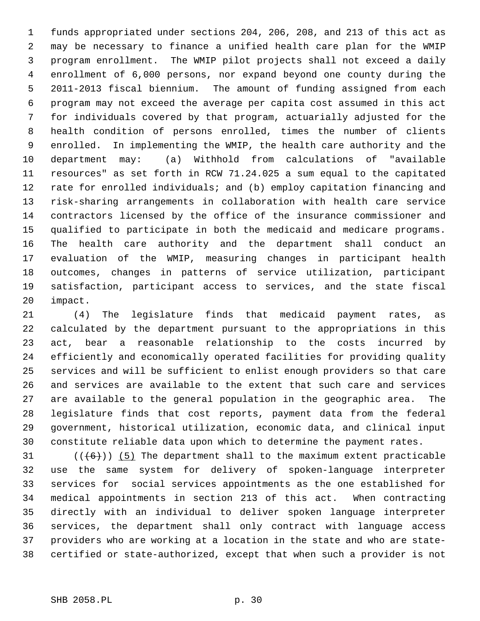1 funds appropriated under sections 204, 206, 208, and 213 of this act as 2 may be necessary to finance a unified health care plan for the WMIP 3 program enrollment. The WMIP pilot projects shall not exceed a daily 4 enrollment of 6,000 persons, nor expand beyond one county during the 5 2011-2013 fiscal biennium. The amount of funding assigned from each 6 program may not exceed the average per capita cost assumed in this act 7 for individuals covered by that program, actuarially adjusted for the 8 health condition of persons enrolled, times the number of clients 9 enrolled. In implementing the WMIP, the health care authority and the 10 department may: (a) Withhold from calculations of "available 11 resources" as set forth in RCW 71.24.025 a sum equal to the capitated 12 rate for enrolled individuals; and (b) employ capitation financing and 13 risk-sharing arrangements in collaboration with health care service 14 contractors licensed by the office of the insurance commissioner and 15 qualified to participate in both the medicaid and medicare programs. 16 The health care authority and the department shall conduct an 17 evaluation of the WMIP, measuring changes in participant health 18 outcomes, changes in patterns of service utilization, participant 19 satisfaction, participant access to services, and the state fiscal 20 impact.

21 (4) The legislature finds that medicaid payment rates, as 22 calculated by the department pursuant to the appropriations in this 23 act, bear a reasonable relationship to the costs incurred by 24 efficiently and economically operated facilities for providing quality 25 services and will be sufficient to enlist enough providers so that care 26 and services are available to the extent that such care and services 27 are available to the general population in the geographic area. The 28 legislature finds that cost reports, payment data from the federal 29 government, historical utilization, economic data, and clinical input 30 constitute reliable data upon which to determine the payment rates.

31  $((+6))$  (5) The department shall to the maximum extent practicable 32 use the same system for delivery of spoken-language interpreter 33 services for social services appointments as the one established for 34 medical appointments in section 213 of this act. When contracting 35 directly with an individual to deliver spoken language interpreter 36 services, the department shall only contract with language access 37 providers who are working at a location in the state and who are state-38 certified or state-authorized, except that when such a provider is not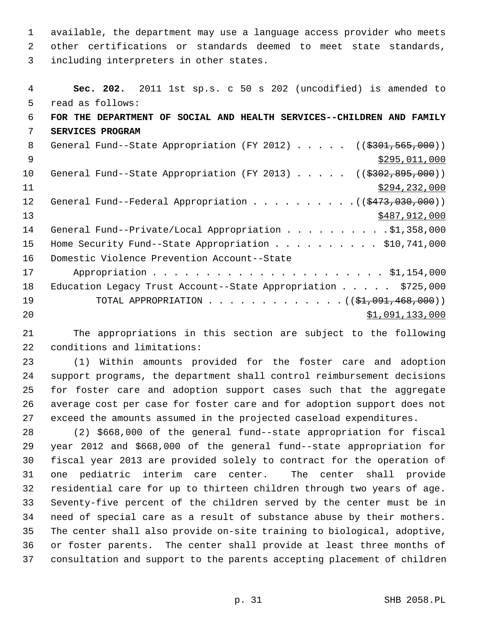1 available, the department may use a language access provider who meets 2 other certifications or standards deemed to meet state standards, 3 including interpreters in other states.

| 4  | Sec. 202. 2011 1st sp.s. c 50 s 202 (uncodified) is amended to        |
|----|-----------------------------------------------------------------------|
| 5  | read as follows:                                                      |
| 6  | FOR THE DEPARTMENT OF SOCIAL AND HEALTH SERVICES--CHILDREN AND FAMILY |
| 7  | SERVICES PROGRAM                                                      |
| 8  | General Fund--State Appropriation (FY 2012) $($ $($ \$301,565,000))   |
| 9  | \$295,011,000                                                         |
| 10 | General Fund--State Appropriation (FY 2013) $($ $($ \$302,895,000))   |
| 11 | \$294, 232, 000                                                       |
| 12 | General Fund--Federal Appropriation $($ $($ $\frac{2473}{1000})$      |
| 13 | \$487,912,000                                                         |
| 14 | General Fund--Private/Local Appropriation \$1,358,000                 |
| 15 | Home Security Fund--State Appropriation $\ldots$ \$10,741,000         |
| 16 | Domestic Violence Prevention Account--State                           |
| 17 |                                                                       |
| 18 | Education Legacy Trust Account--State Appropriation \$725,000         |
| 19 | TOTAL APPROPRIATION $($ $(\frac{1}{2}, 091, 468, 000))$               |
| 20 | \$1,091,133,000                                                       |
|    |                                                                       |

21 The appropriations in this section are subject to the following 22 conditions and limitations:

23 (1) Within amounts provided for the foster care and adoption 24 support programs, the department shall control reimbursement decisions 25 for foster care and adoption support cases such that the aggregate 26 average cost per case for foster care and for adoption support does not 27 exceed the amounts assumed in the projected caseload expenditures.

28 (2) \$668,000 of the general fund--state appropriation for fiscal 29 year 2012 and \$668,000 of the general fund--state appropriation for 30 fiscal year 2013 are provided solely to contract for the operation of 31 one pediatric interim care center. The center shall provide 32 residential care for up to thirteen children through two years of age. 33 Seventy-five percent of the children served by the center must be in 34 need of special care as a result of substance abuse by their mothers. 35 The center shall also provide on-site training to biological, adoptive, 36 or foster parents. The center shall provide at least three months of 37 consultation and support to the parents accepting placement of children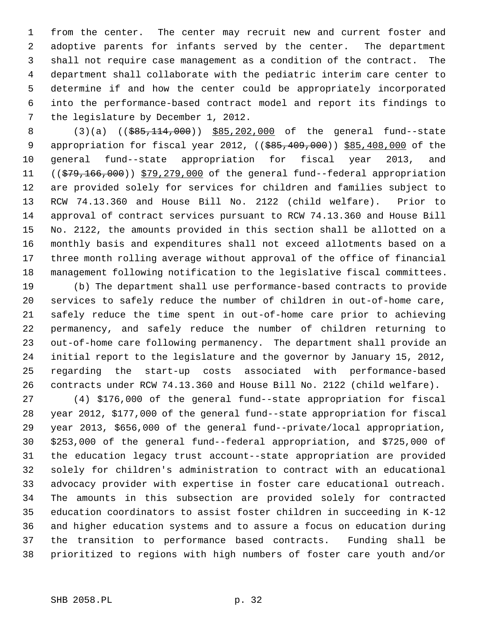1 from the center. The center may recruit new and current foster and 2 adoptive parents for infants served by the center. The department 3 shall not require case management as a condition of the contract. The 4 department shall collaborate with the pediatric interim care center to 5 determine if and how the center could be appropriately incorporated 6 into the performance-based contract model and report its findings to 7 the legislature by December 1, 2012.

8 (3)(a) ((\$85,114,000)) \$85,202,000 of the general fund--state 9 appropriation for fiscal year 2012, ((\$85,409,000)) \$85,408,000 of the 10 general fund--state appropriation for fiscal year 2013, and 11 ((\$79,166,000)) \$79,279,000 of the general fund--federal appropriation 12 are provided solely for services for children and families subject to 13 RCW 74.13.360 and House Bill No. 2122 (child welfare). Prior to 14 approval of contract services pursuant to RCW 74.13.360 and House Bill 15 No. 2122, the amounts provided in this section shall be allotted on a 16 monthly basis and expenditures shall not exceed allotments based on a 17 three month rolling average without approval of the office of financial 18 management following notification to the legislative fiscal committees.

19 (b) The department shall use performance-based contracts to provide 20 services to safely reduce the number of children in out-of-home care, 21 safely reduce the time spent in out-of-home care prior to achieving 22 permanency, and safely reduce the number of children returning to 23 out-of-home care following permanency. The department shall provide an 24 initial report to the legislature and the governor by January 15, 2012, 25 regarding the start-up costs associated with performance-based 26 contracts under RCW 74.13.360 and House Bill No. 2122 (child welfare).

27 (4) \$176,000 of the general fund--state appropriation for fiscal 28 year 2012, \$177,000 of the general fund--state appropriation for fiscal 29 year 2013, \$656,000 of the general fund--private/local appropriation, 30 \$253,000 of the general fund--federal appropriation, and \$725,000 of 31 the education legacy trust account--state appropriation are provided 32 solely for children's administration to contract with an educational 33 advocacy provider with expertise in foster care educational outreach. 34 The amounts in this subsection are provided solely for contracted 35 education coordinators to assist foster children in succeeding in K-12 36 and higher education systems and to assure a focus on education during 37 the transition to performance based contracts. Funding shall be 38 prioritized to regions with high numbers of foster care youth and/or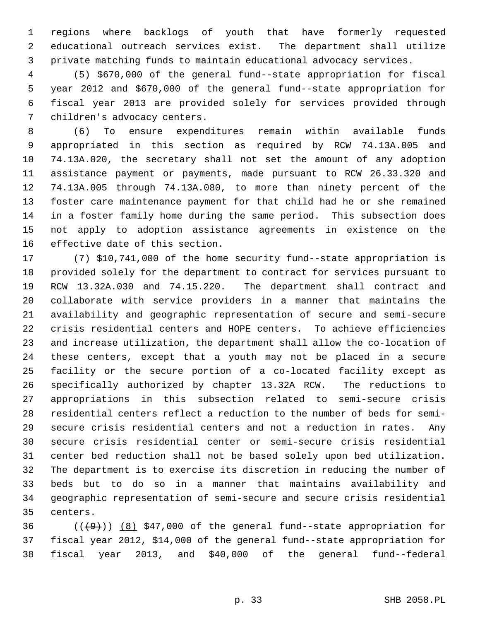1 regions where backlogs of youth that have formerly requested 2 educational outreach services exist. The department shall utilize 3 private matching funds to maintain educational advocacy services.

 4 (5) \$670,000 of the general fund--state appropriation for fiscal 5 year 2012 and \$670,000 of the general fund--state appropriation for 6 fiscal year 2013 are provided solely for services provided through 7 children's advocacy centers.

 8 (6) To ensure expenditures remain within available funds 9 appropriated in this section as required by RCW 74.13A.005 and 10 74.13A.020, the secretary shall not set the amount of any adoption 11 assistance payment or payments, made pursuant to RCW 26.33.320 and 12 74.13A.005 through 74.13A.080, to more than ninety percent of the 13 foster care maintenance payment for that child had he or she remained 14 in a foster family home during the same period. This subsection does 15 not apply to adoption assistance agreements in existence on the 16 effective date of this section.

17 (7) \$10,741,000 of the home security fund--state appropriation is 18 provided solely for the department to contract for services pursuant to 19 RCW 13.32A.030 and 74.15.220. The department shall contract and 20 collaborate with service providers in a manner that maintains the 21 availability and geographic representation of secure and semi-secure 22 crisis residential centers and HOPE centers. To achieve efficiencies 23 and increase utilization, the department shall allow the co-location of 24 these centers, except that a youth may not be placed in a secure 25 facility or the secure portion of a co-located facility except as 26 specifically authorized by chapter 13.32A RCW. The reductions to 27 appropriations in this subsection related to semi-secure crisis 28 residential centers reflect a reduction to the number of beds for semi-29 secure crisis residential centers and not a reduction in rates. Any 30 secure crisis residential center or semi-secure crisis residential 31 center bed reduction shall not be based solely upon bed utilization. 32 The department is to exercise its discretion in reducing the number of 33 beds but to do so in a manner that maintains availability and 34 geographic representation of semi-secure and secure crisis residential 35 centers.

36  $((+9))$  (8) \$47,000 of the general fund--state appropriation for 37 fiscal year 2012, \$14,000 of the general fund--state appropriation for 38 fiscal year 2013, and \$40,000 of the general fund--federal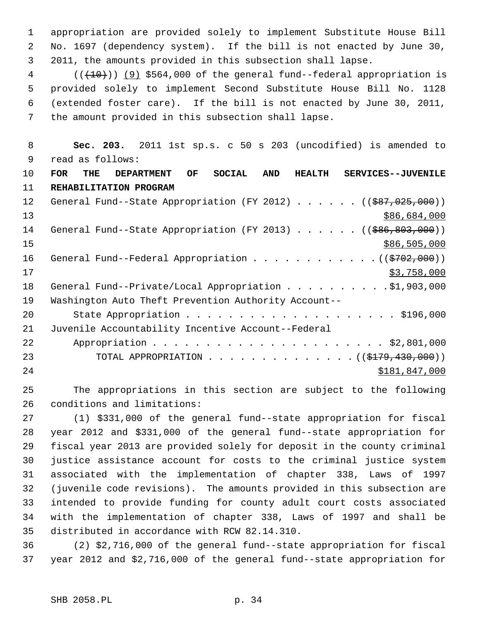1 appropriation are provided solely to implement Substitute House Bill 2 No. 1697 (dependency system). If the bill is not enacted by June 30, 3 2011, the amounts provided in this subsection shall lapse.

 $4$  (( $\left(\frac{(10)}{10}\right)$ ) (9) \$564,000 of the general fund--federal appropriation is 5 provided solely to implement Second Substitute House Bill No. 1128 6 (extended foster care). If the bill is not enacted by June 30, 2011, 7 the amount provided in this subsection shall lapse.

 8 **Sec. 203.** 2011 1st sp.s. c 50 s 203 (uncodified) is amended to 9 read as follows: 10 **FOR THE DEPARTMENT OF SOCIAL AND HEALTH SERVICES--JUVENILE**

11 **REHABILITATION PROGRAM** 12 General Fund--State Appropriation (FY 2012) . . . . . ((\$87,025,000))  $13$  \$86,684,000 14 General Fund--State Appropriation (FY 2013) . . . . . . ((\$86,803,000))  $15$  \$86,505,000 \$86,505,000 16 General Fund--Federal Appropriation . . . . . . . . . . . . ((\$702,000))  $17$  \$3,758,000 18 General Fund--Private/Local Appropriation . . . . . . . . . \$1,903,000 19 Washington Auto Theft Prevention Authority Account-- 20 State Appropriation . . . . . . . . . . . . . . . . . . . . \$196,000 21 Juvenile Accountability Incentive Account--Federal 22 Appropriation . . . . . . . . . . . . . . . . . . . . . . \$2,801,000 23 TOTAL APPROPRIATION . . . . . . . . . . . . . . ((\$179,430,000)) 24 \$181,847,000

25 The appropriations in this section are subject to the following 26 conditions and limitations:

27 (1) \$331,000 of the general fund--state appropriation for fiscal 28 year 2012 and \$331,000 of the general fund--state appropriation for 29 fiscal year 2013 are provided solely for deposit in the county criminal 30 justice assistance account for costs to the criminal justice system 31 associated with the implementation of chapter 338, Laws of 1997 32 (juvenile code revisions). The amounts provided in this subsection are 33 intended to provide funding for county adult court costs associated 34 with the implementation of chapter 338, Laws of 1997 and shall be 35 distributed in accordance with RCW 82.14.310.

36 (2) \$2,716,000 of the general fund--state appropriation for fiscal 37 year 2012 and \$2,716,000 of the general fund--state appropriation for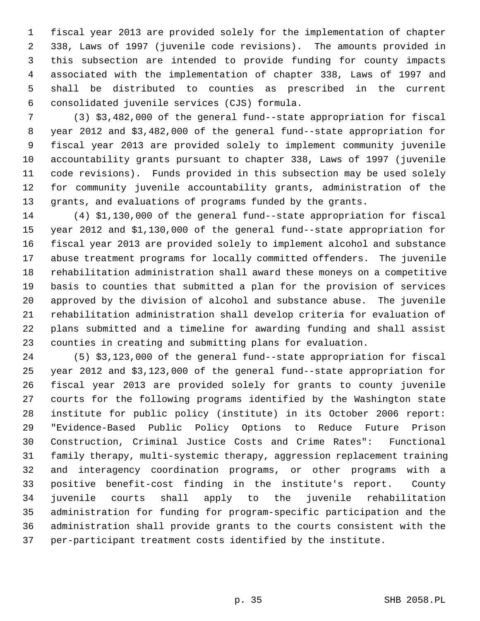1 fiscal year 2013 are provided solely for the implementation of chapter 2 338, Laws of 1997 (juvenile code revisions). The amounts provided in 3 this subsection are intended to provide funding for county impacts 4 associated with the implementation of chapter 338, Laws of 1997 and 5 shall be distributed to counties as prescribed in the current 6 consolidated juvenile services (CJS) formula.

 7 (3) \$3,482,000 of the general fund--state appropriation for fiscal 8 year 2012 and \$3,482,000 of the general fund--state appropriation for 9 fiscal year 2013 are provided solely to implement community juvenile 10 accountability grants pursuant to chapter 338, Laws of 1997 (juvenile 11 code revisions). Funds provided in this subsection may be used solely 12 for community juvenile accountability grants, administration of the 13 grants, and evaluations of programs funded by the grants.

14 (4) \$1,130,000 of the general fund--state appropriation for fiscal 15 year 2012 and \$1,130,000 of the general fund--state appropriation for 16 fiscal year 2013 are provided solely to implement alcohol and substance 17 abuse treatment programs for locally committed offenders. The juvenile 18 rehabilitation administration shall award these moneys on a competitive 19 basis to counties that submitted a plan for the provision of services 20 approved by the division of alcohol and substance abuse. The juvenile 21 rehabilitation administration shall develop criteria for evaluation of 22 plans submitted and a timeline for awarding funding and shall assist 23 counties in creating and submitting plans for evaluation.

24 (5) \$3,123,000 of the general fund--state appropriation for fiscal 25 year 2012 and \$3,123,000 of the general fund--state appropriation for 26 fiscal year 2013 are provided solely for grants to county juvenile 27 courts for the following programs identified by the Washington state 28 institute for public policy (institute) in its October 2006 report: 29 "Evidence-Based Public Policy Options to Reduce Future Prison 30 Construction, Criminal Justice Costs and Crime Rates": Functional 31 family therapy, multi-systemic therapy, aggression replacement training 32 and interagency coordination programs, or other programs with a 33 positive benefit-cost finding in the institute's report. County 34 juvenile courts shall apply to the juvenile rehabilitation 35 administration for funding for program-specific participation and the 36 administration shall provide grants to the courts consistent with the 37 per-participant treatment costs identified by the institute.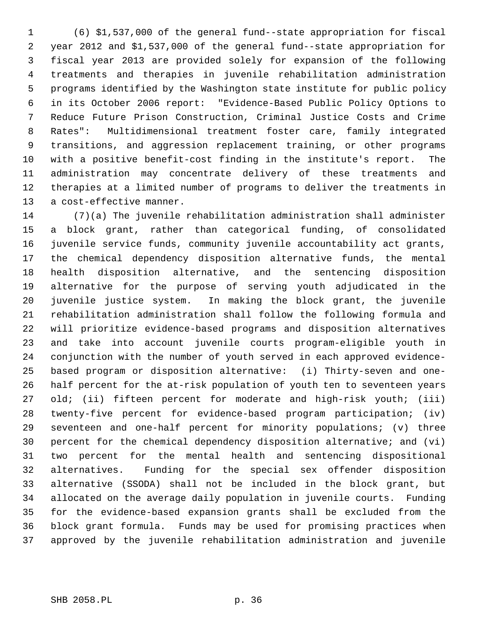1 (6) \$1,537,000 of the general fund--state appropriation for fiscal 2 year 2012 and \$1,537,000 of the general fund--state appropriation for 3 fiscal year 2013 are provided solely for expansion of the following 4 treatments and therapies in juvenile rehabilitation administration 5 programs identified by the Washington state institute for public policy 6 in its October 2006 report: "Evidence-Based Public Policy Options to 7 Reduce Future Prison Construction, Criminal Justice Costs and Crime 8 Rates": Multidimensional treatment foster care, family integrated 9 transitions, and aggression replacement training, or other programs 10 with a positive benefit-cost finding in the institute's report. The 11 administration may concentrate delivery of these treatments and 12 therapies at a limited number of programs to deliver the treatments in 13 a cost-effective manner.

14 (7)(a) The juvenile rehabilitation administration shall administer 15 a block grant, rather than categorical funding, of consolidated 16 juvenile service funds, community juvenile accountability act grants, 17 the chemical dependency disposition alternative funds, the mental 18 health disposition alternative, and the sentencing disposition 19 alternative for the purpose of serving youth adjudicated in the 20 juvenile justice system. In making the block grant, the juvenile 21 rehabilitation administration shall follow the following formula and 22 will prioritize evidence-based programs and disposition alternatives 23 and take into account juvenile courts program-eligible youth in 24 conjunction with the number of youth served in each approved evidence-25 based program or disposition alternative: (i) Thirty-seven and one-26 half percent for the at-risk population of youth ten to seventeen years 27 old; (ii) fifteen percent for moderate and high-risk youth; (iii) 28 twenty-five percent for evidence-based program participation; (iv) 29 seventeen and one-half percent for minority populations; (v) three 30 percent for the chemical dependency disposition alternative; and (vi) 31 two percent for the mental health and sentencing dispositional 32 alternatives. Funding for the special sex offender disposition 33 alternative (SSODA) shall not be included in the block grant, but 34 allocated on the average daily population in juvenile courts. Funding 35 for the evidence-based expansion grants shall be excluded from the 36 block grant formula. Funds may be used for promising practices when 37 approved by the juvenile rehabilitation administration and juvenile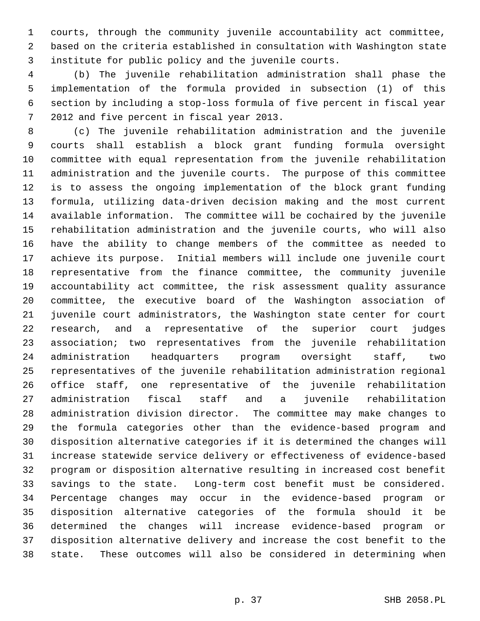1 courts, through the community juvenile accountability act committee, 2 based on the criteria established in consultation with Washington state 3 institute for public policy and the juvenile courts.

 4 (b) The juvenile rehabilitation administration shall phase the 5 implementation of the formula provided in subsection (1) of this 6 section by including a stop-loss formula of five percent in fiscal year 7 2012 and five percent in fiscal year 2013.

 8 (c) The juvenile rehabilitation administration and the juvenile 9 courts shall establish a block grant funding formula oversight 10 committee with equal representation from the juvenile rehabilitation 11 administration and the juvenile courts. The purpose of this committee 12 is to assess the ongoing implementation of the block grant funding 13 formula, utilizing data-driven decision making and the most current 14 available information. The committee will be cochaired by the juvenile 15 rehabilitation administration and the juvenile courts, who will also 16 have the ability to change members of the committee as needed to 17 achieve its purpose. Initial members will include one juvenile court 18 representative from the finance committee, the community juvenile 19 accountability act committee, the risk assessment quality assurance 20 committee, the executive board of the Washington association of 21 juvenile court administrators, the Washington state center for court 22 research, and a representative of the superior court judges 23 association; two representatives from the juvenile rehabilitation 24 administration headquarters program oversight staff, two 25 representatives of the juvenile rehabilitation administration regional 26 office staff, one representative of the juvenile rehabilitation 27 administration fiscal staff and a juvenile rehabilitation 28 administration division director. The committee may make changes to 29 the formula categories other than the evidence-based program and 30 disposition alternative categories if it is determined the changes will 31 increase statewide service delivery or effectiveness of evidence-based 32 program or disposition alternative resulting in increased cost benefit 33 savings to the state. Long-term cost benefit must be considered. 34 Percentage changes may occur in the evidence-based program or 35 disposition alternative categories of the formula should it be 36 determined the changes will increase evidence-based program or 37 disposition alternative delivery and increase the cost benefit to the 38 state. These outcomes will also be considered in determining when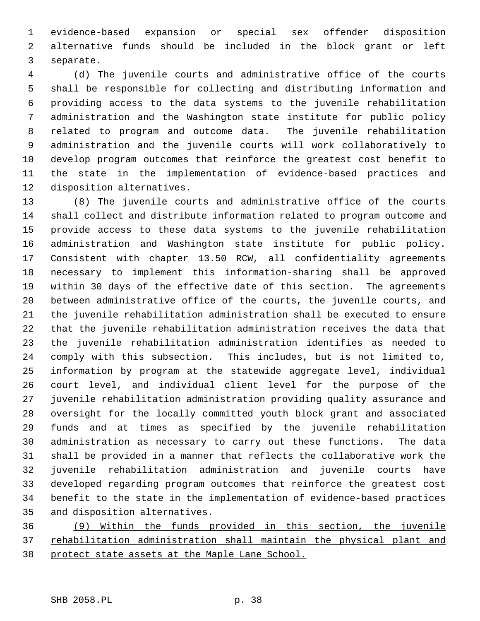1 evidence-based expansion or special sex offender disposition 2 alternative funds should be included in the block grant or left 3 separate.

 4 (d) The juvenile courts and administrative office of the courts 5 shall be responsible for collecting and distributing information and 6 providing access to the data systems to the juvenile rehabilitation 7 administration and the Washington state institute for public policy 8 related to program and outcome data. The juvenile rehabilitation 9 administration and the juvenile courts will work collaboratively to 10 develop program outcomes that reinforce the greatest cost benefit to 11 the state in the implementation of evidence-based practices and 12 disposition alternatives.

13 (8) The juvenile courts and administrative office of the courts 14 shall collect and distribute information related to program outcome and 15 provide access to these data systems to the juvenile rehabilitation 16 administration and Washington state institute for public policy. 17 Consistent with chapter 13.50 RCW, all confidentiality agreements 18 necessary to implement this information-sharing shall be approved 19 within 30 days of the effective date of this section. The agreements 20 between administrative office of the courts, the juvenile courts, and 21 the juvenile rehabilitation administration shall be executed to ensure 22 that the juvenile rehabilitation administration receives the data that 23 the juvenile rehabilitation administration identifies as needed to 24 comply with this subsection. This includes, but is not limited to, 25 information by program at the statewide aggregate level, individual 26 court level, and individual client level for the purpose of the 27 juvenile rehabilitation administration providing quality assurance and 28 oversight for the locally committed youth block grant and associated 29 funds and at times as specified by the juvenile rehabilitation 30 administration as necessary to carry out these functions. The data 31 shall be provided in a manner that reflects the collaborative work the 32 juvenile rehabilitation administration and juvenile courts have 33 developed regarding program outcomes that reinforce the greatest cost 34 benefit to the state in the implementation of evidence-based practices 35 and disposition alternatives.

36 (9) Within the funds provided in this section, the juvenile 37 rehabilitation administration shall maintain the physical plant and 38 protect state assets at the Maple Lane School.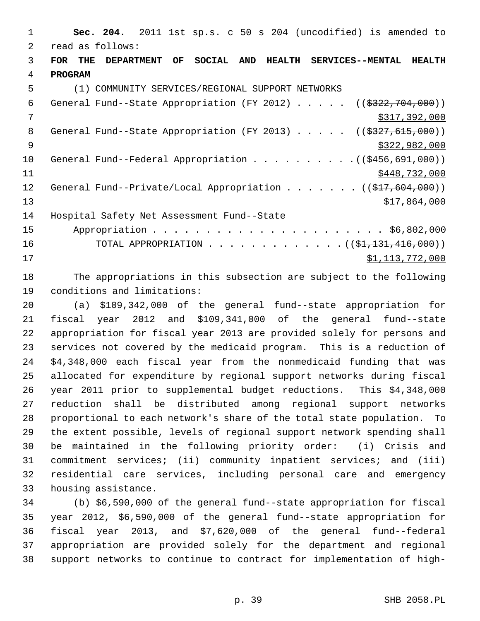1 **Sec. 204.** 2011 1st sp.s. c 50 s 204 (uncodified) is amended to 2 read as follows: 3 **FOR THE DEPARTMENT OF SOCIAL AND HEALTH SERVICES--MENTAL HEALTH** 4 **PROGRAM** 5 (1) COMMUNITY SERVICES/REGIONAL SUPPORT NETWORKS 6 General Fund--State Appropriation (FY 2012) . . . . . ((\$322,704,000)) 7 \$317,392,000 8 General Fund--State Appropriation (FY 2013) . . . . . ((\$327,615,000)) 9 \$322,982,000 \$322,982,000 10 General Fund--Federal Appropriation . . . . . . . . . . ((\$456,691,000)) 11 \$448,732,000 12 General Fund--Private/Local Appropriation . . . . . . ((\$17,604,000))  $\frac{13}{7,864,000}$ 14 Hospital Safety Net Assessment Fund--State 15 Appropriation . . . . . . . . . . . . . . . . . . . . . . \$6,802,000 16 TOTAL APPROPRIATION . . . . . . . . . . . . . ((\$1,131,416,000)) 17 \$1,113,772,000

18 The appropriations in this subsection are subject to the following 19 conditions and limitations:

20 (a) \$109,342,000 of the general fund--state appropriation for 21 fiscal year 2012 and \$109,341,000 of the general fund--state 22 appropriation for fiscal year 2013 are provided solely for persons and 23 services not covered by the medicaid program. This is a reduction of 24 \$4,348,000 each fiscal year from the nonmedicaid funding that was 25 allocated for expenditure by regional support networks during fiscal 26 year 2011 prior to supplemental budget reductions. This \$4,348,000 27 reduction shall be distributed among regional support networks 28 proportional to each network's share of the total state population. To 29 the extent possible, levels of regional support network spending shall 30 be maintained in the following priority order: (i) Crisis and 31 commitment services; (ii) community inpatient services; and (iii) 32 residential care services, including personal care and emergency 33 housing assistance.

34 (b) \$6,590,000 of the general fund--state appropriation for fiscal 35 year 2012, \$6,590,000 of the general fund--state appropriation for 36 fiscal year 2013, and \$7,620,000 of the general fund--federal 37 appropriation are provided solely for the department and regional 38 support networks to continue to contract for implementation of high-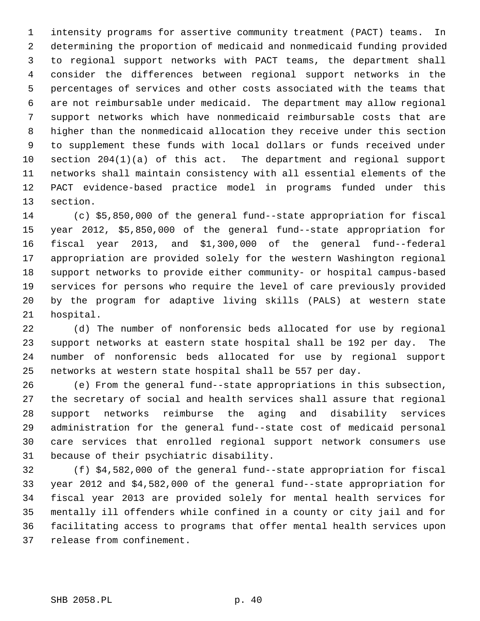1 intensity programs for assertive community treatment (PACT) teams. In 2 determining the proportion of medicaid and nonmedicaid funding provided 3 to regional support networks with PACT teams, the department shall 4 consider the differences between regional support networks in the 5 percentages of services and other costs associated with the teams that 6 are not reimbursable under medicaid. The department may allow regional 7 support networks which have nonmedicaid reimbursable costs that are 8 higher than the nonmedicaid allocation they receive under this section 9 to supplement these funds with local dollars or funds received under 10 section 204(1)(a) of this act. The department and regional support 11 networks shall maintain consistency with all essential elements of the 12 PACT evidence-based practice model in programs funded under this 13 section.

14 (c) \$5,850,000 of the general fund--state appropriation for fiscal 15 year 2012, \$5,850,000 of the general fund--state appropriation for 16 fiscal year 2013, and \$1,300,000 of the general fund--federal 17 appropriation are provided solely for the western Washington regional 18 support networks to provide either community- or hospital campus-based 19 services for persons who require the level of care previously provided 20 by the program for adaptive living skills (PALS) at western state 21 hospital.

22 (d) The number of nonforensic beds allocated for use by regional 23 support networks at eastern state hospital shall be 192 per day. The 24 number of nonforensic beds allocated for use by regional support 25 networks at western state hospital shall be 557 per day.

26 (e) From the general fund--state appropriations in this subsection, 27 the secretary of social and health services shall assure that regional 28 support networks reimburse the aging and disability services 29 administration for the general fund--state cost of medicaid personal 30 care services that enrolled regional support network consumers use 31 because of their psychiatric disability.

32 (f) \$4,582,000 of the general fund--state appropriation for fiscal 33 year 2012 and \$4,582,000 of the general fund--state appropriation for 34 fiscal year 2013 are provided solely for mental health services for 35 mentally ill offenders while confined in a county or city jail and for 36 facilitating access to programs that offer mental health services upon 37 release from confinement.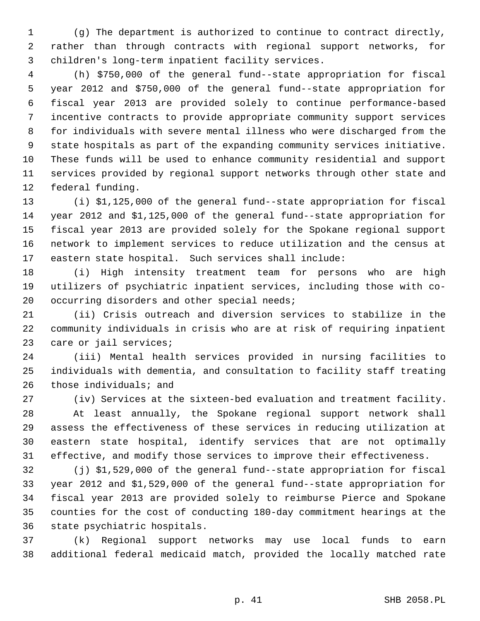1 (g) The department is authorized to continue to contract directly, 2 rather than through contracts with regional support networks, for 3 children's long-term inpatient facility services.

 4 (h) \$750,000 of the general fund--state appropriation for fiscal 5 year 2012 and \$750,000 of the general fund--state appropriation for 6 fiscal year 2013 are provided solely to continue performance-based 7 incentive contracts to provide appropriate community support services 8 for individuals with severe mental illness who were discharged from the 9 state hospitals as part of the expanding community services initiative. 10 These funds will be used to enhance community residential and support 11 services provided by regional support networks through other state and 12 federal funding.

13 (i) \$1,125,000 of the general fund--state appropriation for fiscal 14 year 2012 and \$1,125,000 of the general fund--state appropriation for 15 fiscal year 2013 are provided solely for the Spokane regional support 16 network to implement services to reduce utilization and the census at 17 eastern state hospital. Such services shall include:

18 (i) High intensity treatment team for persons who are high 19 utilizers of psychiatric inpatient services, including those with co-20 occurring disorders and other special needs;

21 (ii) Crisis outreach and diversion services to stabilize in the 22 community individuals in crisis who are at risk of requiring inpatient 23 care or jail services;

24 (iii) Mental health services provided in nursing facilities to 25 individuals with dementia, and consultation to facility staff treating 26 those individuals; and

27 (iv) Services at the sixteen-bed evaluation and treatment facility.

28 At least annually, the Spokane regional support network shall 29 assess the effectiveness of these services in reducing utilization at 30 eastern state hospital, identify services that are not optimally 31 effective, and modify those services to improve their effectiveness.

32 (j) \$1,529,000 of the general fund--state appropriation for fiscal 33 year 2012 and \$1,529,000 of the general fund--state appropriation for 34 fiscal year 2013 are provided solely to reimburse Pierce and Spokane 35 counties for the cost of conducting 180-day commitment hearings at the 36 state psychiatric hospitals.

37 (k) Regional support networks may use local funds to earn 38 additional federal medicaid match, provided the locally matched rate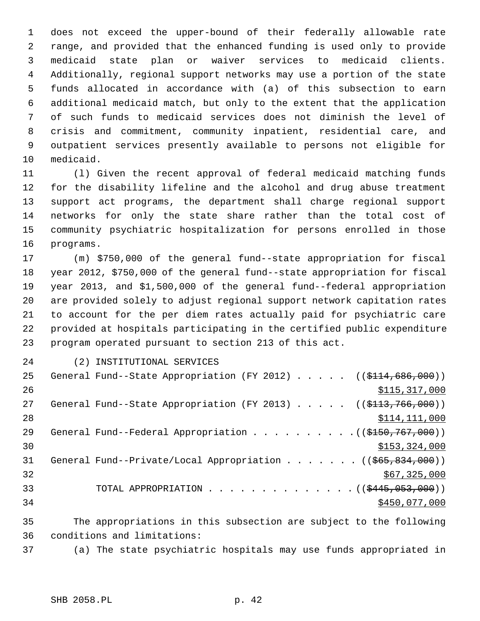1 does not exceed the upper-bound of their federally allowable rate 2 range, and provided that the enhanced funding is used only to provide 3 medicaid state plan or waiver services to medicaid clients. 4 Additionally, regional support networks may use a portion of the state 5 funds allocated in accordance with (a) of this subsection to earn 6 additional medicaid match, but only to the extent that the application 7 of such funds to medicaid services does not diminish the level of 8 crisis and commitment, community inpatient, residential care, and 9 outpatient services presently available to persons not eligible for 10 medicaid.

11 (l) Given the recent approval of federal medicaid matching funds 12 for the disability lifeline and the alcohol and drug abuse treatment 13 support act programs, the department shall charge regional support 14 networks for only the state share rather than the total cost of 15 community psychiatric hospitalization for persons enrolled in those 16 programs.

17 (m) \$750,000 of the general fund--state appropriation for fiscal 18 year 2012, \$750,000 of the general fund--state appropriation for fiscal 19 year 2013, and \$1,500,000 of the general fund--federal appropriation 20 are provided solely to adjust regional support network capitation rates 21 to account for the per diem rates actually paid for psychiatric care 22 provided at hospitals participating in the certified public expenditure 23 program operated pursuant to section 213 of this act.

- 
- 24 (2) INSTITUTIONAL SERVICES

| 25 | General Fund--State Appropriation (FY 2012) ( $(\frac{114}{686}, 000)$ )              |
|----|---------------------------------------------------------------------------------------|
| 26 | \$115,317,000                                                                         |
| 27 | General Fund--State Appropriation (FY 2013) ( $(\frac{2113}{766}, \frac{1000}{10})$ ) |
| 28 | \$114, 111, 000                                                                       |
| 29 | General Fund--Federal Appropriation ((\$150,767,000))                                 |
| 30 | \$153,324,000                                                                         |
| 31 | General Fund--Private/Local Appropriation ( $(\frac{665}{65}, \frac{834}{600})$ )     |
| 32 | \$67,325,000                                                                          |
| 33 | TOTAL APPROPRIATION $\ldots$ , ( $(\frac{2445}{1000})$ )                              |
| 34 | \$450,077,000                                                                         |
|    |                                                                                       |

35 The appropriations in this subsection are subject to the following 36 conditions and limitations:

37 (a) The state psychiatric hospitals may use funds appropriated in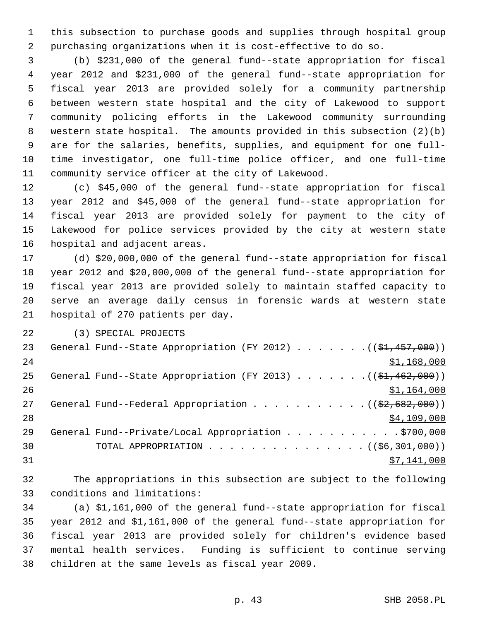1 this subsection to purchase goods and supplies through hospital group 2 purchasing organizations when it is cost-effective to do so.

 3 (b) \$231,000 of the general fund--state appropriation for fiscal 4 year 2012 and \$231,000 of the general fund--state appropriation for 5 fiscal year 2013 are provided solely for a community partnership 6 between western state hospital and the city of Lakewood to support 7 community policing efforts in the Lakewood community surrounding 8 western state hospital. The amounts provided in this subsection (2)(b) 9 are for the salaries, benefits, supplies, and equipment for one full-10 time investigator, one full-time police officer, and one full-time 11 community service officer at the city of Lakewood.

12 (c) \$45,000 of the general fund--state appropriation for fiscal 13 year 2012 and \$45,000 of the general fund--state appropriation for 14 fiscal year 2013 are provided solely for payment to the city of 15 Lakewood for police services provided by the city at western state 16 hospital and adjacent areas.

17 (d) \$20,000,000 of the general fund--state appropriation for fiscal 18 year 2012 and \$20,000,000 of the general fund--state appropriation for 19 fiscal year 2013 are provided solely to maintain staffed capacity to 20 serve an average daily census in forensic wards at western state 21 hospital of 270 patients per day.

22 (3) SPECIAL PROJECTS

| 23 | General Fund--State Appropriation (FY 2012) $($ $($ \$1,457,000))                            |
|----|----------------------------------------------------------------------------------------------|
| 24 | \$1,168,000                                                                                  |
| 25 | General Fund--State Appropriation (FY 2013) $($ $($ \$1,462,000))                            |
| 26 | \$1,164,000                                                                                  |
| 27 | General Fund--Federal Appropriation $($ $($ \$2,682,000) $)$                                 |
| 28 | \$4,109,000                                                                                  |
| 29 | General Fund--Private/Local Appropriation 9700,000                                           |
| 30 | TOTAL APPROPRIATION $\ldots \ldots \ldots \ldots \ldots \ldots$ ( $(\frac{66,301,000}{2})$ ) |
| 31 | \$7,141,000                                                                                  |

32 The appropriations in this subsection are subject to the following 33 conditions and limitations:

34 (a) \$1,161,000 of the general fund--state appropriation for fiscal 35 year 2012 and \$1,161,000 of the general fund--state appropriation for 36 fiscal year 2013 are provided solely for children's evidence based 37 mental health services. Funding is sufficient to continue serving 38 children at the same levels as fiscal year 2009.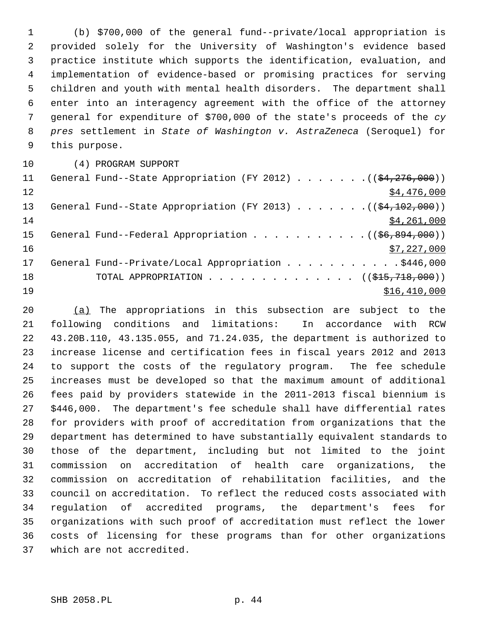1 (b) \$700,000 of the general fund--private/local appropriation is 2 provided solely for the University of Washington's evidence based 3 practice institute which supports the identification, evaluation, and 4 implementation of evidence-based or promising practices for serving 5 children and youth with mental health disorders. The department shall 6 enter into an interagency agreement with the office of the attorney 7 general for expenditure of \$700,000 of the state's proceeds of the *cy* 8 *pres* settlement in *State of Washington v. AstraZeneca* (Seroquel) for 9 this purpose.

10 (4) PROGRAM SUPPORT

| 11 | General Fund--State Appropriation (FY 2012) $($ $($ $\frac{276}{1276}$ , 000)) |
|----|--------------------------------------------------------------------------------|
| 12 | \$4,476,000                                                                    |
| 13 | General Fund--State Appropriation (FY 2013) $($ $($ \$4,102,000))              |
| 14 | \$4,261,000                                                                    |
| 15 |                                                                                |
| 16 | \$7,227,000                                                                    |
| 17 | General Fund--Private/Local Appropriation 9446,000                             |
| 18 | TOTAL APPROPRIATION $\ldots$ , ( $(\frac{1515}{718}, 7000)$ )                  |
| 19 | \$16,410,000                                                                   |

20 (a) The appropriations in this subsection are subject to the 21 following conditions and limitations: In accordance with RCW 22 43.20B.110, 43.135.055, and 71.24.035, the department is authorized to 23 increase license and certification fees in fiscal years 2012 and 2013 24 to support the costs of the regulatory program. The fee schedule 25 increases must be developed so that the maximum amount of additional 26 fees paid by providers statewide in the 2011-2013 fiscal biennium is 27 \$446,000. The department's fee schedule shall have differential rates 28 for providers with proof of accreditation from organizations that the 29 department has determined to have substantially equivalent standards to 30 those of the department, including but not limited to the joint 31 commission on accreditation of health care organizations, the 32 commission on accreditation of rehabilitation facilities, and the 33 council on accreditation. To reflect the reduced costs associated with 34 regulation of accredited programs, the department's fees for 35 organizations with such proof of accreditation must reflect the lower 36 costs of licensing for these programs than for other organizations 37 which are not accredited.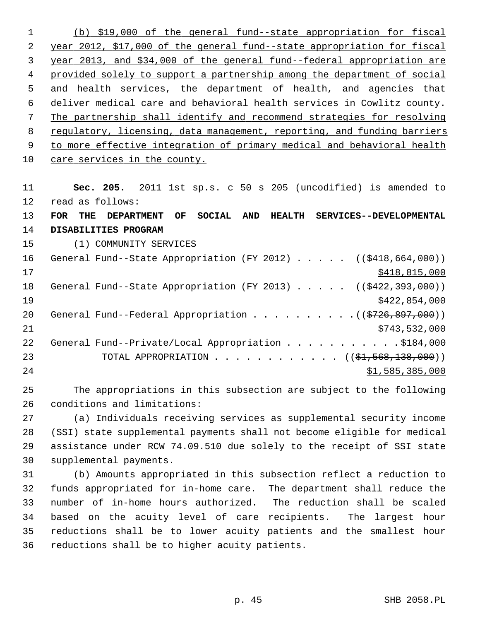(b) \$19,000 of the general fund--state appropriation for fiscal year 2012, \$17,000 of the general fund--state appropriation for fiscal year 2013, and \$34,000 of the general fund--federal appropriation are provided solely to support a partnership among the department of social and health services, the department of health, and agencies that deliver medical care and behavioral health services in Cowlitz county. The partnership shall identify and recommend strategies for resolving regulatory, licensing, data management, reporting, and funding barriers to more effective integration of primary medical and behavioral health care services in the county.

11 **Sec. 205.** 2011 1st sp.s. c 50 s 205 (uncodified) is amended to 12 read as follows: 13 **FOR THE DEPARTMENT OF SOCIAL AND HEALTH SERVICES--DEVELOPMENTAL** 14 **DISABILITIES PROGRAM** 15 (1) COMMUNITY SERVICES 16 General Fund--State Appropriation (FY 2012) . . . . . ((\$418,664,000)) 17 \$418,815,000 18 General Fund--State Appropriation (FY 2013) . . . . . ((\$422,393,000))  $\frac{$422,854,000}{ }$ 20 General Fund--Federal Appropriation  $\ldots$  . . . . . . . . .  $($   $($ \$726,897,000)) 21 \$743,532,000 22 General Fund--Private/Local Appropriation . . . . . . . . . . \$184,000 23 TOTAL APPROPRIATION . . . . . . . . . . . ((<del>\$1,568,138,000</del>)) 24 \$1,585,385,000

25 The appropriations in this subsection are subject to the following 26 conditions and limitations:

27 (a) Individuals receiving services as supplemental security income 28 (SSI) state supplemental payments shall not become eligible for medical 29 assistance under RCW 74.09.510 due solely to the receipt of SSI state 30 supplemental payments.

31 (b) Amounts appropriated in this subsection reflect a reduction to 32 funds appropriated for in-home care. The department shall reduce the 33 number of in-home hours authorized. The reduction shall be scaled 34 based on the acuity level of care recipients. The largest hour 35 reductions shall be to lower acuity patients and the smallest hour 36 reductions shall be to higher acuity patients.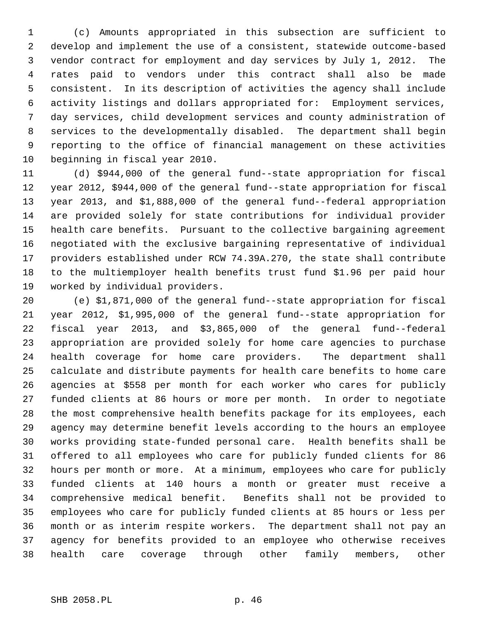1 (c) Amounts appropriated in this subsection are sufficient to 2 develop and implement the use of a consistent, statewide outcome-based 3 vendor contract for employment and day services by July 1, 2012. The 4 rates paid to vendors under this contract shall also be made 5 consistent. In its description of activities the agency shall include 6 activity listings and dollars appropriated for: Employment services, 7 day services, child development services and county administration of 8 services to the developmentally disabled. The department shall begin 9 reporting to the office of financial management on these activities 10 beginning in fiscal year 2010.

11 (d) \$944,000 of the general fund--state appropriation for fiscal 12 year 2012, \$944,000 of the general fund--state appropriation for fiscal 13 year 2013, and \$1,888,000 of the general fund--federal appropriation 14 are provided solely for state contributions for individual provider 15 health care benefits. Pursuant to the collective bargaining agreement 16 negotiated with the exclusive bargaining representative of individual 17 providers established under RCW 74.39A.270, the state shall contribute 18 to the multiemployer health benefits trust fund \$1.96 per paid hour 19 worked by individual providers.

20 (e) \$1,871,000 of the general fund--state appropriation for fiscal 21 year 2012, \$1,995,000 of the general fund--state appropriation for 22 fiscal year 2013, and \$3,865,000 of the general fund--federal 23 appropriation are provided solely for home care agencies to purchase 24 health coverage for home care providers. The department shall 25 calculate and distribute payments for health care benefits to home care 26 agencies at \$558 per month for each worker who cares for publicly 27 funded clients at 86 hours or more per month. In order to negotiate 28 the most comprehensive health benefits package for its employees, each 29 agency may determine benefit levels according to the hours an employee 30 works providing state-funded personal care. Health benefits shall be 31 offered to all employees who care for publicly funded clients for 86 32 hours per month or more. At a minimum, employees who care for publicly 33 funded clients at 140 hours a month or greater must receive a 34 comprehensive medical benefit. Benefits shall not be provided to 35 employees who care for publicly funded clients at 85 hours or less per 36 month or as interim respite workers. The department shall not pay an 37 agency for benefits provided to an employee who otherwise receives 38 health care coverage through other family members, other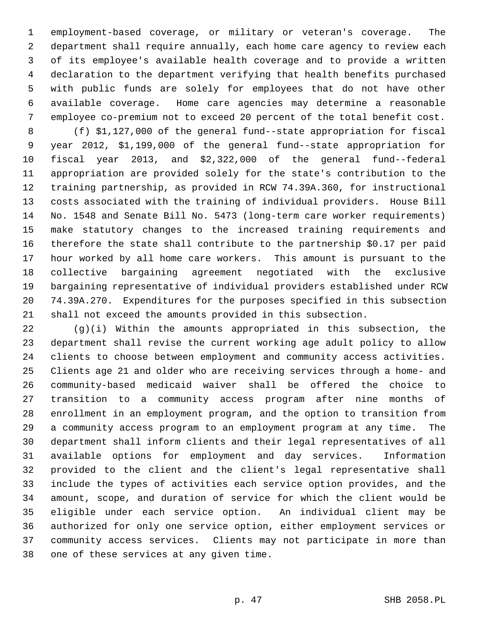1 employment-based coverage, or military or veteran's coverage. The 2 department shall require annually, each home care agency to review each 3 of its employee's available health coverage and to provide a written 4 declaration to the department verifying that health benefits purchased 5 with public funds are solely for employees that do not have other 6 available coverage. Home care agencies may determine a reasonable 7 employee co-premium not to exceed 20 percent of the total benefit cost.

 8 (f) \$1,127,000 of the general fund--state appropriation for fiscal 9 year 2012, \$1,199,000 of the general fund--state appropriation for 10 fiscal year 2013, and \$2,322,000 of the general fund--federal 11 appropriation are provided solely for the state's contribution to the 12 training partnership, as provided in RCW 74.39A.360, for instructional 13 costs associated with the training of individual providers. House Bill 14 No. 1548 and Senate Bill No. 5473 (long-term care worker requirements) 15 make statutory changes to the increased training requirements and 16 therefore the state shall contribute to the partnership \$0.17 per paid 17 hour worked by all home care workers. This amount is pursuant to the 18 collective bargaining agreement negotiated with the exclusive 19 bargaining representative of individual providers established under RCW 20 74.39A.270. Expenditures for the purposes specified in this subsection 21 shall not exceed the amounts provided in this subsection.

22 (g)(i) Within the amounts appropriated in this subsection, the 23 department shall revise the current working age adult policy to allow 24 clients to choose between employment and community access activities. 25 Clients age 21 and older who are receiving services through a home- and 26 community-based medicaid waiver shall be offered the choice to 27 transition to a community access program after nine months of 28 enrollment in an employment program, and the option to transition from 29 a community access program to an employment program at any time. The 30 department shall inform clients and their legal representatives of all 31 available options for employment and day services. Information 32 provided to the client and the client's legal representative shall 33 include the types of activities each service option provides, and the 34 amount, scope, and duration of service for which the client would be 35 eligible under each service option. An individual client may be 36 authorized for only one service option, either employment services or 37 community access services. Clients may not participate in more than 38 one of these services at any given time.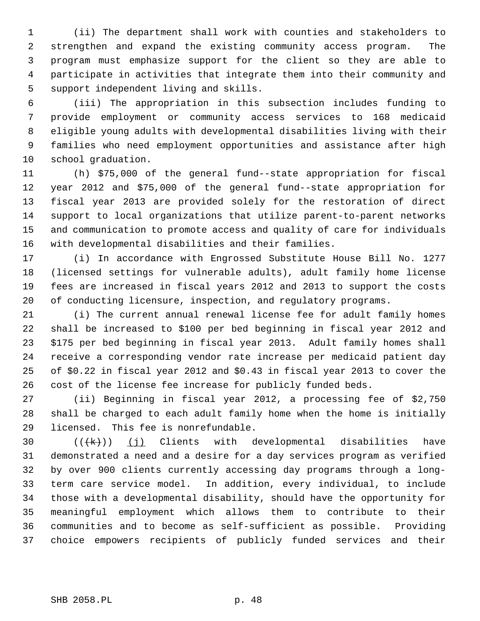1 (ii) The department shall work with counties and stakeholders to 2 strengthen and expand the existing community access program. The 3 program must emphasize support for the client so they are able to 4 participate in activities that integrate them into their community and 5 support independent living and skills.

 6 (iii) The appropriation in this subsection includes funding to 7 provide employment or community access services to 168 medicaid 8 eligible young adults with developmental disabilities living with their 9 families who need employment opportunities and assistance after high 10 school graduation.

11 (h) \$75,000 of the general fund--state appropriation for fiscal 12 year 2012 and \$75,000 of the general fund--state appropriation for 13 fiscal year 2013 are provided solely for the restoration of direct 14 support to local organizations that utilize parent-to-parent networks 15 and communication to promote access and quality of care for individuals 16 with developmental disabilities and their families.

17 (i) In accordance with Engrossed Substitute House Bill No. 1277 18 (licensed settings for vulnerable adults), adult family home license 19 fees are increased in fiscal years 2012 and 2013 to support the costs 20 of conducting licensure, inspection, and regulatory programs.

21 (i) The current annual renewal license fee for adult family homes 22 shall be increased to \$100 per bed beginning in fiscal year 2012 and 23 \$175 per bed beginning in fiscal year 2013. Adult family homes shall 24 receive a corresponding vendor rate increase per medicaid patient day 25 of \$0.22 in fiscal year 2012 and \$0.43 in fiscal year 2013 to cover the 26 cost of the license fee increase for publicly funded beds.

27 (ii) Beginning in fiscal year 2012, a processing fee of \$2,750 28 shall be charged to each adult family home when the home is initially 29 licensed. This fee is nonrefundable.

30  $((\{k\})$  (j) Clients with developmental disabilities have 31 demonstrated a need and a desire for a day services program as verified 32 by over 900 clients currently accessing day programs through a long-33 term care service model. In addition, every individual, to include 34 those with a developmental disability, should have the opportunity for 35 meaningful employment which allows them to contribute to their 36 communities and to become as self-sufficient as possible. Providing 37 choice empowers recipients of publicly funded services and their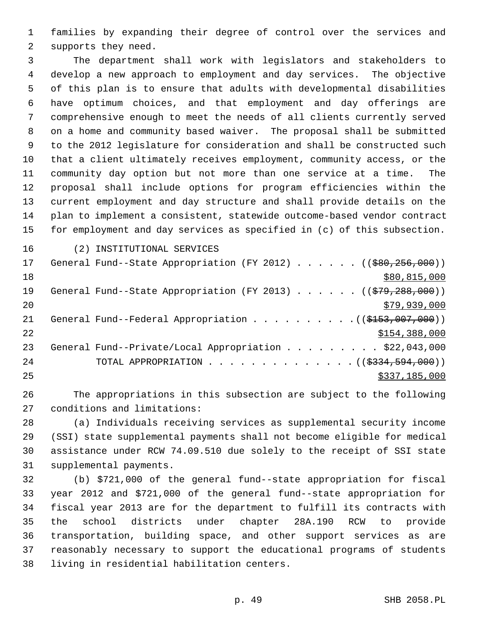1 families by expanding their degree of control over the services and 2 supports they need.

 3 The department shall work with legislators and stakeholders to 4 develop a new approach to employment and day services. The objective 5 of this plan is to ensure that adults with developmental disabilities 6 have optimum choices, and that employment and day offerings are 7 comprehensive enough to meet the needs of all clients currently served 8 on a home and community based waiver. The proposal shall be submitted 9 to the 2012 legislature for consideration and shall be constructed such 10 that a client ultimately receives employment, community access, or the 11 community day option but not more than one service at a time. The 12 proposal shall include options for program efficiencies within the 13 current employment and day structure and shall provide details on the 14 plan to implement a consistent, statewide outcome-based vendor contract 15 for employment and day services as specified in (c) of this subsection.

16 (2) INSTITUTIONAL SERVICES

| 17 | General Fund--State Appropriation (FY 2012) $($ $($ $\frac{600}{256}, \frac{256}{000})$ ) |
|----|-------------------------------------------------------------------------------------------|
| 18 | \$80,815,000                                                                              |
| 19 | General Fund--State Appropriation (FY 2013) $($ $($ $\frac{2979}{288}, 200)$ )            |
| 20 | \$79,939,000                                                                              |
| 21 | General Fund--Federal Appropriation $($ $($ $\frac{153}{107},007,000)$ $)$                |
| 22 | \$154,388,000                                                                             |
| 23 | General Fund--Private/Local Appropriation \$22,043,000                                    |
| 24 | TOTAL APPROPRIATION $($ $($ \$334,594,000) $)$                                            |
| 25 | \$337,185,000                                                                             |

26 The appropriations in this subsection are subject to the following 27 conditions and limitations:

28 (a) Individuals receiving services as supplemental security income 29 (SSI) state supplemental payments shall not become eligible for medical 30 assistance under RCW 74.09.510 due solely to the receipt of SSI state 31 supplemental payments.

32 (b) \$721,000 of the general fund--state appropriation for fiscal 33 year 2012 and \$721,000 of the general fund--state appropriation for 34 fiscal year 2013 are for the department to fulfill its contracts with 35 the school districts under chapter 28A.190 RCW to provide 36 transportation, building space, and other support services as are 37 reasonably necessary to support the educational programs of students 38 living in residential habilitation centers.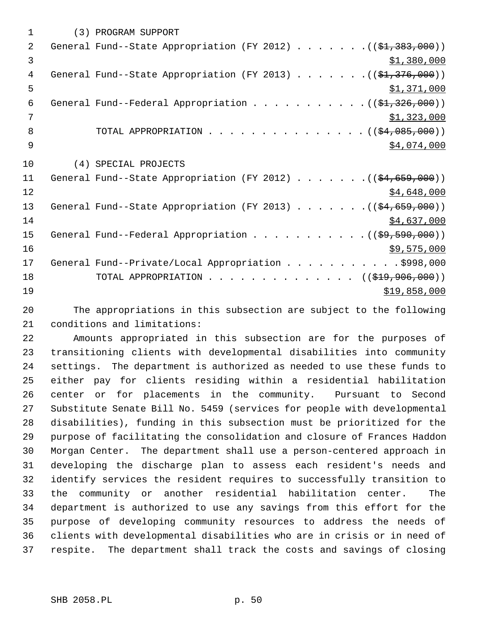| (3) PROGRAM SUPPORT                                                                  |
|--------------------------------------------------------------------------------------|
| General Fund--State Appropriation (FY 2012) ( $(\frac{21}{7} \cdot 383 \cdot 000)$ ) |
| \$1,380,000                                                                          |
| General Fund--State Appropriation (FY 2013) ( $(\frac{1}{2}, 376, 000)$ )            |
| \$1,371,000                                                                          |
| General Fund--Federal Appropriation $($ $(\frac{1}{21}, \frac{326}{100})$            |
| \$1,323,000                                                                          |
| TOTAL APPROPRIATION ( $(\frac{24}{94}, 085, 000)$ )                                  |
| \$4,074,000                                                                          |
| (4) SPECIAL PROJECTS                                                                 |
| General Fund--State Appropriation (FY 2012) $($ $(\frac{64}{659}, \frac{659}{600})$  |
| \$4,648,000                                                                          |
| General Fund--State Appropriation (FY 2013) ( $(\frac{24}{659}, 000)$ )              |
| \$4,637,000                                                                          |
|                                                                                      |
| \$9,575,000                                                                          |
| General Fund--Private/Local Appropriation \$998,000                                  |
| TOTAL APPROPRIATION $\ldots$ , ( $(\frac{219}{796}, 906, 000)$ )                     |
|                                                                                      |
|                                                                                      |

20 The appropriations in this subsection are subject to the following 21 conditions and limitations:

22 Amounts appropriated in this subsection are for the purposes of 23 transitioning clients with developmental disabilities into community 24 settings. The department is authorized as needed to use these funds to 25 either pay for clients residing within a residential habilitation 26 center or for placements in the community. Pursuant to Second 27 Substitute Senate Bill No. 5459 (services for people with developmental 28 disabilities), funding in this subsection must be prioritized for the 29 purpose of facilitating the consolidation and closure of Frances Haddon 30 Morgan Center. The department shall use a person-centered approach in 31 developing the discharge plan to assess each resident's needs and 32 identify services the resident requires to successfully transition to 33 the community or another residential habilitation center. The 34 department is authorized to use any savings from this effort for the 35 purpose of developing community resources to address the needs of 36 clients with developmental disabilities who are in crisis or in need of 37 respite. The department shall track the costs and savings of closing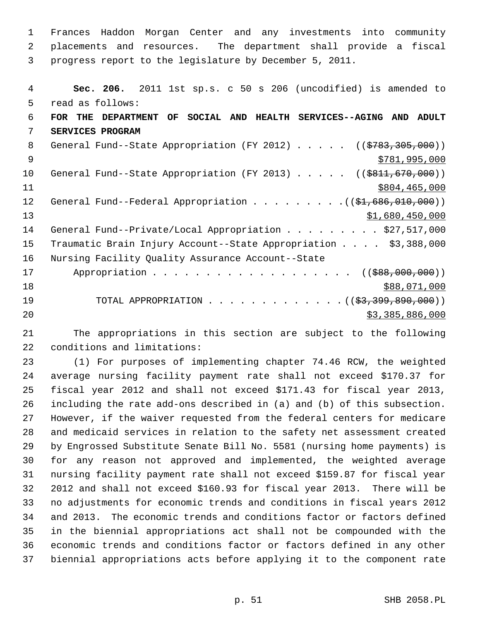1 Frances Haddon Morgan Center and any investments into community 2 placements and resources. The department shall provide a fiscal 3 progress report to the legislature by December 5, 2011.

| 4  | Sec. 206. 2011 1st sp.s. c 50 s 206 (uncodified) is amended to                         |
|----|----------------------------------------------------------------------------------------|
| 5  | read as follows:                                                                       |
| 6  | FOR THE DEPARTMENT OF SOCIAL AND HEALTH SERVICES--AGING AND ADULT                      |
| 7  | SERVICES PROGRAM                                                                       |
| 8  | General Fund--State Appropriation (FY 2012) ((\$783,305,000))                          |
| 9  | \$781,995,000                                                                          |
| 10 | General Fund--State Appropriation (FY 2013) $($ $($ $\frac{1}{6811}, \frac{670}{600})$ |
| 11 | \$804,465,000                                                                          |
| 12 | General Fund--Federal Appropriation $($ $($ $\frac{1}{2}, 686, 010, 000)$ )            |
| 13 | \$1,680,450,000                                                                        |
| 14 | General Fund--Private/Local Appropriation \$27,517,000                                 |
| 15 | Traumatic Brain Injury Account--State Appropriation \$3,388,000                        |
| 16 | Nursing Facility Quality Assurance Account--State                                      |
| 17 | Appropriation ((\$88,000,000))                                                         |
| 18 | \$88,071,000                                                                           |
| 19 | TOTAL APPROPRIATION ( $(\frac{2}{3}, \frac{399}{390}, \frac{890}{300})$ )              |
| 20 | \$3,385,886,000                                                                        |

21 The appropriations in this section are subject to the following 22 conditions and limitations:

23 (1) For purposes of implementing chapter 74.46 RCW, the weighted 24 average nursing facility payment rate shall not exceed \$170.37 for 25 fiscal year 2012 and shall not exceed \$171.43 for fiscal year 2013, 26 including the rate add-ons described in (a) and (b) of this subsection. 27 However, if the waiver requested from the federal centers for medicare 28 and medicaid services in relation to the safety net assessment created 29 by Engrossed Substitute Senate Bill No. 5581 (nursing home payments) is 30 for any reason not approved and implemented, the weighted average 31 nursing facility payment rate shall not exceed \$159.87 for fiscal year 32 2012 and shall not exceed \$160.93 for fiscal year 2013. There will be 33 no adjustments for economic trends and conditions in fiscal years 2012 34 and 2013. The economic trends and conditions factor or factors defined 35 in the biennial appropriations act shall not be compounded with the 36 economic trends and conditions factor or factors defined in any other 37 biennial appropriations acts before applying it to the component rate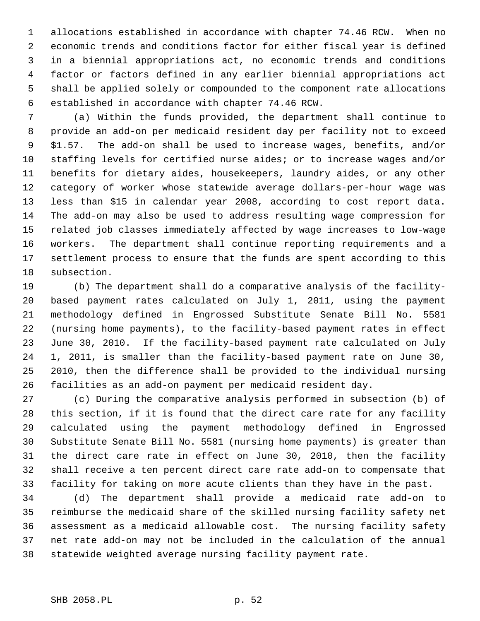1 allocations established in accordance with chapter 74.46 RCW. When no 2 economic trends and conditions factor for either fiscal year is defined 3 in a biennial appropriations act, no economic trends and conditions 4 factor or factors defined in any earlier biennial appropriations act 5 shall be applied solely or compounded to the component rate allocations 6 established in accordance with chapter 74.46 RCW.

 7 (a) Within the funds provided, the department shall continue to 8 provide an add-on per medicaid resident day per facility not to exceed 9 \$1.57. The add-on shall be used to increase wages, benefits, and/or 10 staffing levels for certified nurse aides; or to increase wages and/or 11 benefits for dietary aides, housekeepers, laundry aides, or any other 12 category of worker whose statewide average dollars-per-hour wage was 13 less than \$15 in calendar year 2008, according to cost report data. 14 The add-on may also be used to address resulting wage compression for 15 related job classes immediately affected by wage increases to low-wage 16 workers. The department shall continue reporting requirements and a 17 settlement process to ensure that the funds are spent according to this 18 subsection.

19 (b) The department shall do a comparative analysis of the facility-20 based payment rates calculated on July 1, 2011, using the payment 21 methodology defined in Engrossed Substitute Senate Bill No. 5581 22 (nursing home payments), to the facility-based payment rates in effect 23 June 30, 2010. If the facility-based payment rate calculated on July 24 1, 2011, is smaller than the facility-based payment rate on June 30, 25 2010, then the difference shall be provided to the individual nursing 26 facilities as an add-on payment per medicaid resident day.

27 (c) During the comparative analysis performed in subsection (b) of 28 this section, if it is found that the direct care rate for any facility 29 calculated using the payment methodology defined in Engrossed 30 Substitute Senate Bill No. 5581 (nursing home payments) is greater than 31 the direct care rate in effect on June 30, 2010, then the facility 32 shall receive a ten percent direct care rate add-on to compensate that 33 facility for taking on more acute clients than they have in the past.

34 (d) The department shall provide a medicaid rate add-on to 35 reimburse the medicaid share of the skilled nursing facility safety net 36 assessment as a medicaid allowable cost. The nursing facility safety 37 net rate add-on may not be included in the calculation of the annual 38 statewide weighted average nursing facility payment rate.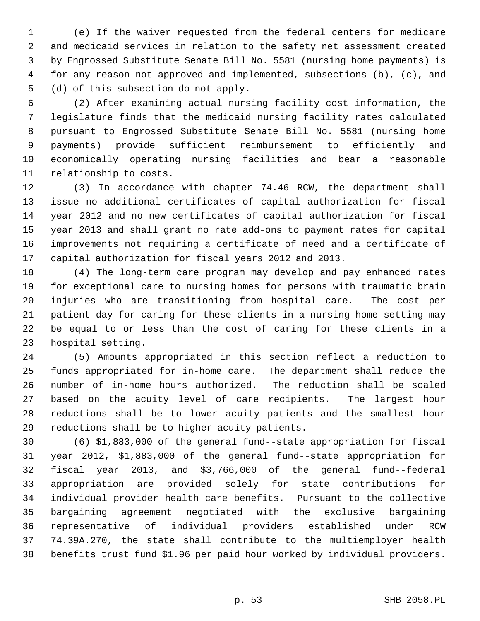1 (e) If the waiver requested from the federal centers for medicare 2 and medicaid services in relation to the safety net assessment created 3 by Engrossed Substitute Senate Bill No. 5581 (nursing home payments) is 4 for any reason not approved and implemented, subsections (b), (c), and 5 (d) of this subsection do not apply.

 6 (2) After examining actual nursing facility cost information, the 7 legislature finds that the medicaid nursing facility rates calculated 8 pursuant to Engrossed Substitute Senate Bill No. 5581 (nursing home 9 payments) provide sufficient reimbursement to efficiently and 10 economically operating nursing facilities and bear a reasonable 11 relationship to costs.

12 (3) In accordance with chapter 74.46 RCW, the department shall 13 issue no additional certificates of capital authorization for fiscal 14 year 2012 and no new certificates of capital authorization for fiscal 15 year 2013 and shall grant no rate add-ons to payment rates for capital 16 improvements not requiring a certificate of need and a certificate of 17 capital authorization for fiscal years 2012 and 2013.

18 (4) The long-term care program may develop and pay enhanced rates 19 for exceptional care to nursing homes for persons with traumatic brain 20 injuries who are transitioning from hospital care. The cost per 21 patient day for caring for these clients in a nursing home setting may 22 be equal to or less than the cost of caring for these clients in a 23 hospital setting.

24 (5) Amounts appropriated in this section reflect a reduction to 25 funds appropriated for in-home care. The department shall reduce the 26 number of in-home hours authorized. The reduction shall be scaled 27 based on the acuity level of care recipients. The largest hour 28 reductions shall be to lower acuity patients and the smallest hour 29 reductions shall be to higher acuity patients.

30 (6) \$1,883,000 of the general fund--state appropriation for fiscal 31 year 2012, \$1,883,000 of the general fund--state appropriation for 32 fiscal year 2013, and \$3,766,000 of the general fund--federal 33 appropriation are provided solely for state contributions for 34 individual provider health care benefits. Pursuant to the collective 35 bargaining agreement negotiated with the exclusive bargaining 36 representative of individual providers established under RCW 37 74.39A.270, the state shall contribute to the multiemployer health 38 benefits trust fund \$1.96 per paid hour worked by individual providers.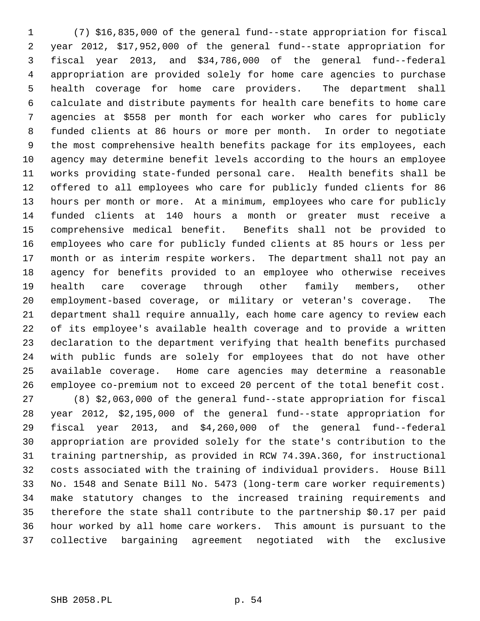1 (7) \$16,835,000 of the general fund--state appropriation for fiscal 2 year 2012, \$17,952,000 of the general fund--state appropriation for 3 fiscal year 2013, and \$34,786,000 of the general fund--federal 4 appropriation are provided solely for home care agencies to purchase 5 health coverage for home care providers. The department shall 6 calculate and distribute payments for health care benefits to home care 7 agencies at \$558 per month for each worker who cares for publicly 8 funded clients at 86 hours or more per month. In order to negotiate 9 the most comprehensive health benefits package for its employees, each 10 agency may determine benefit levels according to the hours an employee 11 works providing state-funded personal care. Health benefits shall be 12 offered to all employees who care for publicly funded clients for 86 13 hours per month or more. At a minimum, employees who care for publicly 14 funded clients at 140 hours a month or greater must receive a 15 comprehensive medical benefit. Benefits shall not be provided to 16 employees who care for publicly funded clients at 85 hours or less per 17 month or as interim respite workers. The department shall not pay an 18 agency for benefits provided to an employee who otherwise receives 19 health care coverage through other family members, other 20 employment-based coverage, or military or veteran's coverage. The 21 department shall require annually, each home care agency to review each 22 of its employee's available health coverage and to provide a written 23 declaration to the department verifying that health benefits purchased 24 with public funds are solely for employees that do not have other 25 available coverage. Home care agencies may determine a reasonable 26 employee co-premium not to exceed 20 percent of the total benefit cost. 27 (8) \$2,063,000 of the general fund--state appropriation for fiscal

28 year 2012, \$2,195,000 of the general fund--state appropriation for 29 fiscal year 2013, and \$4,260,000 of the general fund--federal 30 appropriation are provided solely for the state's contribution to the 31 training partnership, as provided in RCW 74.39A.360, for instructional 32 costs associated with the training of individual providers. House Bill 33 No. 1548 and Senate Bill No. 5473 (long-term care worker requirements) 34 make statutory changes to the increased training requirements and 35 therefore the state shall contribute to the partnership \$0.17 per paid 36 hour worked by all home care workers. This amount is pursuant to the 37 collective bargaining agreement negotiated with the exclusive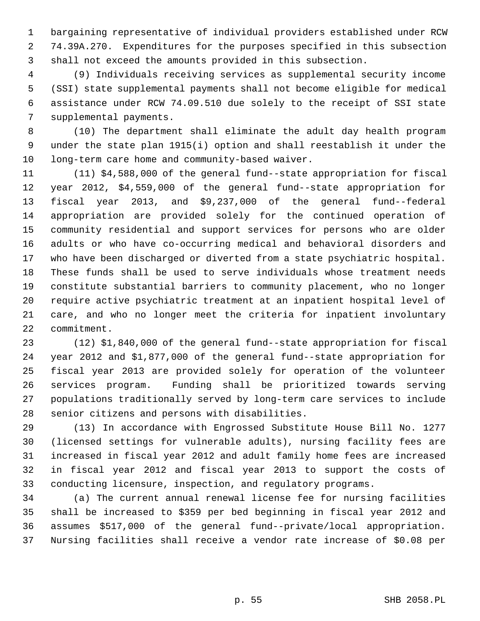1 bargaining representative of individual providers established under RCW 2 74.39A.270. Expenditures for the purposes specified in this subsection 3 shall not exceed the amounts provided in this subsection.

 4 (9) Individuals receiving services as supplemental security income 5 (SSI) state supplemental payments shall not become eligible for medical 6 assistance under RCW 74.09.510 due solely to the receipt of SSI state 7 supplemental payments.

 8 (10) The department shall eliminate the adult day health program 9 under the state plan 1915(i) option and shall reestablish it under the 10 long-term care home and community-based waiver.

11 (11) \$4,588,000 of the general fund--state appropriation for fiscal 12 year 2012, \$4,559,000 of the general fund--state appropriation for 13 fiscal year 2013, and \$9,237,000 of the general fund--federal 14 appropriation are provided solely for the continued operation of 15 community residential and support services for persons who are older 16 adults or who have co-occurring medical and behavioral disorders and 17 who have been discharged or diverted from a state psychiatric hospital. 18 These funds shall be used to serve individuals whose treatment needs 19 constitute substantial barriers to community placement, who no longer 20 require active psychiatric treatment at an inpatient hospital level of 21 care, and who no longer meet the criteria for inpatient involuntary 22 commitment.

23 (12) \$1,840,000 of the general fund--state appropriation for fiscal 24 year 2012 and \$1,877,000 of the general fund--state appropriation for 25 fiscal year 2013 are provided solely for operation of the volunteer 26 services program. Funding shall be prioritized towards serving 27 populations traditionally served by long-term care services to include 28 senior citizens and persons with disabilities.

29 (13) In accordance with Engrossed Substitute House Bill No. 1277 30 (licensed settings for vulnerable adults), nursing facility fees are 31 increased in fiscal year 2012 and adult family home fees are increased 32 in fiscal year 2012 and fiscal year 2013 to support the costs of 33 conducting licensure, inspection, and regulatory programs.

34 (a) The current annual renewal license fee for nursing facilities 35 shall be increased to \$359 per bed beginning in fiscal year 2012 and 36 assumes \$517,000 of the general fund--private/local appropriation. 37 Nursing facilities shall receive a vendor rate increase of \$0.08 per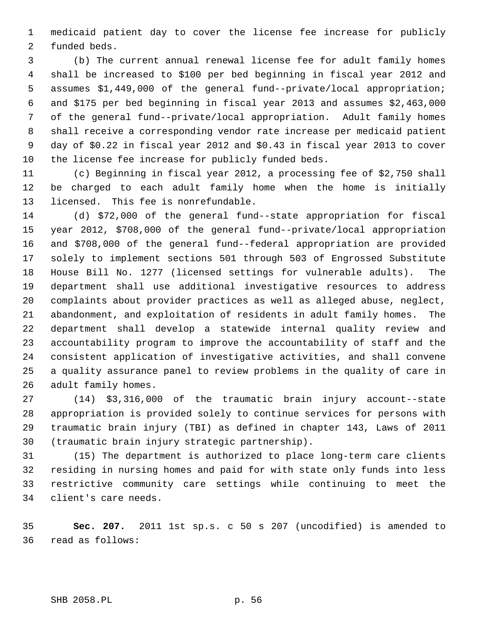1 medicaid patient day to cover the license fee increase for publicly 2 funded beds.

 3 (b) The current annual renewal license fee for adult family homes 4 shall be increased to \$100 per bed beginning in fiscal year 2012 and 5 assumes \$1,449,000 of the general fund--private/local appropriation; 6 and \$175 per bed beginning in fiscal year 2013 and assumes \$2,463,000 7 of the general fund--private/local appropriation. Adult family homes 8 shall receive a corresponding vendor rate increase per medicaid patient 9 day of \$0.22 in fiscal year 2012 and \$0.43 in fiscal year 2013 to cover 10 the license fee increase for publicly funded beds.

11 (c) Beginning in fiscal year 2012, a processing fee of \$2,750 shall 12 be charged to each adult family home when the home is initially 13 licensed. This fee is nonrefundable.

14 (d) \$72,000 of the general fund--state appropriation for fiscal 15 year 2012, \$708,000 of the general fund--private/local appropriation 16 and \$708,000 of the general fund--federal appropriation are provided 17 solely to implement sections 501 through 503 of Engrossed Substitute 18 House Bill No. 1277 (licensed settings for vulnerable adults). The 19 department shall use additional investigative resources to address 20 complaints about provider practices as well as alleged abuse, neglect, 21 abandonment, and exploitation of residents in adult family homes. The 22 department shall develop a statewide internal quality review and 23 accountability program to improve the accountability of staff and the 24 consistent application of investigative activities, and shall convene 25 a quality assurance panel to review problems in the quality of care in 26 adult family homes.

27 (14) \$3,316,000 of the traumatic brain injury account--state 28 appropriation is provided solely to continue services for persons with 29 traumatic brain injury (TBI) as defined in chapter 143, Laws of 2011 30 (traumatic brain injury strategic partnership).

31 (15) The department is authorized to place long-term care clients 32 residing in nursing homes and paid for with state only funds into less 33 restrictive community care settings while continuing to meet the 34 client's care needs.

35 **Sec. 207.** 2011 1st sp.s. c 50 s 207 (uncodified) is amended to 36 read as follows: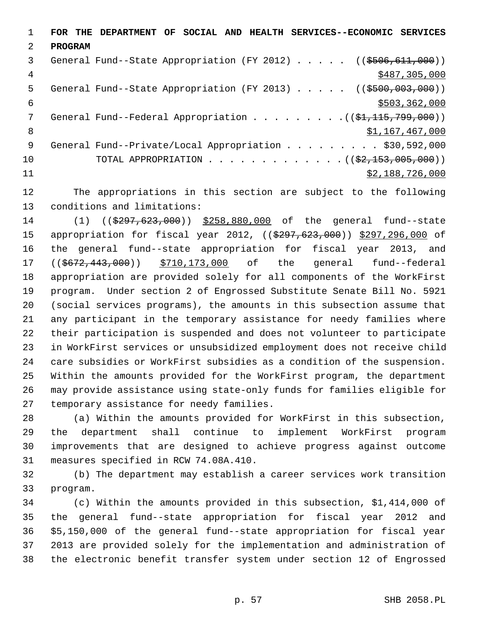1 **FOR THE DEPARTMENT OF SOCIAL AND HEALTH SERVICES--ECONOMIC SERVICES** 2 **PROGRAM** 3 General Fund--State Appropriation (FY 2012) . . . . . ((\$506,611,000)) 4 \$487,305,000 5 General Fund--State Appropriation (FY 2013) . . . . . ((\$500,003,000))  $\frac{1}{503}$ , 362, 000 7 General Fund--Federal Appropriation . . . . . . . . . ((\$1,115,799,000)) 8 \$1,167,467,000 9 General Fund--Private/Local Appropriation . . . . . . . . \$30,592,000 10 TOTAL APPROPRIATION . . . . . . . . . . . . ((<del>\$2,153,005,000</del>))  $11$  \$2,188,726,000

12 The appropriations in this section are subject to the following 13 conditions and limitations:

14 (1) ((\$297,623,000)) \$258,880,000 of the general fund--state 15 appropriation for fiscal year 2012, ((\$297,623,000)) \$297,296,000 of 16 the general fund--state appropriation for fiscal year 2013, and 17 ((\$672,443,000)) \$710,173,000 of the general fund--federal 18 appropriation are provided solely for all components of the WorkFirst 19 program. Under section 2 of Engrossed Substitute Senate Bill No. 5921 20 (social services programs), the amounts in this subsection assume that 21 any participant in the temporary assistance for needy families where 22 their participation is suspended and does not volunteer to participate 23 in WorkFirst services or unsubsidized employment does not receive child 24 care subsidies or WorkFirst subsidies as a condition of the suspension. 25 Within the amounts provided for the WorkFirst program, the department 26 may provide assistance using state-only funds for families eligible for 27 temporary assistance for needy families.

28 (a) Within the amounts provided for WorkFirst in this subsection, 29 the department shall continue to implement WorkFirst program 30 improvements that are designed to achieve progress against outcome 31 measures specified in RCW 74.08A.410.

32 (b) The department may establish a career services work transition 33 program.

34 (c) Within the amounts provided in this subsection, \$1,414,000 of 35 the general fund--state appropriation for fiscal year 2012 and 36 \$5,150,000 of the general fund--state appropriation for fiscal year 37 2013 are provided solely for the implementation and administration of 38 the electronic benefit transfer system under section 12 of Engrossed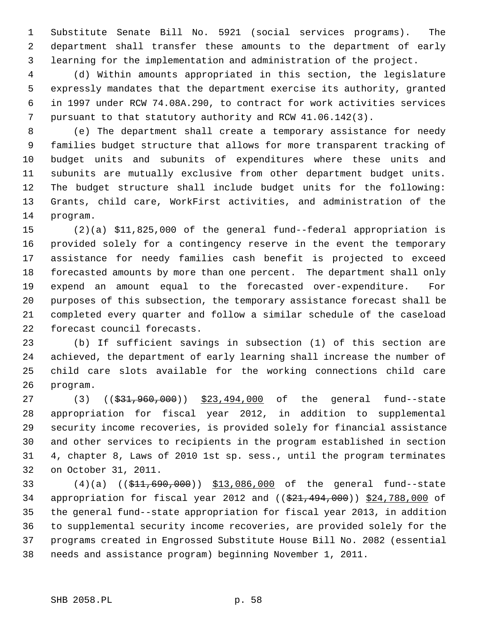1 Substitute Senate Bill No. 5921 (social services programs). The 2 department shall transfer these amounts to the department of early 3 learning for the implementation and administration of the project.

 4 (d) Within amounts appropriated in this section, the legislature 5 expressly mandates that the department exercise its authority, granted 6 in 1997 under RCW 74.08A.290, to contract for work activities services 7 pursuant to that statutory authority and RCW 41.06.142(3).

 8 (e) The department shall create a temporary assistance for needy 9 families budget structure that allows for more transparent tracking of 10 budget units and subunits of expenditures where these units and 11 subunits are mutually exclusive from other department budget units. 12 The budget structure shall include budget units for the following: 13 Grants, child care, WorkFirst activities, and administration of the 14 program.

15 (2)(a) \$11,825,000 of the general fund--federal appropriation is 16 provided solely for a contingency reserve in the event the temporary 17 assistance for needy families cash benefit is projected to exceed 18 forecasted amounts by more than one percent. The department shall only 19 expend an amount equal to the forecasted over-expenditure. For 20 purposes of this subsection, the temporary assistance forecast shall be 21 completed every quarter and follow a similar schedule of the caseload 22 forecast council forecasts.

23 (b) If sufficient savings in subsection (1) of this section are 24 achieved, the department of early learning shall increase the number of 25 child care slots available for the working connections child care 26 program.

27 (3) ((\$31,960,000)) \$23,494,000 of the general fund--state 28 appropriation for fiscal year 2012, in addition to supplemental 29 security income recoveries, is provided solely for financial assistance 30 and other services to recipients in the program established in section 31 4, chapter 8, Laws of 2010 1st sp. sess., until the program terminates 32 on October 31, 2011.

33 (4)(a) ((\$11,690,000)) \$13,086,000 of the general fund--state 34 appropriation for fiscal year 2012 and ((\$21,494,000)) \$24,788,000 of 35 the general fund--state appropriation for fiscal year 2013, in addition 36 to supplemental security income recoveries, are provided solely for the 37 programs created in Engrossed Substitute House Bill No. 2082 (essential 38 needs and assistance program) beginning November 1, 2011.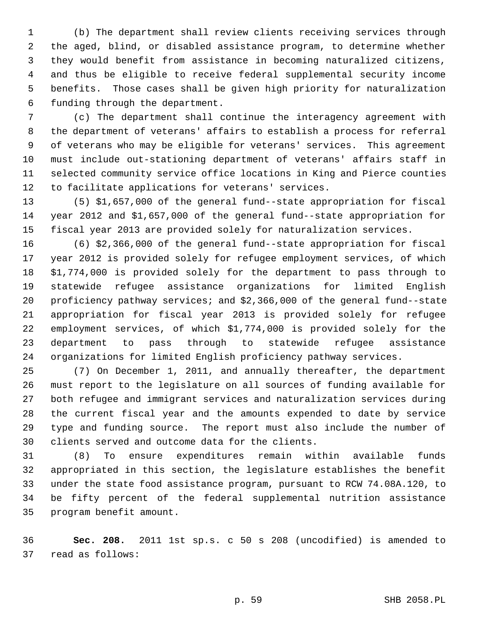1 (b) The department shall review clients receiving services through 2 the aged, blind, or disabled assistance program, to determine whether 3 they would benefit from assistance in becoming naturalized citizens, 4 and thus be eligible to receive federal supplemental security income 5 benefits. Those cases shall be given high priority for naturalization 6 funding through the department.

 7 (c) The department shall continue the interagency agreement with 8 the department of veterans' affairs to establish a process for referral 9 of veterans who may be eligible for veterans' services. This agreement 10 must include out-stationing department of veterans' affairs staff in 11 selected community service office locations in King and Pierce counties 12 to facilitate applications for veterans' services.

13 (5) \$1,657,000 of the general fund--state appropriation for fiscal 14 year 2012 and \$1,657,000 of the general fund--state appropriation for 15 fiscal year 2013 are provided solely for naturalization services.

16 (6) \$2,366,000 of the general fund--state appropriation for fiscal 17 year 2012 is provided solely for refugee employment services, of which 18 \$1,774,000 is provided solely for the department to pass through to 19 statewide refugee assistance organizations for limited English 20 proficiency pathway services; and \$2,366,000 of the general fund--state 21 appropriation for fiscal year 2013 is provided solely for refugee 22 employment services, of which \$1,774,000 is provided solely for the 23 department to pass through to statewide refugee assistance 24 organizations for limited English proficiency pathway services.

25 (7) On December 1, 2011, and annually thereafter, the department 26 must report to the legislature on all sources of funding available for 27 both refugee and immigrant services and naturalization services during 28 the current fiscal year and the amounts expended to date by service 29 type and funding source. The report must also include the number of 30 clients served and outcome data for the clients.

31 (8) To ensure expenditures remain within available funds 32 appropriated in this section, the legislature establishes the benefit 33 under the state food assistance program, pursuant to RCW 74.08A.120, to 34 be fifty percent of the federal supplemental nutrition assistance 35 program benefit amount.

36 **Sec. 208.** 2011 1st sp.s. c 50 s 208 (uncodified) is amended to 37 read as follows: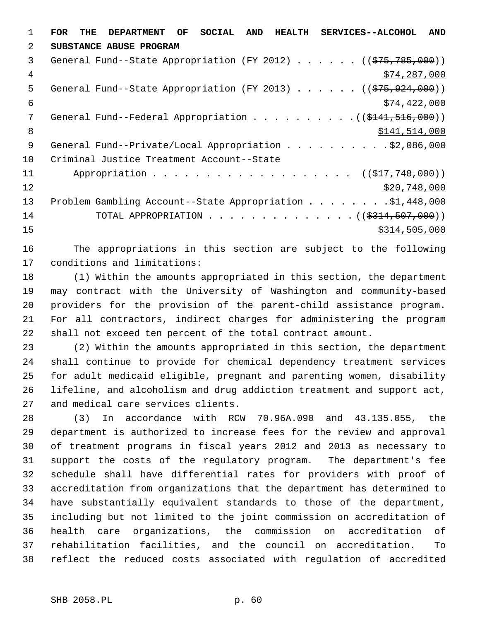1 **FOR THE DEPARTMENT OF SOCIAL AND HEALTH SERVICES--ALCOHOL AND** 2 **SUBSTANCE ABUSE PROGRAM** 3 General Fund--State Appropriation (FY 2012) . . . . . . ((\$75,785,000)) 4 \$74,287,000 5 General Fund--State Appropriation (FY 2013) . . . . . ((\$75,924,000))  $$74,422,000$ 7 General Fund--Federal Appropriation . . . . . . . . . ((\$141,516,000)) 8 \$141,514,000 9 General Fund--Private/Local Appropriation . . . . . . . . . \$2,086,000 10 Criminal Justice Treatment Account--State 11 Appropriation . . . . . . . . . . . . . . . . . ((\$17,748,000))  $\frac{12}{20,748,000}$ 13 Problem Gambling Account--State Appropriation . . . . . . . .\$1,448,000 14 TOTAL APPROPRIATION . . . . . . . . . . . . . ((\$314,507,000))  $15$  \$314,505,000

16 The appropriations in this section are subject to the following 17 conditions and limitations:

18 (1) Within the amounts appropriated in this section, the department 19 may contract with the University of Washington and community-based 20 providers for the provision of the parent-child assistance program. 21 For all contractors, indirect charges for administering the program 22 shall not exceed ten percent of the total contract amount.

23 (2) Within the amounts appropriated in this section, the department 24 shall continue to provide for chemical dependency treatment services 25 for adult medicaid eligible, pregnant and parenting women, disability 26 lifeline, and alcoholism and drug addiction treatment and support act, 27 and medical care services clients.

28 (3) In accordance with RCW 70.96A.090 and 43.135.055, the 29 department is authorized to increase fees for the review and approval 30 of treatment programs in fiscal years 2012 and 2013 as necessary to 31 support the costs of the regulatory program. The department's fee 32 schedule shall have differential rates for providers with proof of 33 accreditation from organizations that the department has determined to 34 have substantially equivalent standards to those of the department, 35 including but not limited to the joint commission on accreditation of 36 health care organizations, the commission on accreditation of 37 rehabilitation facilities, and the council on accreditation. To 38 reflect the reduced costs associated with regulation of accredited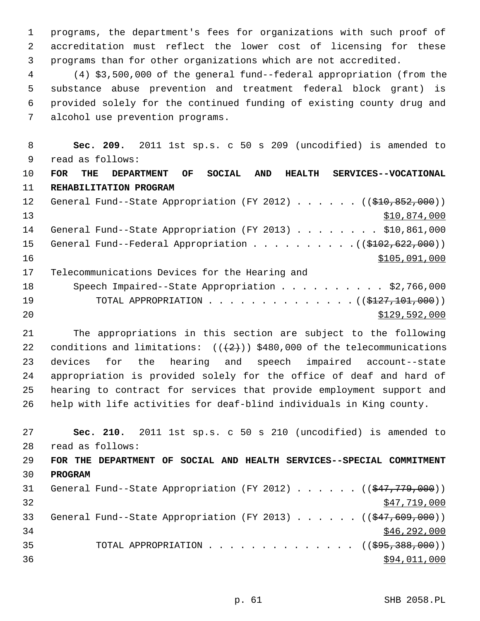1 programs, the department's fees for organizations with such proof of 2 accreditation must reflect the lower cost of licensing for these 3 programs than for other organizations which are not accredited.

 4 (4) \$3,500,000 of the general fund--federal appropriation (from the 5 substance abuse prevention and treatment federal block grant) is 6 provided solely for the continued funding of existing county drug and 7 alcohol use prevention programs.

 8 **Sec. 209.** 2011 1st sp.s. c 50 s 209 (uncodified) is amended to 9 read as follows:

10 **FOR THE DEPARTMENT OF SOCIAL AND HEALTH SERVICES--VOCATIONAL** 11 **REHABILITATION PROGRAM** 12 General Fund--State Appropriation (FY 2012) . . . . . . ((\$10,852,000))

13 \$10,874,000 14 General Fund--State Appropriation (FY 2013) . . . . . . . \$10,861,000 15 General Fund--Federal Appropriation . . . . . . . . . . ((\$102,622,000)) 16 \$105,091,000

17 Telecommunications Devices for the Hearing and

| 18 | Speech Impaired--State Appropriation \$2,766,000        |
|----|---------------------------------------------------------|
| 19 | TOTAL APPROPRIATION $($ $($ $\frac{127}{101}$ ,000) $)$ |
| 20 | \$129,592,000                                           |

21 The appropriations in this section are subject to the following 22 conditions and limitations:  $((2+))$  \$480,000 of the telecommunications 23 devices for the hearing and speech impaired account--state 24 appropriation is provided solely for the office of deaf and hard of 25 hearing to contract for services that provide employment support and 26 help with life activities for deaf-blind individuals in King county.

27 **Sec. 210.** 2011 1st sp.s. c 50 s 210 (uncodified) is amended to 28 read as follows: 29 **FOR THE DEPARTMENT OF SOCIAL AND HEALTH SERVICES--SPECIAL COMMITMENT** 30 **PROGRAM** 31 General Fund--State Appropriation (FY 2012)  $\ldots \ldots$  (( $\left( \frac{647,779,000}{2} \right)$ )  $\frac{1}{2}$   $\frac{1}{2}$   $\frac{1}{2}$   $\frac{1}{2}$   $\frac{1}{2}$   $\frac{1}{2}$   $\frac{1}{2}$   $\frac{1}{2}$   $\frac{1}{2}$   $\frac{1}{2}$   $\frac{1}{2}$   $\frac{1}{2}$   $\frac{1}{2}$   $\frac{1}{2}$   $\frac{1}{2}$   $\frac{1}{2}$   $\frac{1}{2}$   $\frac{1}{2}$   $\frac{1}{2}$   $\frac{1}{2}$   $\frac{1}{2}$   $\frac{1}{2}$  33 General Fund--State Appropriation (FY 2013) . . . . . . ((\$47,609,000))  $34$  \$46,292,000 35 TOTAL APPROPRIATION . . . . . . . . . . . . . ((<del>\$95,388,000</del>))  $36$  \$94,011,000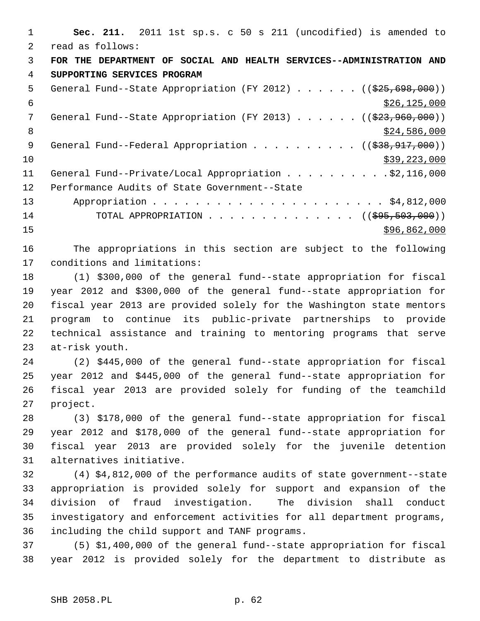1 **Sec. 211.** 2011 1st sp.s. c 50 s 211 (uncodified) is amended to 2 read as follows: 3 **FOR THE DEPARTMENT OF SOCIAL AND HEALTH SERVICES--ADMINISTRATION AND** 4 **SUPPORTING SERVICES PROGRAM** 5 General Fund--State Appropriation (FY 2012) . . . . . ((\$25,698,000))  $\frac{$26,125,000}{5}$ 7 General Fund--State Appropriation (FY 2013) . . . . . ((\$23,960,000)) 8  $\frac{$24,586,000}{ }$ 9 General Fund--Federal Appropriation . . . . . . . . . ((\$38,917,000))  $\frac{10}{339}$ , 223, 000 11 General Fund--Private/Local Appropriation . . . . . . . . . \$2,116,000 12 Performance Audits of State Government--State 13 Appropriation . . . . . . . . . . . . . . . . . . . . . . \$4,812,000 14 TOTAL APPROPRIATION . . . . . . . . . . . . . ((<del>\$95,503,000</del>))  $15$  \$96,862,000

16 The appropriations in this section are subject to the following 17 conditions and limitations:

18 (1) \$300,000 of the general fund--state appropriation for fiscal 19 year 2012 and \$300,000 of the general fund--state appropriation for 20 fiscal year 2013 are provided solely for the Washington state mentors 21 program to continue its public-private partnerships to provide 22 technical assistance and training to mentoring programs that serve 23 at-risk youth.

24 (2) \$445,000 of the general fund--state appropriation for fiscal 25 year 2012 and \$445,000 of the general fund--state appropriation for 26 fiscal year 2013 are provided solely for funding of the teamchild 27 project.

28 (3) \$178,000 of the general fund--state appropriation for fiscal 29 year 2012 and \$178,000 of the general fund--state appropriation for 30 fiscal year 2013 are provided solely for the juvenile detention 31 alternatives initiative.

32 (4) \$4,812,000 of the performance audits of state government--state 33 appropriation is provided solely for support and expansion of the 34 division of fraud investigation. The division shall conduct 35 investigatory and enforcement activities for all department programs, 36 including the child support and TANF programs.

37 (5) \$1,400,000 of the general fund--state appropriation for fiscal 38 year 2012 is provided solely for the department to distribute as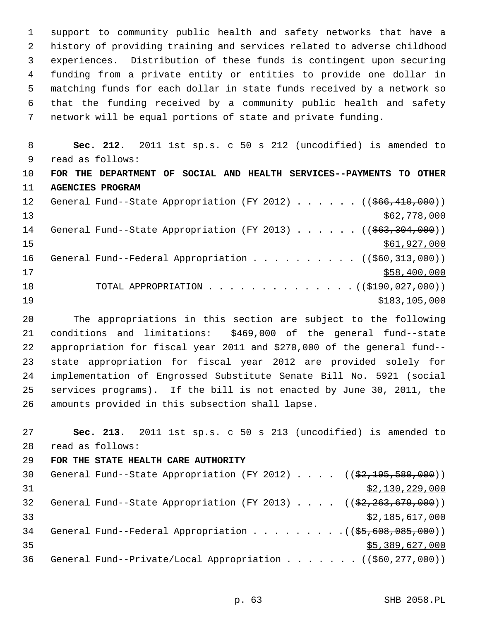1 support to community public health and safety networks that have a 2 history of providing training and services related to adverse childhood 3 experiences. Distribution of these funds is contingent upon securing 4 funding from a private entity or entities to provide one dollar in 5 matching funds for each dollar in state funds received by a network so 6 that the funding received by a community public health and safety 7 network will be equal portions of state and private funding.

 8 **Sec. 212.** 2011 1st sp.s. c 50 s 212 (uncodified) is amended to 9 read as follows: 10 **FOR THE DEPARTMENT OF SOCIAL AND HEALTH SERVICES--PAYMENTS TO OTHER** 11 **AGENCIES PROGRAM** 12 General Fund--State Appropriation (FY 2012) . . . . . ((\$66,410,000))  $\frac{$62,778,000}{ }$ 14 General Fund--State Appropriation (FY 2013) . . . . . ((\$63,304,000))  $15$  \$61,927,000 16 General Fund--Federal Appropriation . . . . . . . . . ((\$60,313,000))  $17$  \$58,400,000 18 TOTAL APPROPRIATION . . . . . . . . . . . . . ((\$190,027,000)) 19 \$183,105,000

20 The appropriations in this section are subject to the following 21 conditions and limitations: \$469,000 of the general fund--state 22 appropriation for fiscal year 2011 and \$270,000 of the general fund-- 23 state appropriation for fiscal year 2012 are provided solely for 24 implementation of Engrossed Substitute Senate Bill No. 5921 (social 25 services programs). If the bill is not enacted by June 30, 2011, the 26 amounts provided in this subsection shall lapse.

27 **Sec. 213.** 2011 1st sp.s. c 50 s 213 (uncodified) is amended to 28 read as follows: 29 **FOR THE STATE HEALTH CARE AUTHORITY** 30 General Fund--State Appropriation (FY 2012) . . . . ((\$2,195,580,000))  $\frac{1}{2}$   $\frac{1}{2}$   $\frac{3}{2}$ , 130, 229, 000

32 General Fund--State Appropriation (FY 2013)  $\ldots$  ( $(\frac{2}{52}, \frac{263}{679}, \frac{600}{90})$ ) 33 \$2,185,617,000 34 General Fund--Federal Appropriation . . . . . . . . ((\$5,608,085,000))  $35$   $55,389,627,000$ 36 General Fund--Private/Local Appropriation . . . . . . ((\$60,277,000))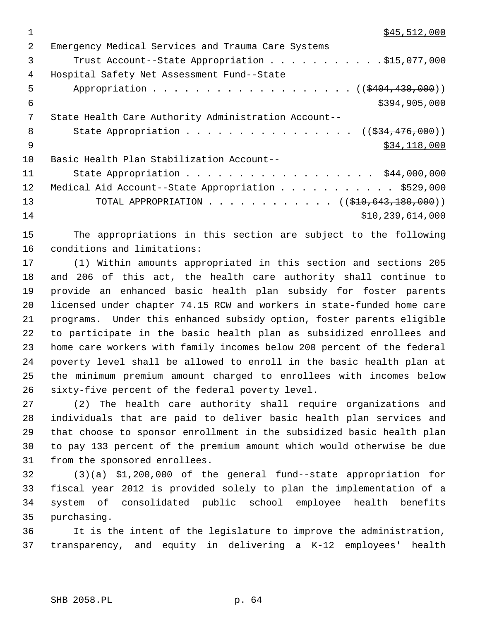| $\mathfrak{D}$ | Emergency Medical Services and Trauma Care Systems        |
|----------------|-----------------------------------------------------------|
| 3              | Trust Account--State Appropriation \$15,077,000           |
| 4              | Hospital Safety Net Assessment Fund--State                |
| 5              | Appropriation ((\$404,438,000))                           |
| 6              | \$394,905,000                                             |
| 7              | State Health Care Authority Administration Account--      |
| 8              | State Appropriation ( $(\frac{234}{176},000)$ )           |
| - 9            | \$34,118,000                                              |
| 10             | Basic Health Plan Stabilization Account--                 |
| 11             | State Appropriation \$44,000,000                          |
| 12             | Medical Aid Account--State Appropriation \$529,000        |
| 13             | TOTAL APPROPRIATION ( $(\frac{10}{210}, 643, 180, 000)$ ) |
| 14             | \$10, 239, 614, 000                                       |
|                |                                                           |

15 The appropriations in this section are subject to the following 16 conditions and limitations:

17 (1) Within amounts appropriated in this section and sections 205 18 and 206 of this act, the health care authority shall continue to 19 provide an enhanced basic health plan subsidy for foster parents 20 licensed under chapter 74.15 RCW and workers in state-funded home care 21 programs. Under this enhanced subsidy option, foster parents eligible 22 to participate in the basic health plan as subsidized enrollees and 23 home care workers with family incomes below 200 percent of the federal 24 poverty level shall be allowed to enroll in the basic health plan at 25 the minimum premium amount charged to enrollees with incomes below 26 sixty-five percent of the federal poverty level.

27 (2) The health care authority shall require organizations and 28 individuals that are paid to deliver basic health plan services and 29 that choose to sponsor enrollment in the subsidized basic health plan 30 to pay 133 percent of the premium amount which would otherwise be due 31 from the sponsored enrollees.

32 (3)(a) \$1,200,000 of the general fund--state appropriation for 33 fiscal year 2012 is provided solely to plan the implementation of a 34 system of consolidated public school employee health benefits 35 purchasing.

36 It is the intent of the legislature to improve the administration, 37 transparency, and equity in delivering a K-12 employees' health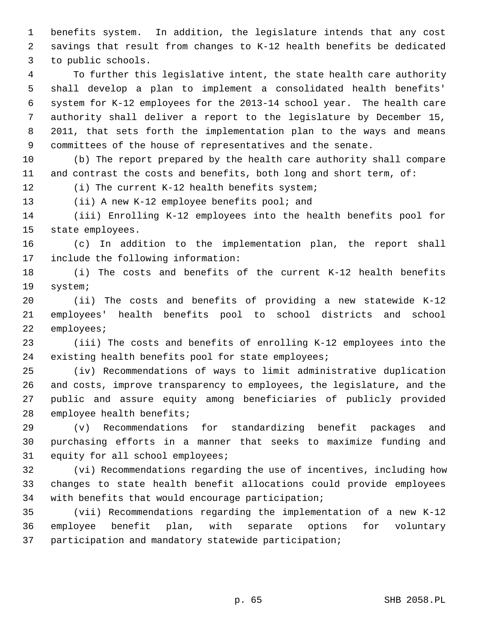1 benefits system. In addition, the legislature intends that any cost 2 savings that result from changes to K-12 health benefits be dedicated 3 to public schools.

 4 To further this legislative intent, the state health care authority 5 shall develop a plan to implement a consolidated health benefits' 6 system for K-12 employees for the 2013-14 school year. The health care 7 authority shall deliver a report to the legislature by December 15, 8 2011, that sets forth the implementation plan to the ways and means 9 committees of the house of representatives and the senate.

10 (b) The report prepared by the health care authority shall compare 11 and contrast the costs and benefits, both long and short term, of:

12 (i) The current K-12 health benefits system;

13 (ii) A new K-12 employee benefits pool; and

14 (iii) Enrolling K-12 employees into the health benefits pool for 15 state employees.

16 (c) In addition to the implementation plan, the report shall 17 include the following information:

18 (i) The costs and benefits of the current K-12 health benefits 19 system;

20 (ii) The costs and benefits of providing a new statewide K-12 21 employees' health benefits pool to school districts and school 22 employees;

23 (iii) The costs and benefits of enrolling K-12 employees into the 24 existing health benefits pool for state employees;

25 (iv) Recommendations of ways to limit administrative duplication 26 and costs, improve transparency to employees, the legislature, and the 27 public and assure equity among beneficiaries of publicly provided 28 employee health benefits;

29 (v) Recommendations for standardizing benefit packages and 30 purchasing efforts in a manner that seeks to maximize funding and 31 equity for all school employees;

32 (vi) Recommendations regarding the use of incentives, including how 33 changes to state health benefit allocations could provide employees 34 with benefits that would encourage participation;

35 (vii) Recommendations regarding the implementation of a new K-12 36 employee benefit plan, with separate options for voluntary 37 participation and mandatory statewide participation;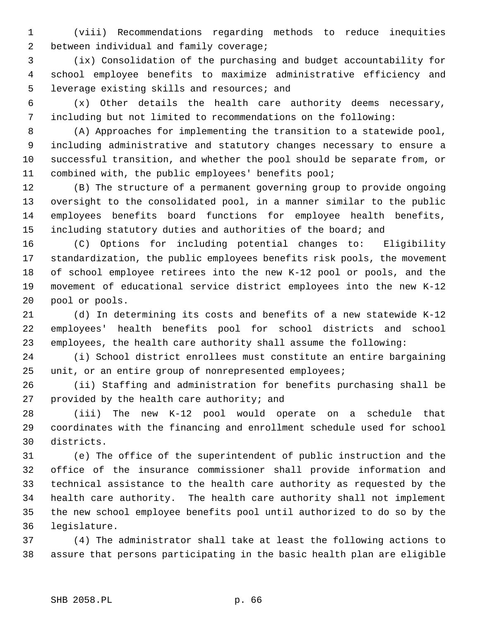1 (viii) Recommendations regarding methods to reduce inequities 2 between individual and family coverage;

 3 (ix) Consolidation of the purchasing and budget accountability for 4 school employee benefits to maximize administrative efficiency and 5 leverage existing skills and resources; and

 6 (x) Other details the health care authority deems necessary, 7 including but not limited to recommendations on the following:

 8 (A) Approaches for implementing the transition to a statewide pool, 9 including administrative and statutory changes necessary to ensure a 10 successful transition, and whether the pool should be separate from, or 11 combined with, the public employees' benefits pool;

12 (B) The structure of a permanent governing group to provide ongoing 13 oversight to the consolidated pool, in a manner similar to the public 14 employees benefits board functions for employee health benefits, 15 including statutory duties and authorities of the board; and

16 (C) Options for including potential changes to: Eligibility 17 standardization, the public employees benefits risk pools, the movement 18 of school employee retirees into the new K-12 pool or pools, and the 19 movement of educational service district employees into the new K-12 20 pool or pools.

21 (d) In determining its costs and benefits of a new statewide K-12 22 employees' health benefits pool for school districts and school 23 employees, the health care authority shall assume the following:

24 (i) School district enrollees must constitute an entire bargaining 25 unit, or an entire group of nonrepresented employees;

26 (ii) Staffing and administration for benefits purchasing shall be 27 provided by the health care authority; and

28 (iii) The new K-12 pool would operate on a schedule that 29 coordinates with the financing and enrollment schedule used for school 30 districts.

31 (e) The office of the superintendent of public instruction and the 32 office of the insurance commissioner shall provide information and 33 technical assistance to the health care authority as requested by the 34 health care authority. The health care authority shall not implement 35 the new school employee benefits pool until authorized to do so by the 36 legislature.

37 (4) The administrator shall take at least the following actions to 38 assure that persons participating in the basic health plan are eligible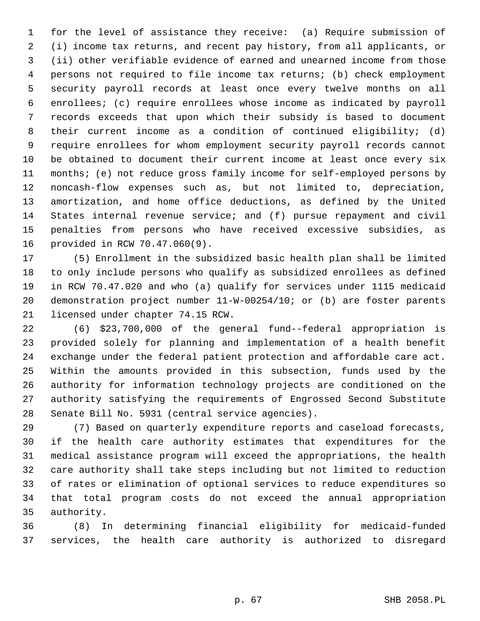1 for the level of assistance they receive: (a) Require submission of 2 (i) income tax returns, and recent pay history, from all applicants, or 3 (ii) other verifiable evidence of earned and unearned income from those 4 persons not required to file income tax returns; (b) check employment 5 security payroll records at least once every twelve months on all 6 enrollees; (c) require enrollees whose income as indicated by payroll 7 records exceeds that upon which their subsidy is based to document 8 their current income as a condition of continued eligibility; (d) 9 require enrollees for whom employment security payroll records cannot 10 be obtained to document their current income at least once every six 11 months; (e) not reduce gross family income for self-employed persons by 12 noncash-flow expenses such as, but not limited to, depreciation, 13 amortization, and home office deductions, as defined by the United 14 States internal revenue service; and (f) pursue repayment and civil 15 penalties from persons who have received excessive subsidies, as 16 provided in RCW 70.47.060(9).

17 (5) Enrollment in the subsidized basic health plan shall be limited 18 to only include persons who qualify as subsidized enrollees as defined 19 in RCW 70.47.020 and who (a) qualify for services under 1115 medicaid 20 demonstration project number 11-W-00254/10; or (b) are foster parents 21 licensed under chapter 74.15 RCW.

22 (6) \$23,700,000 of the general fund--federal appropriation is 23 provided solely for planning and implementation of a health benefit 24 exchange under the federal patient protection and affordable care act. 25 Within the amounts provided in this subsection, funds used by the 26 authority for information technology projects are conditioned on the 27 authority satisfying the requirements of Engrossed Second Substitute 28 Senate Bill No. 5931 (central service agencies).

29 (7) Based on quarterly expenditure reports and caseload forecasts, 30 if the health care authority estimates that expenditures for the 31 medical assistance program will exceed the appropriations, the health 32 care authority shall take steps including but not limited to reduction 33 of rates or elimination of optional services to reduce expenditures so 34 that total program costs do not exceed the annual appropriation 35 authority.

36 (8) In determining financial eligibility for medicaid-funded 37 services, the health care authority is authorized to disregard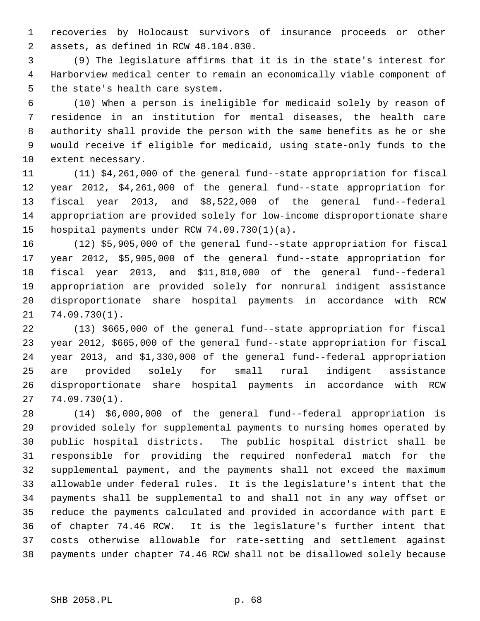1 recoveries by Holocaust survivors of insurance proceeds or other 2 assets, as defined in RCW 48.104.030.

 3 (9) The legislature affirms that it is in the state's interest for 4 Harborview medical center to remain an economically viable component of 5 the state's health care system.

 6 (10) When a person is ineligible for medicaid solely by reason of 7 residence in an institution for mental diseases, the health care 8 authority shall provide the person with the same benefits as he or she 9 would receive if eligible for medicaid, using state-only funds to the 10 extent necessary.

11 (11) \$4,261,000 of the general fund--state appropriation for fiscal 12 year 2012, \$4,261,000 of the general fund--state appropriation for 13 fiscal year 2013, and \$8,522,000 of the general fund--federal 14 appropriation are provided solely for low-income disproportionate share 15 hospital payments under RCW 74.09.730(1)(a).

16 (12) \$5,905,000 of the general fund--state appropriation for fiscal 17 year 2012, \$5,905,000 of the general fund--state appropriation for 18 fiscal year 2013, and \$11,810,000 of the general fund--federal 19 appropriation are provided solely for nonrural indigent assistance 20 disproportionate share hospital payments in accordance with RCW 21 74.09.730(1).

22 (13) \$665,000 of the general fund--state appropriation for fiscal 23 year 2012, \$665,000 of the general fund--state appropriation for fiscal 24 year 2013, and \$1,330,000 of the general fund--federal appropriation 25 are provided solely for small rural indigent assistance 26 disproportionate share hospital payments in accordance with RCW 27 74.09.730(1).

28 (14) \$6,000,000 of the general fund--federal appropriation is 29 provided solely for supplemental payments to nursing homes operated by 30 public hospital districts. The public hospital district shall be 31 responsible for providing the required nonfederal match for the 32 supplemental payment, and the payments shall not exceed the maximum 33 allowable under federal rules. It is the legislature's intent that the 34 payments shall be supplemental to and shall not in any way offset or 35 reduce the payments calculated and provided in accordance with part E 36 of chapter 74.46 RCW. It is the legislature's further intent that 37 costs otherwise allowable for rate-setting and settlement against 38 payments under chapter 74.46 RCW shall not be disallowed solely because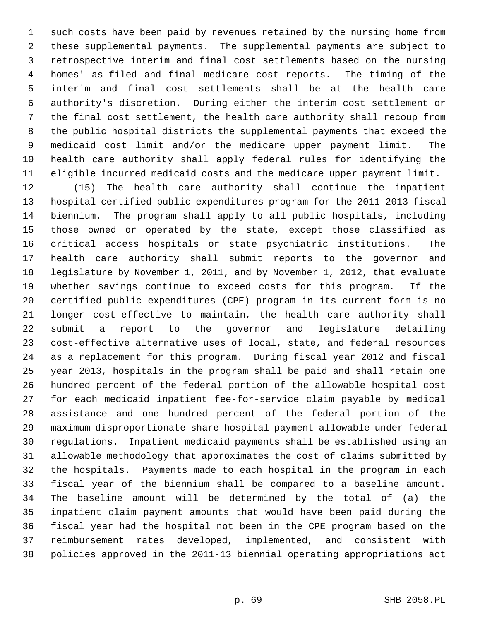1 such costs have been paid by revenues retained by the nursing home from 2 these supplemental payments. The supplemental payments are subject to 3 retrospective interim and final cost settlements based on the nursing 4 homes' as-filed and final medicare cost reports. The timing of the 5 interim and final cost settlements shall be at the health care 6 authority's discretion. During either the interim cost settlement or 7 the final cost settlement, the health care authority shall recoup from 8 the public hospital districts the supplemental payments that exceed the 9 medicaid cost limit and/or the medicare upper payment limit. The 10 health care authority shall apply federal rules for identifying the 11 eligible incurred medicaid costs and the medicare upper payment limit.

12 (15) The health care authority shall continue the inpatient 13 hospital certified public expenditures program for the 2011-2013 fiscal 14 biennium. The program shall apply to all public hospitals, including 15 those owned or operated by the state, except those classified as 16 critical access hospitals or state psychiatric institutions. The 17 health care authority shall submit reports to the governor and 18 legislature by November 1, 2011, and by November 1, 2012, that evaluate 19 whether savings continue to exceed costs for this program. If the 20 certified public expenditures (CPE) program in its current form is no 21 longer cost-effective to maintain, the health care authority shall 22 submit a report to the governor and legislature detailing 23 cost-effective alternative uses of local, state, and federal resources 24 as a replacement for this program. During fiscal year 2012 and fiscal 25 year 2013, hospitals in the program shall be paid and shall retain one 26 hundred percent of the federal portion of the allowable hospital cost 27 for each medicaid inpatient fee-for-service claim payable by medical 28 assistance and one hundred percent of the federal portion of the 29 maximum disproportionate share hospital payment allowable under federal 30 regulations. Inpatient medicaid payments shall be established using an 31 allowable methodology that approximates the cost of claims submitted by 32 the hospitals. Payments made to each hospital in the program in each 33 fiscal year of the biennium shall be compared to a baseline amount. 34 The baseline amount will be determined by the total of (a) the 35 inpatient claim payment amounts that would have been paid during the 36 fiscal year had the hospital not been in the CPE program based on the 37 reimbursement rates developed, implemented, and consistent with 38 policies approved in the 2011-13 biennial operating appropriations act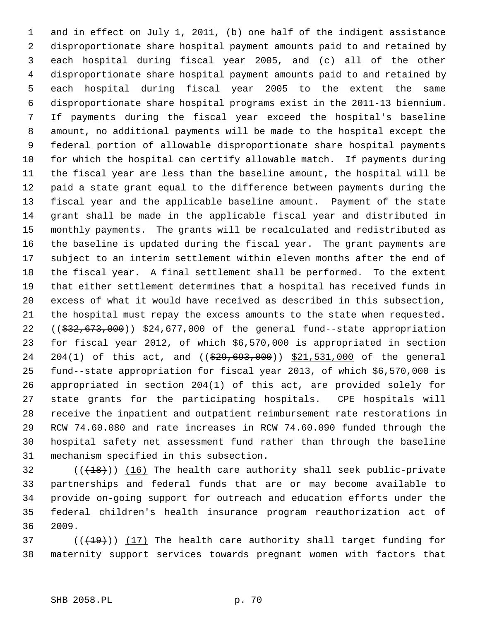1 and in effect on July 1, 2011, (b) one half of the indigent assistance 2 disproportionate share hospital payment amounts paid to and retained by 3 each hospital during fiscal year 2005, and (c) all of the other 4 disproportionate share hospital payment amounts paid to and retained by 5 each hospital during fiscal year 2005 to the extent the same 6 disproportionate share hospital programs exist in the 2011-13 biennium. 7 If payments during the fiscal year exceed the hospital's baseline 8 amount, no additional payments will be made to the hospital except the 9 federal portion of allowable disproportionate share hospital payments 10 for which the hospital can certify allowable match. If payments during 11 the fiscal year are less than the baseline amount, the hospital will be 12 paid a state grant equal to the difference between payments during the 13 fiscal year and the applicable baseline amount. Payment of the state 14 grant shall be made in the applicable fiscal year and distributed in 15 monthly payments. The grants will be recalculated and redistributed as 16 the baseline is updated during the fiscal year. The grant payments are 17 subject to an interim settlement within eleven months after the end of 18 the fiscal year. A final settlement shall be performed. To the extent 19 that either settlement determines that a hospital has received funds in 20 excess of what it would have received as described in this subsection, 21 the hospital must repay the excess amounts to the state when requested. 22  $((\$32,673,000))$  \$24,677,000 of the general fund--state appropriation 23 for fiscal year 2012, of which \$6,570,000 is appropriated in section 24 204(1) of this act, and ((\$29,693,000)) \$21,531,000 of the general 25 fund--state appropriation for fiscal year 2013, of which \$6,570,000 is 26 appropriated in section 204(1) of this act, are provided solely for 27 state grants for the participating hospitals. CPE hospitals will 28 receive the inpatient and outpatient reimbursement rate restorations in 29 RCW 74.60.080 and rate increases in RCW 74.60.090 funded through the 30 hospital safety net assessment fund rather than through the baseline 31 mechanism specified in this subsection.

 $32$  (( $(18)$ )) (16) The health care authority shall seek public-private 33 partnerships and federal funds that are or may become available to 34 provide on-going support for outreach and education efforts under the 35 federal children's health insurance program reauthorization act of 36 2009.

 $(1, 19)$  (( $(19)$ )) (17) The health care authority shall target funding for 38 maternity support services towards pregnant women with factors that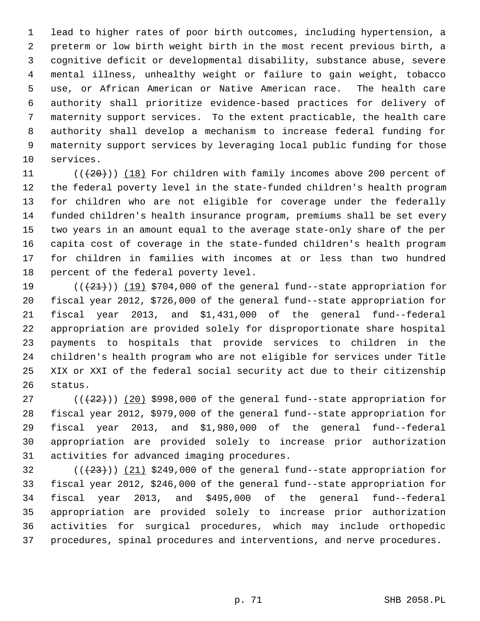1 lead to higher rates of poor birth outcomes, including hypertension, a 2 preterm or low birth weight birth in the most recent previous birth, a 3 cognitive deficit or developmental disability, substance abuse, severe 4 mental illness, unhealthy weight or failure to gain weight, tobacco 5 use, or African American or Native American race. The health care 6 authority shall prioritize evidence-based practices for delivery of 7 maternity support services. To the extent practicable, the health care 8 authority shall develop a mechanism to increase federal funding for 9 maternity support services by leveraging local public funding for those 10 services.

11  $((+20))$  (18) For children with family incomes above 200 percent of 12 the federal poverty level in the state-funded children's health program 13 for children who are not eligible for coverage under the federally 14 funded children's health insurance program, premiums shall be set every 15 two years in an amount equal to the average state-only share of the per 16 capita cost of coverage in the state-funded children's health program 17 for children in families with incomes at or less than two hundred 18 percent of the federal poverty level.

19  $((+21))$  (19) \$704,000 of the general fund--state appropriation for 20 fiscal year 2012, \$726,000 of the general fund--state appropriation for 21 fiscal year 2013, and \$1,431,000 of the general fund--federal 22 appropriation are provided solely for disproportionate share hospital 23 payments to hospitals that provide services to children in the 24 children's health program who are not eligible for services under Title 25 XIX or XXI of the federal social security act due to their citizenship 26 status.

27  $((+22))$  (20) \$998,000 of the general fund--state appropriation for 28 fiscal year 2012, \$979,000 of the general fund--state appropriation for 29 fiscal year 2013, and \$1,980,000 of the general fund--federal 30 appropriation are provided solely to increase prior authorization 31 activities for advanced imaging procedures.

 $(1+23)$  ( $(21)$  \$249,000 of the general fund--state appropriation for 33 fiscal year 2012, \$246,000 of the general fund--state appropriation for 34 fiscal year 2013, and \$495,000 of the general fund--federal 35 appropriation are provided solely to increase prior authorization 36 activities for surgical procedures, which may include orthopedic 37 procedures, spinal procedures and interventions, and nerve procedures.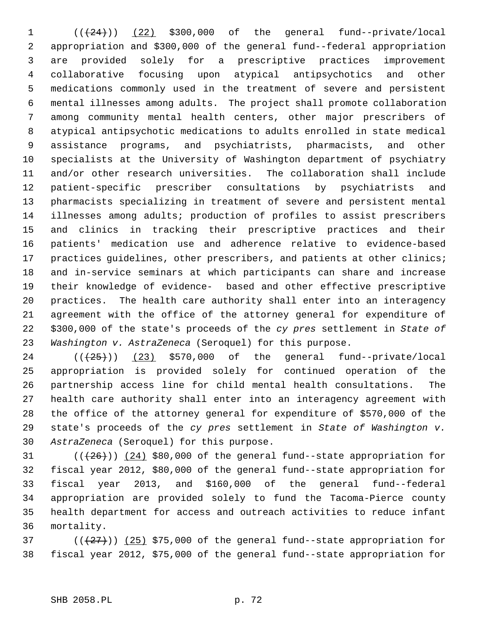$1$   $((+24))$   $(22)$  \$300,000 of the general fund--private/local 2 appropriation and \$300,000 of the general fund--federal appropriation 3 are provided solely for a prescriptive practices improvement 4 collaborative focusing upon atypical antipsychotics and other 5 medications commonly used in the treatment of severe and persistent 6 mental illnesses among adults. The project shall promote collaboration 7 among community mental health centers, other major prescribers of 8 atypical antipsychotic medications to adults enrolled in state medical 9 assistance programs, and psychiatrists, pharmacists, and other 10 specialists at the University of Washington department of psychiatry 11 and/or other research universities. The collaboration shall include 12 patient-specific prescriber consultations by psychiatrists and 13 pharmacists specializing in treatment of severe and persistent mental 14 illnesses among adults; production of profiles to assist prescribers 15 and clinics in tracking their prescriptive practices and their 16 patients' medication use and adherence relative to evidence-based 17 practices guidelines, other prescribers, and patients at other clinics; 18 and in-service seminars at which participants can share and increase 19 their knowledge of evidence- based and other effective prescriptive 20 practices. The health care authority shall enter into an interagency 21 agreement with the office of the attorney general for expenditure of 22 \$300,000 of the state's proceeds of the *cy pres* settlement in *State of* 23 *Washington v. AstraZeneca* (Seroquel) for this purpose.

 $24$  ( $(\frac{25}{1})$ )  $(23)$  \$570,000 of the general fund--private/local 25 appropriation is provided solely for continued operation of the 26 partnership access line for child mental health consultations. The 27 health care authority shall enter into an interagency agreement with 28 the office of the attorney general for expenditure of \$570,000 of the 29 state's proceeds of the *cy pres* settlement in *State of Washington v.* 30 *AstraZeneca* (Seroquel) for this purpose.

31  $((+26))$   $(24)$  \$80,000 of the general fund--state appropriation for 32 fiscal year 2012, \$80,000 of the general fund--state appropriation for 33 fiscal year 2013, and \$160,000 of the general fund--federal 34 appropriation are provided solely to fund the Tacoma-Pierce county 35 health department for access and outreach activities to reduce infant 36 mortality.

37  $((+27))$   $(25)$  \$75,000 of the general fund--state appropriation for 38 fiscal year 2012, \$75,000 of the general fund--state appropriation for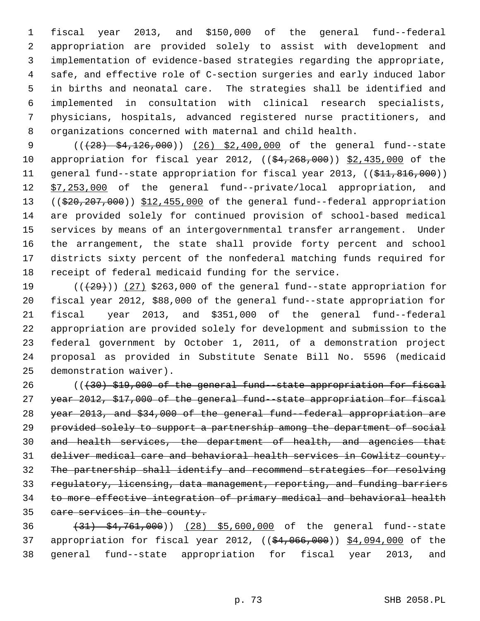1 fiscal year 2013, and \$150,000 of the general fund--federal 2 appropriation are provided solely to assist with development and 3 implementation of evidence-based strategies regarding the appropriate, 4 safe, and effective role of C-section surgeries and early induced labor 5 in births and neonatal care. The strategies shall be identified and 6 implemented in consultation with clinical research specialists, 7 physicians, hospitals, advanced registered nurse practitioners, and 8 organizations concerned with maternal and child health.

9 (( $(28)$  \$4,126,000)) (26) \$2,400,000 of the general fund--state 10 appropriation for fiscal year 2012, ((\$4,268,000)) \$2,435,000 of the 11 general fund--state appropriation for fiscal year 2013, ((\$11,816,000)) 12 \$7,253,000 of the general fund--private/local appropriation, and 13 ((\$20,207,000)) \$12,455,000 of the general fund--federal appropriation 14 are provided solely for continued provision of school-based medical 15 services by means of an intergovernmental transfer arrangement. Under 16 the arrangement, the state shall provide forty percent and school 17 districts sixty percent of the nonfederal matching funds required for 18 receipt of federal medicaid funding for the service.

19  $((+29))$   $(27)$  \$263,000 of the general fund--state appropriation for 20 fiscal year 2012, \$88,000 of the general fund--state appropriation for 21 fiscal year 2013, and \$351,000 of the general fund--federal 22 appropriation are provided solely for development and submission to the 23 federal government by October 1, 2011, of a demonstration project 24 proposal as provided in Substitute Senate Bill No. 5596 (medicaid 25 demonstration waiver).

26 (((30) \$19,000 of the general fund--state appropriation for fiscal year 2012, \$17,000 of the general fund--state appropriation for fiscal year 2013, and \$34,000 of the general fund--federal appropriation are provided solely to support a partnership among the department of social and health services, the department of health, and agencies that deliver medical care and behavioral health services in Cowlitz county. The partnership shall identify and recommend strategies for resolving regulatory, licensing, data management, reporting, and funding barriers to more effective integration of primary medical and behavioral health care services in the county.

36 (31) \$4,761,000)) (28) \$5,600,000 of the general fund--state 37 appropriation for fiscal year 2012, ((\$4,066,000)) \$4,094,000 of the 38 general fund--state appropriation for fiscal year 2013, and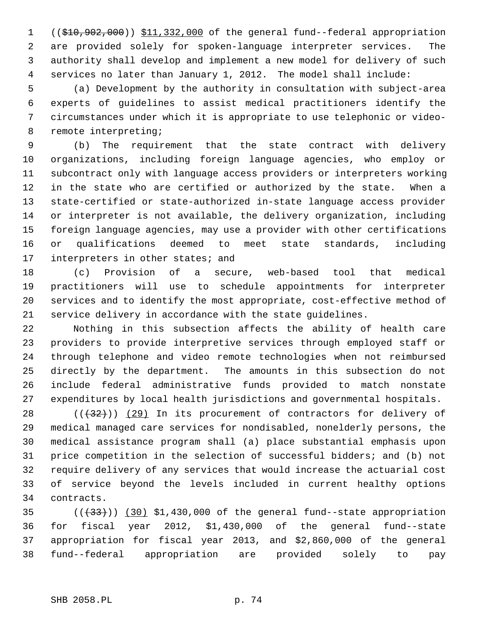1 ((\$10,902,000)) \$11,332,000 of the general fund--federal appropriation 2 are provided solely for spoken-language interpreter services. The 3 authority shall develop and implement a new model for delivery of such 4 services no later than January 1, 2012. The model shall include:

 5 (a) Development by the authority in consultation with subject-area 6 experts of guidelines to assist medical practitioners identify the 7 circumstances under which it is appropriate to use telephonic or video- 8 remote interpreting;

 9 (b) The requirement that the state contract with delivery 10 organizations, including foreign language agencies, who employ or 11 subcontract only with language access providers or interpreters working 12 in the state who are certified or authorized by the state. When a 13 state-certified or state-authorized in-state language access provider 14 or interpreter is not available, the delivery organization, including 15 foreign language agencies, may use a provider with other certifications 16 or qualifications deemed to meet state standards, including 17 interpreters in other states; and

18 (c) Provision of a secure, web-based tool that medical 19 practitioners will use to schedule appointments for interpreter 20 services and to identify the most appropriate, cost-effective method of 21 service delivery in accordance with the state guidelines.

22 Nothing in this subsection affects the ability of health care 23 providers to provide interpretive services through employed staff or 24 through telephone and video remote technologies when not reimbursed 25 directly by the department. The amounts in this subsection do not 26 include federal administrative funds provided to match nonstate 27 expenditures by local health jurisdictions and governmental hospitals.

 $28$  ( $(\frac{1}{32})$ ) (29) In its procurement of contractors for delivery of 29 medical managed care services for nondisabled, nonelderly persons, the 30 medical assistance program shall (a) place substantial emphasis upon 31 price competition in the selection of successful bidders; and (b) not 32 require delivery of any services that would increase the actuarial cost 33 of service beyond the levels included in current healthy options 34 contracts.

35  $((33))$   $(30)$  \$1,430,000 of the general fund--state appropriation 36 for fiscal year 2012, \$1,430,000 of the general fund--state 37 appropriation for fiscal year 2013, and \$2,860,000 of the general 38 fund--federal appropriation are provided solely to pay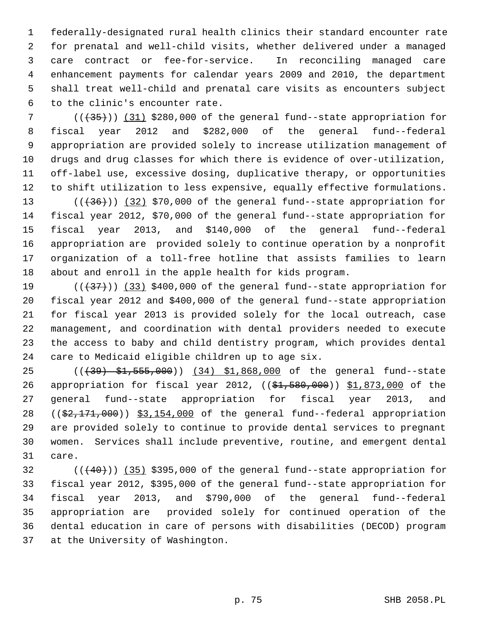1 federally-designated rural health clinics their standard encounter rate 2 for prenatal and well-child visits, whether delivered under a managed 3 care contract or fee-for-service. In reconciling managed care 4 enhancement payments for calendar years 2009 and 2010, the department 5 shall treat well-child and prenatal care visits as encounters subject 6 to the clinic's encounter rate.

7  $((+35))$  (31) \$280,000 of the general fund--state appropriation for 8 fiscal year 2012 and \$282,000 of the general fund--federal 9 appropriation are provided solely to increase utilization management of 10 drugs and drug classes for which there is evidence of over-utilization, 11 off-label use, excessive dosing, duplicative therapy, or opportunities 12 to shift utilization to less expensive, equally effective formulations.

13  $((+36))$   $(32)$  \$70,000 of the general fund--state appropriation for 14 fiscal year 2012, \$70,000 of the general fund--state appropriation for 15 fiscal year 2013, and \$140,000 of the general fund--federal 16 appropriation are provided solely to continue operation by a nonprofit 17 organization of a toll-free hotline that assists families to learn 18 about and enroll in the apple health for kids program.

19  $((+37))$   $(33)$  \$400,000 of the general fund--state appropriation for 20 fiscal year 2012 and \$400,000 of the general fund--state appropriation 21 for fiscal year 2013 is provided solely for the local outreach, case 22 management, and coordination with dental providers needed to execute 23 the access to baby and child dentistry program, which provides dental 24 care to Medicaid eligible children up to age six.

25 (((39) \$1,555,000)) (34) \$1,868,000 of the general fund--state 26 appropriation for fiscal year 2012, ((\$1,580,000)) \$1,873,000 of the 27 general fund--state appropriation for fiscal year 2013, and 28 ((\$2,171,000)) \$3,154,000 of the general fund--federal appropriation 29 are provided solely to continue to provide dental services to pregnant 30 women. Services shall include preventive, routine, and emergent dental 31 care.

 $32$  ( $(\overline{+40})$ ) (35) \$395,000 of the general fund--state appropriation for 33 fiscal year 2012, \$395,000 of the general fund--state appropriation for 34 fiscal year 2013, and \$790,000 of the general fund--federal 35 appropriation are provided solely for continued operation of the 36 dental education in care of persons with disabilities (DECOD) program 37 at the University of Washington.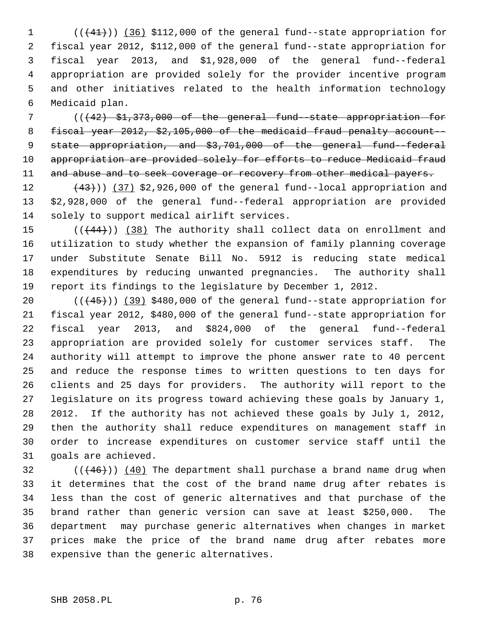1 (( $(41)$ )) (36) \$112,000 of the general fund--state appropriation for 2 fiscal year 2012, \$112,000 of the general fund--state appropriation for 3 fiscal year 2013, and \$1,928,000 of the general fund--federal 4 appropriation are provided solely for the provider incentive program 5 and other initiatives related to the health information technology 6 Medicaid plan.

 7 (((42) \$1,373,000 of the general fund--state appropriation for 8 fiscal year 2012, \$2,105,000 of the medicaid fraud penalty account-- 9 state appropriation, and \$3,701,000 of the general fund--federal 10 appropriation are provided solely for efforts to reduce Medicaid fraud 11 and abuse and to seek coverage or recovery from other medical payers.

12  $(43)$ ) (37) \$2,926,000 of the general fund--local appropriation and 13 \$2,928,000 of the general fund--federal appropriation are provided 14 solely to support medical airlift services.

15  $((444))$  (38) The authority shall collect data on enrollment and 16 utilization to study whether the expansion of family planning coverage 17 under Substitute Senate Bill No. 5912 is reducing state medical 18 expenditures by reducing unwanted pregnancies. The authority shall 19 report its findings to the legislature by December 1, 2012.

20  $((+45))$  (39) \$480,000 of the general fund--state appropriation for 21 fiscal year 2012, \$480,000 of the general fund--state appropriation for 22 fiscal year 2013, and \$824,000 of the general fund--federal 23 appropriation are provided solely for customer services staff. The 24 authority will attempt to improve the phone answer rate to 40 percent 25 and reduce the response times to written questions to ten days for 26 clients and 25 days for providers. The authority will report to the 27 legislature on its progress toward achieving these goals by January 1, 28 2012. If the authority has not achieved these goals by July 1, 2012, 29 then the authority shall reduce expenditures on management staff in 30 order to increase expenditures on customer service staff until the 31 goals are achieved.

 $32$  (( $(46)$ )) (40) The department shall purchase a brand name drug when 33 it determines that the cost of the brand name drug after rebates is 34 less than the cost of generic alternatives and that purchase of the 35 brand rather than generic version can save at least \$250,000. The 36 department may purchase generic alternatives when changes in market 37 prices make the price of the brand name drug after rebates more 38 expensive than the generic alternatives.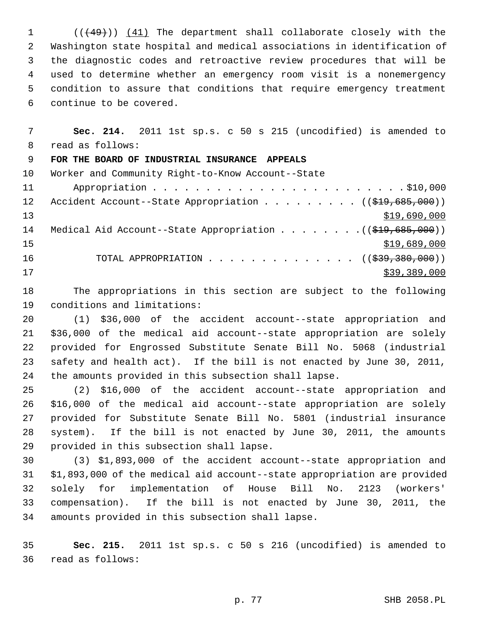1 (((49))) (41) The department shall collaborate closely with the 2 Washington state hospital and medical associations in identification of 3 the diagnostic codes and retroactive review procedures that will be 4 used to determine whether an emergency room visit is a nonemergency 5 condition to assure that conditions that require emergency treatment 6 continue to be covered.

 7 **Sec. 214.** 2011 1st sp.s. c 50 s 215 (uncodified) is amended to 8 read as follows: 9 **FOR THE BOARD OF INDUSTRIAL INSURANCE APPEALS** 10 Worker and Community Right-to-Know Account--State 11 Appropriation . . . . . . . . . . . . . . . . . . . . . . . . \$10,000 12 Accident Account--State Appropriation . . . . . . . . ((\$19,685,000)) 13 \$19,690,000 14 Medical Aid Account--State Appropriation . . . . . . . . ((\$19,685,000))  $15$  \$19,689,000 16 TOTAL APPROPRIATION . . . . . . . . . . . . . . ((\$39,380,000))  $17$  \$39,389,000

18 The appropriations in this section are subject to the following 19 conditions and limitations:

20 (1) \$36,000 of the accident account--state appropriation and 21 \$36,000 of the medical aid account--state appropriation are solely 22 provided for Engrossed Substitute Senate Bill No. 5068 (industrial 23 safety and health act). If the bill is not enacted by June 30, 2011, 24 the amounts provided in this subsection shall lapse.

25 (2) \$16,000 of the accident account--state appropriation and 26 \$16,000 of the medical aid account--state appropriation are solely 27 provided for Substitute Senate Bill No. 5801 (industrial insurance 28 system). If the bill is not enacted by June 30, 2011, the amounts 29 provided in this subsection shall lapse.

30 (3) \$1,893,000 of the accident account--state appropriation and 31 \$1,893,000 of the medical aid account--state appropriation are provided 32 solely for implementation of House Bill No. 2123 (workers' 33 compensation). If the bill is not enacted by June 30, 2011, the 34 amounts provided in this subsection shall lapse.

35 **Sec. 215.** 2011 1st sp.s. c 50 s 216 (uncodified) is amended to 36 read as follows: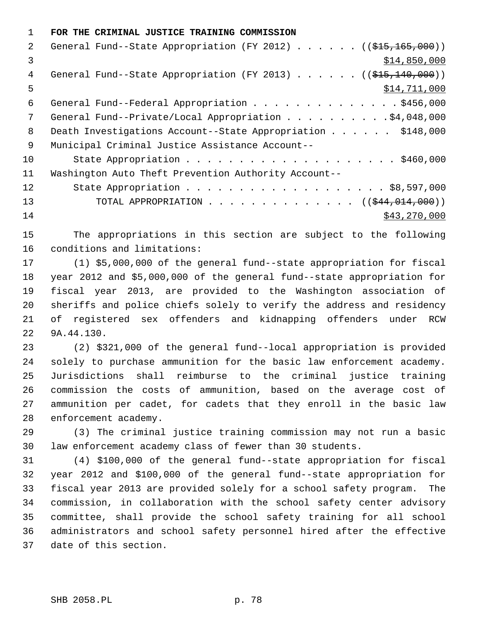1 **FOR THE CRIMINAL JUSTICE TRAINING COMMISSION**

| $\mathcal{L}$ | General Fund--State Appropriation (FY 2012) ( $(\frac{215}{165}, \frac{165}{160})$ ) |
|---------------|--------------------------------------------------------------------------------------|
| 3             | \$14,850,000                                                                         |
| 4             | General Fund--State Appropriation (FY 2013) $($ $($ $$15,140,000)$ )                 |
| 5             | \$14,711,000                                                                         |
| 6             | General Fund--Federal Appropriation \$456,000                                        |
| 7             | General Fund--Private/Local Appropriation 4,048,000                                  |
| 8             | Death Investigations Account--State Appropriation \$148,000                          |
| 9             | Municipal Criminal Justice Assistance Account--                                      |
| 10            |                                                                                      |
| 11            | Washington Auto Theft Prevention Authority Account--                                 |
| 12            |                                                                                      |
| 13            | TOTAL APPROPRIATION $($ $($ $\frac{244}{1014}$ , 000))                               |
| 14            | \$43,270,000                                                                         |

15 The appropriations in this section are subject to the following 16 conditions and limitations:

17 (1) \$5,000,000 of the general fund--state appropriation for fiscal 18 year 2012 and \$5,000,000 of the general fund--state appropriation for 19 fiscal year 2013, are provided to the Washington association of 20 sheriffs and police chiefs solely to verify the address and residency 21 of registered sex offenders and kidnapping offenders under RCW 22 9A.44.130.

23 (2) \$321,000 of the general fund--local appropriation is provided 24 solely to purchase ammunition for the basic law enforcement academy. 25 Jurisdictions shall reimburse to the criminal justice training 26 commission the costs of ammunition, based on the average cost of 27 ammunition per cadet, for cadets that they enroll in the basic law 28 enforcement academy.

29 (3) The criminal justice training commission may not run a basic 30 law enforcement academy class of fewer than 30 students.

31 (4) \$100,000 of the general fund--state appropriation for fiscal 32 year 2012 and \$100,000 of the general fund--state appropriation for 33 fiscal year 2013 are provided solely for a school safety program. The 34 commission, in collaboration with the school safety center advisory 35 committee, shall provide the school safety training for all school 36 administrators and school safety personnel hired after the effective 37 date of this section.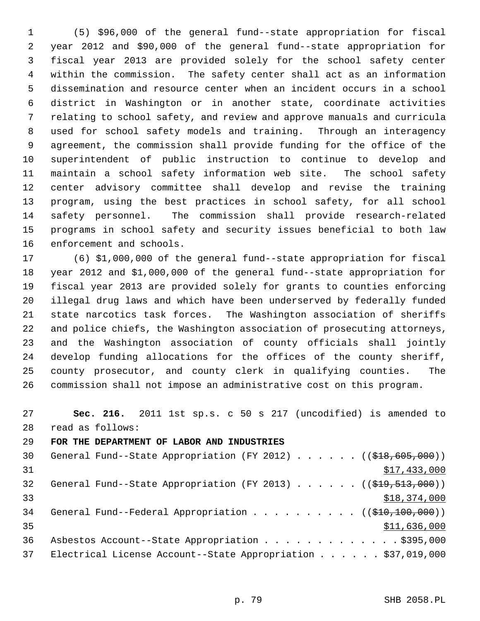1 (5) \$96,000 of the general fund--state appropriation for fiscal 2 year 2012 and \$90,000 of the general fund--state appropriation for 3 fiscal year 2013 are provided solely for the school safety center 4 within the commission. The safety center shall act as an information 5 dissemination and resource center when an incident occurs in a school 6 district in Washington or in another state, coordinate activities 7 relating to school safety, and review and approve manuals and curricula 8 used for school safety models and training. Through an interagency 9 agreement, the commission shall provide funding for the office of the 10 superintendent of public instruction to continue to develop and 11 maintain a school safety information web site. The school safety 12 center advisory committee shall develop and revise the training 13 program, using the best practices in school safety, for all school 14 safety personnel. The commission shall provide research-related 15 programs in school safety and security issues beneficial to both law 16 enforcement and schools.

17 (6) \$1,000,000 of the general fund--state appropriation for fiscal 18 year 2012 and \$1,000,000 of the general fund--state appropriation for 19 fiscal year 2013 are provided solely for grants to counties enforcing 20 illegal drug laws and which have been underserved by federally funded 21 state narcotics task forces. The Washington association of sheriffs 22 and police chiefs, the Washington association of prosecuting attorneys, 23 and the Washington association of county officials shall jointly 24 develop funding allocations for the offices of the county sheriff, 25 county prosecutor, and county clerk in qualifying counties. The 26 commission shall not impose an administrative cost on this program.

27 **Sec. 216.** 2011 1st sp.s. c 50 s 217 (uncodified) is amended to 28 read as follows:

29 **FOR THE DEPARTMENT OF LABOR AND INDUSTRIES**

| 30 | General Fund--State Appropriation (FY 2012) ( $(\frac{218}{605}, 000)$ )             |
|----|--------------------------------------------------------------------------------------|
| 31 | \$17,433,000                                                                         |
| 32 | General Fund--State Appropriation (FY 2013) ( $(\frac{219}{519}, \frac{513}{900})$ ) |
| 33 | \$18,374,000                                                                         |
| 34 | General Fund--Federal Appropriation $($ $($ $\frac{210}{100}, 000) )$                |
| 35 | \$11,636,000                                                                         |
| 36 | Asbestos Account--State Appropriation \$395,000                                      |
| 37 | Electrical License Account--State Appropriation \$37,019,000                         |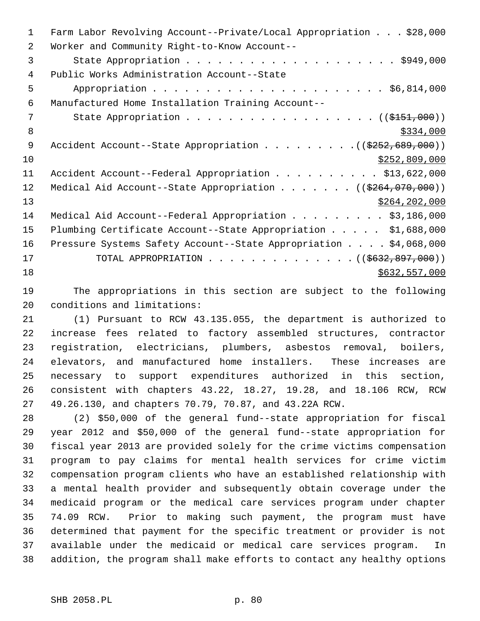| $\mathbf{1}$   | Farm Labor Revolving Account--Private/Local Appropriation \$28,000       |
|----------------|--------------------------------------------------------------------------|
| 2              | Worker and Community Right-to-Know Account--                             |
| 3              |                                                                          |
| $\overline{4}$ | Public Works Administration Account--State                               |
| 5              |                                                                          |
| 6              | Manufactured Home Installation Training Account--                        |
| 7              | State Appropriation ( $(\frac{2151,000}{1})$                             |
| 8              | \$334,000                                                                |
| 9              | Accident Account--State Appropriation $($ $($ $\frac{2552}{699}$ , 000)) |
| 10             | \$252,809,000                                                            |
| 11             | Accident Account--Federal Appropriation \$13,622,000                     |
| 12             | Medical Aid Account--State Appropriation ( $(\frac{2264}{070}, 000)$ )   |
| 13             | \$264, 202, 000                                                          |
| 14             | Medical Aid Account--Federal Appropriation \$3,186,000                   |
| 15             | Plumbing Certificate Account--State Appropriation \$1,688,000            |
| 16             | Pressure Systems Safety Account--State Appropriation \$4,068,000         |
| 17             | TOTAL APPROPRIATION ( $($632, 897, 000)$ )                               |
| 18             | \$632,557,000                                                            |

19 The appropriations in this section are subject to the following 20 conditions and limitations:

21 (1) Pursuant to RCW 43.135.055, the department is authorized to 22 increase fees related to factory assembled structures, contractor 23 registration, electricians, plumbers, asbestos removal, boilers, 24 elevators, and manufactured home installers. These increases are 25 necessary to support expenditures authorized in this section, 26 consistent with chapters 43.22, 18.27, 19.28, and 18.106 RCW, RCW 27 49.26.130, and chapters 70.79, 70.87, and 43.22A RCW.

28 (2) \$50,000 of the general fund--state appropriation for fiscal 29 year 2012 and \$50,000 of the general fund--state appropriation for 30 fiscal year 2013 are provided solely for the crime victims compensation 31 program to pay claims for mental health services for crime victim 32 compensation program clients who have an established relationship with 33 a mental health provider and subsequently obtain coverage under the 34 medicaid program or the medical care services program under chapter 35 74.09 RCW. Prior to making such payment, the program must have 36 determined that payment for the specific treatment or provider is not 37 available under the medicaid or medical care services program. In 38 addition, the program shall make efforts to contact any healthy options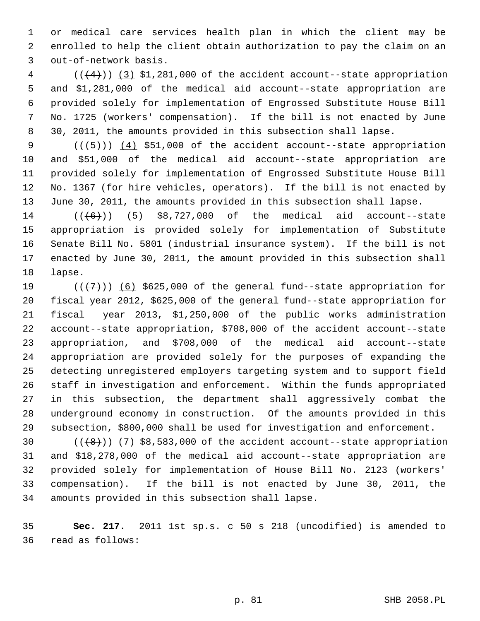1 or medical care services health plan in which the client may be 2 enrolled to help the client obtain authorization to pay the claim on an 3 out-of-network basis.

 $4$  ( $(\frac{4}{4})$ )  $(3)$  \$1,281,000 of the accident account--state appropriation 5 and \$1,281,000 of the medical aid account--state appropriation are 6 provided solely for implementation of Engrossed Substitute House Bill 7 No. 1725 (workers' compensation). If the bill is not enacted by June 8 30, 2011, the amounts provided in this subsection shall lapse.

9  $((\{5\})$   $(4)$  \$51,000 of the accident account--state appropriation 10 and \$51,000 of the medical aid account--state appropriation are 11 provided solely for implementation of Engrossed Substitute House Bill 12 No. 1367 (for hire vehicles, operators). If the bill is not enacted by 13 June 30, 2011, the amounts provided in this subsection shall lapse.

14  $((\left\lbrace 6 \right\rbrace))$  (5) \$8,727,000 of the medical aid account--state 15 appropriation is provided solely for implementation of Substitute 16 Senate Bill No. 5801 (industrial insurance system). If the bill is not 17 enacted by June 30, 2011, the amount provided in this subsection shall 18 lapse.

19  $((+7)^{n})$  (6) \$625,000 of the general fund--state appropriation for 20 fiscal year 2012, \$625,000 of the general fund--state appropriation for 21 fiscal year 2013, \$1,250,000 of the public works administration 22 account--state appropriation, \$708,000 of the accident account--state 23 appropriation, and \$708,000 of the medical aid account--state 24 appropriation are provided solely for the purposes of expanding the 25 detecting unregistered employers targeting system and to support field 26 staff in investigation and enforcement. Within the funds appropriated 27 in this subsection, the department shall aggressively combat the 28 underground economy in construction. Of the amounts provided in this 29 subsection, \$800,000 shall be used for investigation and enforcement.

30  $((+8))$   $(7)$  \$8,583,000 of the accident account--state appropriation 31 and \$18,278,000 of the medical aid account--state appropriation are 32 provided solely for implementation of House Bill No. 2123 (workers' 33 compensation). If the bill is not enacted by June 30, 2011, the 34 amounts provided in this subsection shall lapse.

35 **Sec. 217.** 2011 1st sp.s. c 50 s 218 (uncodified) is amended to 36 read as follows: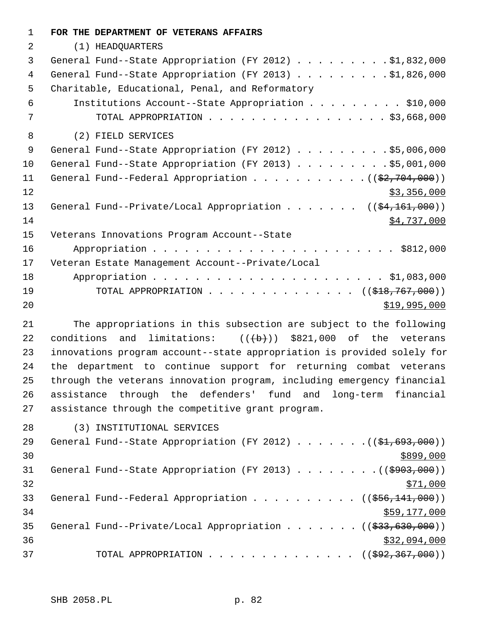| $\mathbf{1}$ | FOR THE DEPARTMENT OF VETERANS AFFAIRS                                          |
|--------------|---------------------------------------------------------------------------------|
| 2            | (1) HEADQUARTERS                                                                |
| 3            | General Fund--State Appropriation (FY 2012) \$1,832,000                         |
| 4            | General Fund--State Appropriation (FY 2013) \$1,826,000                         |
| 5            | Charitable, Educational, Penal, and Reformatory                                 |
| 6            | Institutions Account--State Appropriation \$10,000                              |
| 7            | TOTAL APPROPRIATION $\ldots$ , \$3,668,000                                      |
| 8            | (2) FIELD SERVICES                                                              |
| 9            | General Fund--State Appropriation (FY 2012) \$5,006,000                         |
| 10           | General Fund--State Appropriation (FY 2013) \$5,001,000                         |
| 11           | General Fund--Federal Appropriation $($ $($ \$2,704,000) $)$                    |
| 12           | \$3,356,000                                                                     |
| 13           | General Fund--Private/Local Appropriation ( $(\frac{24}{161}, 000)$ )           |
| 14           | \$4,737,000                                                                     |
| 15           | Veterans Innovations Program Account--State                                     |
| 16           |                                                                                 |
| 17           | Veteran Estate Management Account--Private/Local                                |
| 18           |                                                                                 |
| 19           | TOTAL APPROPRIATION ( $(\frac{1818}{767},000)$ )                                |
| 20           | \$19,995,000                                                                    |
| 21           | The appropriations in this subsection are subject to the following              |
| 22           | conditions and limitations: $((+b))$ \$821,000 of the veterans                  |
| 23           | innovations program account--state appropriation is provided solely for         |
| 24           | the department to continue support for returning combat veterans                |
| 25           | through the veterans innovation program, including emergency financial          |
| 26           | assistance through the defenders' fund and long-term financial                  |
| 27           | assistance through the competitive grant program.                               |
| 28           | (3) INSTITUTIONAL SERVICES                                                      |
| 29           | General Fund--State Appropriation (FY 2012) $($ $($ $\frac{1}{61}, 693, 000)$ ) |
| 30           | \$899,000                                                                       |
| 31           | General Fund--State Appropriation (FY 2013) ((\$903,000))                       |
| 32           | <u>\$71,000</u>                                                                 |

33 General Fund--Federal Appropriation . . . . . . . . . ((\$56,141,000)) 34 \$59,177,000 35 General Fund--Private/Local Appropriation . . . . . . ((\$33,630,000)) 36 \$32,094,000 37 TOTAL APPROPRIATION . . . . . . . . . . . . . ((\$92,367,000))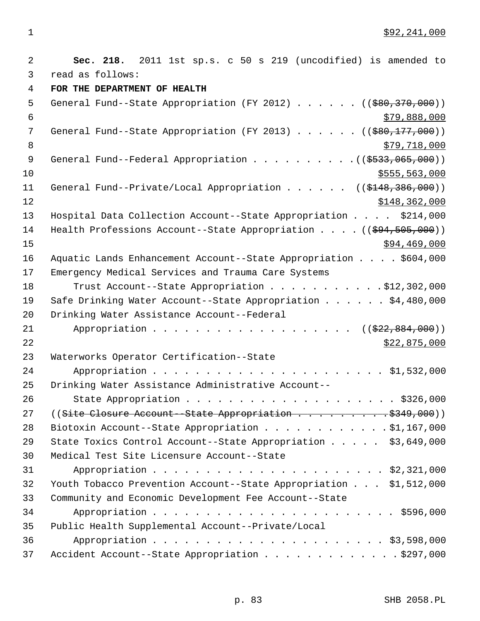1 \$92,241,000

| 2              | Sec. 218. 2011 1st sp.s. c 50 s 219 (uncodified) is amended to                          |
|----------------|-----------------------------------------------------------------------------------------|
| 3              | read as follows:                                                                        |
| $\overline{4}$ | FOR THE DEPARTMENT OF HEALTH                                                            |
| 5              | General Fund--State Appropriation (FY 2012) $($ $($ $\frac{1}{2}80, \frac{370}{100})$ ) |
| 6              | \$79,888,000                                                                            |
| 7              | General Fund--State Appropriation (FY 2013) ( $(\frac{280}{177},000)$ )                 |
| $\,8\,$        | \$79,718,000                                                                            |
| 9              |                                                                                         |
| 10             | \$555, 563, 000                                                                         |
| 11             | General Fund--Private/Local Appropriation ( $(\frac{2148}{386}, \frac{386}{100})$ )     |
| 12             | \$148,362,000                                                                           |
| 13             | Hospital Data Collection Account--State Appropriation \$214,000                         |
| 14             | Health Professions Account--State Appropriation $($ $($ $\frac{694}{7505},000)$ )       |
| 15             | \$94,469,000                                                                            |
| 16             | Aquatic Lands Enhancement Account--State Appropriation \$604,000                        |
| 17             | Emergency Medical Services and Trauma Care Systems                                      |
| 18             | Trust Account--State Appropriation \$12,302,000                                         |
| 19             | Safe Drinking Water Account--State Appropriation \$4,480,000                            |
| 20             | Drinking Water Assistance Account--Federal                                              |
| 21             | $((\frac{222}{22}, \frac{884}{200})$                                                    |
| 22             | \$22,875,000                                                                            |
| 23             | Waterworks Operator Certification--State                                                |
| 24             |                                                                                         |
| 25             | Drinking Water Assistance Administrative Account--                                      |
| 26             |                                                                                         |
| 27             | ((Site Closure Account--State Appropriation \$349,000))                                 |
| 28             | Biotoxin Account--State Appropriation \$1,167,000                                       |
| 29             | State Toxics Control Account--State Appropriation \$3,649,000                           |
| 30             | Medical Test Site Licensure Account--State                                              |
| 31             |                                                                                         |
| 32             | Youth Tobacco Prevention Account--State Appropriation \$1,512,000                       |
| 33             | Community and Economic Development Fee Account--State                                   |
| 34             |                                                                                         |
| 35             | Public Health Supplemental Account--Private/Local                                       |
| 36             |                                                                                         |
| 37             | Accident Account--State Appropriation \$297,000                                         |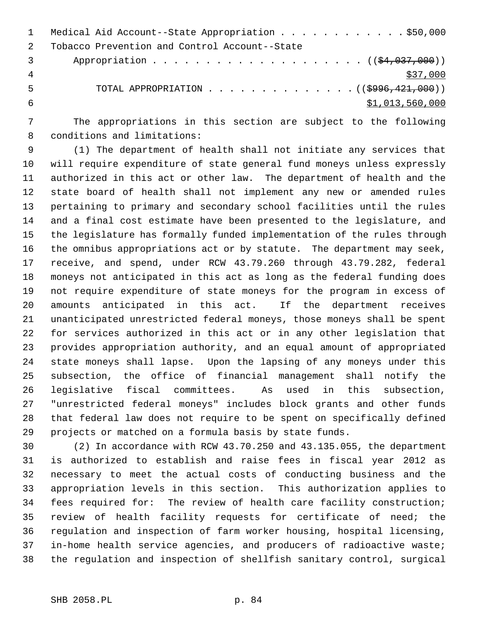|   | Medical Aid Account--State Appropriation \$50,000                          |
|---|----------------------------------------------------------------------------|
|   | Tobacco Prevention and Control Account--State                              |
|   |                                                                            |
|   | \$37,000                                                                   |
| 5 | TOTAL APPROPRIATION $\ldots$ , ( $(\frac{2996}{1000}, \frac{421}{1000})$ ) |
|   | \$1,013,560,000                                                            |

 7 The appropriations in this section are subject to the following 8 conditions and limitations:

 9 (1) The department of health shall not initiate any services that 10 will require expenditure of state general fund moneys unless expressly 11 authorized in this act or other law. The department of health and the 12 state board of health shall not implement any new or amended rules 13 pertaining to primary and secondary school facilities until the rules 14 and a final cost estimate have been presented to the legislature, and 15 the legislature has formally funded implementation of the rules through 16 the omnibus appropriations act or by statute. The department may seek, 17 receive, and spend, under RCW 43.79.260 through 43.79.282, federal 18 moneys not anticipated in this act as long as the federal funding does 19 not require expenditure of state moneys for the program in excess of 20 amounts anticipated in this act. If the department receives 21 unanticipated unrestricted federal moneys, those moneys shall be spent 22 for services authorized in this act or in any other legislation that 23 provides appropriation authority, and an equal amount of appropriated 24 state moneys shall lapse. Upon the lapsing of any moneys under this 25 subsection, the office of financial management shall notify the 26 legislative fiscal committees. As used in this subsection, 27 "unrestricted federal moneys" includes block grants and other funds 28 that federal law does not require to be spent on specifically defined 29 projects or matched on a formula basis by state funds.

30 (2) In accordance with RCW 43.70.250 and 43.135.055, the department 31 is authorized to establish and raise fees in fiscal year 2012 as 32 necessary to meet the actual costs of conducting business and the 33 appropriation levels in this section. This authorization applies to 34 fees required for: The review of health care facility construction; 35 review of health facility requests for certificate of need; the 36 regulation and inspection of farm worker housing, hospital licensing, 37 in-home health service agencies, and producers of radioactive waste; 38 the regulation and inspection of shellfish sanitary control, surgical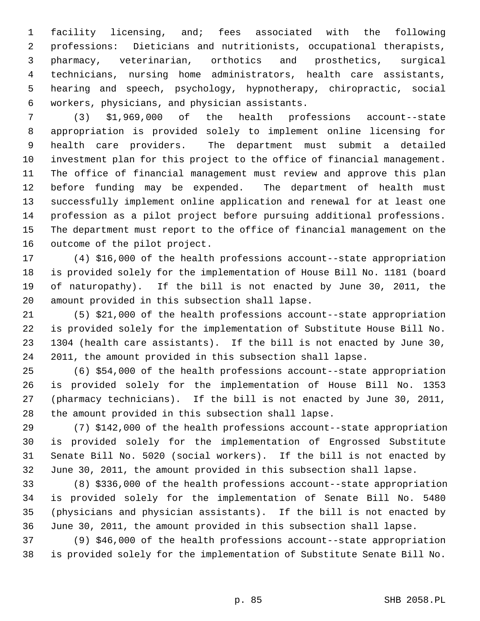1 facility licensing, and; fees associated with the following 2 professions: Dieticians and nutritionists, occupational therapists, 3 pharmacy, veterinarian, orthotics and prosthetics, surgical 4 technicians, nursing home administrators, health care assistants, 5 hearing and speech, psychology, hypnotherapy, chiropractic, social 6 workers, physicians, and physician assistants.

 7 (3) \$1,969,000 of the health professions account--state 8 appropriation is provided solely to implement online licensing for 9 health care providers. The department must submit a detailed 10 investment plan for this project to the office of financial management. 11 The office of financial management must review and approve this plan 12 before funding may be expended. The department of health must 13 successfully implement online application and renewal for at least one 14 profession as a pilot project before pursuing additional professions. 15 The department must report to the office of financial management on the 16 outcome of the pilot project.

17 (4) \$16,000 of the health professions account--state appropriation 18 is provided solely for the implementation of House Bill No. 1181 (board 19 of naturopathy). If the bill is not enacted by June 30, 2011, the 20 amount provided in this subsection shall lapse.

21 (5) \$21,000 of the health professions account--state appropriation 22 is provided solely for the implementation of Substitute House Bill No. 23 1304 (health care assistants). If the bill is not enacted by June 30, 24 2011, the amount provided in this subsection shall lapse.

25 (6) \$54,000 of the health professions account--state appropriation 26 is provided solely for the implementation of House Bill No. 1353 27 (pharmacy technicians). If the bill is not enacted by June 30, 2011, 28 the amount provided in this subsection shall lapse.

29 (7) \$142,000 of the health professions account--state appropriation 30 is provided solely for the implementation of Engrossed Substitute 31 Senate Bill No. 5020 (social workers). If the bill is not enacted by 32 June 30, 2011, the amount provided in this subsection shall lapse.

33 (8) \$336,000 of the health professions account--state appropriation 34 is provided solely for the implementation of Senate Bill No. 5480 35 (physicians and physician assistants). If the bill is not enacted by 36 June 30, 2011, the amount provided in this subsection shall lapse.

37 (9) \$46,000 of the health professions account--state appropriation 38 is provided solely for the implementation of Substitute Senate Bill No.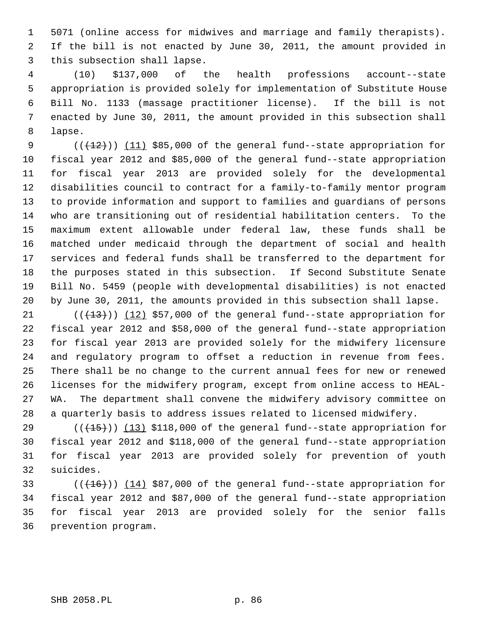1 5071 (online access for midwives and marriage and family therapists). 2 If the bill is not enacted by June 30, 2011, the amount provided in 3 this subsection shall lapse.

 4 (10) \$137,000 of the health professions account--state 5 appropriation is provided solely for implementation of Substitute House 6 Bill No. 1133 (massage practitioner license). If the bill is not 7 enacted by June 30, 2011, the amount provided in this subsection shall 8 lapse.

9  $((+12))$   $(11)$  \$85,000 of the general fund--state appropriation for 10 fiscal year 2012 and \$85,000 of the general fund--state appropriation 11 for fiscal year 2013 are provided solely for the developmental 12 disabilities council to contract for a family-to-family mentor program 13 to provide information and support to families and guardians of persons 14 who are transitioning out of residential habilitation centers. To the 15 maximum extent allowable under federal law, these funds shall be 16 matched under medicaid through the department of social and health 17 services and federal funds shall be transferred to the department for 18 the purposes stated in this subsection. If Second Substitute Senate 19 Bill No. 5459 (people with developmental disabilities) is not enacted 20 by June 30, 2011, the amounts provided in this subsection shall lapse.

21  $((+13))$   $(12)$  \$57,000 of the general fund--state appropriation for 22 fiscal year 2012 and \$58,000 of the general fund--state appropriation 23 for fiscal year 2013 are provided solely for the midwifery licensure 24 and regulatory program to offset a reduction in revenue from fees. 25 There shall be no change to the current annual fees for new or renewed 26 licenses for the midwifery program, except from online access to HEAL-27 WA. The department shall convene the midwifery advisory committee on 28 a quarterly basis to address issues related to licensed midwifery.

29  $((+15))$  (13) \$118,000 of the general fund--state appropriation for 30 fiscal year 2012 and \$118,000 of the general fund--state appropriation 31 for fiscal year 2013 are provided solely for prevention of youth 32 suicides.

33  $((+16))$   $(14)$  \$87,000 of the general fund--state appropriation for 34 fiscal year 2012 and \$87,000 of the general fund--state appropriation 35 for fiscal year 2013 are provided solely for the senior falls 36 prevention program.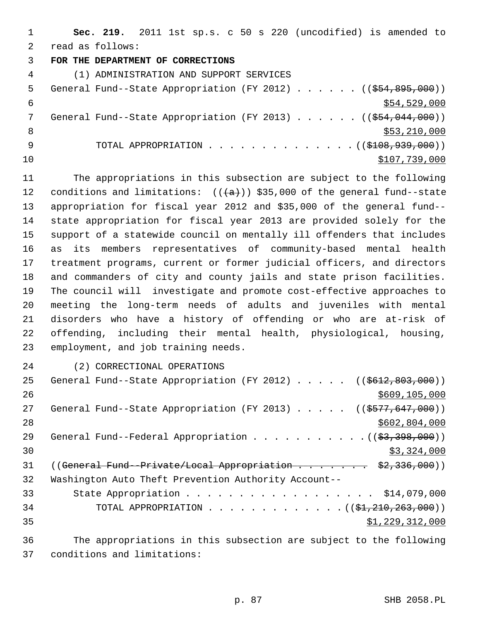1 **Sec. 219.** 2011 1st sp.s. c 50 s 220 (uncodified) is amended to 2 read as follows: 3 **FOR THE DEPARTMENT OF CORRECTIONS** 4 (1) ADMINISTRATION AND SUPPORT SERVICES 5 General Fund--State Appropriation (FY 2012) . . . . . . ((\$54,895,000))  $$54,529,000$ 7 General Fund--State Appropriation (FY 2013) . . . . . ((\$54,044,000))  $8 \div 53,210,000$ 9 TOTAL APPROPRIATION . . . . . . . . . . . . . (  $(\frac{108,939,000}{100,000})$  $10$  \$107,739,000

11 The appropriations in this subsection are subject to the following 12 conditions and limitations:  $((+a))$  \$35,000 of the general fund--state 13 appropriation for fiscal year 2012 and \$35,000 of the general fund-- 14 state appropriation for fiscal year 2013 are provided solely for the 15 support of a statewide council on mentally ill offenders that includes 16 as its members representatives of community-based mental health 17 treatment programs, current or former judicial officers, and directors 18 and commanders of city and county jails and state prison facilities. 19 The council will investigate and promote cost-effective approaches to 20 meeting the long-term needs of adults and juveniles with mental 21 disorders who have a history of offending or who are at-risk of 22 offending, including their mental health, physiological, housing, 23 employment, and job training needs.

24 (2) CORRECTIONAL OPERATIONS

25 General Fund--State Appropriation (FY 2012) . . . . . ((\$612,803,000)) 26 \$609,105,000 27 General Fund--State Appropriation (FY 2013) . . . . . ((\$577,647,000)) 28 \$602,804,000 29 General Fund--Federal Appropriation  $\ldots$  . . . . . . . . . .  $($   $(\frac{23}{3}, \frac{398}{900})$  $\frac{1}{2}$  30  $\frac{1}{2}$  30  $\frac{1}{2}$  324,000 31 ((General Fund--Private/Local Appropriation . . . . . . \$2,336,000)) 32 Washington Auto Theft Prevention Authority Account-- 33 State Appropriation . . . . . . . . . . . . . . . . . . \$14,079,000 34 TOTAL APPROPRIATION . . . . . . . . . . . . . ((\$1,210,263,000))  $35$   $\frac{1}{229}$ ,  $312$ , 000 36 The appropriations in this subsection are subject to the following

37 conditions and limitations: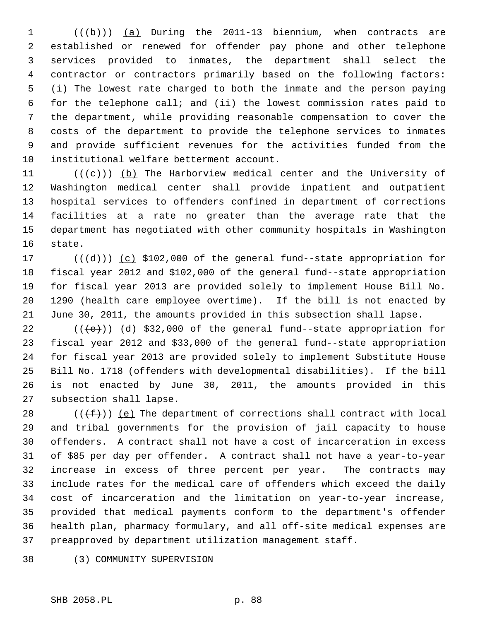1  $((\lbrace b \rbrace))$  (a) During the 2011-13 biennium, when contracts are 2 established or renewed for offender pay phone and other telephone 3 services provided to inmates, the department shall select the 4 contractor or contractors primarily based on the following factors: 5 (i) The lowest rate charged to both the inmate and the person paying 6 for the telephone call; and (ii) the lowest commission rates paid to 7 the department, while providing reasonable compensation to cover the 8 costs of the department to provide the telephone services to inmates 9 and provide sufficient revenues for the activities funded from the 10 institutional welfare betterment account.

11 ( $(\langle e \rangle)$ ) (b) The Harborview medical center and the University of 12 Washington medical center shall provide inpatient and outpatient 13 hospital services to offenders confined in department of corrections 14 facilities at a rate no greater than the average rate that the 15 department has negotiated with other community hospitals in Washington 16 state.

17  $((\{d\}))(c)$  \$102,000 of the general fund--state appropriation for 18 fiscal year 2012 and \$102,000 of the general fund--state appropriation 19 for fiscal year 2013 are provided solely to implement House Bill No. 20 1290 (health care employee overtime). If the bill is not enacted by 21 June 30, 2011, the amounts provided in this subsection shall lapse.

22  $((\text{+e})^2)$  (d) \$32,000 of the general fund--state appropriation for 23 fiscal year 2012 and \$33,000 of the general fund--state appropriation 24 for fiscal year 2013 are provided solely to implement Substitute House 25 Bill No. 1718 (offenders with developmental disabilities). If the bill 26 is not enacted by June 30, 2011, the amounts provided in this 27 subsection shall lapse.

28 ( $(\text{+f-})$ ) (e) The department of corrections shall contract with local 29 and tribal governments for the provision of jail capacity to house 30 offenders. A contract shall not have a cost of incarceration in excess 31 of \$85 per day per offender. A contract shall not have a year-to-year 32 increase in excess of three percent per year. The contracts may 33 include rates for the medical care of offenders which exceed the daily 34 cost of incarceration and the limitation on year-to-year increase, 35 provided that medical payments conform to the department's offender 36 health plan, pharmacy formulary, and all off-site medical expenses are 37 preapproved by department utilization management staff.

38 (3) COMMUNITY SUPERVISION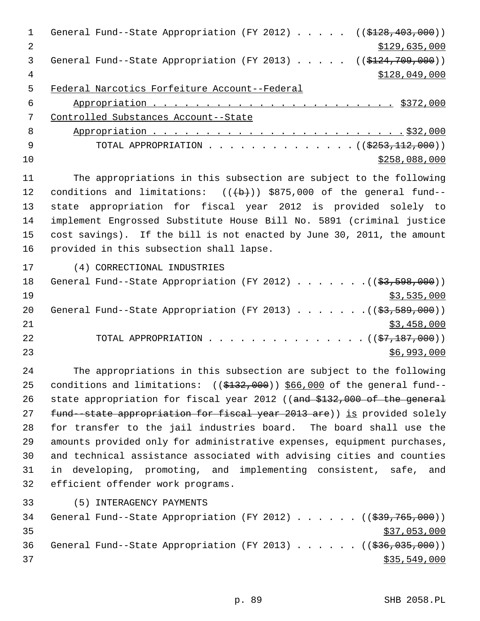1 General Fund--State Appropriation (FY 2012) . . . . . ((\$128,403,000)) 2 \$129,635,000 3 General Fund--State Appropriation (FY 2013) . . . . . ((\$124,709,000)) 4 \$128,049,000 \$128,049,000 5 Federal Narcotics Forfeiture Account--Federal 6 Appropriation . . . . . . . . . . . . . . . . . . . . . . . \$372,000 7 Controlled Substances Account--State 8 Appropriation . . . . . . . . . . . . . . . . . . . . . . . . \$32,000 9 TOTAL APPROPRIATION . . . . . . . . . . . . . . ((\$253,112,000))  $\frac{10}{2258,088,000}$ 11 The appropriations in this subsection are subject to the following 12 conditions and limitations:  $((\theta + \theta))$  \$875,000 of the general fund--13 state appropriation for fiscal year 2012 is provided solely to 14 implement Engrossed Substitute House Bill No. 5891 (criminal justice 15 cost savings). If the bill is not enacted by June 30, 2011, the amount 16 provided in this subsection shall lapse. 17 (4) CORRECTIONAL INDUSTRIES 18 General Fund--State Appropriation (FY 2012) . . . . . . . ((\$3,598,000))  $19$  \$3,535,000 20 General Fund--State Appropriation (FY 2013) . . . . . . . ((\$3,589,000)) 21 \$3,458,000 22 TOTAL APPROPRIATION . . . . . . . . . . . . . . ((<del>\$7,187,000</del>))  $23$   $\frac{1}{2}$   $\frac{1}{2}$   $\frac{1}{2}$   $\frac{1}{2}$   $\frac{1}{2}$   $\frac{1}{2}$   $\frac{1}{2}$   $\frac{1}{2}$   $\frac{1}{2}$   $\frac{1}{2}$   $\frac{1}{2}$   $\frac{1}{2}$   $\frac{1}{2}$   $\frac{1}{2}$   $\frac{1}{2}$   $\frac{1}{2}$   $\frac{1}{2}$   $\frac{1}{2}$   $\frac{1}{2}$   $\frac{1}{2}$   $\frac{1}{2}$   $\frac{1}{$ 24 The appropriations in this subsection are subject to the following 25 conditions and limitations:  $((\frac{1}{2432},000))$  \$66,000 of the general fund--26 state appropriation for fiscal year 2012 ((and \$132,000 of the general 27 fund--state appropriation for fiscal year 2013 are)) is provided solely 28 for transfer to the jail industries board. The board shall use the 29 amounts provided only for administrative expenses, equipment purchases, 30 and technical assistance associated with advising cities and counties 31 in developing, promoting, and implementing consistent, safe, and 32 efficient offender work programs. 33 (5) INTERAGENCY PAYMENTS 34 General Fund--State Appropriation (FY 2012) . . . . . . ((\$39,765,000))  $35$  \$37,053,000 36 General Fund--State Appropriation (FY 2013) . . . . . . ((\$36,035,000))

 $37$  \$35,549,000

p. 89 SHB 2058.PL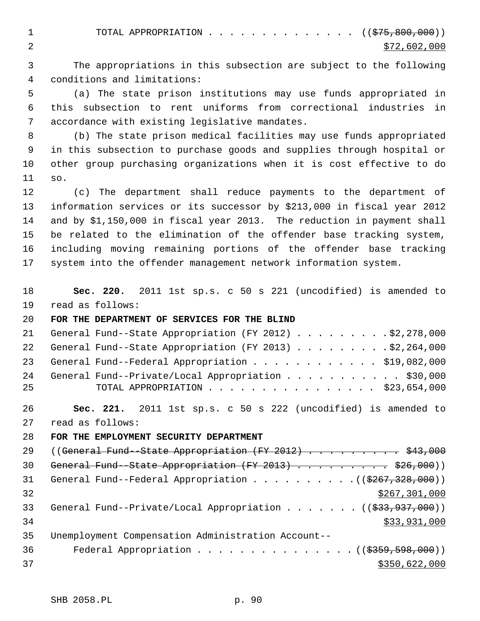1 TOTAL APPROPRIATION . . . . . . . . . . . . . ((<del>\$75,800,000</del>)) 2  $\frac{$72,602,000}{ }$ 

 3 The appropriations in this subsection are subject to the following 4 conditions and limitations:

 5 (a) The state prison institutions may use funds appropriated in 6 this subsection to rent uniforms from correctional industries in 7 accordance with existing legislative mandates.

 8 (b) The state prison medical facilities may use funds appropriated 9 in this subsection to purchase goods and supplies through hospital or 10 other group purchasing organizations when it is cost effective to do 11 so.

12 (c) The department shall reduce payments to the department of 13 information services or its successor by \$213,000 in fiscal year 2012 14 and by \$1,150,000 in fiscal year 2013. The reduction in payment shall 15 be related to the elimination of the offender base tracking system, 16 including moving remaining portions of the offender base tracking 17 system into the offender management network information system.

18 **Sec. 220.** 2011 1st sp.s. c 50 s 221 (uncodified) is amended to 19 read as follows:

## 20 **FOR THE DEPARTMENT OF SERVICES FOR THE BLIND**

|          | 21 General Fund--State Appropriation (FY 2012) \$2,278,000                                        |
|----------|---------------------------------------------------------------------------------------------------|
|          | 22 General Fund--State Appropriation (FY 2013) \$2,264,000                                        |
|          | 23 General Fund--Federal Appropriation \$19,082,000                                               |
| 24<br>25 | General Fund--Private/Local Appropriation \$30,000<br>TOTAL APPROPRIATION $\ldots$ , \$23,654,000 |
|          |                                                                                                   |

26 **Sec. 221.** 2011 1st sp.s. c 50 s 222 (uncodified) is amended to 27 read as follows:

28 **FOR THE EMPLOYMENT SECURITY DEPARTMENT**

| 2.9 | ((General Fund--State Appropriation $(FY 2012)$ ) \$43,000                       |
|-----|----------------------------------------------------------------------------------|
| 30  | General Fund--State Appropriation (FY 2013) \$26,000))                           |
| 31  | General Fund--Federal Appropriation $($ $($ $\frac{267}{3267}, \frac{328}{300})$ |
| 32  | \$267,301,000                                                                    |
| 33  | General Fund--Private/Local Appropriation ( $(\frac{233}{737}, 990)$ )           |
| 34  | \$33,931,000                                                                     |
| 35  | Unemployment Compensation Administration Account--                               |
| 36  | Federal Appropriation $($ $($ $\frac{2359}{759}, \frac{598}{900})$               |
| 37  | \$350,622,000                                                                    |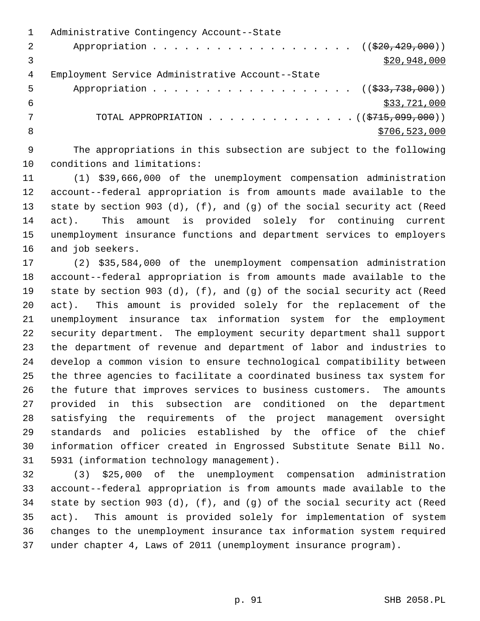|   | Administrative Contingency Account--State                      |
|---|----------------------------------------------------------------|
| 2 | Appropriation ( $(\frac{20}{20}, 429, 000)$ )                  |
|   | \$20,948,000                                                   |
| 4 | Employment Service Administrative Account--State               |
| 5 | Appropriation ( $(\frac{233}{738}, 738, 000)$ )                |
| 6 | \$33,721,000                                                   |
|   | TOTAL APPROPRIATION $\ldots$ , ( $(\frac{2715}{100}, 0.000)$ ) |
| 8 | \$706,523,000                                                  |
|   |                                                                |

 9 The appropriations in this subsection are subject to the following 10 conditions and limitations:

11 (1) \$39,666,000 of the unemployment compensation administration 12 account--federal appropriation is from amounts made available to the 13 state by section 903 (d), (f), and (g) of the social security act (Reed 14 act). This amount is provided solely for continuing current 15 unemployment insurance functions and department services to employers 16 and job seekers.

17 (2) \$35,584,000 of the unemployment compensation administration 18 account--federal appropriation is from amounts made available to the 19 state by section 903 (d), (f), and (g) of the social security act (Reed 20 act). This amount is provided solely for the replacement of the 21 unemployment insurance tax information system for the employment 22 security department. The employment security department shall support 23 the department of revenue and department of labor and industries to 24 develop a common vision to ensure technological compatibility between 25 the three agencies to facilitate a coordinated business tax system for 26 the future that improves services to business customers. The amounts 27 provided in this subsection are conditioned on the department 28 satisfying the requirements of the project management oversight 29 standards and policies established by the office of the chief 30 information officer created in Engrossed Substitute Senate Bill No. 31 5931 (information technology management).

32 (3) \$25,000 of the unemployment compensation administration 33 account--federal appropriation is from amounts made available to the 34 state by section 903 (d), (f), and (g) of the social security act (Reed 35 act). This amount is provided solely for implementation of system 36 changes to the unemployment insurance tax information system required 37 under chapter 4, Laws of 2011 (unemployment insurance program).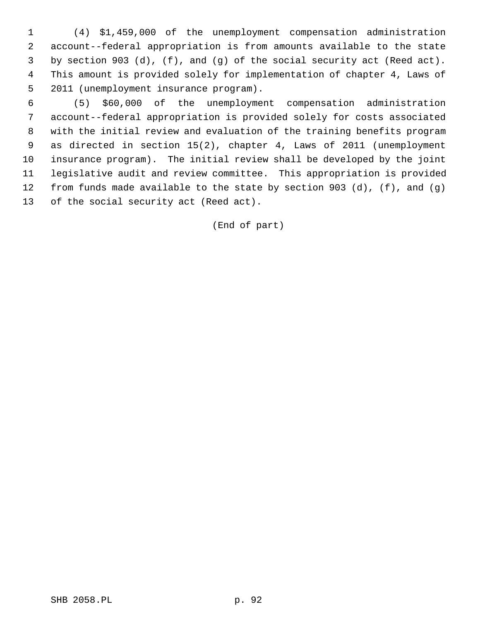1 (4) \$1,459,000 of the unemployment compensation administration 2 account--federal appropriation is from amounts available to the state 3 by section 903 (d), (f), and (g) of the social security act (Reed act). 4 This amount is provided solely for implementation of chapter 4, Laws of 5 2011 (unemployment insurance program).

 6 (5) \$60,000 of the unemployment compensation administration 7 account--federal appropriation is provided solely for costs associated 8 with the initial review and evaluation of the training benefits program 9 as directed in section 15(2), chapter 4, Laws of 2011 (unemployment 10 insurance program). The initial review shall be developed by the joint 11 legislative audit and review committee. This appropriation is provided 12 from funds made available to the state by section 903 (d), (f), and (g) 13 of the social security act (Reed act).

(End of part)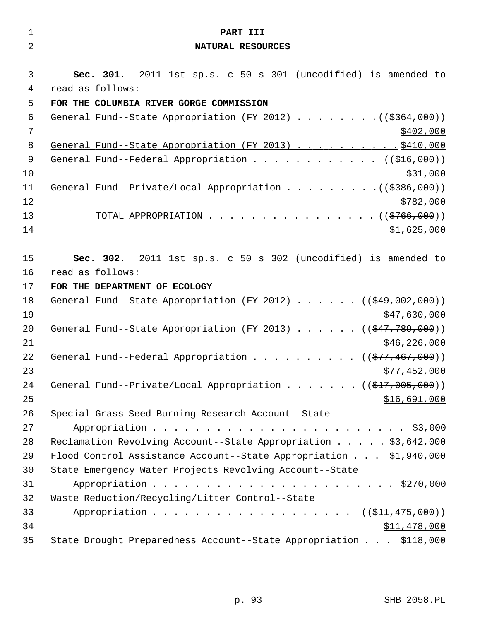| $\mathbf 1$    |                  | PART III                                                                           |
|----------------|------------------|------------------------------------------------------------------------------------|
| $\overline{2}$ |                  | NATURAL RESOURCES                                                                  |
| 3              |                  | Sec. 301. 2011 1st sp.s. c 50 s 301 (uncodified) is amended to                     |
| $\overline{4}$ | read as follows: |                                                                                    |
| 5              |                  | FOR THE COLUMBIA RIVER GORGE COMMISSION                                            |
| 6              |                  | General Fund--State Appropriation (FY 2012) ((\$364,000))                          |
| 7              |                  | \$402,000                                                                          |
| 8              |                  | General Fund--State Appropriation (FY 2013) \$410,000                              |
| 9              |                  | General Fund--Federal Appropriation ( $(\frac{216}{100})$ )                        |
| 10             |                  | \$31,000                                                                           |
| 11             |                  |                                                                                    |
| 12             |                  | \$782,000                                                                          |
| 13             |                  | TOTAL APPROPRIATION ( $(\frac{2766}{100})$ )                                       |
| 14             |                  | \$1,625,000                                                                        |
| 15             |                  | Sec. 302. 2011 1st sp.s. c 50 s 302 (uncodified) is amended to                     |
| 16             | read as follows: |                                                                                    |
| 17             |                  | FOR THE DEPARTMENT OF ECOLOGY                                                      |
| 18             |                  | General Fund--State Appropriation (FY 2012) $($ $($ $\frac{49}{702}, 002, 000)$ )  |
| 19             |                  | \$47,630,000                                                                       |
| 20             |                  | General Fund--State Appropriation (FY 2013) $($ $($ $\frac{47}{7}$ , $789$ , 000)) |
| 21             |                  | \$46, 226, 000                                                                     |
| 22             |                  | General Fund--Federal Appropriation ( $(\frac{277}{77}, \frac{467}{900})$ )        |
| 23             |                  | \$77,452,000                                                                       |
| 24             |                  | General Fund--Private/Local Appropriation ( $(\frac{217}{1000}, 000)$ )            |
| 25             |                  | \$16,691,000                                                                       |
| 26             |                  | Special Grass Seed Burning Research Account--State                                 |
| 27             |                  |                                                                                    |
| 28             |                  | Reclamation Revolving Account--State Appropriation \$3,642,000                     |
| 29             |                  | Flood Control Assistance Account--State Appropriation \$1,940,000                  |
| 30             |                  | State Emergency Water Projects Revolving Account--State                            |
| 31             |                  |                                                                                    |
| 32<br>33       |                  | Waste Reduction/Recycling/Litter Control--State<br>Appropriation ( (\$11,475,000)) |
| 34             |                  | \$11,478,000                                                                       |
| 35             |                  | State Drought Preparedness Account--State Appropriation \$118,000                  |
|                |                  |                                                                                    |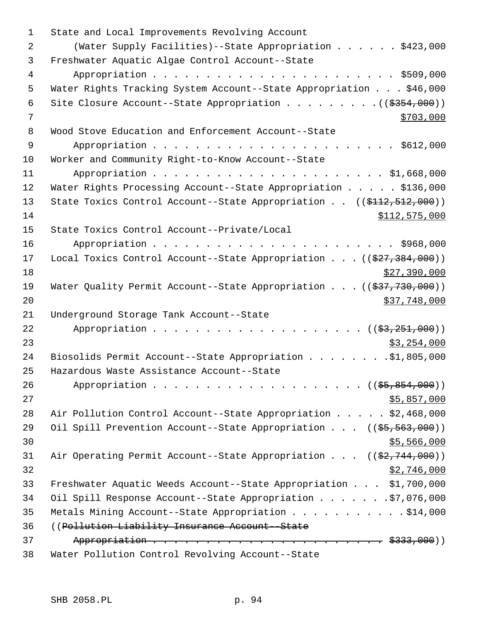| $\mathbf 1$ | State and Local Improvements Revolving Account                                  |
|-------------|---------------------------------------------------------------------------------|
| 2           | (Water Supply Facilities)--State Appropriation \$423,000                        |
| 3           | Freshwater Aquatic Algae Control Account--State                                 |
| 4           |                                                                                 |
| 5           | Water Rights Tracking System Account--State Appropriation \$46,000              |
| 6           |                                                                                 |
| 7           | \$703,000                                                                       |
| 8           | Wood Stove Education and Enforcement Account--State                             |
| 9           |                                                                                 |
| 10          | Worker and Community Right-to-Know Account--State                               |
| 11          |                                                                                 |
| 12          | Water Rights Processing Account--State Appropriation \$136,000                  |
| 13          | State Toxics Control Account--State Appropriation $(($412,512,000))$            |
| 14          | \$112,575,000                                                                   |
| 15          | State Toxics Control Account--Private/Local                                     |
| 16          |                                                                                 |
| 17          | Local Toxics Control Account--State Appropriation $(($27,384,000))$             |
| 18          | \$27,390,000                                                                    |
| 19          | Water Quality Permit Account--State Appropriation $((\frac{27}{77}, 730, 000))$ |
| 20          | \$37,748,000                                                                    |
| 21          | Underground Storage Tank Account--State                                         |
| 22          |                                                                                 |
| 23          | \$3,254,000                                                                     |
| 24          | Biosolids Permit Account--State Appropriation \$1,805,000                       |
| 25          | Hazardous Waste Assistance Account--State                                       |
| 26          |                                                                                 |
| 27          | \$5,857,000                                                                     |
| 28          | Air Pollution Control Account--State Appropriation \$2,468,000                  |
| 29          | Oil Spill Prevention Account--State Appropriation ((\$5,563,000))               |
| 30          | \$5,566,000                                                                     |
| 31          | Air Operating Permit Account--State Appropriation $((\frac{2}{7}, 744, 000))$   |
| 32          | \$2,746,000                                                                     |
| 33          | Freshwater Aquatic Weeds Account--State Appropriation \$1,700,000               |
| 34          | Oil Spill Response Account--State Appropriation \$7,076,000                     |
| 35          | Metals Mining Account--State Appropriation \$14,000                             |
| 36          | ((Pollution Liability Insurance Account--State)                                 |
| 37          |                                                                                 |
| 38          | Water Pollution Control Revolving Account--State                                |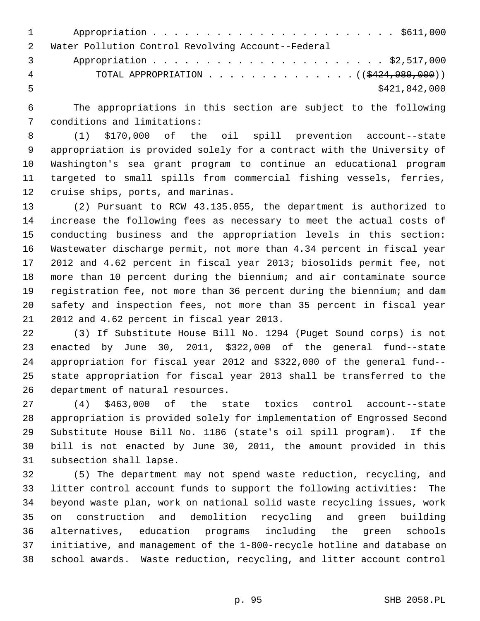| $1 \quad \cdots$                                   |
|----------------------------------------------------|
| Water Pollution Control Revolving Account--Federal |
| $\mathbf{3}$                                       |
| TOTAL APPROPRIATION $($ $($ $\frac{424}{1000}$     |
| \$421,842,000                                      |
|                                                    |

 6 The appropriations in this section are subject to the following 7 conditions and limitations:

 8 (1) \$170,000 of the oil spill prevention account--state 9 appropriation is provided solely for a contract with the University of 10 Washington's sea grant program to continue an educational program 11 targeted to small spills from commercial fishing vessels, ferries, 12 cruise ships, ports, and marinas.

13 (2) Pursuant to RCW 43.135.055, the department is authorized to 14 increase the following fees as necessary to meet the actual costs of 15 conducting business and the appropriation levels in this section: 16 Wastewater discharge permit, not more than 4.34 percent in fiscal year 17 2012 and 4.62 percent in fiscal year 2013; biosolids permit fee, not 18 more than 10 percent during the biennium; and air contaminate source 19 registration fee, not more than 36 percent during the biennium; and dam 20 safety and inspection fees, not more than 35 percent in fiscal year 21 2012 and 4.62 percent in fiscal year 2013.

22 (3) If Substitute House Bill No. 1294 (Puget Sound corps) is not 23 enacted by June 30, 2011, \$322,000 of the general fund--state 24 appropriation for fiscal year 2012 and \$322,000 of the general fund-- 25 state appropriation for fiscal year 2013 shall be transferred to the 26 department of natural resources.

27 (4) \$463,000 of the state toxics control account--state 28 appropriation is provided solely for implementation of Engrossed Second 29 Substitute House Bill No. 1186 (state's oil spill program). If the 30 bill is not enacted by June 30, 2011, the amount provided in this 31 subsection shall lapse.

32 (5) The department may not spend waste reduction, recycling, and 33 litter control account funds to support the following activities: The 34 beyond waste plan, work on national solid waste recycling issues, work 35 on construction and demolition recycling and green building 36 alternatives, education programs including the green schools 37 initiative, and management of the 1-800-recycle hotline and database on 38 school awards. Waste reduction, recycling, and litter account control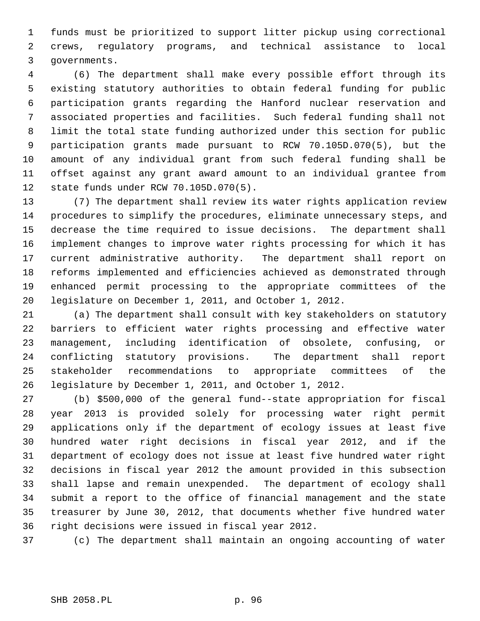1 funds must be prioritized to support litter pickup using correctional 2 crews, regulatory programs, and technical assistance to local 3 governments.

 4 (6) The department shall make every possible effort through its 5 existing statutory authorities to obtain federal funding for public 6 participation grants regarding the Hanford nuclear reservation and 7 associated properties and facilities. Such federal funding shall not 8 limit the total state funding authorized under this section for public 9 participation grants made pursuant to RCW 70.105D.070(5), but the 10 amount of any individual grant from such federal funding shall be 11 offset against any grant award amount to an individual grantee from 12 state funds under RCW 70.105D.070(5).

13 (7) The department shall review its water rights application review 14 procedures to simplify the procedures, eliminate unnecessary steps, and 15 decrease the time required to issue decisions. The department shall 16 implement changes to improve water rights processing for which it has 17 current administrative authority. The department shall report on 18 reforms implemented and efficiencies achieved as demonstrated through 19 enhanced permit processing to the appropriate committees of the 20 legislature on December 1, 2011, and October 1, 2012.

21 (a) The department shall consult with key stakeholders on statutory 22 barriers to efficient water rights processing and effective water 23 management, including identification of obsolete, confusing, or 24 conflicting statutory provisions. The department shall report 25 stakeholder recommendations to appropriate committees of the 26 legislature by December 1, 2011, and October 1, 2012.

27 (b) \$500,000 of the general fund--state appropriation for fiscal 28 year 2013 is provided solely for processing water right permit 29 applications only if the department of ecology issues at least five 30 hundred water right decisions in fiscal year 2012, and if the 31 department of ecology does not issue at least five hundred water right 32 decisions in fiscal year 2012 the amount provided in this subsection 33 shall lapse and remain unexpended. The department of ecology shall 34 submit a report to the office of financial management and the state 35 treasurer by June 30, 2012, that documents whether five hundred water 36 right decisions were issued in fiscal year 2012.

37 (c) The department shall maintain an ongoing accounting of water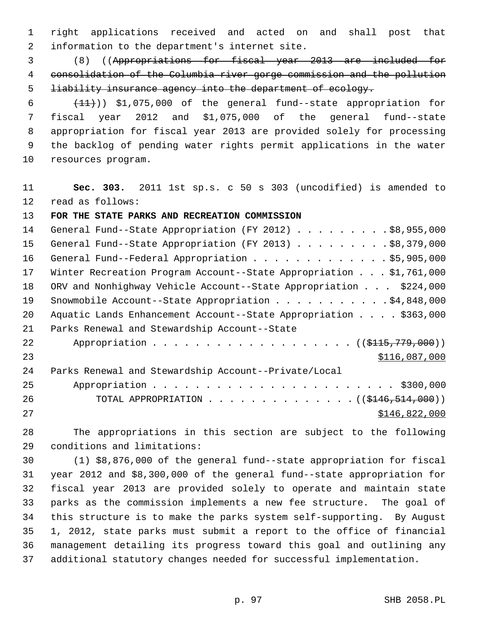1 right applications received and acted on and shall post that 2 information to the department's internet site.

 3 (8) ((Appropriations for fiscal year 2013 are included for 4 consolidation of the Columbia river gorge commission and the pollution 5 **liability insurance agency into the department of ecology.** 

 $(11)$ ) \$1,075,000 of the general fund--state appropriation for 7 fiscal year 2012 and \$1,075,000 of the general fund--state 8 appropriation for fiscal year 2013 are provided solely for processing 9 the backlog of pending water rights permit applications in the water 10 resources program.

11 **Sec. 303.** 2011 1st sp.s. c 50 s 303 (uncodified) is amended to 12 read as follows:

## 13 **FOR THE STATE PARKS AND RECREATION COMMISSION**

| 14 | General Fund--State Appropriation (FY 2012) \$8,955,000                   |
|----|---------------------------------------------------------------------------|
| 15 | General Fund--State Appropriation (FY 2013) \$8,379,000                   |
| 16 | General Fund--Federal Appropriation \$5,905,000                           |
| 17 | Winter Recreation Program Account--State Appropriation \$1,761,000        |
| 18 | ORV and Nonhighway Vehicle Account--State Appropriation \$224,000         |
| 19 | Snowmobile Account--State Appropriation \$4,848,000                       |
| 20 | Aquatic Lands Enhancement Account--State Appropriation \$363,000          |
| 21 | Parks Renewal and Stewardship Account--State                              |
| 22 | Appropriation ( (\$115,779,000))                                          |
| 23 | \$116,087,000                                                             |
| 24 | Parks Renewal and Stewardship Account--Private/Local                      |
| 25 |                                                                           |
| 26 | TOTAL APPROPRIATION $\ldots$ , ( $(\frac{1446}{5146}, \frac{514}{900})$ ) |
| 27 | \$146,822,000                                                             |

28 The appropriations in this section are subject to the following 29 conditions and limitations:

30 (1) \$8,876,000 of the general fund--state appropriation for fiscal 31 year 2012 and \$8,300,000 of the general fund--state appropriation for 32 fiscal year 2013 are provided solely to operate and maintain state 33 parks as the commission implements a new fee structure. The goal of 34 this structure is to make the parks system self-supporting. By August 35 1, 2012, state parks must submit a report to the office of financial 36 management detailing its progress toward this goal and outlining any 37 additional statutory changes needed for successful implementation.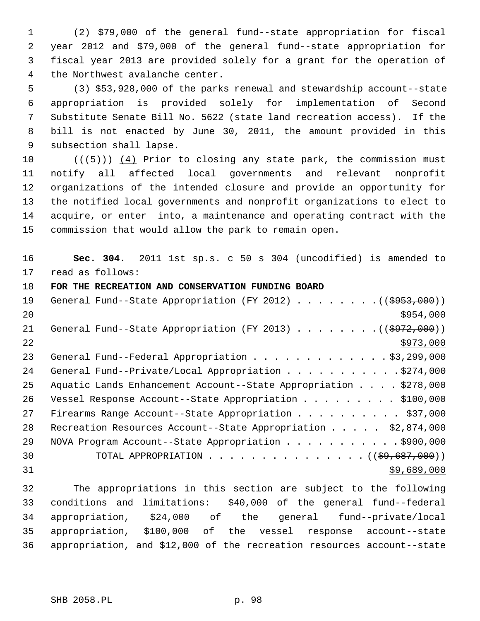1 (2) \$79,000 of the general fund--state appropriation for fiscal 2 year 2012 and \$79,000 of the general fund--state appropriation for 3 fiscal year 2013 are provided solely for a grant for the operation of 4 the Northwest avalanche center.

 5 (3) \$53,928,000 of the parks renewal and stewardship account--state 6 appropriation is provided solely for implementation of Second 7 Substitute Senate Bill No. 5622 (state land recreation access). If the 8 bill is not enacted by June 30, 2011, the amount provided in this 9 subsection shall lapse.

10  $((+5))$   $(4)$  Prior to closing any state park, the commission must 11 notify all affected local governments and relevant nonprofit 12 organizations of the intended closure and provide an opportunity for 13 the notified local governments and nonprofit organizations to elect to 14 acquire, or enter into, a maintenance and operating contract with the 15 commission that would allow the park to remain open.

16 **Sec. 304.** 2011 1st sp.s. c 50 s 304 (uncodified) is amended to 17 read as follows:

## 18 **FOR THE RECREATION AND CONSERVATION FUNDING BOARD**

| 19 | General Fund--State Appropriation (FY 2012) ( $(\frac{6953,000}{2})$ |
|----|----------------------------------------------------------------------|
| 20 | \$954,000                                                            |
| 21 | General Fund--State Appropriation (FY 2013) ( $(\frac{2972}{000})$ ) |
| 22 | \$973,000                                                            |
| 23 | General Fund--Federal Appropriation \$3,299,000                      |
| 24 | General Fund--Private/Local Appropriation \$274,000                  |
| 25 | Aquatic Lands Enhancement Account--State Appropriation \$278,000     |
| 26 | Vessel Response Account--State Appropriation \$100,000               |
| 27 | Firearms Range Account--State Appropriation \$37,000                 |
| 28 | Recreation Resources Account--State Appropriation \$2,874,000        |
| 29 | NOVA Program Account--State Appropriation \$900,000                  |
| 30 | TOTAL APPROPRIATION $($ $($ \$9,687,000) $)$                         |
| 31 | \$9,689,000                                                          |
|    |                                                                      |

32 The appropriations in this section are subject to the following 33 conditions and limitations: \$40,000 of the general fund--federal 34 appropriation, \$24,000 of the general fund--private/local 35 appropriation, \$100,000 of the vessel response account--state 36 appropriation, and \$12,000 of the recreation resources account--state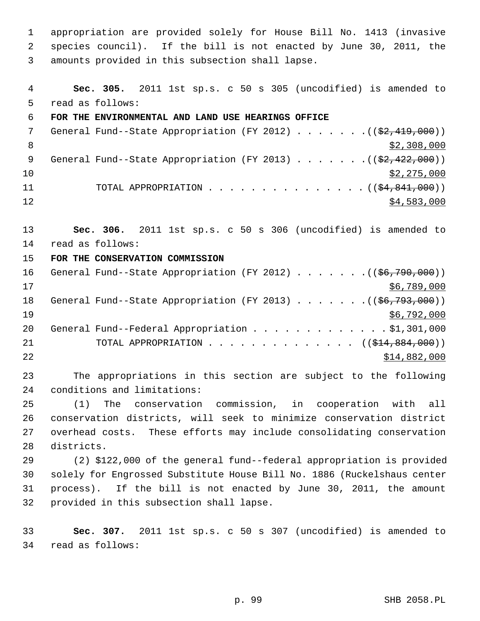1 appropriation are provided solely for House Bill No. 1413 (invasive 2 species council). If the bill is not enacted by June 30, 2011, the 3 amounts provided in this subsection shall lapse.

 4 **Sec. 305.** 2011 1st sp.s. c 50 s 305 (uncodified) is amended to 5 read as follows: 6 **FOR THE ENVIRONMENTAL AND LAND USE HEARINGS OFFICE** 7 General Fund--State Appropriation (FY 2012) . . . . . . . ((\$2,419,000)) 8  $\frac{$2,308,000}{ }$ 9 General Fund--State Appropriation (FY 2013)  $\ldots$  ... . . (( $\frac{2}{32}$ , 422, 000))  $10$  \$2,275,000 11 TOTAL APPROPRIATION . . . . . . . . . . . . . . ((<del>\$4,841,000</del>))  $12$  \$4,583,000 13 **Sec. 306.** 2011 1st sp.s. c 50 s 306 (uncodified) is amended to 14 read as follows: 15 **FOR THE CONSERVATION COMMISSION**

16 General Fund--State Appropriation  $(FY 2012)$ ........ $(656,790,000)$  $17$  \$6,789,000 18 General Fund--State Appropriation (FY 2013) . . . . . . . ((\$6,793,000))  $19$  \$6,792,000 20 General Fund--Federal Appropriation . . . . . . . . . . . . . \$1,301,000 21 TOTAL APPROPRIATION . . . . . . . . . . . . . ((<del>\$14,884,000</del>)) 22 \$14,882,000

23 The appropriations in this section are subject to the following 24 conditions and limitations:

25 (1) The conservation commission, in cooperation with all 26 conservation districts, will seek to minimize conservation district 27 overhead costs. These efforts may include consolidating conservation 28 districts.

29 (2) \$122,000 of the general fund--federal appropriation is provided 30 solely for Engrossed Substitute House Bill No. 1886 (Ruckelshaus center 31 process). If the bill is not enacted by June 30, 2011, the amount 32 provided in this subsection shall lapse.

33 **Sec. 307.** 2011 1st sp.s. c 50 s 307 (uncodified) is amended to 34 read as follows: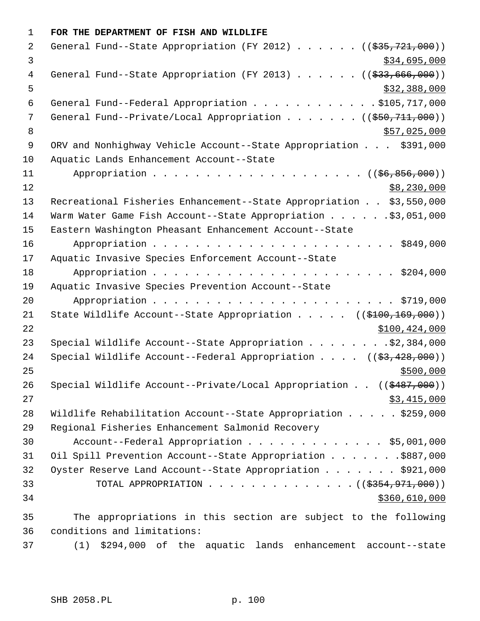1 **FOR THE DEPARTMENT OF FISH AND WILDLIFE** 2 General Fund--State Appropriation (FY 2012) . . . . . . ((\$35,721,000))  $\frac{1}{3}$   $\frac{1}{34}$ ,695,000 4 General Fund--State Appropriation (FY 2013) . . . . . . ((\$33,666,000))  $5 - 5$  6 General Fund--Federal Appropriation . . . . . . . . . . . . \$105,717,000 7 General Fund--Private/Local Appropriation . . . . . . ((\$50,711,000)) 8 \$57,025,000 \$57,025,000 \$57,025,000 \$57,025,000 \$57,025,000 \$57,025,000 \$57,025,000 \$ 9 ORV and Nonhighway Vehicle Account--State Appropriation . . . \$391,000 10 Aquatic Lands Enhancement Account--State 11 Appropriation . . . . . . . . . . . . . . . . . . ((\$6,856,000))  $12$  \$8,230,000 13 Recreational Fisheries Enhancement--State Appropriation . . \$3,550,000 14 Warm Water Game Fish Account--State Appropriation . . . . . . \$3,051,000 15 Eastern Washington Pheasant Enhancement Account--State 16 Appropriation . . . . . . . . . . . . . . . . . . . . . . . \$849,000 17 Aquatic Invasive Species Enforcement Account--State 18 Appropriation . . . . . . . . . . . . . . . . . . . . . . . \$204,000 19 Aquatic Invasive Species Prevention Account--State 20 Appropriation . . . . . . . . . . . . . . . . . . . . . . . \$719,000 21 State Wildlife Account--State Appropriation . . . . . ((\$100,169,000)) 22 \$100,424,000 23 Special Wildlife Account--State Appropriation . . . . . . . . \$2,384,000 24 Special Wildlife Account--Federal Appropriation . . . . ((\$3,428,000))  $25$ 26 Special Wildlife Account--Private/Local Appropriation . . ((\$487,000))  $27$  \$3,415,000 28 Wildlife Rehabilitation Account--State Appropriation . . . . . \$259,000 29 Regional Fisheries Enhancement Salmonid Recovery 30 Account--Federal Appropriation . . . . . . . . . . . . . \$5,001,000 31 Oil Spill Prevention Account--State Appropriation . . . . . . .\$887,000 32 Oyster Reserve Land Account--State Appropriation . . . . . . \$921,000 33 TOTAL APPROPRIATION . . . . . . . . . . . . . ((<del>\$354,971,000</del>)) 34 \$360,610,000 35 The appropriations in this section are subject to the following 36 conditions and limitations: 37 (1) \$294,000 of the aquatic lands enhancement account--state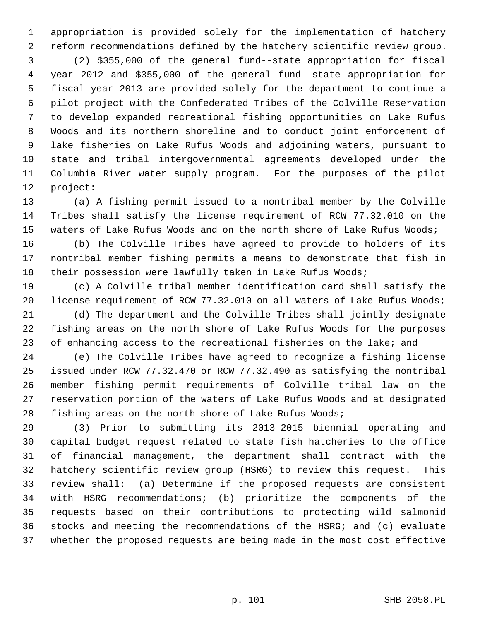1 appropriation is provided solely for the implementation of hatchery 2 reform recommendations defined by the hatchery scientific review group. 3 (2) \$355,000 of the general fund--state appropriation for fiscal 4 year 2012 and \$355,000 of the general fund--state appropriation for 5 fiscal year 2013 are provided solely for the department to continue a 6 pilot project with the Confederated Tribes of the Colville Reservation 7 to develop expanded recreational fishing opportunities on Lake Rufus 8 Woods and its northern shoreline and to conduct joint enforcement of 9 lake fisheries on Lake Rufus Woods and adjoining waters, pursuant to 10 state and tribal intergovernmental agreements developed under the 11 Columbia River water supply program. For the purposes of the pilot 12 project:

13 (a) A fishing permit issued to a nontribal member by the Colville 14 Tribes shall satisfy the license requirement of RCW 77.32.010 on the 15 waters of Lake Rufus Woods and on the north shore of Lake Rufus Woods;

16 (b) The Colville Tribes have agreed to provide to holders of its 17 nontribal member fishing permits a means to demonstrate that fish in 18 their possession were lawfully taken in Lake Rufus Woods;

19 (c) A Colville tribal member identification card shall satisfy the 20 license requirement of RCW 77.32.010 on all waters of Lake Rufus Woods;

21 (d) The department and the Colville Tribes shall jointly designate 22 fishing areas on the north shore of Lake Rufus Woods for the purposes 23 of enhancing access to the recreational fisheries on the lake; and

24 (e) The Colville Tribes have agreed to recognize a fishing license 25 issued under RCW 77.32.470 or RCW 77.32.490 as satisfying the nontribal 26 member fishing permit requirements of Colville tribal law on the 27 reservation portion of the waters of Lake Rufus Woods and at designated 28 fishing areas on the north shore of Lake Rufus Woods;

29 (3) Prior to submitting its 2013-2015 biennial operating and 30 capital budget request related to state fish hatcheries to the office 31 of financial management, the department shall contract with the 32 hatchery scientific review group (HSRG) to review this request. This 33 review shall: (a) Determine if the proposed requests are consistent 34 with HSRG recommendations; (b) prioritize the components of the 35 requests based on their contributions to protecting wild salmonid 36 stocks and meeting the recommendations of the HSRG; and (c) evaluate 37 whether the proposed requests are being made in the most cost effective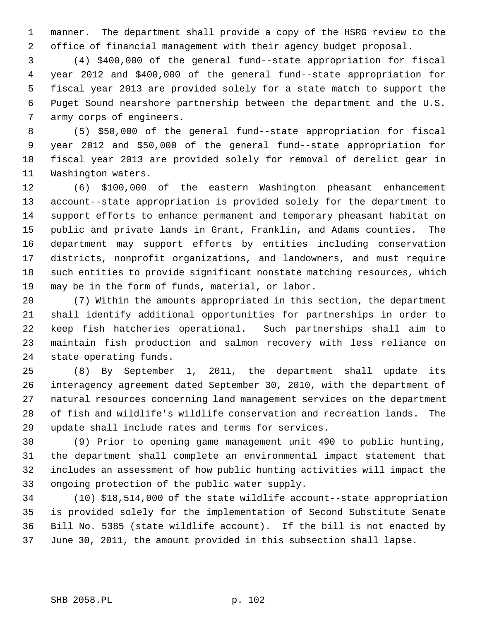1 manner. The department shall provide a copy of the HSRG review to the 2 office of financial management with their agency budget proposal.

 3 (4) \$400,000 of the general fund--state appropriation for fiscal 4 year 2012 and \$400,000 of the general fund--state appropriation for 5 fiscal year 2013 are provided solely for a state match to support the 6 Puget Sound nearshore partnership between the department and the U.S. 7 army corps of engineers.

 8 (5) \$50,000 of the general fund--state appropriation for fiscal 9 year 2012 and \$50,000 of the general fund--state appropriation for 10 fiscal year 2013 are provided solely for removal of derelict gear in 11 Washington waters.

12 (6) \$100,000 of the eastern Washington pheasant enhancement 13 account--state appropriation is provided solely for the department to 14 support efforts to enhance permanent and temporary pheasant habitat on 15 public and private lands in Grant, Franklin, and Adams counties. The 16 department may support efforts by entities including conservation 17 districts, nonprofit organizations, and landowners, and must require 18 such entities to provide significant nonstate matching resources, which 19 may be in the form of funds, material, or labor.

20 (7) Within the amounts appropriated in this section, the department 21 shall identify additional opportunities for partnerships in order to 22 keep fish hatcheries operational. Such partnerships shall aim to 23 maintain fish production and salmon recovery with less reliance on 24 state operating funds.

25 (8) By September 1, 2011, the department shall update its 26 interagency agreement dated September 30, 2010, with the department of 27 natural resources concerning land management services on the department 28 of fish and wildlife's wildlife conservation and recreation lands. The 29 update shall include rates and terms for services.

30 (9) Prior to opening game management unit 490 to public hunting, 31 the department shall complete an environmental impact statement that 32 includes an assessment of how public hunting activities will impact the 33 ongoing protection of the public water supply.

34 (10) \$18,514,000 of the state wildlife account--state appropriation 35 is provided solely for the implementation of Second Substitute Senate 36 Bill No. 5385 (state wildlife account). If the bill is not enacted by 37 June 30, 2011, the amount provided in this subsection shall lapse.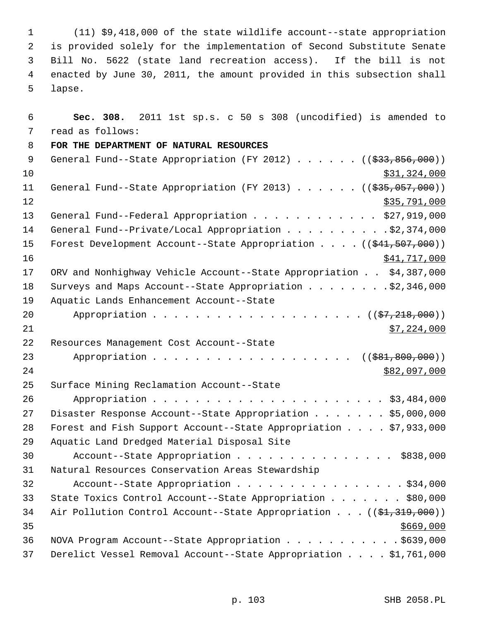1 (11) \$9,418,000 of the state wildlife account--state appropriation 2 is provided solely for the implementation of Second Substitute Senate 3 Bill No. 5622 (state land recreation access). If the bill is not 4 enacted by June 30, 2011, the amount provided in this subsection shall 5 lapse.

 6 **Sec. 308.** 2011 1st sp.s. c 50 s 308 (uncodified) is amended to 7 read as follows: 8 **FOR THE DEPARTMENT OF NATURAL RESOURCES** 9 General Fund--State Appropriation (FY 2012) . . . . . . ((\$33,856,000))  $\frac{10}{331}$ , 324,000 11 General Fund--State Appropriation (FY 2013) . . . . . . ((\$35,057,000))  $\frac{12}{335,791,000}$ 13 General Fund--Federal Appropriation . . . . . . . . . . . \$27,919,000 14 General Fund--Private/Local Appropriation . . . . . . . . . \$2,374,000 15 Forest Development Account--State Appropriation . . . . ((\$41,507,000)) 16 \$41,717,000 17 ORV and Nonhighway Vehicle Account--State Appropriation . . \$4,387,000 18 Surveys and Maps Account--State Appropriation . . . . . . . . \$2,346,000 19 Aquatic Lands Enhancement Account--State 20 Appropriation . . . . . . . . . . . . . . . . . . (  $(\frac{27}{218},000)$  )  $21$  \$7,224,000 22 Resources Management Cost Account--State 23 Appropriation . . . . . . . . . . . . . . . . . ((\$81,800,000)) 24 \$82,097,000 25 Surface Mining Reclamation Account--State 26 Appropriation . . . . . . . . . . . . . . . . . . . . . . \$3,484,000 27 Disaster Response Account--State Appropriation . . . . . . \$5,000,000 28 Forest and Fish Support Account--State Appropriation . . . . \$7,933,000 29 Aquatic Land Dredged Material Disposal Site 30 Account--State Appropriation . . . . . . . . . . . . . . . \$838,000 31 Natural Resources Conservation Areas Stewardship 32 Account--State Appropriation . . . . . . . . . . . . . . . \$34,000 33 State Toxics Control Account--State Appropriation . . . . . . . \$80,000 34 Air Pollution Control Account--State Appropriation . . . ((\$1,319,000))  $35$   $\frac{$669,000}{ }$ 36 NOVA Program Account--State Appropriation . . . . . . . . . . . \$639,000 37 Derelict Vessel Removal Account--State Appropriation . . . . \$1,761,000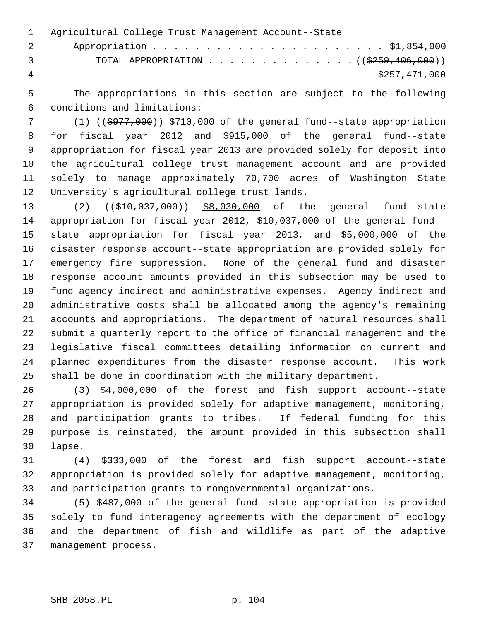1 Agricultural College Trust Management Account--State 2 Appropriation . . . . . . . . . . . . . . . . . . . . . . \$1,854,000 3 TOTAL APPROPRIATION . . . . . . . . . . . . . . ((\$259,406,000)) 4 \$257,471,000

 5 The appropriations in this section are subject to the following 6 conditions and limitations:

 7 (1) ((\$977,000)) \$710,000 of the general fund--state appropriation 8 for fiscal year 2012 and \$915,000 of the general fund--state 9 appropriation for fiscal year 2013 are provided solely for deposit into 10 the agricultural college trust management account and are provided 11 solely to manage approximately 70,700 acres of Washington State 12 University's agricultural college trust lands.

13 (2) ((\$10,037,000)) \$8,030,000 of the general fund--state 14 appropriation for fiscal year 2012, \$10,037,000 of the general fund-- 15 state appropriation for fiscal year 2013, and \$5,000,000 of the 16 disaster response account--state appropriation are provided solely for 17 emergency fire suppression. None of the general fund and disaster 18 response account amounts provided in this subsection may be used to 19 fund agency indirect and administrative expenses. Agency indirect and 20 administrative costs shall be allocated among the agency's remaining 21 accounts and appropriations. The department of natural resources shall 22 submit a quarterly report to the office of financial management and the 23 legislative fiscal committees detailing information on current and 24 planned expenditures from the disaster response account. This work 25 shall be done in coordination with the military department.

26 (3) \$4,000,000 of the forest and fish support account--state 27 appropriation is provided solely for adaptive management, monitoring, 28 and participation grants to tribes. If federal funding for this 29 purpose is reinstated, the amount provided in this subsection shall 30 lapse.

31 (4) \$333,000 of the forest and fish support account--state 32 appropriation is provided solely for adaptive management, monitoring, 33 and participation grants to nongovernmental organizations.

34 (5) \$487,000 of the general fund--state appropriation is provided 35 solely to fund interagency agreements with the department of ecology 36 and the department of fish and wildlife as part of the adaptive 37 management process.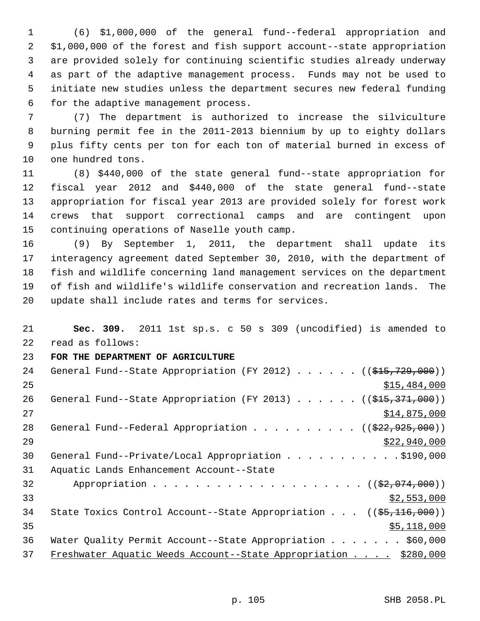1 (6) \$1,000,000 of the general fund--federal appropriation and 2 \$1,000,000 of the forest and fish support account--state appropriation 3 are provided solely for continuing scientific studies already underway 4 as part of the adaptive management process. Funds may not be used to 5 initiate new studies unless the department secures new federal funding 6 for the adaptive management process.

 7 (7) The department is authorized to increase the silviculture 8 burning permit fee in the 2011-2013 biennium by up to eighty dollars 9 plus fifty cents per ton for each ton of material burned in excess of 10 one hundred tons.

11 (8) \$440,000 of the state general fund--state appropriation for 12 fiscal year 2012 and \$440,000 of the state general fund--state 13 appropriation for fiscal year 2013 are provided solely for forest work 14 crews that support correctional camps and are contingent upon 15 continuing operations of Naselle youth camp.

16 (9) By September 1, 2011, the department shall update its 17 interagency agreement dated September 30, 2010, with the department of 18 fish and wildlife concerning land management services on the department 19 of fish and wildlife's wildlife conservation and recreation lands. The 20 update shall include rates and terms for services.

21 **Sec. 309.** 2011 1st sp.s. c 50 s 309 (uncodified) is amended to 22 read as follows:

23 **FOR THE DEPARTMENT OF AGRICULTURE**

| 24 | General Fund--State Appropriation (FY 2012) $($ $($ $\frac{215}{729}, 000)$ )  |
|----|--------------------------------------------------------------------------------|
| 25 | \$15,484,000                                                                   |
| 26 | General Fund--State Appropriation (FY 2013) $($ $($ $\frac{215}{7371}$ , 000)) |
| 27 | \$14,875,000                                                                   |
| 28 | General Fund--Federal Appropriation ( $(\frac{222}{925}, 925, 000)$ )          |
| 29 | \$22,940,000                                                                   |
| 30 | General Fund--Private/Local Appropriation \$190,000                            |
| 31 | Aquatic Lands Enhancement Account--State                                       |
| 32 |                                                                                |
| 33 | \$2,553,000                                                                    |
| 34 | State Toxics Control Account--State Appropriation $((\frac{25}{116}, 000))$    |
| 35 | \$5,118,000                                                                    |
| 36 | Water Quality Permit Account--State Appropriation \$60,000                     |
| 37 | Freshwater Aquatic Weeds Account--State Appropriation \$280,000                |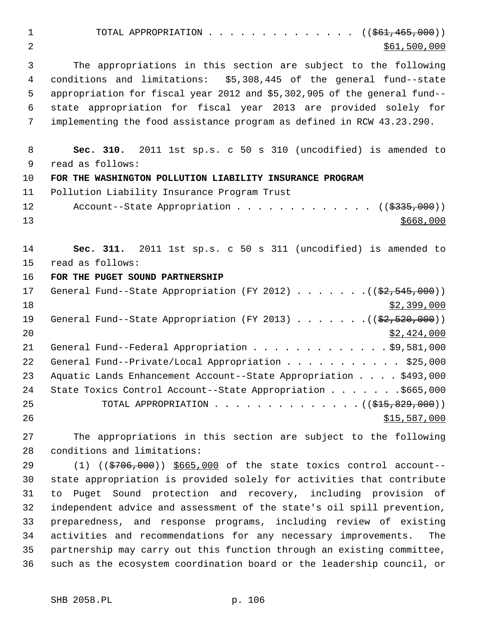1 TOTAL APPROPRIATION . . . . . . . . . . . . . ((<del>\$61,465,000</del>)) 2 \$61,500,000 \$61,500,000 3 The appropriations in this section are subject to the following 4 conditions and limitations: \$5,308,445 of the general fund--state 5 appropriation for fiscal year 2012 and \$5,302,905 of the general fund-- 6 state appropriation for fiscal year 2013 are provided solely for 7 implementing the food assistance program as defined in RCW 43.23.290. 8 **Sec. 310.** 2011 1st sp.s. c 50 s 310 (uncodified) is amended to 9 read as follows: 10 **FOR THE WASHINGTON POLLUTION LIABILITY INSURANCE PROGRAM** 11 Pollution Liability Insurance Program Trust 12 Account--State Appropriation . . . . . . . . . . . . ((\$335,000))  $13 \frac{\text{S668}}{100}$ 14 **Sec. 311.** 2011 1st sp.s. c 50 s 311 (uncodified) is amended to 15 read as follows: 16 **FOR THE PUGET SOUND PARTNERSHIP** 17 General Fund--State Appropriation (FY 2012) . . . . . . .((\$2,545,000))  $18$  \$2,399,000 19 General Fund--State Appropriation (FY 2013) . . . . . . . ((\$2,520,000))  $20$  \$2,424,000 21 General Fund--Federal Appropriation . . . . . . . . . . . . \$9,581,000 22 General Fund--Private/Local Appropriation . . . . . . . . . . \$25,000 23 Aquatic Lands Enhancement Account--State Appropriation . . . . \$493,000 24 State Toxics Control Account--State Appropriation . . . . . . . \$665,000 25 TOTAL APPROPRIATION . . . . . . . . . . . . . . ((\$15,829,000)) 26 \$15,587,000 \$15,587,000 27 The appropriations in this section are subject to the following 28 conditions and limitations: 29 (1) (( $\frac{29}{706,000}$ ) \$665,000 of the state toxics control account--

30 state appropriation is provided solely for activities that contribute 31 to Puget Sound protection and recovery, including provision of 32 independent advice and assessment of the state's oil spill prevention, 33 preparedness, and response programs, including review of existing 34 activities and recommendations for any necessary improvements. The 35 partnership may carry out this function through an existing committee, 36 such as the ecosystem coordination board or the leadership council, or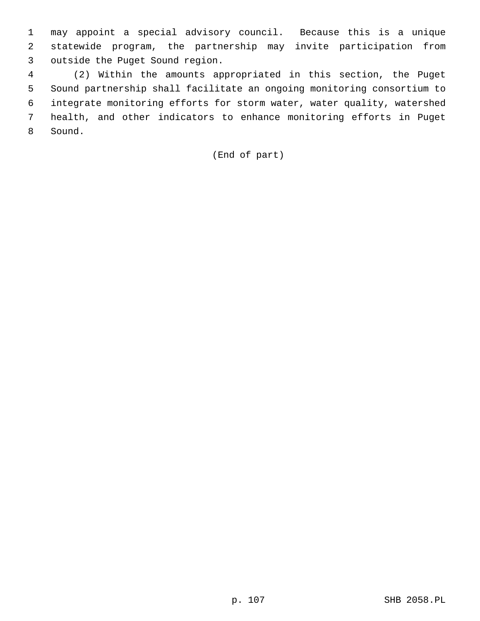1 may appoint a special advisory council. Because this is a unique 2 statewide program, the partnership may invite participation from 3 outside the Puget Sound region.

 4 (2) Within the amounts appropriated in this section, the Puget 5 Sound partnership shall facilitate an ongoing monitoring consortium to 6 integrate monitoring efforts for storm water, water quality, watershed 7 health, and other indicators to enhance monitoring efforts in Puget 8 Sound.

## (End of part)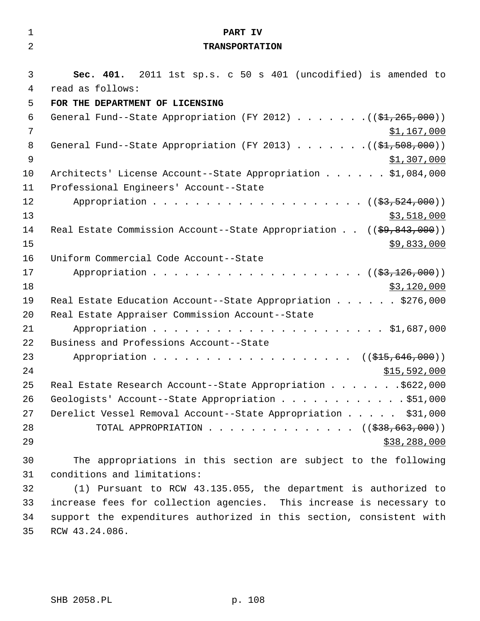| $\mathbf{1}$   | PART IV                                                                           |
|----------------|-----------------------------------------------------------------------------------|
| $\overline{2}$ | <b>TRANSPORTATION</b>                                                             |
|                |                                                                                   |
| 3              | Sec. 401. 2011 1st sp.s. c 50 s 401 (uncodified) is amended to                    |
| 4              | read as follows:                                                                  |
| 5              | FOR THE DEPARTMENT OF LICENSING                                                   |
| 6              | General Fund--State Appropriation (FY 2012) $($ $($ $\frac{1}{2}, 265, 000)$ )    |
| 7              | \$1,167,000                                                                       |
| 8              | General Fund--State Appropriation (FY 2013) $($ $(\frac{21.508}{1.508},000) )$    |
| $\mathsf 9$    | \$1,307,000                                                                       |
| 10             | Architects' License Account--State Appropriation \$1,084,000                      |
| 11             | Professional Engineers' Account--State                                            |
| 12             |                                                                                   |
| 13             | \$3,518,000                                                                       |
| 14             | Real Estate Commission Account--State Appropriation $((\frac{69}{69}, 843, 000))$ |
| 15             | \$9,833,000                                                                       |
| 16             | Uniform Commercial Code Account--State                                            |
| 17             |                                                                                   |
| 18             | \$3,120,000                                                                       |
| 19             | Real Estate Education Account--State Appropriation \$276,000                      |
| 20             | Real Estate Appraiser Commission Account--State                                   |
| 21             |                                                                                   |
| 22             | Business and Professions Account--State                                           |
| 23             | Appropriation ((\$15,646,000))                                                    |
| 24             | \$15,592,000                                                                      |
| 25             | Real Estate Research Account--State Appropriation \$622,000                       |
| 26             | Geologists' Account--State Appropriation \$51,000                                 |
| 27             | Derelict Vessel Removal Account--State Appropriation \$31,000                     |
| 28             | TOTAL APPROPRIATION $($ $($ $\frac{238}{663},\frac{000}{00})$                     |
| 29             | \$38, 288, 000                                                                    |
| 30             | The appropriations in this section are subject to the following                   |
| 31             | conditions and limitations:                                                       |
| 32             | (1) Pursuant to RCW 43.135.055, the department is authorized to                   |
| 33             | increase fees for collection agencies. This increase is necessary to              |
| 34             | support the expenditures authorized in this section, consistent with              |
| 35             | RCW 43.24.086.                                                                    |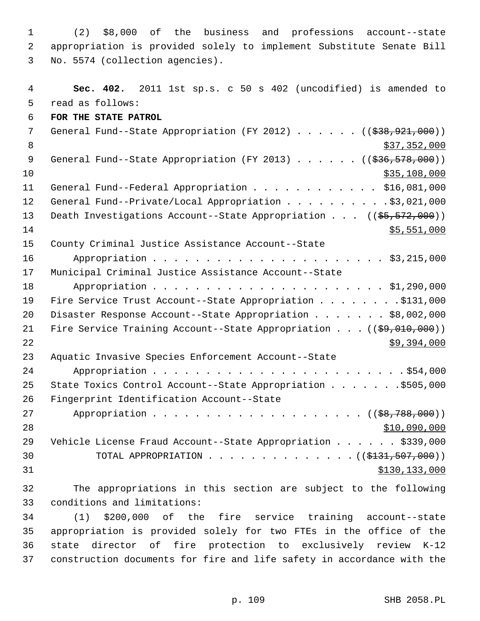1 (2) \$8,000 of the business and professions account--state 2 appropriation is provided solely to implement Substitute Senate Bill 3 No. 5574 (collection agencies).

 4 **Sec. 402.** 2011 1st sp.s. c 50 s 402 (uncodified) is amended to 5 read as follows: 6 **FOR THE STATE PATROL** 7 General Fund--State Appropriation (FY 2012) . . . . . . ((\$38,921,000)) 8  $\frac{$37,352,000}{ }$ 9 General Fund--State Appropriation (FY 2013) . . . . . . ((\$36,578,000))  $\frac{10}{335,108,000}$ 11 General Fund--Federal Appropriation . . . . . . . . . . . . \$16,081,000 12 General Fund--Private/Local Appropriation . . . . . . . . . \$3,021,000 13 Death Investigations Account--State Appropriation . . . ((\$5,572,000))  $14$  \$5,551,000 15 County Criminal Justice Assistance Account--State 16 Appropriation . . . . . . . . . . . . . . . . . . . . . . \$3,215,000 17 Municipal Criminal Justice Assistance Account--State 18 Appropriation . . . . . . . . . . . . . . . . . . . . . . \$1,290,000 19 Fire Service Trust Account--State Appropriation . . . . . . . . \$131,000 20 Disaster Response Account--State Appropriation . . . . . . . \$8,002,000 21 Fire Service Training Account--State Appropriation . . . ((\$9,010,000)) 22 \$9,394,000 23 Aquatic Invasive Species Enforcement Account--State 24 Appropriation . . . . . . . . . . . . . . . . . . . . . . . . \$54,000 25 State Toxics Control Account--State Appropriation . . . . . . . \$505,000 26 Fingerprint Identification Account--State 27 Appropriation . . . . . . . . . . . . . . . . . . ((\$8,788,000)) 28 \$10,090,000 29 Vehicle License Fraud Account--State Appropriation . . . . . . \$339,000 30 TOTAL APPROPRIATION . . . . . . . . . . . . . (  $(\frac{1331,507,000}{1})$ 31 \$130,133,000 32 The appropriations in this section are subject to the following 33 conditions and limitations: 34 (1) \$200,000 of the fire service training account--state 35 appropriation is provided solely for two FTEs in the office of the 36 state director of fire protection to exclusively review K-12

37 construction documents for fire and life safety in accordance with the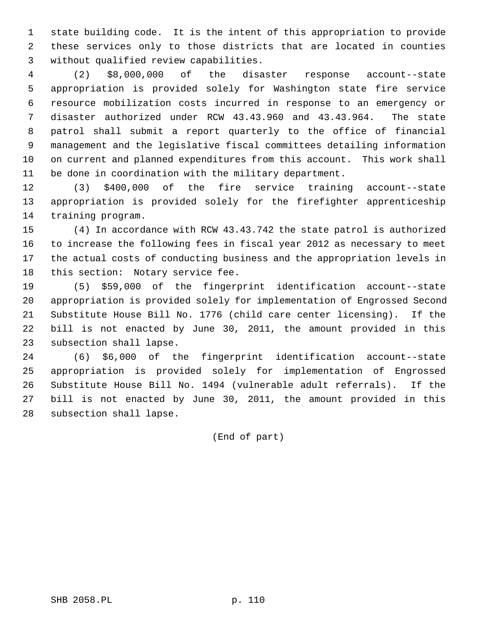1 state building code. It is the intent of this appropriation to provide 2 these services only to those districts that are located in counties 3 without qualified review capabilities.

 4 (2) \$8,000,000 of the disaster response account--state 5 appropriation is provided solely for Washington state fire service 6 resource mobilization costs incurred in response to an emergency or 7 disaster authorized under RCW 43.43.960 and 43.43.964. The state 8 patrol shall submit a report quarterly to the office of financial 9 management and the legislative fiscal committees detailing information 10 on current and planned expenditures from this account. This work shall 11 be done in coordination with the military department.

12 (3) \$400,000 of the fire service training account--state 13 appropriation is provided solely for the firefighter apprenticeship 14 training program.

15 (4) In accordance with RCW 43.43.742 the state patrol is authorized 16 to increase the following fees in fiscal year 2012 as necessary to meet 17 the actual costs of conducting business and the appropriation levels in 18 this section: Notary service fee.

19 (5) \$59,000 of the fingerprint identification account--state 20 appropriation is provided solely for implementation of Engrossed Second 21 Substitute House Bill No. 1776 (child care center licensing). If the 22 bill is not enacted by June 30, 2011, the amount provided in this 23 subsection shall lapse.

24 (6) \$6,000 of the fingerprint identification account--state 25 appropriation is provided solely for implementation of Engrossed 26 Substitute House Bill No. 1494 (vulnerable adult referrals). If the 27 bill is not enacted by June 30, 2011, the amount provided in this 28 subsection shall lapse.

(End of part)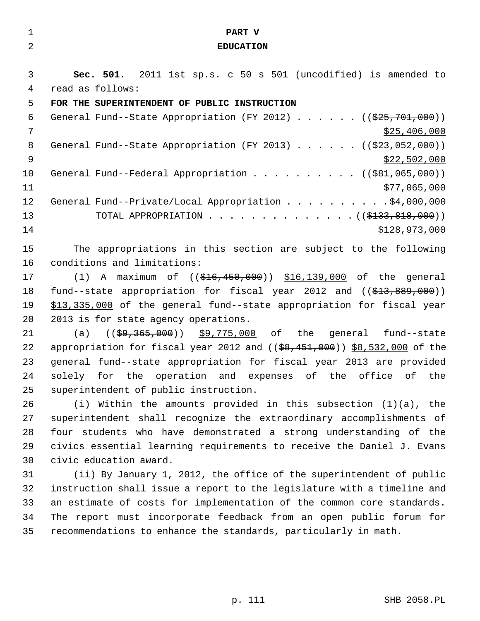| 1       | PART V                                                                               |
|---------|--------------------------------------------------------------------------------------|
| 2       | <b>EDUCATION</b>                                                                     |
|         |                                                                                      |
| 3       | Sec. 501. 2011 1st sp.s. c 50 s 501 (uncodified) is amended to                       |
| 4       | read as follows:                                                                     |
| 5       | FOR THE SUPERINTENDENT OF PUBLIC INSTRUCTION                                         |
| 6       | General Fund--State Appropriation (FY 2012) ( $(\frac{25}{701}, 000)$ )              |
| 7       | \$25,406,000                                                                         |
| 8       | General Fund--State Appropriation (FY 2013) $($ $($ $\frac{233}{1052}$ , 000))       |
| 9       | \$22,502,000                                                                         |
| $10 \,$ | General Fund--Federal Appropriation ( $(\frac{281,065,000}{s})$ )                    |
| 11      | \$77,065,000                                                                         |
| 12      | General Fund--Private/Local Appropriation \$4,000,000                                |
| 13      | TOTAL APPROPRIATION ( $(\frac{133}{133}, \frac{818}{100})$ )                         |
| 14      | \$128,973,000                                                                        |
| 15      | The appropriations in this section are subject to the following                      |
| 16      | conditions and limitations:                                                          |
| 17      | (1) A maximum of $(($16,450,000) $16,139,000$ of the general                         |
| 18      | fund--state appropriation for fiscal year 2012 and $($ $\frac{213}{27}$ , 889, 000)) |
| 19      | \$13,335,000 of the general fund--state appropriation for fiscal year                |
| 20      | 2013 is for state agency operations.                                                 |
| 21      | (a)                                                                                  |
| 22      | appropriation for fiscal year 2012 and $(($8,451,000)$ $$8,532,000$ of the           |
| 23      | general fund--state appropriation for fiscal year 2013 are provided                  |
| 24      | solely for the operation and expenses of the office of the                           |
| 25      | superintendent of public instruction.                                                |
| 26      | (i) Within the amounts provided in this subsection $(1)(a)$ , the                    |
| 27      | superintendent shall recognize the extraordinary accomplishments of                  |
| 28      | four students who have demonstrated a strong understanding of the                    |
| 29      | civics essential learning requirements to receive the Daniel J. Evans                |
| 30      | civic education award.                                                               |
| 31      | (ii) By January 1, 2012, the office of the superintendent of public                  |
| 32      | instruction shall issue a report to the legislature with a timeline and              |
| 33      | an estimate of costs for implementation of the common core standards.                |
| 34      | The report must incorporate feedback from an open public forum for                   |
| 35      | recommendations to enhance the standards, particularly in math.                      |
|         |                                                                                      |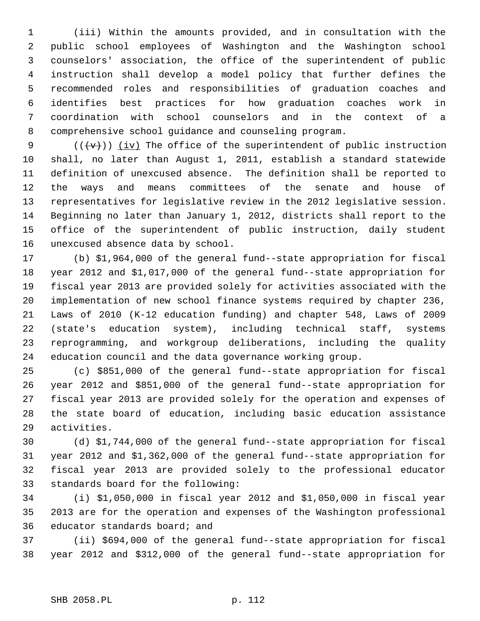1 (iii) Within the amounts provided, and in consultation with the 2 public school employees of Washington and the Washington school 3 counselors' association, the office of the superintendent of public 4 instruction shall develop a model policy that further defines the 5 recommended roles and responsibilities of graduation coaches and 6 identifies best practices for how graduation coaches work in 7 coordination with school counselors and in the context of a 8 comprehensive school guidance and counseling program.

9  $((\forall \forall))$  (iv) The office of the superintendent of public instruction 10 shall, no later than August 1, 2011, establish a standard statewide 11 definition of unexcused absence. The definition shall be reported to 12 the ways and means committees of the senate and house of 13 representatives for legislative review in the 2012 legislative session. 14 Beginning no later than January 1, 2012, districts shall report to the 15 office of the superintendent of public instruction, daily student 16 unexcused absence data by school.

17 (b) \$1,964,000 of the general fund--state appropriation for fiscal 18 year 2012 and \$1,017,000 of the general fund--state appropriation for 19 fiscal year 2013 are provided solely for activities associated with the 20 implementation of new school finance systems required by chapter 236, 21 Laws of 2010 (K-12 education funding) and chapter 548, Laws of 2009 22 (state's education system), including technical staff, systems 23 reprogramming, and workgroup deliberations, including the quality 24 education council and the data governance working group.

25 (c) \$851,000 of the general fund--state appropriation for fiscal 26 year 2012 and \$851,000 of the general fund--state appropriation for 27 fiscal year 2013 are provided solely for the operation and expenses of 28 the state board of education, including basic education assistance 29 activities.

30 (d) \$1,744,000 of the general fund--state appropriation for fiscal 31 year 2012 and \$1,362,000 of the general fund--state appropriation for 32 fiscal year 2013 are provided solely to the professional educator 33 standards board for the following:

34 (i) \$1,050,000 in fiscal year 2012 and \$1,050,000 in fiscal year 35 2013 are for the operation and expenses of the Washington professional 36 educator standards board; and

37 (ii) \$694,000 of the general fund--state appropriation for fiscal 38 year 2012 and \$312,000 of the general fund--state appropriation for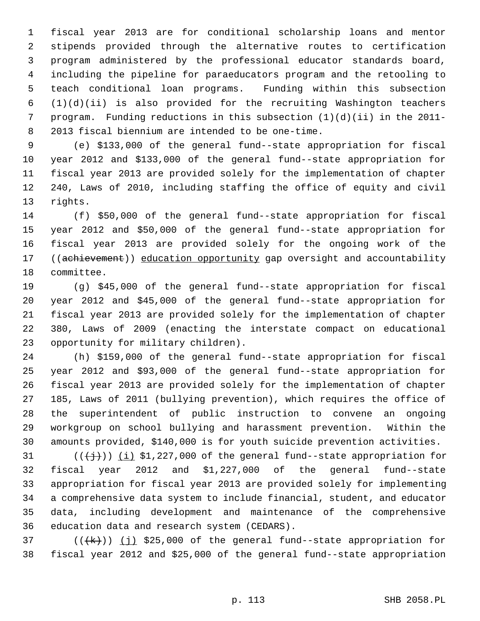1 fiscal year 2013 are for conditional scholarship loans and mentor 2 stipends provided through the alternative routes to certification 3 program administered by the professional educator standards board, 4 including the pipeline for paraeducators program and the retooling to 5 teach conditional loan programs. Funding within this subsection  $6$   $(1)(d)(ii)$  is also provided for the recruiting Washington teachers 7 program. Funding reductions in this subsection (1)(d)(ii) in the 2011- 8 2013 fiscal biennium are intended to be one-time.

 9 (e) \$133,000 of the general fund--state appropriation for fiscal 10 year 2012 and \$133,000 of the general fund--state appropriation for 11 fiscal year 2013 are provided solely for the implementation of chapter 12 240, Laws of 2010, including staffing the office of equity and civil 13 rights.

14 (f) \$50,000 of the general fund--state appropriation for fiscal 15 year 2012 and \$50,000 of the general fund--state appropriation for 16 fiscal year 2013 are provided solely for the ongoing work of the 17 ((achievement)) education opportunity gap oversight and accountability 18 committee.

19 (g) \$45,000 of the general fund--state appropriation for fiscal 20 year 2012 and \$45,000 of the general fund--state appropriation for 21 fiscal year 2013 are provided solely for the implementation of chapter 22 380, Laws of 2009 (enacting the interstate compact on educational 23 opportunity for military children).

24 (h) \$159,000 of the general fund--state appropriation for fiscal 25 year 2012 and \$93,000 of the general fund--state appropriation for 26 fiscal year 2013 are provided solely for the implementation of chapter 27 185, Laws of 2011 (bullying prevention), which requires the office of 28 the superintendent of public instruction to convene an ongoing 29 workgroup on school bullying and harassment prevention. Within the 30 amounts provided, \$140,000 is for youth suicide prevention activities.

31  $((\{\dagger\}))(i)$  \$1,227,000 of the general fund--state appropriation for 32 fiscal year 2012 and \$1,227,000 of the general fund--state 33 appropriation for fiscal year 2013 are provided solely for implementing 34 a comprehensive data system to include financial, student, and educator 35 data, including development and maintenance of the comprehensive 36 education data and research system (CEDARS).

37  $((\{k\}))(j)$  \$25,000 of the general fund--state appropriation for 38 fiscal year 2012 and \$25,000 of the general fund--state appropriation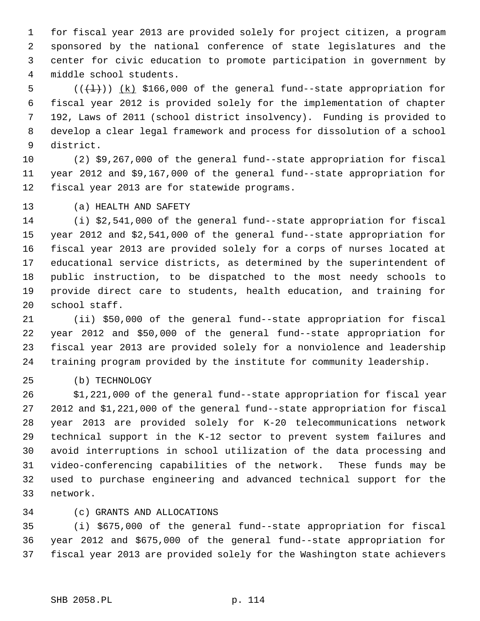1 for fiscal year 2013 are provided solely for project citizen, a program 2 sponsored by the national conference of state legislatures and the 3 center for civic education to promote participation in government by 4 middle school students.

5  $((+1))$   $(k)$  \$166,000 of the general fund--state appropriation for 6 fiscal year 2012 is provided solely for the implementation of chapter 7 192, Laws of 2011 (school district insolvency). Funding is provided to 8 develop a clear legal framework and process for dissolution of a school 9 district.

10 (2) \$9,267,000 of the general fund--state appropriation for fiscal 11 year 2012 and \$9,167,000 of the general fund--state appropriation for 12 fiscal year 2013 are for statewide programs.

13 (a) HEALTH AND SAFETY

14 (i) \$2,541,000 of the general fund--state appropriation for fiscal 15 year 2012 and \$2,541,000 of the general fund--state appropriation for 16 fiscal year 2013 are provided solely for a corps of nurses located at 17 educational service districts, as determined by the superintendent of 18 public instruction, to be dispatched to the most needy schools to 19 provide direct care to students, health education, and training for 20 school staff.

21 (ii) \$50,000 of the general fund--state appropriation for fiscal 22 year 2012 and \$50,000 of the general fund--state appropriation for 23 fiscal year 2013 are provided solely for a nonviolence and leadership 24 training program provided by the institute for community leadership.

25 (b) TECHNOLOGY

26 \$1,221,000 of the general fund--state appropriation for fiscal year 27 2012 and \$1,221,000 of the general fund--state appropriation for fiscal 28 year 2013 are provided solely for K-20 telecommunications network 29 technical support in the K-12 sector to prevent system failures and 30 avoid interruptions in school utilization of the data processing and 31 video-conferencing capabilities of the network. These funds may be 32 used to purchase engineering and advanced technical support for the 33 network.

34 (c) GRANTS AND ALLOCATIONS

35 (i) \$675,000 of the general fund--state appropriation for fiscal 36 year 2012 and \$675,000 of the general fund--state appropriation for 37 fiscal year 2013 are provided solely for the Washington state achievers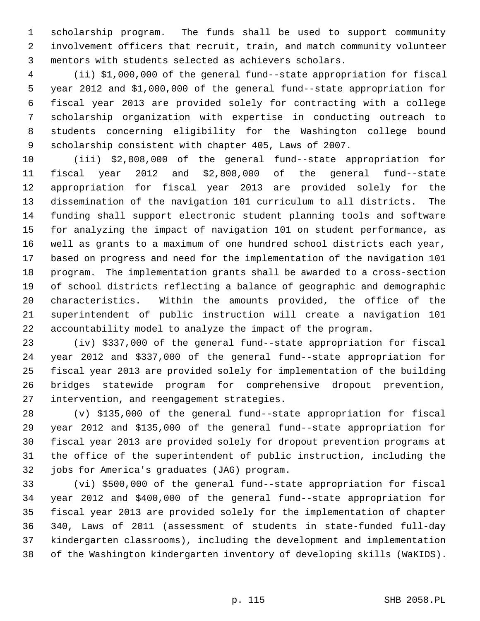1 scholarship program. The funds shall be used to support community 2 involvement officers that recruit, train, and match community volunteer 3 mentors with students selected as achievers scholars.

 4 (ii) \$1,000,000 of the general fund--state appropriation for fiscal 5 year 2012 and \$1,000,000 of the general fund--state appropriation for 6 fiscal year 2013 are provided solely for contracting with a college 7 scholarship organization with expertise in conducting outreach to 8 students concerning eligibility for the Washington college bound 9 scholarship consistent with chapter 405, Laws of 2007.

10 (iii) \$2,808,000 of the general fund--state appropriation for 11 fiscal year 2012 and \$2,808,000 of the general fund--state 12 appropriation for fiscal year 2013 are provided solely for the 13 dissemination of the navigation 101 curriculum to all districts. The 14 funding shall support electronic student planning tools and software 15 for analyzing the impact of navigation 101 on student performance, as 16 well as grants to a maximum of one hundred school districts each year, 17 based on progress and need for the implementation of the navigation 101 18 program. The implementation grants shall be awarded to a cross-section 19 of school districts reflecting a balance of geographic and demographic 20 characteristics. Within the amounts provided, the office of the 21 superintendent of public instruction will create a navigation 101 22 accountability model to analyze the impact of the program.

23 (iv) \$337,000 of the general fund--state appropriation for fiscal 24 year 2012 and \$337,000 of the general fund--state appropriation for 25 fiscal year 2013 are provided solely for implementation of the building 26 bridges statewide program for comprehensive dropout prevention, 27 intervention, and reengagement strategies.

28 (v) \$135,000 of the general fund--state appropriation for fiscal 29 year 2012 and \$135,000 of the general fund--state appropriation for 30 fiscal year 2013 are provided solely for dropout prevention programs at 31 the office of the superintendent of public instruction, including the 32 jobs for America's graduates (JAG) program.

33 (vi) \$500,000 of the general fund--state appropriation for fiscal 34 year 2012 and \$400,000 of the general fund--state appropriation for 35 fiscal year 2013 are provided solely for the implementation of chapter 36 340, Laws of 2011 (assessment of students in state-funded full-day 37 kindergarten classrooms), including the development and implementation 38 of the Washington kindergarten inventory of developing skills (WaKIDS).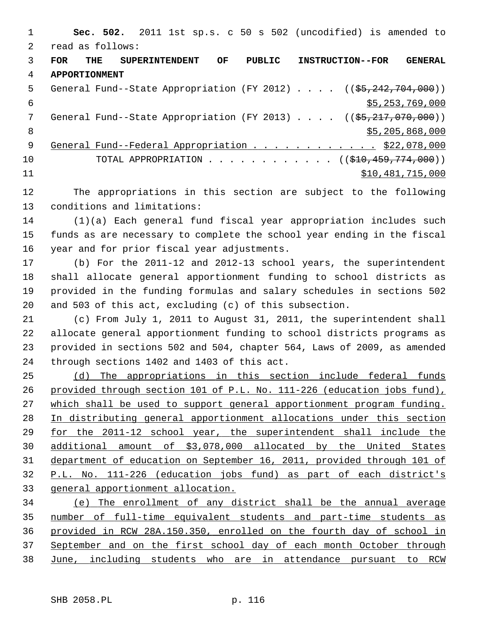1 **Sec. 502.** 2011 1st sp.s. c 50 s 502 (uncodified) is amended to 2 read as follows: 3 **FOR THE SUPERINTENDENT OF PUBLIC INSTRUCTION--FOR GENERAL** 4 **APPORTIONMENT** 5 General Fund--State Appropriation (FY 2012)  $\ldots$  (( $\frac{55,242,704,000}{50,000}$ )  $$5,253,769,000$ 7 General Fund--State Appropriation (FY 2013) . . . . ((<del>\$5,217,070,000</del>)) 8  $\frac{$5,205,868,000}{ }$ 9 General Fund--Federal Appropriation . . . . . . . . . . . . \$22,078,000 10 TOTAL APPROPRIATION . . . . . . . . . . . . ((\$10,459,774,000)) 11 \$10,481,715,000

12 The appropriations in this section are subject to the following 13 conditions and limitations:

14 (1)(a) Each general fund fiscal year appropriation includes such 15 funds as are necessary to complete the school year ending in the fiscal 16 year and for prior fiscal year adjustments.

17 (b) For the 2011-12 and 2012-13 school years, the superintendent 18 shall allocate general apportionment funding to school districts as 19 provided in the funding formulas and salary schedules in sections 502 20 and 503 of this act, excluding (c) of this subsection.

21 (c) From July 1, 2011 to August 31, 2011, the superintendent shall 22 allocate general apportionment funding to school districts programs as 23 provided in sections 502 and 504, chapter 564, Laws of 2009, as amended 24 through sections 1402 and 1403 of this act.

 (d) The appropriations in this section include federal funds provided through section 101 of P.L. No. 111-226 (education jobs fund), which shall be used to support general apportionment program funding. In distributing general apportionment allocations under this section for the 2011-12 school year, the superintendent shall include the additional amount of \$3,078,000 allocated by the United States department of education on September 16, 2011, provided through 101 of P.L. No. 111-226 (education jobs fund) as part of each district's general apportionment allocation.

 (e) The enrollment of any district shall be the annual average number of full-time equivalent students and part-time students as provided in RCW 28A.150.350, enrolled on the fourth day of school in September and on the first school day of each month October through June, including students who are in attendance pursuant to RCW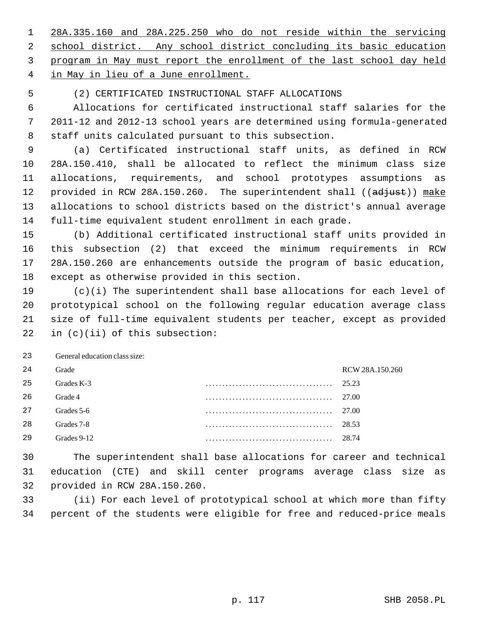28A.335.160 and 28A.225.250 who do not reside within the servicing school district. Any school district concluding its basic education program in May must report the enrollment of the last school day held in May in lieu of a June enrollment.

## 5 (2) CERTIFICATED INSTRUCTIONAL STAFF ALLOCATIONS

 6 Allocations for certificated instructional staff salaries for the 7 2011-12 and 2012-13 school years are determined using formula-generated 8 staff units calculated pursuant to this subsection.

 9 (a) Certificated instructional staff units, as defined in RCW 10 28A.150.410, shall be allocated to reflect the minimum class size 11 allocations, requirements, and school prototypes assumptions as 12 provided in RCW 28A.150.260. The superintendent shall ((adjust)) make 13 allocations to school districts based on the district's annual average 14 full-time equivalent student enrollment in each grade.

15 (b) Additional certificated instructional staff units provided in 16 this subsection (2) that exceed the minimum requirements in RCW 17 28A.150.260 are enhancements outside the program of basic education, 18 except as otherwise provided in this section.

19 (c)(i) The superintendent shall base allocations for each level of 20 prototypical school on the following regular education average class 21 size of full-time equivalent students per teacher, except as provided 22 in (c)(ii) of this subsection:

23 General education class size:

| RCW 28A.150.260 |
|-----------------|
| 25.23           |
| 27.00           |
| 27.00           |
| 28.53           |
| 28.74           |
|                 |

30 The superintendent shall base allocations for career and technical 31 education (CTE) and skill center programs average class size as 32 provided in RCW 28A.150.260.

33 (ii) For each level of prototypical school at which more than fifty 34 percent of the students were eligible for free and reduced-price meals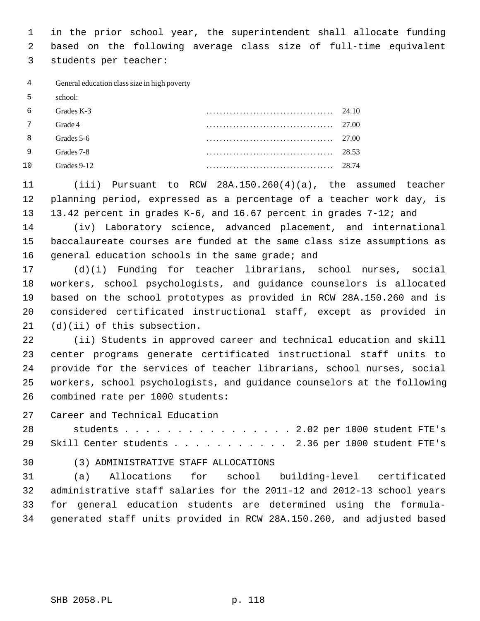1 in the prior school year, the superintendent shall allocate funding 2 based on the following average class size of full-time equivalent 3 students per teacher:

 4 General education class size in high poverty

 5 school:

| - 6        | Grades K-3  | 24.10 |
|------------|-------------|-------|
| $7\degree$ | Grade 4     | 27.00 |
| - 8        | Grades 5-6  | 27.00 |
| - 9        | Grades 7-8  | 28.53 |
| 10         | Grades 9-12 | 28.74 |

11 (iii) Pursuant to RCW 28A.150.260(4)(a), the assumed teacher 12 planning period, expressed as a percentage of a teacher work day, is 13 13.42 percent in grades K-6, and 16.67 percent in grades 7-12; and

14 (iv) Laboratory science, advanced placement, and international 15 baccalaureate courses are funded at the same class size assumptions as 16 general education schools in the same grade; and

17 (d)(i) Funding for teacher librarians, school nurses, social 18 workers, school psychologists, and guidance counselors is allocated 19 based on the school prototypes as provided in RCW 28A.150.260 and is 20 considered certificated instructional staff, except as provided in 21 (d)(ii) of this subsection.

22 (ii) Students in approved career and technical education and skill 23 center programs generate certificated instructional staff units to 24 provide for the services of teacher librarians, school nurses, social 25 workers, school psychologists, and guidance counselors at the following 26 combined rate per 1000 students:

27 Career and Technical Education

28 students . . . . . . . . . . . . . . . . 2.02 per 1000 student FTE's 29 Skill Center students . . . . . . . . . . 2.36 per 1000 student FTE's

30 (3) ADMINISTRATIVE STAFF ALLOCATIONS

31 (a) Allocations for school building-level certificated 32 administrative staff salaries for the 2011-12 and 2012-13 school years 33 for general education students are determined using the formula-34 generated staff units provided in RCW 28A.150.260, and adjusted based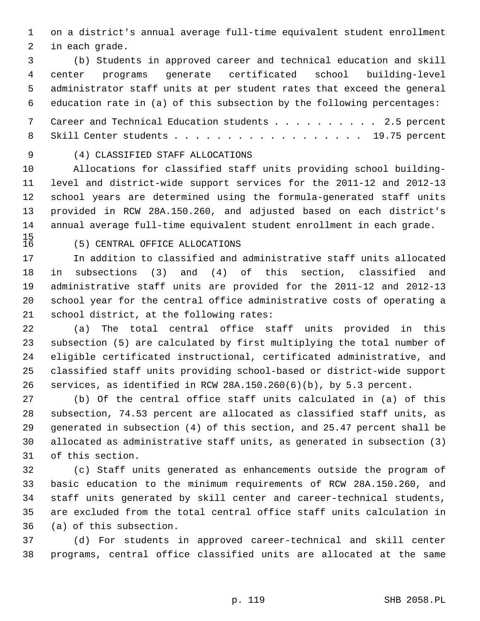1 on a district's annual average full-time equivalent student enrollment 2 in each grade.

 3 (b) Students in approved career and technical education and skill 4 center programs generate certificated school building-level 5 administrator staff units at per student rates that exceed the general 6 education rate in (a) of this subsection by the following percentages:

 7 Career and Technical Education students . . . . . . . . . . 2.5 percent 8 Skill Center students . . . . . . . . . . . . . . . . . . 19.75 percent

# 9 (4) CLASSIFIED STAFF ALLOCATIONS

10 Allocations for classified staff units providing school building-11 level and district-wide support services for the 2011-12 and 2012-13 12 school years are determined using the formula-generated staff units 13 provided in RCW 28A.150.260, and adjusted based on each district's 14 annual average full-time equivalent student enrollment in each grade.

 $\frac{15}{16}$ 

### 16 (5) CENTRAL OFFICE ALLOCATIONS

17 In addition to classified and administrative staff units allocated 18 in subsections (3) and (4) of this section, classified and 19 administrative staff units are provided for the 2011-12 and 2012-13 20 school year for the central office administrative costs of operating a 21 school district, at the following rates:

22 (a) The total central office staff units provided in this 23 subsection (5) are calculated by first multiplying the total number of 24 eligible certificated instructional, certificated administrative, and 25 classified staff units providing school-based or district-wide support 26 services, as identified in RCW 28A.150.260(6)(b), by 5.3 percent.

27 (b) Of the central office staff units calculated in (a) of this 28 subsection, 74.53 percent are allocated as classified staff units, as 29 generated in subsection (4) of this section, and 25.47 percent shall be 30 allocated as administrative staff units, as generated in subsection (3) 31 of this section.

32 (c) Staff units generated as enhancements outside the program of 33 basic education to the minimum requirements of RCW 28A.150.260, and 34 staff units generated by skill center and career-technical students, 35 are excluded from the total central office staff units calculation in 36 (a) of this subsection.

37 (d) For students in approved career-technical and skill center 38 programs, central office classified units are allocated at the same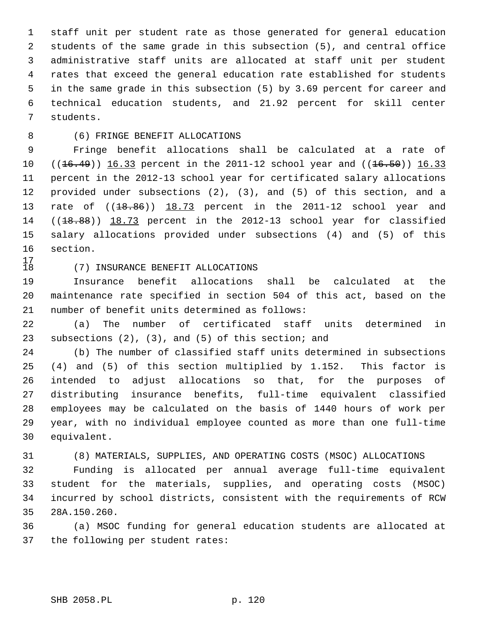1 staff unit per student rate as those generated for general education 2 students of the same grade in this subsection (5), and central office 3 administrative staff units are allocated at staff unit per student 4 rates that exceed the general education rate established for students 5 in the same grade in this subsection (5) by 3.69 percent for career and 6 technical education students, and 21.92 percent for skill center 7 students.

## 8 (6) FRINGE BENEFIT ALLOCATIONS

 9 Fringe benefit allocations shall be calculated at a rate of 10  $((16.49))$  16.33 percent in the 2011-12 school year and  $((16.50))$  16.33 11 percent in the 2012-13 school year for certificated salary allocations 12 provided under subsections (2), (3), and (5) of this section, and a 13 rate of  $((18.86))$  18.73 percent in the 2011-12 school year and 14 ((18.88)) 18.73 percent in the 2012-13 school year for classified 15 salary allocations provided under subsections (4) and (5) of this 16 section.

 $\begin{array}{c} 17 \\ 18 \end{array}$ 

#### 18 (7) INSURANCE BENEFIT ALLOCATIONS

19 Insurance benefit allocations shall be calculated at the 20 maintenance rate specified in section 504 of this act, based on the 21 number of benefit units determined as follows:

22 (a) The number of certificated staff units determined in 23 subsections (2), (3), and (5) of this section; and

24 (b) The number of classified staff units determined in subsections 25 (4) and (5) of this section multiplied by 1.152. This factor is 26 intended to adjust allocations so that, for the purposes of 27 distributing insurance benefits, full-time equivalent classified 28 employees may be calculated on the basis of 1440 hours of work per 29 year, with no individual employee counted as more than one full-time 30 equivalent.

31 (8) MATERIALS, SUPPLIES, AND OPERATING COSTS (MSOC) ALLOCATIONS

32 Funding is allocated per annual average full-time equivalent 33 student for the materials, supplies, and operating costs (MSOC) 34 incurred by school districts, consistent with the requirements of RCW 35 28A.150.260.

36 (a) MSOC funding for general education students are allocated at 37 the following per student rates: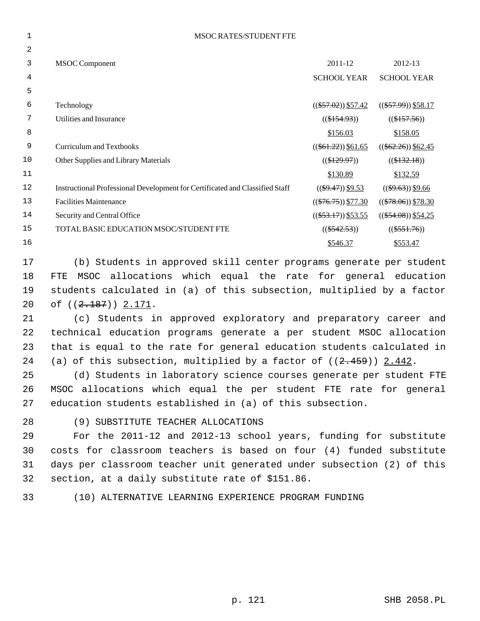| <b>MSOC RATES/STUDENT FTE</b>                                                |                        |                        |
|------------------------------------------------------------------------------|------------------------|------------------------|
|                                                                              |                        |                        |
| <b>MSOC</b> Component                                                        | 2011-12                | 2012-13                |
|                                                                              | <b>SCHOOL YEAR</b>     | <b>SCHOOL YEAR</b>     |
|                                                                              |                        |                        |
| Technology                                                                   | $((\$57.02))$ \$57.42  | $((\$57.99))$ \$58.17  |
| Utilities and Insurance                                                      | $((\$154.93))$         | $((\$157.56))$         |
|                                                                              | \$156.03               | \$158.05               |
| <b>Curriculum and Textbooks</b>                                              | $((\$61.22)) \$61.65$  | $((\$62.26))$ \$62.45  |
| Other Supplies and Library Materials                                         | $((\$129.97))$         | $((\$132.18))$         |
|                                                                              | \$130.89               | \$132.59               |
| Instructional Professional Development for Certificated and Classified Staff | $((\$9.47))$ \$9.53    | $((\$9.63))$ \$9.66    |
| <b>Facilities Maintenance</b>                                                | $((\$76.75))$ $$77.30$ | $((\$78.06))$ $$78.30$ |
| Security and Central Office                                                  | $((\$53.17))$ \$53.55  | $((\$54.08))$ \$54.25  |
| TOTAL BASIC EDUCATION MSOC/STUDENT FTE                                       | $((\$542.53))$         | $((\$551.76))$         |
|                                                                              | \$546.37               | \$553.47               |
|                                                                              |                        |                        |

17 (b) Students in approved skill center programs generate per student 18 FTE MSOC allocations which equal the rate for general education 19 students calculated in (a) of this subsection, multiplied by a factor 20 of ((<del>2.187</del>)) 2.171.

21 (c) Students in approved exploratory and preparatory career and 22 technical education programs generate a per student MSOC allocation 23 that is equal to the rate for general education students calculated in 24 (a) of this subsection, multiplied by a factor of  $((2.459))$  2.442.

25 (d) Students in laboratory science courses generate per student FTE 26 MSOC allocations which equal the per student FTE rate for general 27 education students established in (a) of this subsection.

28 (9) SUBSTITUTE TEACHER ALLOCATIONS

29 For the 2011-12 and 2012-13 school years, funding for substitute 30 costs for classroom teachers is based on four (4) funded substitute 31 days per classroom teacher unit generated under subsection (2) of this 32 section, at a daily substitute rate of \$151.86.

33 (10) ALTERNATIVE LEARNING EXPERIENCE PROGRAM FUNDING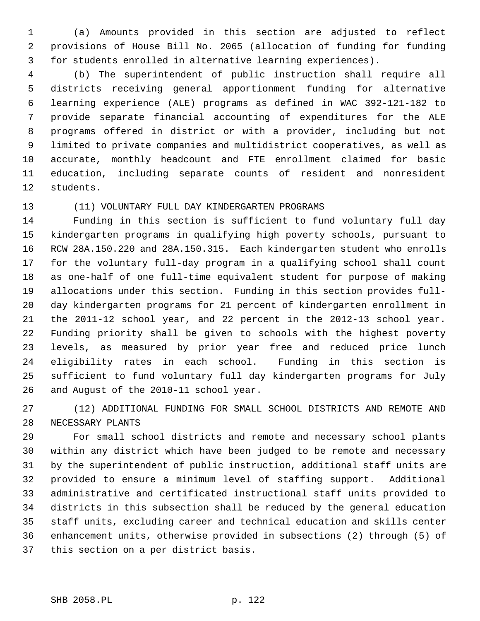1 (a) Amounts provided in this section are adjusted to reflect 2 provisions of House Bill No. 2065 (allocation of funding for funding 3 for students enrolled in alternative learning experiences).

 4 (b) The superintendent of public instruction shall require all 5 districts receiving general apportionment funding for alternative 6 learning experience (ALE) programs as defined in WAC 392-121-182 to 7 provide separate financial accounting of expenditures for the ALE 8 programs offered in district or with a provider, including but not 9 limited to private companies and multidistrict cooperatives, as well as 10 accurate, monthly headcount and FTE enrollment claimed for basic 11 education, including separate counts of resident and nonresident 12 students.

#### 13 (11) VOLUNTARY FULL DAY KINDERGARTEN PROGRAMS

14 Funding in this section is sufficient to fund voluntary full day 15 kindergarten programs in qualifying high poverty schools, pursuant to 16 RCW 28A.150.220 and 28A.150.315. Each kindergarten student who enrolls 17 for the voluntary full-day program in a qualifying school shall count 18 as one-half of one full-time equivalent student for purpose of making 19 allocations under this section. Funding in this section provides full-20 day kindergarten programs for 21 percent of kindergarten enrollment in 21 the 2011-12 school year, and 22 percent in the 2012-13 school year. 22 Funding priority shall be given to schools with the highest poverty 23 levels, as measured by prior year free and reduced price lunch 24 eligibility rates in each school. Funding in this section is 25 sufficient to fund voluntary full day kindergarten programs for July 26 and August of the 2010-11 school year.

27 (12) ADDITIONAL FUNDING FOR SMALL SCHOOL DISTRICTS AND REMOTE AND 28 NECESSARY PLANTS

29 For small school districts and remote and necessary school plants 30 within any district which have been judged to be remote and necessary 31 by the superintendent of public instruction, additional staff units are 32 provided to ensure a minimum level of staffing support. Additional 33 administrative and certificated instructional staff units provided to 34 districts in this subsection shall be reduced by the general education 35 staff units, excluding career and technical education and skills center 36 enhancement units, otherwise provided in subsections (2) through (5) of 37 this section on a per district basis.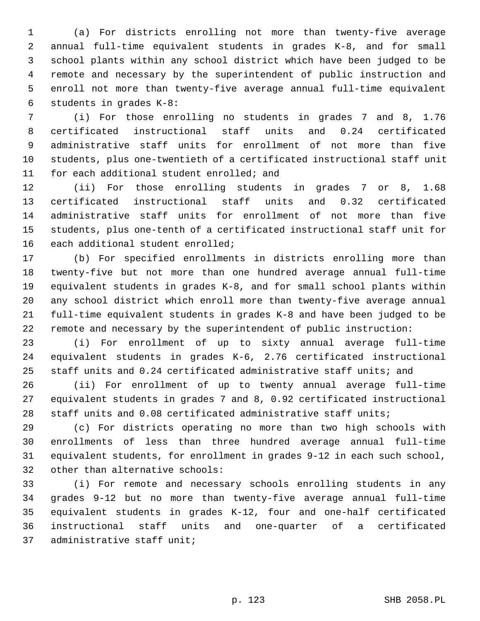1 (a) For districts enrolling not more than twenty-five average 2 annual full-time equivalent students in grades K-8, and for small 3 school plants within any school district which have been judged to be 4 remote and necessary by the superintendent of public instruction and 5 enroll not more than twenty-five average annual full-time equivalent 6 students in grades K-8:

 7 (i) For those enrolling no students in grades 7 and 8, 1.76 8 certificated instructional staff units and 0.24 certificated 9 administrative staff units for enrollment of not more than five 10 students, plus one-twentieth of a certificated instructional staff unit 11 for each additional student enrolled; and

12 (ii) For those enrolling students in grades 7 or 8, 1.68 13 certificated instructional staff units and 0.32 certificated 14 administrative staff units for enrollment of not more than five 15 students, plus one-tenth of a certificated instructional staff unit for 16 each additional student enrolled;

17 (b) For specified enrollments in districts enrolling more than 18 twenty-five but not more than one hundred average annual full-time 19 equivalent students in grades K-8, and for small school plants within 20 any school district which enroll more than twenty-five average annual 21 full-time equivalent students in grades K-8 and have been judged to be 22 remote and necessary by the superintendent of public instruction:

23 (i) For enrollment of up to sixty annual average full-time 24 equivalent students in grades K-6, 2.76 certificated instructional 25 staff units and 0.24 certificated administrative staff units; and

26 (ii) For enrollment of up to twenty annual average full-time 27 equivalent students in grades 7 and 8, 0.92 certificated instructional 28 staff units and 0.08 certificated administrative staff units;

29 (c) For districts operating no more than two high schools with 30 enrollments of less than three hundred average annual full-time 31 equivalent students, for enrollment in grades 9-12 in each such school, 32 other than alternative schools:

33 (i) For remote and necessary schools enrolling students in any 34 grades 9-12 but no more than twenty-five average annual full-time 35 equivalent students in grades K-12, four and one-half certificated 36 instructional staff units and one-quarter of a certificated 37 administrative staff unit;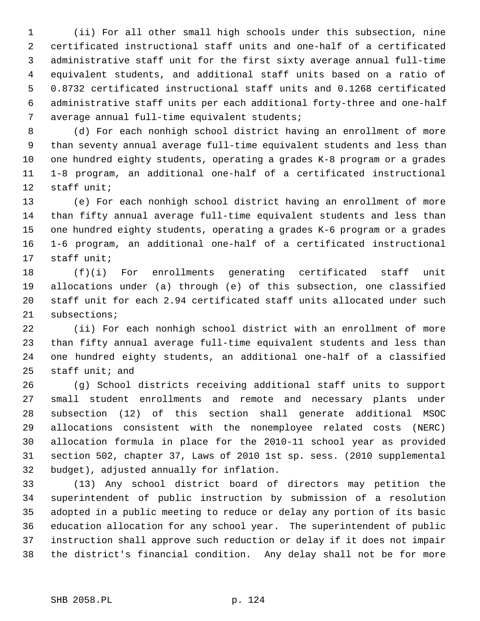1 (ii) For all other small high schools under this subsection, nine 2 certificated instructional staff units and one-half of a certificated 3 administrative staff unit for the first sixty average annual full-time 4 equivalent students, and additional staff units based on a ratio of 5 0.8732 certificated instructional staff units and 0.1268 certificated 6 administrative staff units per each additional forty-three and one-half 7 average annual full-time equivalent students;

 8 (d) For each nonhigh school district having an enrollment of more 9 than seventy annual average full-time equivalent students and less than 10 one hundred eighty students, operating a grades K-8 program or a grades 11 1-8 program, an additional one-half of a certificated instructional 12 staff unit;

13 (e) For each nonhigh school district having an enrollment of more 14 than fifty annual average full-time equivalent students and less than 15 one hundred eighty students, operating a grades K-6 program or a grades 16 1-6 program, an additional one-half of a certificated instructional 17 staff unit;

18 (f)(i) For enrollments generating certificated staff unit 19 allocations under (a) through (e) of this subsection, one classified 20 staff unit for each 2.94 certificated staff units allocated under such 21 subsections;

22 (ii) For each nonhigh school district with an enrollment of more 23 than fifty annual average full-time equivalent students and less than 24 one hundred eighty students, an additional one-half of a classified 25 staff unit; and

26 (g) School districts receiving additional staff units to support 27 small student enrollments and remote and necessary plants under 28 subsection (12) of this section shall generate additional MSOC 29 allocations consistent with the nonemployee related costs (NERC) 30 allocation formula in place for the 2010-11 school year as provided 31 section 502, chapter 37, Laws of 2010 1st sp. sess. (2010 supplemental 32 budget), adjusted annually for inflation.

33 (13) Any school district board of directors may petition the 34 superintendent of public instruction by submission of a resolution 35 adopted in a public meeting to reduce or delay any portion of its basic 36 education allocation for any school year. The superintendent of public 37 instruction shall approve such reduction or delay if it does not impair 38 the district's financial condition. Any delay shall not be for more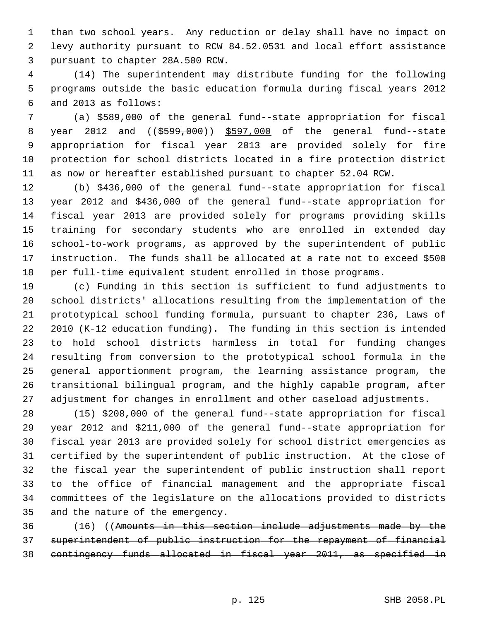1 than two school years. Any reduction or delay shall have no impact on 2 levy authority pursuant to RCW 84.52.0531 and local effort assistance 3 pursuant to chapter 28A.500 RCW.

 4 (14) The superintendent may distribute funding for the following 5 programs outside the basic education formula during fiscal years 2012 6 and 2013 as follows:

 7 (a) \$589,000 of the general fund--state appropriation for fiscal 8 year 2012 and ((\$599,000)) \$597,000 of the general fund--state 9 appropriation for fiscal year 2013 are provided solely for fire 10 protection for school districts located in a fire protection district 11 as now or hereafter established pursuant to chapter 52.04 RCW.

12 (b) \$436,000 of the general fund--state appropriation for fiscal 13 year 2012 and \$436,000 of the general fund--state appropriation for 14 fiscal year 2013 are provided solely for programs providing skills 15 training for secondary students who are enrolled in extended day 16 school-to-work programs, as approved by the superintendent of public 17 instruction. The funds shall be allocated at a rate not to exceed \$500 18 per full-time equivalent student enrolled in those programs.

19 (c) Funding in this section is sufficient to fund adjustments to 20 school districts' allocations resulting from the implementation of the 21 prototypical school funding formula, pursuant to chapter 236, Laws of 22 2010 (K-12 education funding). The funding in this section is intended 23 to hold school districts harmless in total for funding changes 24 resulting from conversion to the prototypical school formula in the 25 general apportionment program, the learning assistance program, the 26 transitional bilingual program, and the highly capable program, after 27 adjustment for changes in enrollment and other caseload adjustments.

28 (15) \$208,000 of the general fund--state appropriation for fiscal 29 year 2012 and \$211,000 of the general fund--state appropriation for 30 fiscal year 2013 are provided solely for school district emergencies as 31 certified by the superintendent of public instruction. At the close of 32 the fiscal year the superintendent of public instruction shall report 33 to the office of financial management and the appropriate fiscal 34 committees of the legislature on the allocations provided to districts 35 and the nature of the emergency.

36 (16) ((Amounts in this section include adjustments made by the 37 superintendent of public instruction for the repayment of financial 38 contingency funds allocated in fiscal year 2011, as specified in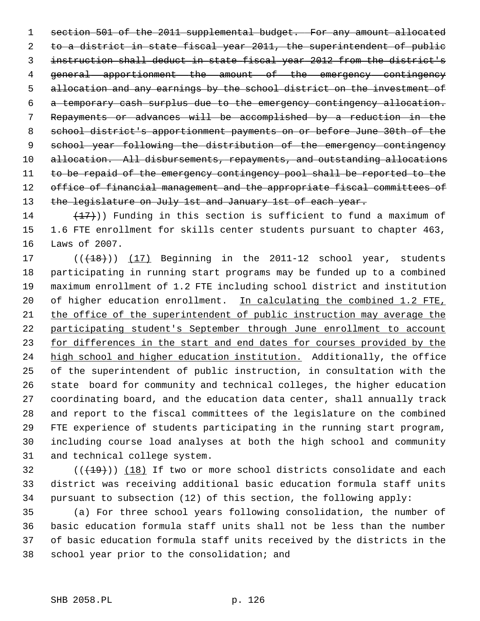section 501 of the 2011 supplemental budget. For any amount allocated to a district in state fiscal year 2011, the superintendent of public instruction shall deduct in state fiscal year 2012 from the district's general apportionment the amount of the emergency contingency allocation and any earnings by the school district on the investment of a temporary cash surplus due to the emergency contingency allocation. Repayments or advances will be accomplished by a reduction in the school district's apportionment payments on or before June 30th of the school year following the distribution of the emergency contingency 10 allocation. All disbursements, repayments, and outstanding allocations 11 to be repaid of the emergency contingency pool shall be reported to the 12 office of financial management and the appropriate fiscal committees of 13 the legislature on July 1st and January 1st of each year.

14  $(17)$ ) Funding in this section is sufficient to fund a maximum of 15 1.6 FTE enrollment for skills center students pursuant to chapter 463, 16 Laws of 2007.

17 (( $(18)$ )) (17) Beginning in the 2011-12 school year, students 18 participating in running start programs may be funded up to a combined 19 maximum enrollment of 1.2 FTE including school district and institution 20 of higher education enrollment. In calculating the combined 1.2 FTE, 21 the office of the superintendent of public instruction may average the 22 participating student's September through June enrollment to account 23 for differences in the start and end dates for courses provided by the 24 high school and higher education institution. Additionally, the office 25 of the superintendent of public instruction, in consultation with the 26 state board for community and technical colleges, the higher education 27 coordinating board, and the education data center, shall annually track 28 and report to the fiscal committees of the legislature on the combined 29 FTE experience of students participating in the running start program, 30 including course load analyses at both the high school and community 31 and technical college system.

 $(1)(19)$  (( $18$ ) If two or more school districts consolidate and each 33 district was receiving additional basic education formula staff units 34 pursuant to subsection (12) of this section, the following apply:

35 (a) For three school years following consolidation, the number of 36 basic education formula staff units shall not be less than the number 37 of basic education formula staff units received by the districts in the 38 school year prior to the consolidation; and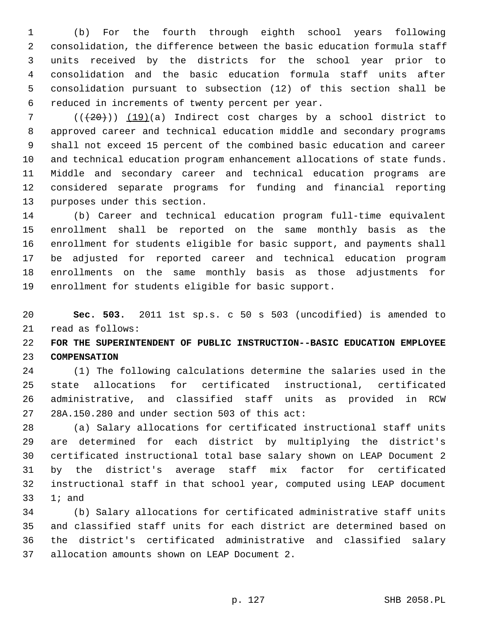1 (b) For the fourth through eighth school years following 2 consolidation, the difference between the basic education formula staff 3 units received by the districts for the school year prior to 4 consolidation and the basic education formula staff units after 5 consolidation pursuant to subsection (12) of this section shall be 6 reduced in increments of twenty percent per year.

 $7$  ( $(\overline{20})$ ) (19)(a) Indirect cost charges by a school district to 8 approved career and technical education middle and secondary programs 9 shall not exceed 15 percent of the combined basic education and career 10 and technical education program enhancement allocations of state funds. 11 Middle and secondary career and technical education programs are 12 considered separate programs for funding and financial reporting 13 purposes under this section.

14 (b) Career and technical education program full-time equivalent 15 enrollment shall be reported on the same monthly basis as the 16 enrollment for students eligible for basic support, and payments shall 17 be adjusted for reported career and technical education program 18 enrollments on the same monthly basis as those adjustments for 19 enrollment for students eligible for basic support.

20 **Sec. 503.** 2011 1st sp.s. c 50 s 503 (uncodified) is amended to 21 read as follows:

22 **FOR THE SUPERINTENDENT OF PUBLIC INSTRUCTION--BASIC EDUCATION EMPLOYEE** 23 **COMPENSATION**

24 (1) The following calculations determine the salaries used in the 25 state allocations for certificated instructional, certificated 26 administrative, and classified staff units as provided in RCW 27 28A.150.280 and under section 503 of this act:

28 (a) Salary allocations for certificated instructional staff units 29 are determined for each district by multiplying the district's 30 certificated instructional total base salary shown on LEAP Document 2 31 by the district's average staff mix factor for certificated 32 instructional staff in that school year, computed using LEAP document 33 1; and

34 (b) Salary allocations for certificated administrative staff units 35 and classified staff units for each district are determined based on 36 the district's certificated administrative and classified salary 37 allocation amounts shown on LEAP Document 2.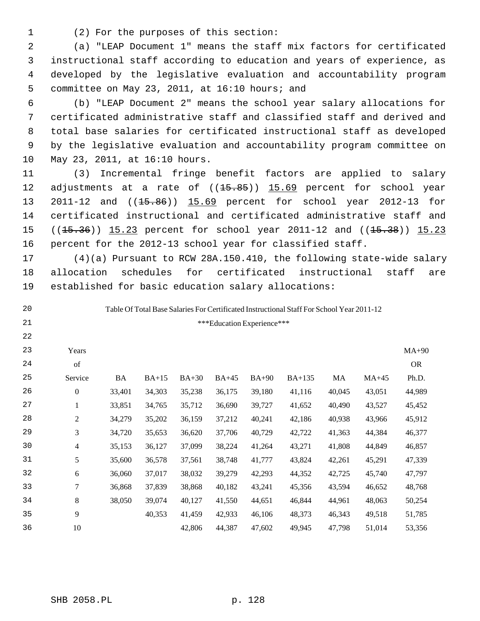1 (2) For the purposes of this section:

 2 (a) "LEAP Document 1" means the staff mix factors for certificated 3 instructional staff according to education and years of experience, as 4 developed by the legislative evaluation and accountability program 5 committee on May 23, 2011, at 16:10 hours; and

 6 (b) "LEAP Document 2" means the school year salary allocations for 7 certificated administrative staff and classified staff and derived and 8 total base salaries for certificated instructional staff as developed 9 by the legislative evaluation and accountability program committee on 10 May 23, 2011, at 16:10 hours.

11 (3) Incremental fringe benefit factors are applied to salary 12 adjustments at a rate of  $((15.85))$  15.69 percent for school year 13 2011-12 and ((15.86)) 15.69 percent for school year 2012-13 for 14 certificated instructional and certificated administrative staff and 15 ((15.36)) 15.23 percent for school year 2011-12 and ((15.38)) 15.23 16 percent for the 2012-13 school year for classified staff.

17 (4)(a) Pursuant to RCW 28A.150.410, the following state-wide salary 18 allocation schedules for certificated instructional staff are 19 established for basic education salary allocations:

20

21

22

Table Of Total Base Salaries For Certificated Instructional Staff For School Year 2011-12 \*\*\*Education Experience\*\*\*

| 23 | Years            |        |         |         |         |         |               |        |         | $MA+90$   |
|----|------------------|--------|---------|---------|---------|---------|---------------|--------|---------|-----------|
| 24 | of               |        |         |         |         |         |               |        |         | <b>OR</b> |
| 25 | Service          | BA     | $BA+15$ | $BA+30$ | $BA+45$ | $BA+90$ | <b>BA+135</b> | MA     | $MA+45$ | Ph.D.     |
| 26 | $\boldsymbol{0}$ | 33,401 | 34,303  | 35,238  | 36,175  | 39,180  | 41,116        | 40,045 | 43,051  | 44,989    |
| 27 | 1                | 33,851 | 34,765  | 35,712  | 36,690  | 39,727  | 41,652        | 40,490 | 43,527  | 45,452    |
| 28 | $\overline{2}$   | 34,279 | 35,202  | 36,159  | 37,212  | 40,241  | 42,186        | 40,938 | 43,966  | 45,912    |
| 29 | 3                | 34,720 | 35,653  | 36,620  | 37,706  | 40,729  | 42,722        | 41,363 | 44,384  | 46,377    |
| 30 | 4                | 35,153 | 36,127  | 37,099  | 38,224  | 41,264  | 43,271        | 41,808 | 44,849  | 46,857    |
| 31 | 5                | 35,600 | 36,578  | 37,561  | 38,748  | 41,777  | 43,824        | 42,261 | 45,291  | 47,339    |
| 32 | 6                | 36,060 | 37,017  | 38,032  | 39,279  | 42,293  | 44,352        | 42,725 | 45,740  | 47,797    |
| 33 | 7                | 36,868 | 37,839  | 38,868  | 40,182  | 43,241  | 45,356        | 43,594 | 46,652  | 48,768    |
| 34 | 8                | 38,050 | 39,074  | 40,127  | 41,550  | 44,651  | 46,844        | 44,961 | 48,063  | 50,254    |
| 35 | 9                |        | 40,353  | 41,459  | 42,933  | 46,106  | 48,373        | 46,343 | 49,518  | 51,785    |
| 36 | 10               |        |         | 42,806  | 44,387  | 47,602  | 49,945        | 47,798 | 51,014  | 53,356    |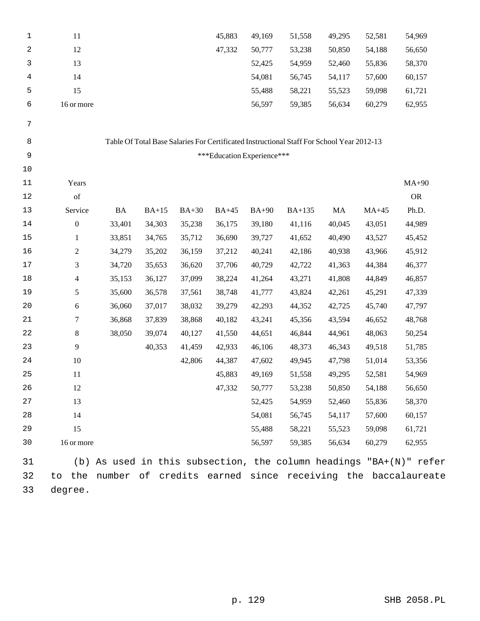| 1    | 11               |           |         |         | 45,883                     | 49,169  | 51,558                                                                                    | 49,295 | 52,581  | 54,969                                                             |  |
|------|------------------|-----------|---------|---------|----------------------------|---------|-------------------------------------------------------------------------------------------|--------|---------|--------------------------------------------------------------------|--|
| 2    | 12               |           |         |         | 47,332                     | 50,777  | 53,238                                                                                    | 50,850 | 54,188  | 56,650                                                             |  |
| 3    | 13               |           |         |         |                            | 52,425  | 54,959                                                                                    | 52,460 | 55,836  | 58,370                                                             |  |
| 4    | 14               |           |         |         |                            | 54,081  | 56,745                                                                                    | 54,117 | 57,600  | 60,157                                                             |  |
| 5    | 15               |           |         |         |                            | 55,488  | 58,221                                                                                    | 55,523 | 59,098  | 61,721                                                             |  |
| 6    | 16 or more       |           |         |         |                            | 56,597  | 59,385                                                                                    | 56,634 | 60,279  | 62,955                                                             |  |
| 7    |                  |           |         |         |                            |         |                                                                                           |        |         |                                                                    |  |
| 8    |                  |           |         |         |                            |         | Table Of Total Base Salaries For Certificated Instructional Staff For School Year 2012-13 |        |         |                                                                    |  |
| 9    |                  |           |         |         | ***Education Experience*** |         |                                                                                           |        |         |                                                                    |  |
| $10$ |                  |           |         |         |                            |         |                                                                                           |        |         |                                                                    |  |
| 11   | Years            |           |         |         |                            |         |                                                                                           |        |         | $MA+90$                                                            |  |
| 12   | of               |           |         |         |                            |         |                                                                                           |        |         | <b>OR</b>                                                          |  |
| 13   | Service          | <b>BA</b> | $BA+15$ | $BA+30$ | $BA+45$                    | $BA+90$ | BA+135                                                                                    | MA     | $MA+45$ | Ph.D.                                                              |  |
| 14   | $\boldsymbol{0}$ | 33,401    | 34,303  | 35,238  | 36,175                     | 39,180  | 41,116                                                                                    | 40,045 | 43,051  | 44,989                                                             |  |
| 15   | $\mathbf{1}$     | 33,851    | 34,765  | 35,712  | 36,690                     | 39,727  | 41,652                                                                                    | 40,490 | 43,527  | 45,452                                                             |  |
| 16   | $\mathbf{2}$     | 34,279    | 35,202  | 36,159  | 37,212                     | 40,241  | 42,186                                                                                    | 40,938 | 43,966  | 45,912                                                             |  |
| 17   | 3                | 34,720    | 35,653  | 36,620  | 37,706                     | 40,729  | 42,722                                                                                    | 41,363 | 44,384  | 46,377                                                             |  |
| 18   | $\overline{4}$   | 35,153    | 36,127  | 37,099  | 38,224                     | 41,264  | 43,271                                                                                    | 41,808 | 44,849  | 46,857                                                             |  |
| 19   | 5                | 35,600    | 36,578  | 37,561  | 38,748                     | 41,777  | 43,824                                                                                    | 42,261 | 45,291  | 47,339                                                             |  |
| 20   | $\sqrt{6}$       | 36,060    | 37,017  | 38,032  | 39,279                     | 42,293  | 44,352                                                                                    | 42,725 | 45,740  | 47,797                                                             |  |
| 21   | $\tau$           | 36,868    | 37,839  | 38,868  | 40,182                     | 43,241  | 45,356                                                                                    | 43,594 | 46,652  | 48,768                                                             |  |
| 22   | $\,8\,$          | 38,050    | 39,074  | 40,127  | 41,550                     | 44,651  | 46,844                                                                                    | 44,961 | 48,063  | 50,254                                                             |  |
| 23   | $\overline{9}$   |           | 40,353  | 41,459  | 42,933                     | 46,106  | 48,373                                                                                    | 46,343 | 49,518  | 51,785                                                             |  |
| 24   | 10               |           |         | 42,806  | 44,387                     | 47,602  | 49,945                                                                                    | 47,798 | 51,014  | 53,356                                                             |  |
| 25   | 11               |           |         |         | 45,883                     | 49,169  | 51,558                                                                                    | 49,295 | 52,581  | 54,969                                                             |  |
| 26   | 12               |           |         |         | 47,332                     | 50,777  | 53,238                                                                                    | 50,850 | 54,188  | 56,650                                                             |  |
| 27   | 13               |           |         |         |                            | 52,425  | 54,959                                                                                    | 52,460 | 55,836  | 58,370                                                             |  |
| 28   | 14               |           |         |         |                            | 54,081  | 56,745                                                                                    | 54,117 | 57,600  | 60,157                                                             |  |
| 29   | 15               |           |         |         |                            | 55,488  | 58,221                                                                                    | 55,523 | 59,098  | 61,721                                                             |  |
| 30   | 16 or more       |           |         |         |                            | 56,597  | 59,385                                                                                    | 56,634 | 60,279  | 62,955                                                             |  |
| 31   |                  |           |         |         |                            |         |                                                                                           |        |         | (b) As used in this subsection, the column headings "BA+(N)" refer |  |
| 32   | the<br>to        | number    | оf      |         |                            |         |                                                                                           |        |         | credits earned since receiving the baccalaureate                   |  |

33 degree.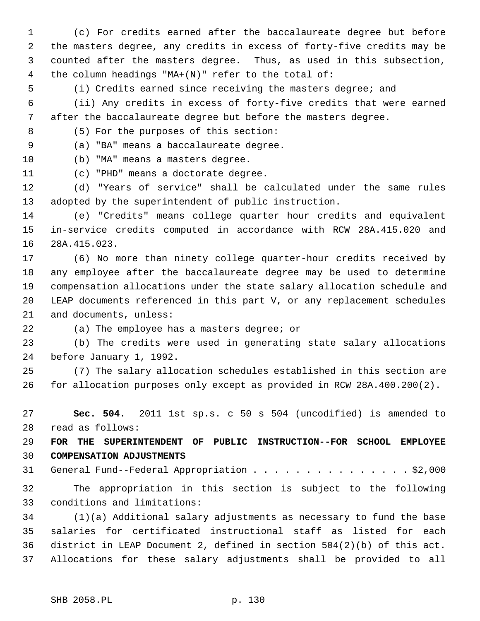1 (c) For credits earned after the baccalaureate degree but before 2 the masters degree, any credits in excess of forty-five credits may be 3 counted after the masters degree. Thus, as used in this subsection, 4 the column headings "MA+(N)" refer to the total of:

5 (i) Credits earned since receiving the masters degree; and

 6 (ii) Any credits in excess of forty-five credits that were earned 7 after the baccalaureate degree but before the masters degree.

8 (5) For the purposes of this section:

9 (a) "BA" means a baccalaureate degree.

10 (b) "MA" means a masters degree.

11 (c) "PHD" means a doctorate degree.

12 (d) "Years of service" shall be calculated under the same rules 13 adopted by the superintendent of public instruction.

14 (e) "Credits" means college quarter hour credits and equivalent 15 in-service credits computed in accordance with RCW 28A.415.020 and 16 28A.415.023.

17 (6) No more than ninety college quarter-hour credits received by 18 any employee after the baccalaureate degree may be used to determine 19 compensation allocations under the state salary allocation schedule and 20 LEAP documents referenced in this part V, or any replacement schedules 21 and documents, unless:

22 (a) The employee has a masters degree; or

23 (b) The credits were used in generating state salary allocations 24 before January 1, 1992.

25 (7) The salary allocation schedules established in this section are 26 for allocation purposes only except as provided in RCW 28A.400.200(2).

27 **Sec. 504.** 2011 1st sp.s. c 50 s 504 (uncodified) is amended to 28 read as follows:

29 **FOR THE SUPERINTENDENT OF PUBLIC INSTRUCTION--FOR SCHOOL EMPLOYEE** 30 **COMPENSATION ADJUSTMENTS**

31 General Fund--Federal Appropriation . . . . . . . . . . . . . . . \$2,000

32 The appropriation in this section is subject to the following 33 conditions and limitations:

34 (1)(a) Additional salary adjustments as necessary to fund the base 35 salaries for certificated instructional staff as listed for each 36 district in LEAP Document 2, defined in section 504(2)(b) of this act. 37 Allocations for these salary adjustments shall be provided to all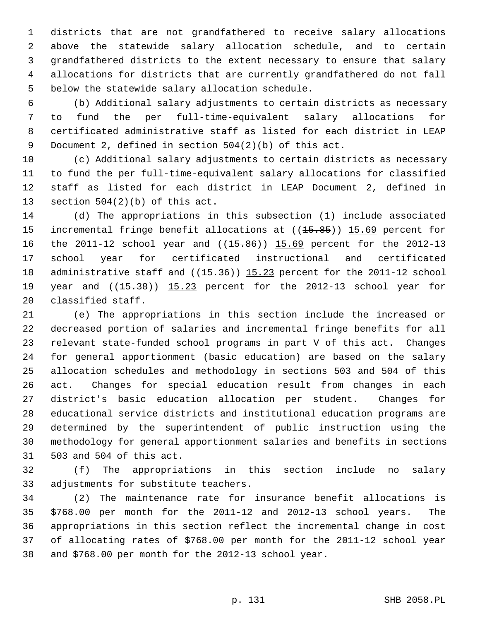1 districts that are not grandfathered to receive salary allocations 2 above the statewide salary allocation schedule, and to certain 3 grandfathered districts to the extent necessary to ensure that salary 4 allocations for districts that are currently grandfathered do not fall 5 below the statewide salary allocation schedule.

 6 (b) Additional salary adjustments to certain districts as necessary 7 to fund the per full-time-equivalent salary allocations for 8 certificated administrative staff as listed for each district in LEAP 9 Document 2, defined in section 504(2)(b) of this act.

10 (c) Additional salary adjustments to certain districts as necessary 11 to fund the per full-time-equivalent salary allocations for classified 12 staff as listed for each district in LEAP Document 2, defined in 13 section 504(2)(b) of this act.

14 (d) The appropriations in this subsection (1) include associated 15 incremental fringe benefit allocations at ((<del>15.85</del>)) 15.69 percent for 16 the 2011-12 school year and ((15.86)) 15.69 percent for the 2012-13 17 school year for certificated instructional and certificated 18 administrative staff and  $((15.36))$  15.23 percent for the 2011-12 school 19 year and  $((15.38))$  15.23 percent for the 2012-13 school year for 20 classified staff.

21 (e) The appropriations in this section include the increased or 22 decreased portion of salaries and incremental fringe benefits for all 23 relevant state-funded school programs in part V of this act. Changes 24 for general apportionment (basic education) are based on the salary 25 allocation schedules and methodology in sections 503 and 504 of this 26 act. Changes for special education result from changes in each 27 district's basic education allocation per student. Changes for 28 educational service districts and institutional education programs are 29 determined by the superintendent of public instruction using the 30 methodology for general apportionment salaries and benefits in sections 31 503 and 504 of this act.

32 (f) The appropriations in this section include no salary 33 adjustments for substitute teachers.

34 (2) The maintenance rate for insurance benefit allocations is 35 \$768.00 per month for the 2011-12 and 2012-13 school years. The 36 appropriations in this section reflect the incremental change in cost 37 of allocating rates of \$768.00 per month for the 2011-12 school year 38 and \$768.00 per month for the 2012-13 school year.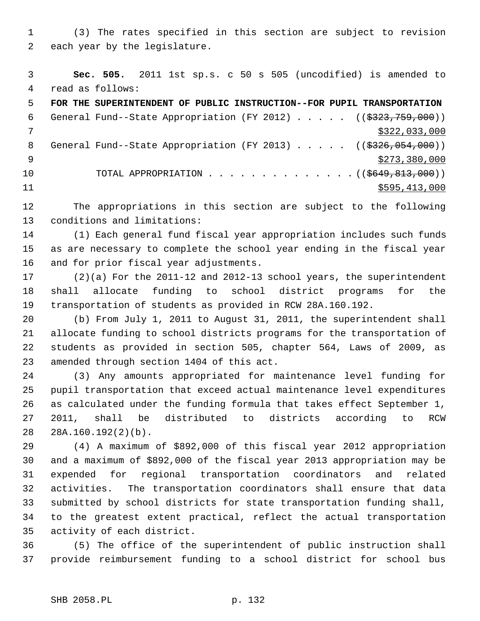1 (3) The rates specified in this section are subject to revision 2 each year by the legislature.

 3 **Sec. 505.** 2011 1st sp.s. c 50 s 505 (uncodified) is amended to 4 read as follows:

 5 **FOR THE SUPERINTENDENT OF PUBLIC INSTRUCTION--FOR PUPIL TRANSPORTATION** 6 General Fund--State Appropriation (FY 2012) . . . . . ((\$323,759,000))  $7 \times 322,033,000$ 8 General Fund--State Appropriation (FY 2013) . . . . . ((\$326,054,000))  $\frac{1}{2}$   $\frac{1}{273,380,000}$ 10 TOTAL APPROPRIATION . . . . . . . . . . . . . . ((\$649,813,000)) 11 \$595,413,000

12 The appropriations in this section are subject to the following 13 conditions and limitations:

14 (1) Each general fund fiscal year appropriation includes such funds 15 as are necessary to complete the school year ending in the fiscal year 16 and for prior fiscal year adjustments.

17 (2)(a) For the 2011-12 and 2012-13 school years, the superintendent 18 shall allocate funding to school district programs for the 19 transportation of students as provided in RCW 28A.160.192.

20 (b) From July 1, 2011 to August 31, 2011, the superintendent shall 21 allocate funding to school districts programs for the transportation of 22 students as provided in section 505, chapter 564, Laws of 2009, as 23 amended through section 1404 of this act.

24 (3) Any amounts appropriated for maintenance level funding for 25 pupil transportation that exceed actual maintenance level expenditures 26 as calculated under the funding formula that takes effect September 1, 27 2011, shall be distributed to districts according to RCW 28 28A.160.192(2)(b).

29 (4) A maximum of \$892,000 of this fiscal year 2012 appropriation 30 and a maximum of \$892,000 of the fiscal year 2013 appropriation may be 31 expended for regional transportation coordinators and related 32 activities. The transportation coordinators shall ensure that data 33 submitted by school districts for state transportation funding shall, 34 to the greatest extent practical, reflect the actual transportation 35 activity of each district.

36 (5) The office of the superintendent of public instruction shall 37 provide reimbursement funding to a school district for school bus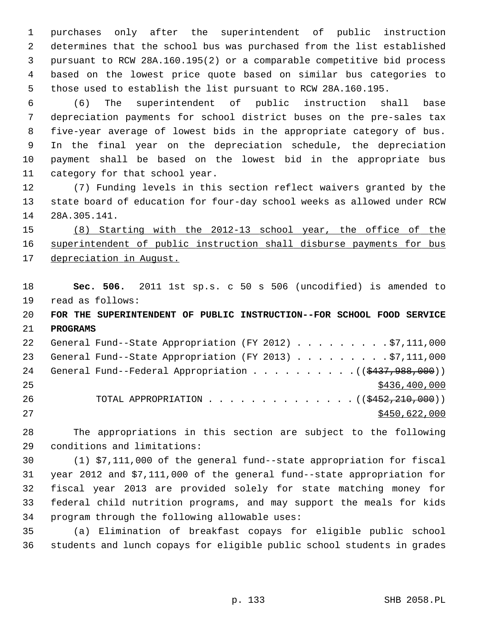1 purchases only after the superintendent of public instruction 2 determines that the school bus was purchased from the list established 3 pursuant to RCW 28A.160.195(2) or a comparable competitive bid process 4 based on the lowest price quote based on similar bus categories to 5 those used to establish the list pursuant to RCW 28A.160.195.

 6 (6) The superintendent of public instruction shall base 7 depreciation payments for school district buses on the pre-sales tax 8 five-year average of lowest bids in the appropriate category of bus. 9 In the final year on the depreciation schedule, the depreciation 10 payment shall be based on the lowest bid in the appropriate bus 11 category for that school year.

12 (7) Funding levels in this section reflect waivers granted by the 13 state board of education for four-day school weeks as allowed under RCW 14 28A.305.141.

15 (8) Starting with the 2012-13 school year, the office of the 16 superintendent of public instruction shall disburse payments for bus 17 depreciation in August.

18 **Sec. 506.** 2011 1st sp.s. c 50 s 506 (uncodified) is amended to 19 read as follows: 20 **FOR THE SUPERINTENDENT OF PUBLIC INSTRUCTION--FOR SCHOOL FOOD SERVICE** 21 **PROGRAMS** 22 General Fund--State Appropriation (FY 2012) . . . . . . . . . \$7,111,000 23 General Fund--State Appropriation (FY 2013) . . . . . . . . \$7,111,000 24 General Fund--Federal Appropriation  $\ldots$  . . . . . . . . .  $($   $($ \$437,988,000))  $25$  \$436,400,000 26 TOTAL APPROPRIATION . . . . . . . . . . . . . . ((\$452,210,000))

27 \$450,622,000

28 The appropriations in this section are subject to the following 29 conditions and limitations:

30 (1) \$7,111,000 of the general fund--state appropriation for fiscal 31 year 2012 and \$7,111,000 of the general fund--state appropriation for 32 fiscal year 2013 are provided solely for state matching money for 33 federal child nutrition programs, and may support the meals for kids 34 program through the following allowable uses:

35 (a) Elimination of breakfast copays for eligible public school 36 students and lunch copays for eligible public school students in grades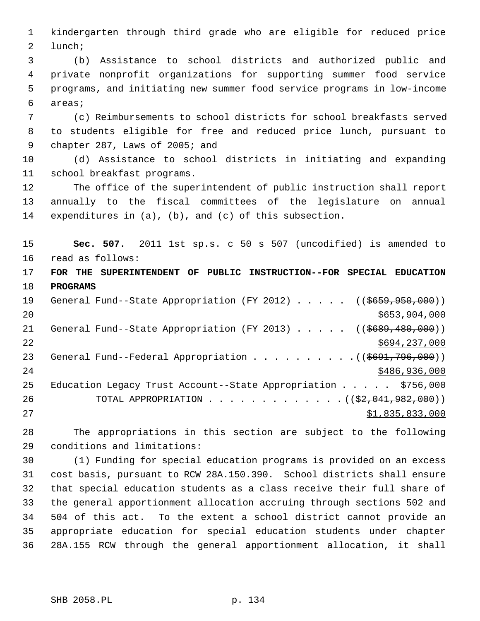1 kindergarten through third grade who are eligible for reduced price 2 lunch;

 3 (b) Assistance to school districts and authorized public and 4 private nonprofit organizations for supporting summer food service 5 programs, and initiating new summer food service programs in low-income 6 areas;

 7 (c) Reimbursements to school districts for school breakfasts served 8 to students eligible for free and reduced price lunch, pursuant to 9 chapter 287, Laws of 2005; and

10 (d) Assistance to school districts in initiating and expanding 11 school breakfast programs.

12 The office of the superintendent of public instruction shall report 13 annually to the fiscal committees of the legislature on annual 14 expenditures in (a), (b), and (c) of this subsection.

15 **Sec. 507.** 2011 1st sp.s. c 50 s 507 (uncodified) is amended to 16 read as follows:

17 **FOR THE SUPERINTENDENT OF PUBLIC INSTRUCTION--FOR SPECIAL EDUCATION** 18 **PROGRAMS**

19 General Fund--State Appropriation (FY 2012) . . . . . ((\$659,950,000))  $20$  \$653,904,000 21 General Fund--State Appropriation (FY 2013) . . . . . ((\$689,480,000)) 22 \$694,237,000 23 General Fund--Federal Appropriation . . . . . . . . . ((\$691,796,000)) 24 \$486,936,000 25 Education Legacy Trust Account--State Appropriation . . . . . \$756,000 26 TOTAL APPROPRIATION . . . . . . . . . . . . ((<del>\$2,041,982,000</del>)) 27 \$1,835,833,000

28 The appropriations in this section are subject to the following 29 conditions and limitations:

30 (1) Funding for special education programs is provided on an excess 31 cost basis, pursuant to RCW 28A.150.390. School districts shall ensure 32 that special education students as a class receive their full share of 33 the general apportionment allocation accruing through sections 502 and 34 504 of this act. To the extent a school district cannot provide an 35 appropriate education for special education students under chapter 36 28A.155 RCW through the general apportionment allocation, it shall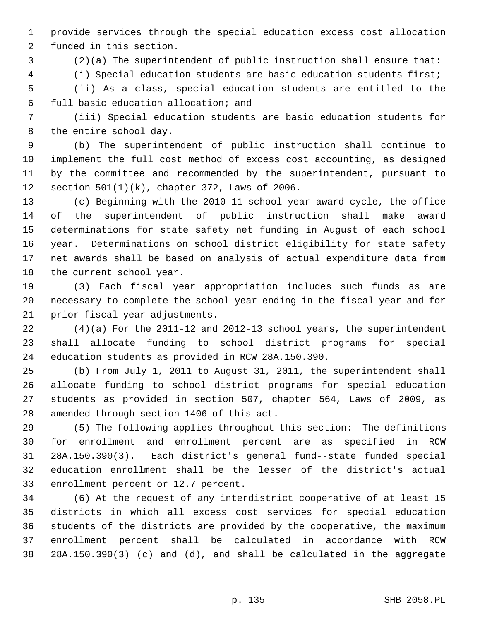1 provide services through the special education excess cost allocation 2 funded in this section.

3 (2)(a) The superintendent of public instruction shall ensure that:

4 (i) Special education students are basic education students first;

 5 (ii) As a class, special education students are entitled to the 6 full basic education allocation; and

 7 (iii) Special education students are basic education students for 8 the entire school day.

 9 (b) The superintendent of public instruction shall continue to 10 implement the full cost method of excess cost accounting, as designed 11 by the committee and recommended by the superintendent, pursuant to 12 section 501(1)(k), chapter 372, Laws of 2006.

13 (c) Beginning with the 2010-11 school year award cycle, the office 14 of the superintendent of public instruction shall make award 15 determinations for state safety net funding in August of each school 16 year. Determinations on school district eligibility for state safety 17 net awards shall be based on analysis of actual expenditure data from 18 the current school year.

19 (3) Each fiscal year appropriation includes such funds as are 20 necessary to complete the school year ending in the fiscal year and for 21 prior fiscal year adjustments.

22 (4)(a) For the 2011-12 and 2012-13 school years, the superintendent 23 shall allocate funding to school district programs for special 24 education students as provided in RCW 28A.150.390.

25 (b) From July 1, 2011 to August 31, 2011, the superintendent shall 26 allocate funding to school district programs for special education 27 students as provided in section 507, chapter 564, Laws of 2009, as 28 amended through section 1406 of this act.

29 (5) The following applies throughout this section: The definitions 30 for enrollment and enrollment percent are as specified in RCW 31 28A.150.390(3). Each district's general fund--state funded special 32 education enrollment shall be the lesser of the district's actual 33 enrollment percent or 12.7 percent.

34 (6) At the request of any interdistrict cooperative of at least 15 35 districts in which all excess cost services for special education 36 students of the districts are provided by the cooperative, the maximum 37 enrollment percent shall be calculated in accordance with RCW 38 28A.150.390(3) (c) and (d), and shall be calculated in the aggregate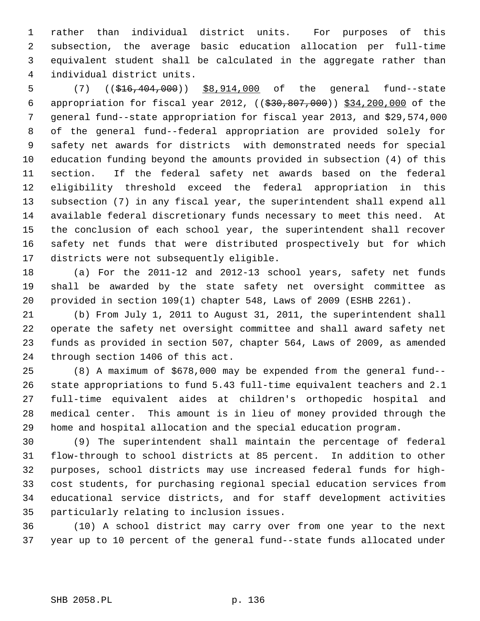1 rather than individual district units. For purposes of this 2 subsection, the average basic education allocation per full-time 3 equivalent student shall be calculated in the aggregate rather than 4 individual district units.

 5 (7) ((\$16,404,000)) \$8,914,000 of the general fund--state 6 appropriation for fiscal year 2012, ((\$30,807,000)) \$34,200,000 of the 7 general fund--state appropriation for fiscal year 2013, and \$29,574,000 8 of the general fund--federal appropriation are provided solely for 9 safety net awards for districts with demonstrated needs for special 10 education funding beyond the amounts provided in subsection (4) of this 11 section. If the federal safety net awards based on the federal 12 eligibility threshold exceed the federal appropriation in this 13 subsection (7) in any fiscal year, the superintendent shall expend all 14 available federal discretionary funds necessary to meet this need. At 15 the conclusion of each school year, the superintendent shall recover 16 safety net funds that were distributed prospectively but for which 17 districts were not subsequently eligible.

18 (a) For the 2011-12 and 2012-13 school years, safety net funds 19 shall be awarded by the state safety net oversight committee as 20 provided in section 109(1) chapter 548, Laws of 2009 (ESHB 2261).

21 (b) From July 1, 2011 to August 31, 2011, the superintendent shall 22 operate the safety net oversight committee and shall award safety net 23 funds as provided in section 507, chapter 564, Laws of 2009, as amended 24 through section 1406 of this act.

25 (8) A maximum of \$678,000 may be expended from the general fund-- 26 state appropriations to fund 5.43 full-time equivalent teachers and 2.1 27 full-time equivalent aides at children's orthopedic hospital and 28 medical center. This amount is in lieu of money provided through the 29 home and hospital allocation and the special education program.

30 (9) The superintendent shall maintain the percentage of federal 31 flow-through to school districts at 85 percent. In addition to other 32 purposes, school districts may use increased federal funds for high-33 cost students, for purchasing regional special education services from 34 educational service districts, and for staff development activities 35 particularly relating to inclusion issues.

36 (10) A school district may carry over from one year to the next 37 year up to 10 percent of the general fund--state funds allocated under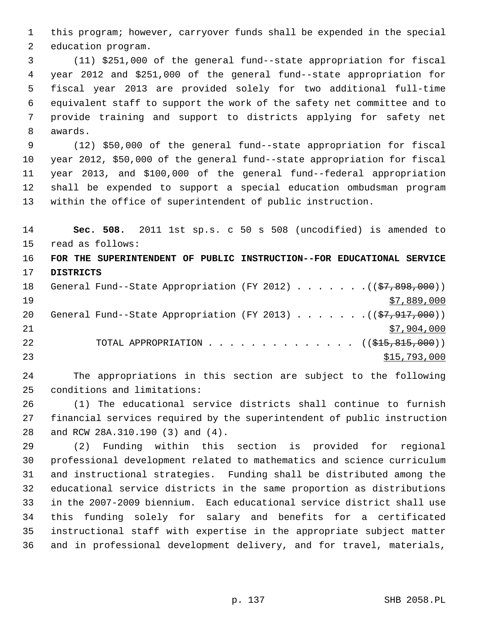1 this program; however, carryover funds shall be expended in the special 2 education program.

 3 (11) \$251,000 of the general fund--state appropriation for fiscal 4 year 2012 and \$251,000 of the general fund--state appropriation for 5 fiscal year 2013 are provided solely for two additional full-time 6 equivalent staff to support the work of the safety net committee and to 7 provide training and support to districts applying for safety net 8 awards.

 9 (12) \$50,000 of the general fund--state appropriation for fiscal 10 year 2012, \$50,000 of the general fund--state appropriation for fiscal 11 year 2013, and \$100,000 of the general fund--federal appropriation 12 shall be expended to support a special education ombudsman program 13 within the office of superintendent of public instruction.

14 **Sec. 508.** 2011 1st sp.s. c 50 s 508 (uncodified) is amended to 15 read as follows:

16 **FOR THE SUPERINTENDENT OF PUBLIC INSTRUCTION--FOR EDUCATIONAL SERVICE** 17 **DISTRICTS**

| 18 |  |  |  |  |  | General Fund--State Appropriation (FY 2012) ( $(\frac{27}{57}, \frac{898}{100})$ ) |
|----|--|--|--|--|--|------------------------------------------------------------------------------------|
| 19 |  |  |  |  |  | \$7,889,000                                                                        |
| 20 |  |  |  |  |  | General Fund--State Appropriation (FY 2013) $($ $(\frac{27}{7}, 917, 000) )$       |
| 21 |  |  |  |  |  | \$7,904,000                                                                        |
| 22 |  |  |  |  |  | TOTAL APPROPRIATION $\ldots$ , ( $(\frac{215}{615}, \frac{815}{600})$ )            |
| 23 |  |  |  |  |  | \$15,793,000                                                                       |

24 The appropriations in this section are subject to the following 25 conditions and limitations:

26 (1) The educational service districts shall continue to furnish 27 financial services required by the superintendent of public instruction 28 and RCW 28A.310.190 (3) and (4).

29 (2) Funding within this section is provided for regional 30 professional development related to mathematics and science curriculum 31 and instructional strategies. Funding shall be distributed among the 32 educational service districts in the same proportion as distributions 33 in the 2007-2009 biennium. Each educational service district shall use 34 this funding solely for salary and benefits for a certificated 35 instructional staff with expertise in the appropriate subject matter 36 and in professional development delivery, and for travel, materials,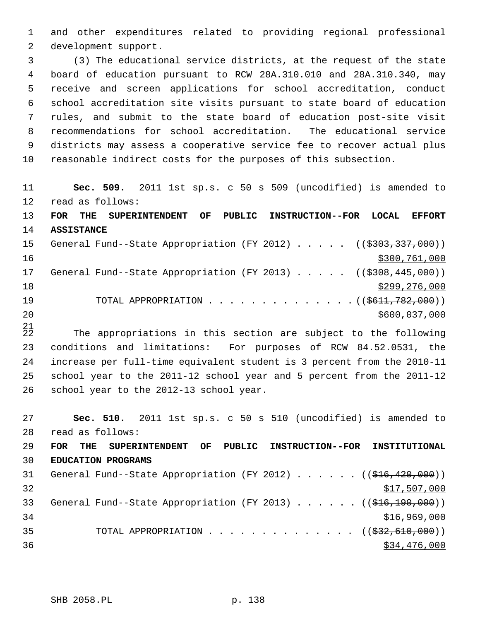1 and other expenditures related to providing regional professional 2 development support.

 3 (3) The educational service districts, at the request of the state 4 board of education pursuant to RCW 28A.310.010 and 28A.310.340, may 5 receive and screen applications for school accreditation, conduct 6 school accreditation site visits pursuant to state board of education 7 rules, and submit to the state board of education post-site visit 8 recommendations for school accreditation. The educational service 9 districts may assess a cooperative service fee to recover actual plus 10 reasonable indirect costs for the purposes of this subsection.

11 **Sec. 509.** 2011 1st sp.s. c 50 s 509 (uncodified) is amended to 12 read as follows: 13 **FOR THE SUPERINTENDENT OF PUBLIC INSTRUCTION--FOR LOCAL EFFORT** 14 **ASSISTANCE** 15 General Fund--State Appropriation (FY 2012) . . . . . ((\$303,337,000)) 16 \$300,761,000 17 General Fund--State Appropriation (FY 2013) . . . . . ((\$308,445,000)) 18 \$299,276,000 \$299,276,000 19 TOTAL APPROPRIATION . . . . . . . . . . . . . . ((\$611,782,000)) 20 \$600,037,000

 $^{21}_{22}$ The appropriations in this section are subject to the following 23 conditions and limitations: For purposes of RCW 84.52.0531, the 24 increase per full-time equivalent student is 3 percent from the 2010-11 25 school year to the 2011-12 school year and 5 percent from the 2011-12 26 school year to the 2012-13 school year.

27 **Sec. 510.** 2011 1st sp.s. c 50 s 510 (uncodified) is amended to 28 read as follows: 29 **FOR THE SUPERINTENDENT OF PUBLIC INSTRUCTION--FOR INSTITUTIONAL** 30 **EDUCATION PROGRAMS** 31 General Fund--State Appropriation (FY 2012) . . . . . . ((\$16,420,000))  $32$   $$17,507,000$ 33 General Fund--State Appropriation (FY 2013) . . . . . ((\$16,190,000)) 34 \$16,969,000 35 TOTAL APPROPRIATION . . . . . . . . . . . . . ((<del>\$32,610,000</del>)) 36 \$34,476,000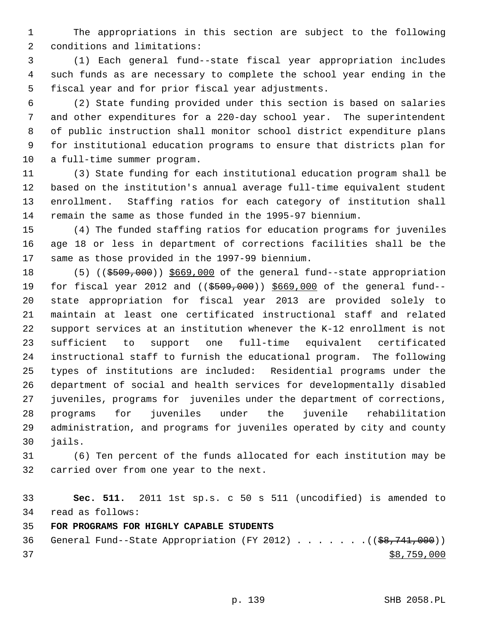1 The appropriations in this section are subject to the following 2 conditions and limitations:

 3 (1) Each general fund--state fiscal year appropriation includes 4 such funds as are necessary to complete the school year ending in the 5 fiscal year and for prior fiscal year adjustments.

 6 (2) State funding provided under this section is based on salaries 7 and other expenditures for a 220-day school year. The superintendent 8 of public instruction shall monitor school district expenditure plans 9 for institutional education programs to ensure that districts plan for 10 a full-time summer program.

11 (3) State funding for each institutional education program shall be 12 based on the institution's annual average full-time equivalent student 13 enrollment. Staffing ratios for each category of institution shall 14 remain the same as those funded in the 1995-97 biennium.

15 (4) The funded staffing ratios for education programs for juveniles 16 age 18 or less in department of corrections facilities shall be the 17 same as those provided in the 1997-99 biennium.

18 (5) ((\$509,000)) \$669,000 of the general fund--state appropriation 19 for fiscal year 2012 and ((\$509,000)) \$669,000 of the general fund--20 state appropriation for fiscal year 2013 are provided solely to 21 maintain at least one certificated instructional staff and related 22 support services at an institution whenever the K-12 enrollment is not 23 sufficient to support one full-time equivalent certificated 24 instructional staff to furnish the educational program. The following 25 types of institutions are included: Residential programs under the 26 department of social and health services for developmentally disabled 27 juveniles, programs for juveniles under the department of corrections, 28 programs for juveniles under the juvenile rehabilitation 29 administration, and programs for juveniles operated by city and county 30 jails.

31 (6) Ten percent of the funds allocated for each institution may be 32 carried over from one year to the next.

33 **Sec. 511.** 2011 1st sp.s. c 50 s 511 (uncodified) is amended to 34 read as follows:

35 **FOR PROGRAMS FOR HIGHLY CAPABLE STUDENTS**

36 General Fund--State Appropriation (FY 2012)  $\ldots$  . . . . . ((\$8,741,000))  $37$  \$8,759,000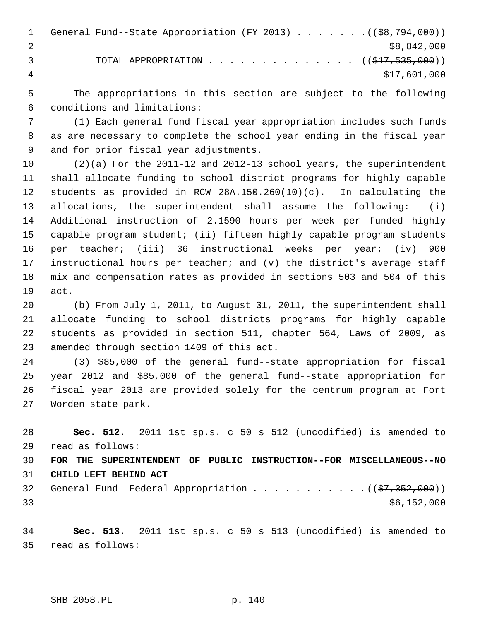1 General Fund--State Appropriation (FY 2013) . . . . . . . ((\$8,794,000)) 2  $\frac{1}{2}$  \$8,842,000 3 TOTAL APPROPRIATION . . . . . . . . . . . . . . ((\$17,535,000)) 4 \$17,601,000

 5 The appropriations in this section are subject to the following 6 conditions and limitations:

 7 (1) Each general fund fiscal year appropriation includes such funds 8 as are necessary to complete the school year ending in the fiscal year 9 and for prior fiscal year adjustments.

10 (2)(a) For the 2011-12 and 2012-13 school years, the superintendent 11 shall allocate funding to school district programs for highly capable 12 students as provided in RCW 28A.150.260(10)(c). In calculating the 13 allocations, the superintendent shall assume the following: (i) 14 Additional instruction of 2.1590 hours per week per funded highly 15 capable program student; (ii) fifteen highly capable program students 16 per teacher; (iii) 36 instructional weeks per year; (iv) 900 17 instructional hours per teacher; and (v) the district's average staff 18 mix and compensation rates as provided in sections 503 and 504 of this 19 act.

20 (b) From July 1, 2011, to August 31, 2011, the superintendent shall 21 allocate funding to school districts programs for highly capable 22 students as provided in section 511, chapter 564, Laws of 2009, as 23 amended through section 1409 of this act.

24 (3) \$85,000 of the general fund--state appropriation for fiscal 25 year 2012 and \$85,000 of the general fund--state appropriation for 26 fiscal year 2013 are provided solely for the centrum program at Fort 27 Worden state park.

28 **Sec. 512.** 2011 1st sp.s. c 50 s 512 (uncodified) is amended to 29 read as follows:

30 **FOR THE SUPERINTENDENT OF PUBLIC INSTRUCTION--FOR MISCELLANEOUS--NO** 31 **CHILD LEFT BEHIND ACT**

32 General Fund--Federal Appropriation  $\ldots$  . . . . . . . . . ( $(\frac{27}{352}, 000)$ )  $33$  \$6,152,000

34 **Sec. 513.** 2011 1st sp.s. c 50 s 513 (uncodified) is amended to 35 read as follows: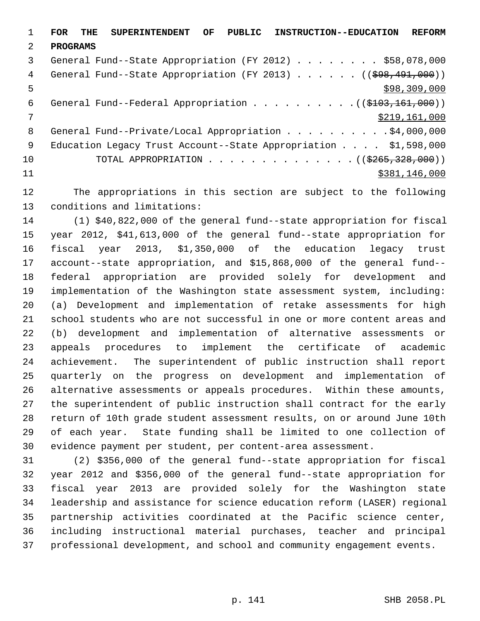1 **FOR THE SUPERINTENDENT OF PUBLIC INSTRUCTION--EDUCATION REFORM** 2 **PROGRAMS** 3 General Fund--State Appropriation (FY 2012) . . . . . . . . \$58,078,000 4 General Fund--State Appropriation (FY 2013) . . . . . . ((\$98,491,000))  $5 - 5$  \$98,309,000 6 General Fund--Federal Appropriation . . . . . . . . . ((\$103,161,000)) 7 \$219,161,000 8 General Fund--Private/Local Appropriation . . . . . . . . . \$4,000,000 9 Education Legacy Trust Account--State Appropriation . . . . \$1,598,000 10 TOTAL APPROPRIATION . . . . . . . . . . . . . . ((\$265,328,000)) 11 \$381,146,000

12 The appropriations in this section are subject to the following 13 conditions and limitations:

14 (1) \$40,822,000 of the general fund--state appropriation for fiscal 15 year 2012, \$41,613,000 of the general fund--state appropriation for 16 fiscal year 2013, \$1,350,000 of the education legacy trust 17 account--state appropriation, and \$15,868,000 of the general fund-- 18 federal appropriation are provided solely for development and 19 implementation of the Washington state assessment system, including: 20 (a) Development and implementation of retake assessments for high 21 school students who are not successful in one or more content areas and 22 (b) development and implementation of alternative assessments or 23 appeals procedures to implement the certificate of academic 24 achievement. The superintendent of public instruction shall report 25 quarterly on the progress on development and implementation of 26 alternative assessments or appeals procedures. Within these amounts, 27 the superintendent of public instruction shall contract for the early 28 return of 10th grade student assessment results, on or around June 10th 29 of each year. State funding shall be limited to one collection of 30 evidence payment per student, per content-area assessment.

31 (2) \$356,000 of the general fund--state appropriation for fiscal 32 year 2012 and \$356,000 of the general fund--state appropriation for 33 fiscal year 2013 are provided solely for the Washington state 34 leadership and assistance for science education reform (LASER) regional 35 partnership activities coordinated at the Pacific science center, 36 including instructional material purchases, teacher and principal 37 professional development, and school and community engagement events.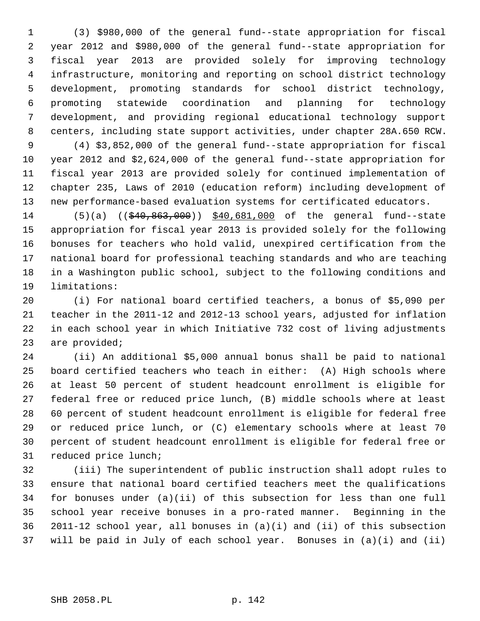1 (3) \$980,000 of the general fund--state appropriation for fiscal 2 year 2012 and \$980,000 of the general fund--state appropriation for 3 fiscal year 2013 are provided solely for improving technology 4 infrastructure, monitoring and reporting on school district technology 5 development, promoting standards for school district technology, 6 promoting statewide coordination and planning for technology 7 development, and providing regional educational technology support 8 centers, including state support activities, under chapter 28A.650 RCW.

 9 (4) \$3,852,000 of the general fund--state appropriation for fiscal 10 year 2012 and \$2,624,000 of the general fund--state appropriation for 11 fiscal year 2013 are provided solely for continued implementation of 12 chapter 235, Laws of 2010 (education reform) including development of 13 new performance-based evaluation systems for certificated educators.

14 (5)(a) ((\$40,863,000)) \$40,681,000 of the general fund--state 15 appropriation for fiscal year 2013 is provided solely for the following 16 bonuses for teachers who hold valid, unexpired certification from the 17 national board for professional teaching standards and who are teaching 18 in a Washington public school, subject to the following conditions and 19 limitations:

20 (i) For national board certified teachers, a bonus of \$5,090 per 21 teacher in the 2011-12 and 2012-13 school years, adjusted for inflation 22 in each school year in which Initiative 732 cost of living adjustments 23 are provided;

24 (ii) An additional \$5,000 annual bonus shall be paid to national 25 board certified teachers who teach in either: (A) High schools where 26 at least 50 percent of student headcount enrollment is eligible for 27 federal free or reduced price lunch, (B) middle schools where at least 28 60 percent of student headcount enrollment is eligible for federal free 29 or reduced price lunch, or (C) elementary schools where at least 70 30 percent of student headcount enrollment is eligible for federal free or 31 reduced price lunch;

32 (iii) The superintendent of public instruction shall adopt rules to 33 ensure that national board certified teachers meet the qualifications 34 for bonuses under (a)(ii) of this subsection for less than one full 35 school year receive bonuses in a pro-rated manner. Beginning in the 36 2011-12 school year, all bonuses in (a)(i) and (ii) of this subsection 37 will be paid in July of each school year. Bonuses in (a)(i) and (ii)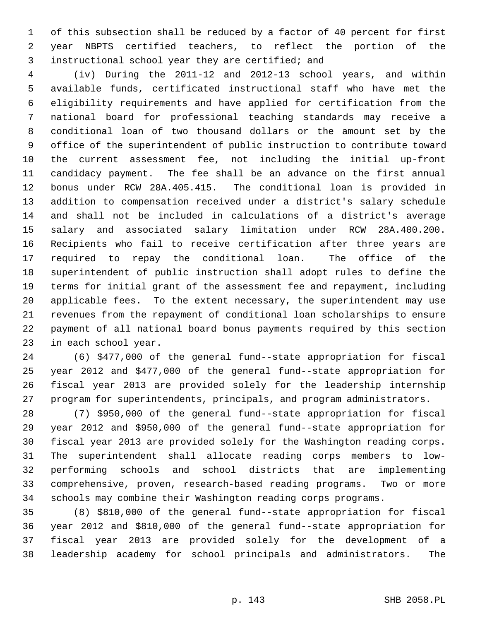1 of this subsection shall be reduced by a factor of 40 percent for first 2 year NBPTS certified teachers, to reflect the portion of the 3 instructional school year they are certified; and

 4 (iv) During the 2011-12 and 2012-13 school years, and within 5 available funds, certificated instructional staff who have met the 6 eligibility requirements and have applied for certification from the 7 national board for professional teaching standards may receive a 8 conditional loan of two thousand dollars or the amount set by the 9 office of the superintendent of public instruction to contribute toward 10 the current assessment fee, not including the initial up-front 11 candidacy payment. The fee shall be an advance on the first annual 12 bonus under RCW 28A.405.415. The conditional loan is provided in 13 addition to compensation received under a district's salary schedule 14 and shall not be included in calculations of a district's average 15 salary and associated salary limitation under RCW 28A.400.200. 16 Recipients who fail to receive certification after three years are 17 required to repay the conditional loan. The office of the 18 superintendent of public instruction shall adopt rules to define the 19 terms for initial grant of the assessment fee and repayment, including 20 applicable fees. To the extent necessary, the superintendent may use 21 revenues from the repayment of conditional loan scholarships to ensure 22 payment of all national board bonus payments required by this section 23 in each school year.

24 (6) \$477,000 of the general fund--state appropriation for fiscal 25 year 2012 and \$477,000 of the general fund--state appropriation for 26 fiscal year 2013 are provided solely for the leadership internship 27 program for superintendents, principals, and program administrators.

28 (7) \$950,000 of the general fund--state appropriation for fiscal 29 year 2012 and \$950,000 of the general fund--state appropriation for 30 fiscal year 2013 are provided solely for the Washington reading corps. 31 The superintendent shall allocate reading corps members to low-32 performing schools and school districts that are implementing 33 comprehensive, proven, research-based reading programs. Two or more 34 schools may combine their Washington reading corps programs.

35 (8) \$810,000 of the general fund--state appropriation for fiscal 36 year 2012 and \$810,000 of the general fund--state appropriation for 37 fiscal year 2013 are provided solely for the development of a 38 leadership academy for school principals and administrators. The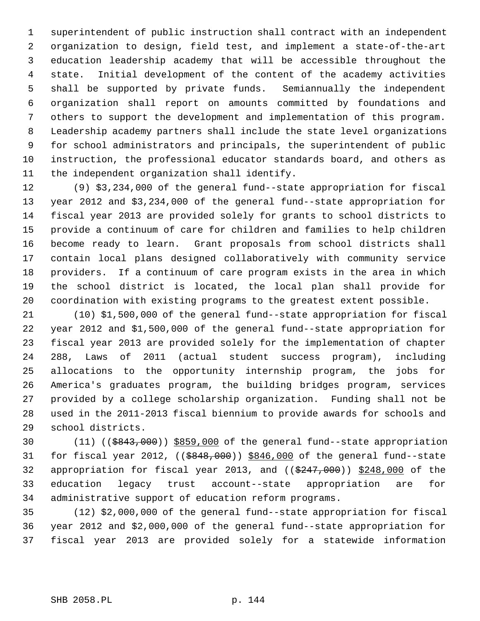1 superintendent of public instruction shall contract with an independent 2 organization to design, field test, and implement a state-of-the-art 3 education leadership academy that will be accessible throughout the 4 state. Initial development of the content of the academy activities 5 shall be supported by private funds. Semiannually the independent 6 organization shall report on amounts committed by foundations and 7 others to support the development and implementation of this program. 8 Leadership academy partners shall include the state level organizations 9 for school administrators and principals, the superintendent of public 10 instruction, the professional educator standards board, and others as 11 the independent organization shall identify.

12 (9) \$3,234,000 of the general fund--state appropriation for fiscal 13 year 2012 and \$3,234,000 of the general fund--state appropriation for 14 fiscal year 2013 are provided solely for grants to school districts to 15 provide a continuum of care for children and families to help children 16 become ready to learn. Grant proposals from school districts shall 17 contain local plans designed collaboratively with community service 18 providers. If a continuum of care program exists in the area in which 19 the school district is located, the local plan shall provide for 20 coordination with existing programs to the greatest extent possible.

21 (10) \$1,500,000 of the general fund--state appropriation for fiscal 22 year 2012 and \$1,500,000 of the general fund--state appropriation for 23 fiscal year 2013 are provided solely for the implementation of chapter 24 288, Laws of 2011 (actual student success program), including 25 allocations to the opportunity internship program, the jobs for 26 America's graduates program, the building bridges program, services 27 provided by a college scholarship organization. Funding shall not be 28 used in the 2011-2013 fiscal biennium to provide awards for schools and 29 school districts.

30 (11) ((\$843,000)) \$859,000 of the general fund--state appropriation 31 for fiscal year 2012,  $((\frac{6848,000}{9})$  \$846,000 of the general fund--state 32 appropriation for fiscal year 2013, and  $((\$247,000))$  \$248,000 of the 33 education legacy trust account--state appropriation are for 34 administrative support of education reform programs.

35 (12) \$2,000,000 of the general fund--state appropriation for fiscal 36 year 2012 and \$2,000,000 of the general fund--state appropriation for 37 fiscal year 2013 are provided solely for a statewide information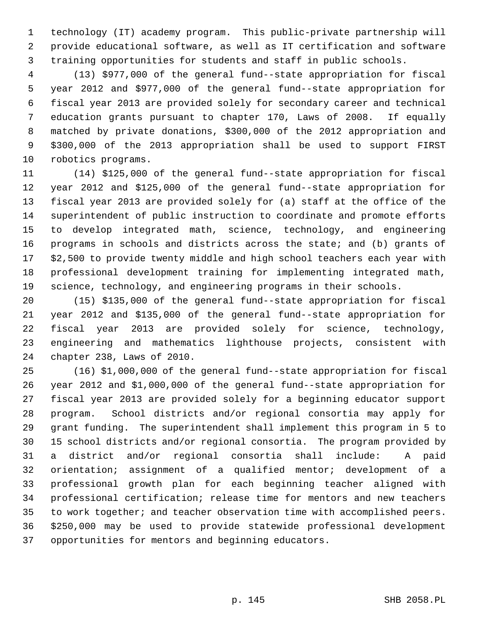1 technology (IT) academy program. This public-private partnership will 2 provide educational software, as well as IT certification and software 3 training opportunities for students and staff in public schools.

 4 (13) \$977,000 of the general fund--state appropriation for fiscal 5 year 2012 and \$977,000 of the general fund--state appropriation for 6 fiscal year 2013 are provided solely for secondary career and technical 7 education grants pursuant to chapter 170, Laws of 2008. If equally 8 matched by private donations, \$300,000 of the 2012 appropriation and 9 \$300,000 of the 2013 appropriation shall be used to support FIRST 10 robotics programs.

11 (14) \$125,000 of the general fund--state appropriation for fiscal 12 year 2012 and \$125,000 of the general fund--state appropriation for 13 fiscal year 2013 are provided solely for (a) staff at the office of the 14 superintendent of public instruction to coordinate and promote efforts 15 to develop integrated math, science, technology, and engineering 16 programs in schools and districts across the state; and (b) grants of 17 \$2,500 to provide twenty middle and high school teachers each year with 18 professional development training for implementing integrated math, 19 science, technology, and engineering programs in their schools.

20 (15) \$135,000 of the general fund--state appropriation for fiscal 21 year 2012 and \$135,000 of the general fund--state appropriation for 22 fiscal year 2013 are provided solely for science, technology, 23 engineering and mathematics lighthouse projects, consistent with 24 chapter 238, Laws of 2010.

25 (16) \$1,000,000 of the general fund--state appropriation for fiscal 26 year 2012 and \$1,000,000 of the general fund--state appropriation for 27 fiscal year 2013 are provided solely for a beginning educator support 28 program. School districts and/or regional consortia may apply for 29 grant funding. The superintendent shall implement this program in 5 to 30 15 school districts and/or regional consortia. The program provided by 31 a district and/or regional consortia shall include: A paid 32 orientation; assignment of a qualified mentor; development of a 33 professional growth plan for each beginning teacher aligned with 34 professional certification; release time for mentors and new teachers 35 to work together; and teacher observation time with accomplished peers. 36 \$250,000 may be used to provide statewide professional development 37 opportunities for mentors and beginning educators.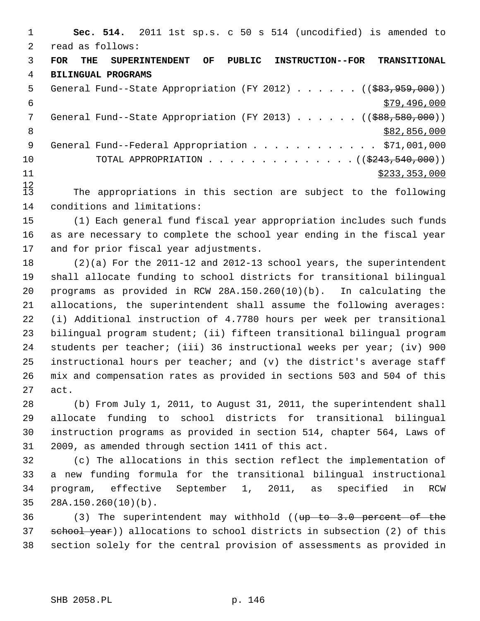1 **Sec. 514.** 2011 1st sp.s. c 50 s 514 (uncodified) is amended to 2 read as follows: 3 **FOR THE SUPERINTENDENT OF PUBLIC INSTRUCTION--FOR TRANSITIONAL** 4 **BILINGUAL PROGRAMS** 5 General Fund--State Appropriation (FY 2012) . . . . . . ((\$83,959,000))  $\frac{$79,496,000}{ }$ 7 General Fund--State Appropriation (FY 2013) . . . . . . ((\$88,580,000)) 8 \$82,856,000 9 General Fund--Federal Appropriation . . . . . . . . . . . \$71,001,000 10 TOTAL APPROPRIATION . . . . . . . . . . . . . . ((\$243,540,000))  $11$  \$233,353,000

 $\frac{12}{13}$ The appropriations in this section are subject to the following 14 conditions and limitations:

15 (1) Each general fund fiscal year appropriation includes such funds 16 as are necessary to complete the school year ending in the fiscal year 17 and for prior fiscal year adjustments.

18 (2)(a) For the 2011-12 and 2012-13 school years, the superintendent 19 shall allocate funding to school districts for transitional bilingual 20 programs as provided in RCW 28A.150.260(10)(b). In calculating the 21 allocations, the superintendent shall assume the following averages: 22 (i) Additional instruction of 4.7780 hours per week per transitional 23 bilingual program student; (ii) fifteen transitional bilingual program 24 students per teacher; (iii) 36 instructional weeks per year; (iv) 900 25 instructional hours per teacher; and (v) the district's average staff 26 mix and compensation rates as provided in sections 503 and 504 of this 27 act.

28 (b) From July 1, 2011, to August 31, 2011, the superintendent shall 29 allocate funding to school districts for transitional bilingual 30 instruction programs as provided in section 514, chapter 564, Laws of 31 2009, as amended through section 1411 of this act.

32 (c) The allocations in this section reflect the implementation of 33 a new funding formula for the transitional bilingual instructional 34 program, effective September 1, 2011, as specified in RCW 35 28A.150.260(10)(b).

36 (3) The superintendent may withhold ((up to 3.0 percent of the 37 school year)) allocations to school districts in subsection (2) of this 38 section solely for the central provision of assessments as provided in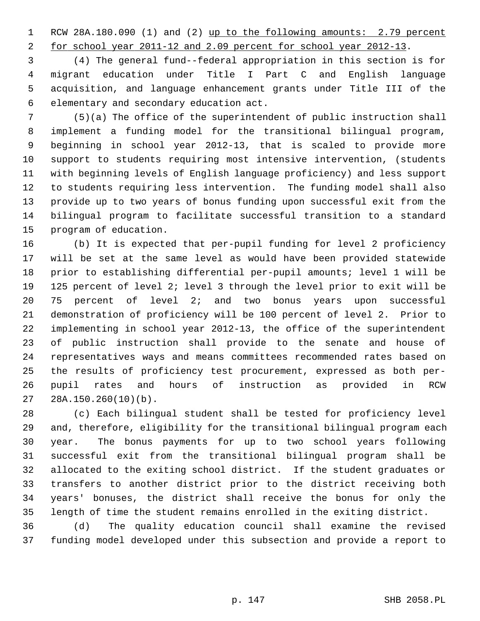1 RCW 28A.180.090 (1) and (2) up to the following amounts: 2.79 percent

2 for school year 2011-12 and 2.09 percent for school year 2012-13.

 3 (4) The general fund--federal appropriation in this section is for 4 migrant education under Title I Part C and English language 5 acquisition, and language enhancement grants under Title III of the 6 elementary and secondary education act.

 7 (5)(a) The office of the superintendent of public instruction shall 8 implement a funding model for the transitional bilingual program, 9 beginning in school year 2012-13, that is scaled to provide more 10 support to students requiring most intensive intervention, (students 11 with beginning levels of English language proficiency) and less support 12 to students requiring less intervention. The funding model shall also 13 provide up to two years of bonus funding upon successful exit from the 14 bilingual program to facilitate successful transition to a standard 15 program of education.

16 (b) It is expected that per-pupil funding for level 2 proficiency 17 will be set at the same level as would have been provided statewide 18 prior to establishing differential per-pupil amounts; level 1 will be 19 125 percent of level 2; level 3 through the level prior to exit will be 20 75 percent of level 2; and two bonus years upon successful 21 demonstration of proficiency will be 100 percent of level 2. Prior to 22 implementing in school year 2012-13, the office of the superintendent 23 of public instruction shall provide to the senate and house of 24 representatives ways and means committees recommended rates based on 25 the results of proficiency test procurement, expressed as both per-26 pupil rates and hours of instruction as provided in RCW 27 28A.150.260(10)(b).

28 (c) Each bilingual student shall be tested for proficiency level 29 and, therefore, eligibility for the transitional bilingual program each 30 year. The bonus payments for up to two school years following 31 successful exit from the transitional bilingual program shall be 32 allocated to the exiting school district. If the student graduates or 33 transfers to another district prior to the district receiving both 34 years' bonuses, the district shall receive the bonus for only the 35 length of time the student remains enrolled in the exiting district.

36 (d) The quality education council shall examine the revised 37 funding model developed under this subsection and provide a report to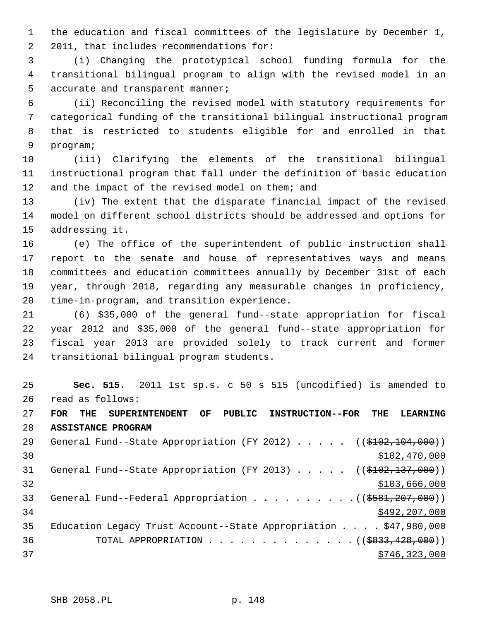1 the education and fiscal committees of the legislature by December 1, 2 2011, that includes recommendations for:

 3 (i) Changing the prototypical school funding formula for the 4 transitional bilingual program to align with the revised model in an 5 accurate and transparent manner;

 6 (ii) Reconciling the revised model with statutory requirements for 7 categorical funding of the transitional bilingual instructional program 8 that is restricted to students eligible for and enrolled in that 9 program;

10 (iii) Clarifying the elements of the transitional bilingual 11 instructional program that fall under the definition of basic education 12 and the impact of the revised model on them; and

13 (iv) The extent that the disparate financial impact of the revised 14 model on different school districts should be addressed and options for 15 addressing it.

16 (e) The office of the superintendent of public instruction shall 17 report to the senate and house of representatives ways and means 18 committees and education committees annually by December 31st of each 19 year, through 2018, regarding any measurable changes in proficiency, 20 time-in-program, and transition experience.

21 (6) \$35,000 of the general fund--state appropriation for fiscal 22 year 2012 and \$35,000 of the general fund--state appropriation for 23 fiscal year 2013 are provided solely to track current and former 24 transitional bilingual program students.

25 **Sec. 515.** 2011 1st sp.s. c 50 s 515 (uncodified) is amended to 26 read as follows:

27 **FOR THE SUPERINTENDENT OF PUBLIC INSTRUCTION--FOR THE LEARNING** 28 **ASSISTANCE PROGRAM**

| 29 | General Fund--State Appropriation (FY 2012) $($ $($ $$102, 104, 000)$ )              |
|----|--------------------------------------------------------------------------------------|
| 30 | \$102,470,000                                                                        |
| 31 | General Fund--State Appropriation (FY 2013) ( $(\frac{102}{102}, \frac{137}{100})$ ) |
| 32 | \$103,666,000                                                                        |
| 33 | General Fund--Federal Appropriation $($ $($ $\frac{207}{100})$                       |
| 34 | \$492, 207, 000                                                                      |
| 35 | Education Legacy Trust Account--State Appropriation $\ldots$ , \$47,980,000          |
| 36 | TOTAL APPROPRIATION $\ldots$ , ( $(\$833, 428, 000)$ )                               |
| 37 | \$746, 323, 000                                                                      |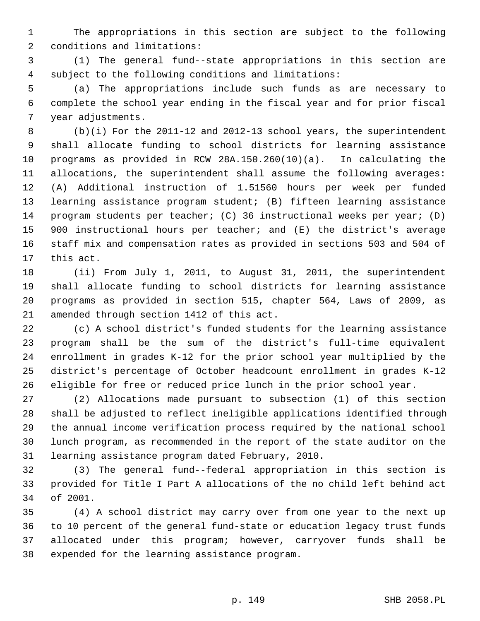1 The appropriations in this section are subject to the following 2 conditions and limitations:

 3 (1) The general fund--state appropriations in this section are 4 subject to the following conditions and limitations:

 5 (a) The appropriations include such funds as are necessary to 6 complete the school year ending in the fiscal year and for prior fiscal 7 year adjustments.

 8 (b)(i) For the 2011-12 and 2012-13 school years, the superintendent 9 shall allocate funding to school districts for learning assistance 10 programs as provided in RCW 28A.150.260(10)(a). In calculating the 11 allocations, the superintendent shall assume the following averages: 12 (A) Additional instruction of 1.51560 hours per week per funded 13 learning assistance program student; (B) fifteen learning assistance 14 program students per teacher; (C) 36 instructional weeks per year; (D) 15 900 instructional hours per teacher; and (E) the district's average 16 staff mix and compensation rates as provided in sections 503 and 504 of 17 this act.

18 (ii) From July 1, 2011, to August 31, 2011, the superintendent 19 shall allocate funding to school districts for learning assistance 20 programs as provided in section 515, chapter 564, Laws of 2009, as 21 amended through section 1412 of this act.

22 (c) A school district's funded students for the learning assistance 23 program shall be the sum of the district's full-time equivalent 24 enrollment in grades K-12 for the prior school year multiplied by the 25 district's percentage of October headcount enrollment in grades K-12 26 eligible for free or reduced price lunch in the prior school year.

27 (2) Allocations made pursuant to subsection (1) of this section 28 shall be adjusted to reflect ineligible applications identified through 29 the annual income verification process required by the national school 30 lunch program, as recommended in the report of the state auditor on the 31 learning assistance program dated February, 2010.

32 (3) The general fund--federal appropriation in this section is 33 provided for Title I Part A allocations of the no child left behind act 34 of 2001.

35 (4) A school district may carry over from one year to the next up 36 to 10 percent of the general fund-state or education legacy trust funds 37 allocated under this program; however, carryover funds shall be 38 expended for the learning assistance program.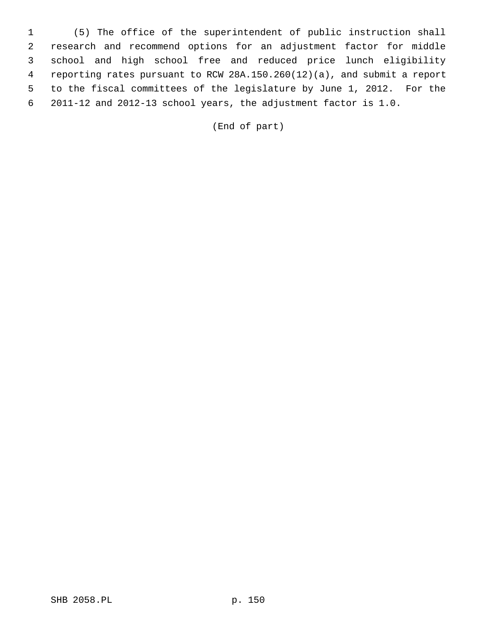1 (5) The office of the superintendent of public instruction shall 2 research and recommend options for an adjustment factor for middle 3 school and high school free and reduced price lunch eligibility 4 reporting rates pursuant to RCW 28A.150.260(12)(a), and submit a report 5 to the fiscal committees of the legislature by June 1, 2012. For the 6 2011-12 and 2012-13 school years, the adjustment factor is 1.0.

(End of part)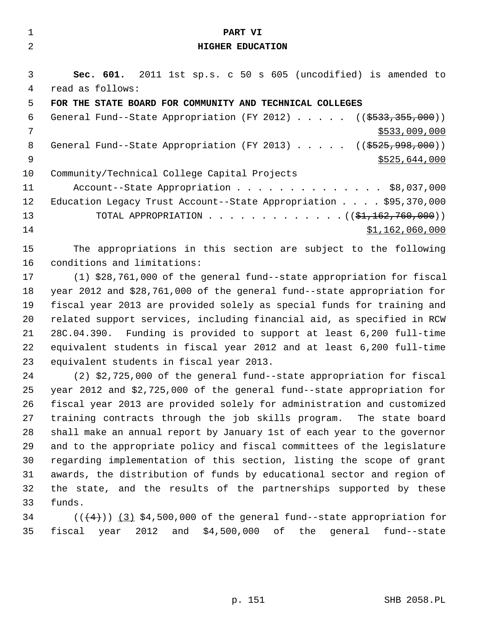| $\mathbf{1}$   | PART VI                                                                 |
|----------------|-------------------------------------------------------------------------|
| 2              | <b>HIGHER EDUCATION</b>                                                 |
|                |                                                                         |
| 3              | <b>Sec. 601.</b> 2011 1st sp.s. c 50 s 605 (uncodified) is amended to   |
| 4              | read as follows:                                                        |
| 5              | FOR THE STATE BOARD FOR COMMUNITY AND TECHNICAL COLLEGES                |
| 6              | General Fund--State Appropriation (FY 2012) $($ $($ \$533,355,000))     |
| 7              | \$533,009,000                                                           |
| 8              | General Fund--State Appropriation (FY 2013) $($ $($ \$525,998,000))     |
| $\overline{9}$ | \$525,644,000                                                           |
| 10             | Community/Technical College Capital Projects                            |
| 11             | Account--State Appropriation \$8,037,000                                |
| 12             | Education Legacy Trust Account--State Appropriation \$95,370,000        |
| 13             | TOTAL APPROPRIATION $($ $($ \$1,162,760,000) $)$                        |
| 14             | \$1,162,060,000                                                         |
| 15             | The appropriations in this section are subject to the following         |
| 16             | conditions and limitations:                                             |
| 17             |                                                                         |
|                | (1) \$28,761,000 of the general fund--state appropriation for fiscal    |
| 18             | year 2012 and \$28,761,000 of the general fund--state appropriation for |

19 fiscal year 2013 are provided solely as special funds for training and 20 related support services, including financial aid, as specified in RCW 21 28C.04.390. Funding is provided to support at least 6,200 full-time 22 equivalent students in fiscal year 2012 and at least 6,200 full-time 23 equivalent students in fiscal year 2013.

24 (2) \$2,725,000 of the general fund--state appropriation for fiscal 25 year 2012 and \$2,725,000 of the general fund--state appropriation for 26 fiscal year 2013 are provided solely for administration and customized 27 training contracts through the job skills program. The state board 28 shall make an annual report by January 1st of each year to the governor 29 and to the appropriate policy and fiscal committees of the legislature 30 regarding implementation of this section, listing the scope of grant 31 awards, the distribution of funds by educational sector and region of 32 the state, and the results of the partnerships supported by these 33 funds.

34  $((+4))$   $(3)$  \$4,500,000 of the general fund--state appropriation for 35 fiscal year 2012 and \$4,500,000 of the general fund--state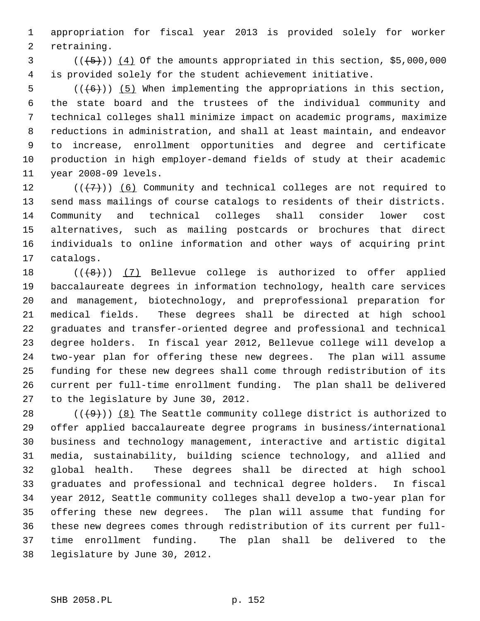1 appropriation for fiscal year 2013 is provided solely for worker 2 retraining.

 $(1, 5)$  ( $(1, 5)$ )) (4) Of the amounts appropriated in this section, \$5,000,000 4 is provided solely for the student achievement initiative.

 $5$  (( $(6)$ )) (5) When implementing the appropriations in this section, 6 the state board and the trustees of the individual community and 7 technical colleges shall minimize impact on academic programs, maximize 8 reductions in administration, and shall at least maintain, and endeavor 9 to increase, enrollment opportunities and degree and certificate 10 production in high employer-demand fields of study at their academic 11 year 2008-09 levels.

12  $((+7))$  (6) Community and technical colleges are not required to 13 send mass mailings of course catalogs to residents of their districts. 14 Community and technical colleges shall consider lower cost 15 alternatives, such as mailing postcards or brochures that direct 16 individuals to online information and other ways of acquiring print 17 catalogs.

18  $((+8))$   $(7)$  Bellevue college is authorized to offer applied 19 baccalaureate degrees in information technology, health care services 20 and management, biotechnology, and preprofessional preparation for 21 medical fields. These degrees shall be directed at high school 22 graduates and transfer-oriented degree and professional and technical 23 degree holders. In fiscal year 2012, Bellevue college will develop a 24 two-year plan for offering these new degrees. The plan will assume 25 funding for these new degrees shall come through redistribution of its 26 current per full-time enrollment funding. The plan shall be delivered 27 to the legislature by June 30, 2012.

28  $((+9))$  (8) The Seattle community college district is authorized to 29 offer applied baccalaureate degree programs in business/international 30 business and technology management, interactive and artistic digital 31 media, sustainability, building science technology, and allied and 32 global health. These degrees shall be directed at high school 33 graduates and professional and technical degree holders. In fiscal 34 year 2012, Seattle community colleges shall develop a two-year plan for 35 offering these new degrees. The plan will assume that funding for 36 these new degrees comes through redistribution of its current per full-37 time enrollment funding. The plan shall be delivered to the 38 legislature by June 30, 2012.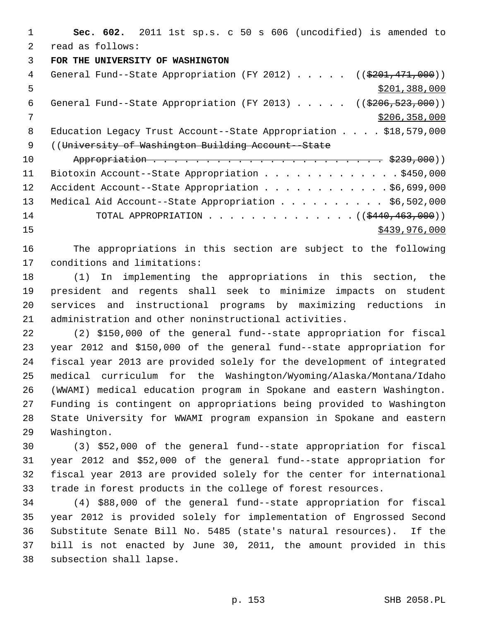1 **Sec. 602.** 2011 1st sp.s. c 50 s 606 (uncodified) is amended to 2 read as follows:

3 **FOR THE UNIVERSITY OF WASHINGTON**

| $\overline{4}$ | General Fund--State Appropriation (FY 2012) ( $(\frac{201}{7201}, \frac{471}{900})$ ) |
|----------------|---------------------------------------------------------------------------------------|
| 5              | \$201,388,000                                                                         |
| 6              | General Fund--State Appropriation (FY 2013) ( $(\frac{206}{5206}, \frac{523}{900})$ ) |
| 7              | \$206, 358, 000                                                                       |
| 8              | Education Legacy Trust Account--State Appropriation $\ldots$ , \$18,579,000           |
| - 9            | ((University of Washington Building Account--State)                                   |
| 10             |                                                                                       |
| 11             | Biotoxin Account--State Appropriation \$450,000                                       |
| 12             | Accident Account--State Appropriation \$6,699,000                                     |
| 13             | Medical Aid Account--State Appropriation \$6,502,000                                  |
| 14             | TOTAL APPROPRIATION ( $(\frac{2440}{1000}, \frac{463}{100})$ )                        |

15 \$439,976,000

16 The appropriations in this section are subject to the following 17 conditions and limitations:

18 (1) In implementing the appropriations in this section, the 19 president and regents shall seek to minimize impacts on student 20 services and instructional programs by maximizing reductions in 21 administration and other noninstructional activities.

22 (2) \$150,000 of the general fund--state appropriation for fiscal 23 year 2012 and \$150,000 of the general fund--state appropriation for 24 fiscal year 2013 are provided solely for the development of integrated 25 medical curriculum for the Washington/Wyoming/Alaska/Montana/Idaho 26 (WWAMI) medical education program in Spokane and eastern Washington. 27 Funding is contingent on appropriations being provided to Washington 28 State University for WWAMI program expansion in Spokane and eastern 29 Washington.

30 (3) \$52,000 of the general fund--state appropriation for fiscal 31 year 2012 and \$52,000 of the general fund--state appropriation for 32 fiscal year 2013 are provided solely for the center for international 33 trade in forest products in the college of forest resources.

34 (4) \$88,000 of the general fund--state appropriation for fiscal 35 year 2012 is provided solely for implementation of Engrossed Second 36 Substitute Senate Bill No. 5485 (state's natural resources). If the 37 bill is not enacted by June 30, 2011, the amount provided in this 38 subsection shall lapse.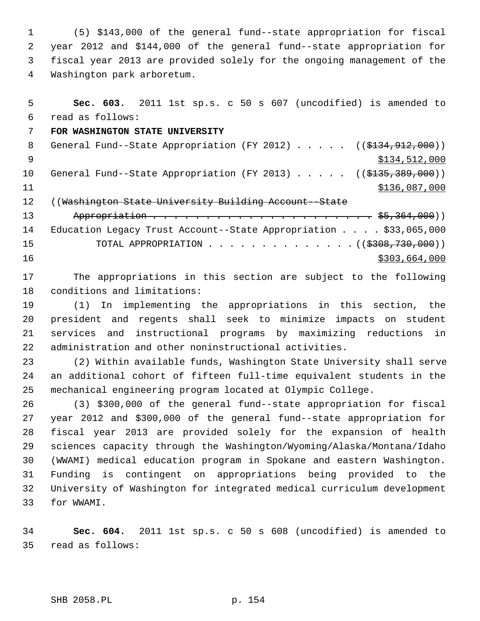1 (5) \$143,000 of the general fund--state appropriation for fiscal 2 year 2012 and \$144,000 of the general fund--state appropriation for 3 fiscal year 2013 are provided solely for the ongoing management of the 4 Washington park arboretum.

 5 **Sec. 603.** 2011 1st sp.s. c 50 s 607 (uncodified) is amended to 6 read as follows: 7 **FOR WASHINGTON STATE UNIVERSITY** 8 General Fund--State Appropriation (FY 2012) . . . . . ((\$134,912,000))  $$134,512,000$ 10 General Fund--State Appropriation (FY 2013) . . . . . ((\$135,389,000)) 11 \$136,087,000 12 ((Washington State University Building Account--State 13 Appropriation . . . . . . . . . . . . . . . . . . . . . \$5,364,000)) 14 Education Legacy Trust Account--State Appropriation . . . . \$33,065,000 15 TOTAL APPROPRIATION . . . . . . . . . . . . . . ((\$308,730,000))  $16$  \$303,664,000

17 The appropriations in this section are subject to the following 18 conditions and limitations:

19 (1) In implementing the appropriations in this section, the 20 president and regents shall seek to minimize impacts on student 21 services and instructional programs by maximizing reductions in 22 administration and other noninstructional activities.

23 (2) Within available funds, Washington State University shall serve 24 an additional cohort of fifteen full-time equivalent students in the 25 mechanical engineering program located at Olympic College.

26 (3) \$300,000 of the general fund--state appropriation for fiscal 27 year 2012 and \$300,000 of the general fund--state appropriation for 28 fiscal year 2013 are provided solely for the expansion of health 29 sciences capacity through the Washington/Wyoming/Alaska/Montana/Idaho 30 (WWAMI) medical education program in Spokane and eastern Washington. 31 Funding is contingent on appropriations being provided to the 32 University of Washington for integrated medical curriculum development 33 for WWAMI.

34 **Sec. 604.** 2011 1st sp.s. c 50 s 608 (uncodified) is amended to 35 read as follows: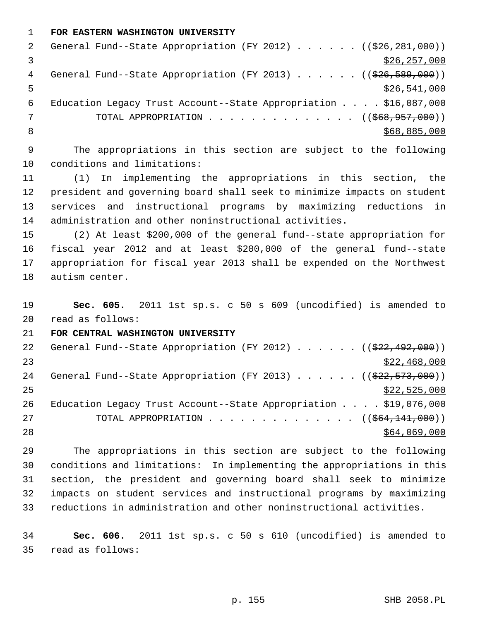1 **FOR EASTERN WASHINGTON UNIVERSITY**

| -2 | General Fund--State Appropriation (FY 2012) ( $(\frac{226}{281}, 281, 000)$ ) |
|----|-------------------------------------------------------------------------------|
|    | \$26, 257, 000                                                                |
| 4  | General Fund--State Appropriation (FY 2013) $($ $($ $$26, 589, 000)$ )        |
| 5  | \$26,541,000                                                                  |
| 6  | Education Legacy Trust Account--State Appropriation $\ldots$ , \$16,087,000   |
|    | TOTAL APPROPRIATION $\ldots$ , ( $(\frac{668,957,000}{1})$                    |
|    | \$68,885,000                                                                  |

 9 The appropriations in this section are subject to the following 10 conditions and limitations:

11 (1) In implementing the appropriations in this section, the 12 president and governing board shall seek to minimize impacts on student 13 services and instructional programs by maximizing reductions in 14 administration and other noninstructional activities.

15 (2) At least \$200,000 of the general fund--state appropriation for 16 fiscal year 2012 and at least \$200,000 of the general fund--state 17 appropriation for fiscal year 2013 shall be expended on the Northwest 18 autism center.

19 **Sec. 605.** 2011 1st sp.s. c 50 s 609 (uncodified) is amended to 20 read as follows:

21 **FOR CENTRAL WASHINGTON UNIVERSITY**

| 22 | General Fund--State Appropriation (FY 2012) $($ $($ $\frac{222}{192}$ , 492, 000))   |
|----|--------------------------------------------------------------------------------------|
| 23 | \$22,468,000                                                                         |
| 24 | General Fund--State Appropriation (FY 2013) ( $(\frac{222}{523}, \frac{573}{600})$ ) |
| 25 | \$22,525,000                                                                         |
| 26 | Education Legacy Trust Account--State Appropriation $\ldots$ \$19,076,000            |
| 27 | TOTAL APPROPRIATION $\ldots$ , ( $(\frac{1}{564}, \frac{141}{100})$ )                |
| 28 | \$64,069,000                                                                         |
|    |                                                                                      |

29 The appropriations in this section are subject to the following 30 conditions and limitations: In implementing the appropriations in this 31 section, the president and governing board shall seek to minimize 32 impacts on student services and instructional programs by maximizing 33 reductions in administration and other noninstructional activities.

34 **Sec. 606.** 2011 1st sp.s. c 50 s 610 (uncodified) is amended to 35 read as follows: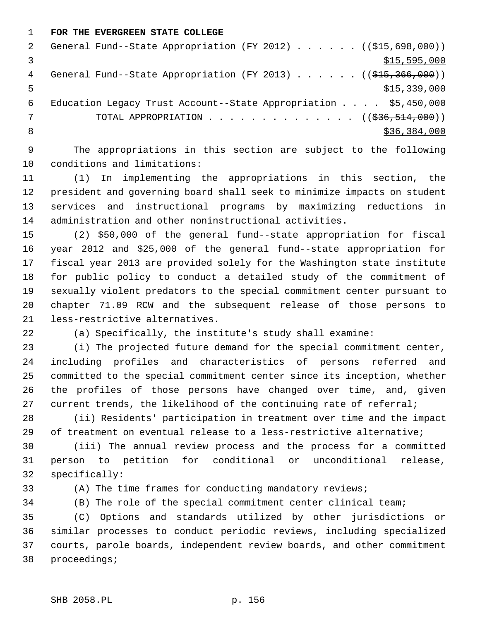1 **FOR THE EVERGREEN STATE COLLEGE**

|   | General Fund--State Appropriation (FY 2012) $($ $($ $\frac{215}{698}, \frac{698}{100})$ ) |
|---|-------------------------------------------------------------------------------------------|
|   | \$15,595,000                                                                              |
| 4 | General Fund--State Appropriation (FY 2013) $($ $($ \$15,366,000))                        |
|   | \$15,339,000                                                                              |
| 6 | Education Legacy Trust Account--State Appropriation $\ldots$ \$5,450,000                  |
|   | TOTAL APPROPRIATION $\ldots$ , ( $(\frac{236}{536}, \frac{514}{500})$ )                   |
|   | \$36,384,000                                                                              |
|   |                                                                                           |

 9 The appropriations in this section are subject to the following 10 conditions and limitations:

11 (1) In implementing the appropriations in this section, the 12 president and governing board shall seek to minimize impacts on student 13 services and instructional programs by maximizing reductions in 14 administration and other noninstructional activities.

15 (2) \$50,000 of the general fund--state appropriation for fiscal 16 year 2012 and \$25,000 of the general fund--state appropriation for 17 fiscal year 2013 are provided solely for the Washington state institute 18 for public policy to conduct a detailed study of the commitment of 19 sexually violent predators to the special commitment center pursuant to 20 chapter 71.09 RCW and the subsequent release of those persons to 21 less-restrictive alternatives.

22 (a) Specifically, the institute's study shall examine:

23 (i) The projected future demand for the special commitment center, 24 including profiles and characteristics of persons referred and 25 committed to the special commitment center since its inception, whether 26 the profiles of those persons have changed over time, and, given 27 current trends, the likelihood of the continuing rate of referral;

28 (ii) Residents' participation in treatment over time and the impact 29 of treatment on eventual release to a less-restrictive alternative;

30 (iii) The annual review process and the process for a committed 31 person to petition for conditional or unconditional release, 32 specifically:

33 (A) The time frames for conducting mandatory reviews;

34 (B) The role of the special commitment center clinical team;

35 (C) Options and standards utilized by other jurisdictions or 36 similar processes to conduct periodic reviews, including specialized 37 courts, parole boards, independent review boards, and other commitment 38 proceedings;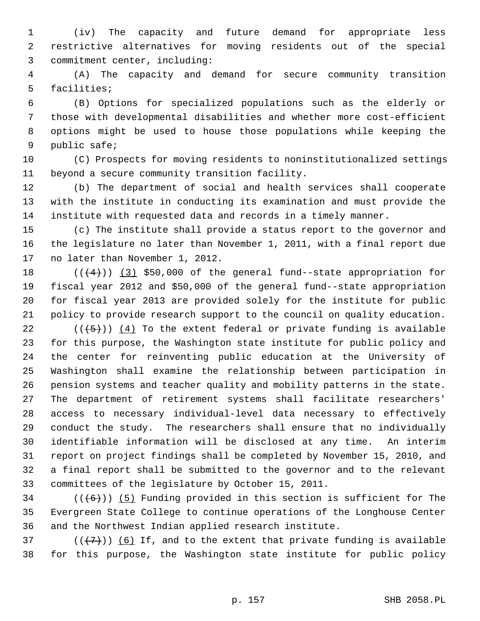1 (iv) The capacity and future demand for appropriate less 2 restrictive alternatives for moving residents out of the special 3 commitment center, including:

 4 (A) The capacity and demand for secure community transition 5 facilities;

 6 (B) Options for specialized populations such as the elderly or 7 those with developmental disabilities and whether more cost-efficient 8 options might be used to house those populations while keeping the 9 public safe;

10 (C) Prospects for moving residents to noninstitutionalized settings 11 beyond a secure community transition facility.

12 (b) The department of social and health services shall cooperate 13 with the institute in conducting its examination and must provide the 14 institute with requested data and records in a timely manner.

15 (c) The institute shall provide a status report to the governor and 16 the legislature no later than November 1, 2011, with a final report due 17 no later than November 1, 2012.

18  $((+4))$  (3) \$50,000 of the general fund--state appropriation for 19 fiscal year 2012 and \$50,000 of the general fund--state appropriation 20 for fiscal year 2013 are provided solely for the institute for public 21 policy to provide research support to the council on quality education.

22  $((+5))$  (4) To the extent federal or private funding is available 23 for this purpose, the Washington state institute for public policy and 24 the center for reinventing public education at the University of 25 Washington shall examine the relationship between participation in 26 pension systems and teacher quality and mobility patterns in the state. 27 The department of retirement systems shall facilitate researchers' 28 access to necessary individual-level data necessary to effectively 29 conduct the study. The researchers shall ensure that no individually 30 identifiable information will be disclosed at any time. An interim 31 report on project findings shall be completed by November 15, 2010, and 32 a final report shall be submitted to the governor and to the relevant 33 committees of the legislature by October 15, 2011.

 $34$  (( $(6)$ )) (5) Funding provided in this section is sufficient for The 35 Evergreen State College to continue operations of the Longhouse Center 36 and the Northwest Indian applied research institute.

37 ( $(\overline{\langle 7 \rangle})$  (6) If, and to the extent that private funding is available 38 for this purpose, the Washington state institute for public policy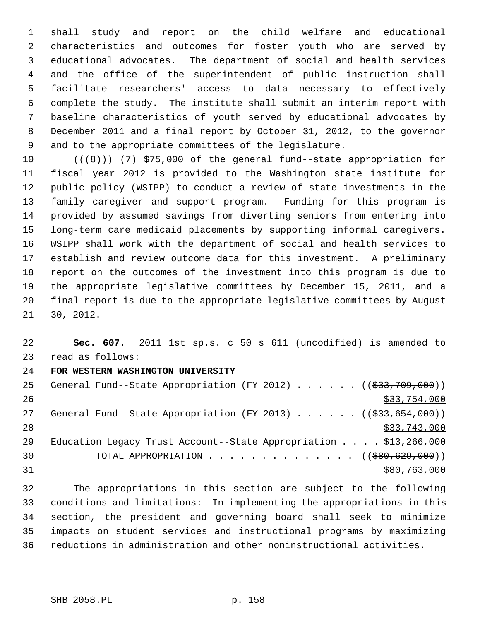1 shall study and report on the child welfare and educational 2 characteristics and outcomes for foster youth who are served by 3 educational advocates. The department of social and health services 4 and the office of the superintendent of public instruction shall 5 facilitate researchers' access to data necessary to effectively 6 complete the study. The institute shall submit an interim report with 7 baseline characteristics of youth served by educational advocates by 8 December 2011 and a final report by October 31, 2012, to the governor 9 and to the appropriate committees of the legislature.

10  $((+8))$   $(7)$  \$75,000 of the general fund--state appropriation for 11 fiscal year 2012 is provided to the Washington state institute for 12 public policy (WSIPP) to conduct a review of state investments in the 13 family caregiver and support program. Funding for this program is 14 provided by assumed savings from diverting seniors from entering into 15 long-term care medicaid placements by supporting informal caregivers. 16 WSIPP shall work with the department of social and health services to 17 establish and review outcome data for this investment. A preliminary 18 report on the outcomes of the investment into this program is due to 19 the appropriate legislative committees by December 15, 2011, and a 20 final report is due to the appropriate legislative committees by August 21 30, 2012.

22 **Sec. 607.** 2011 1st sp.s. c 50 s 611 (uncodified) is amended to 23 read as follows:

## 24 **FOR WESTERN WASHINGTON UNIVERSITY**

| 25 | General Fund--State Appropriation (FY 2012) $($ $($ $\frac{233}{709}, 000)$ ) |
|----|-------------------------------------------------------------------------------|
| 26 | \$33,754,000                                                                  |
| 27 | General Fund--State Appropriation (FY 2013) $($ $($ $\frac{233}{654}, 000)$ ) |
| 28 | \$33,743,000                                                                  |
| 29 | Education Legacy Trust Account--State Appropriation $\ldots$ , \$13,266,000   |
| 30 | TOTAL APPROPRIATION $\ldots$ , ( $(\$80,629,000)$ )                           |
| 31 | \$80,763,000                                                                  |

32 The appropriations in this section are subject to the following 33 conditions and limitations: In implementing the appropriations in this 34 section, the president and governing board shall seek to minimize 35 impacts on student services and instructional programs by maximizing 36 reductions in administration and other noninstructional activities.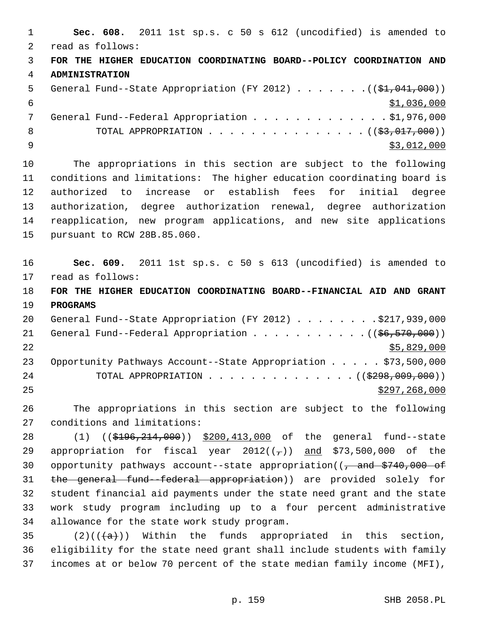1 **Sec. 608.** 2011 1st sp.s. c 50 s 612 (uncodified) is amended to 2 read as follows: 3 **FOR THE HIGHER EDUCATION COORDINATING BOARD--POLICY COORDINATION AND** 4 **ADMINISTRATION** 5 General Fund--State Appropriation (FY 2012) . . . . . . .((\$1,041,000))  $\frac{$1,036,000}{ }$ 7 General Fund--Federal Appropriation . . . . . . . . . . . . \$1,976,000 8 TOTAL APPROPRIATION  $\ldots$ , . . . . . . . . . . . . ( $(\frac{23}{2000})$ )  $\frac{1}{2}$   $\frac{1}{2}$ ,000 10 The appropriations in this section are subject to the following 11 conditions and limitations: The higher education coordinating board is 12 authorized to increase or establish fees for initial degree 13 authorization, degree authorization renewal, degree authorization 14 reapplication, new program applications, and new site applications 15 pursuant to RCW 28B.85.060. 16 **Sec. 609.** 2011 1st sp.s. c 50 s 613 (uncodified) is amended to 17 read as follows: 18 **FOR THE HIGHER EDUCATION COORDINATING BOARD--FINANCIAL AID AND GRANT** 19 **PROGRAMS** 20 General Fund--State Appropriation (FY 2012) . . . . . . . . \$217,939,000 21 General Fund--Federal Appropriation  $\ldots$  . . . . . . . . . ( $(\frac{66}{570}, \frac{570}{600})$ )  $22$   $\frac{$5,829,000}{2}$ 23 Opportunity Pathways Account--State Appropriation . . . . . \$73,500,000 24 TOTAL APPROPRIATION . . . . . . . . . . . . . ((<del>\$298,009,000</del>))  $25$  \$297,268,000 26 The appropriations in this section are subject to the following 27 conditions and limitations: 28 (1) ((\$196,214,000)) \$200,413,000 of the general fund--state 29 appropriation for fiscal year  $2012((7))$  and \$73,500,000 of the 30 opportunity pathways account--state appropriation( $\left(-\right)$  and  $\frac{2740}{000}$  of 31 the general fund--federal appropriation)) are provided solely for 32 student financial aid payments under the state need grant and the state 33 work study program including up to a four percent administrative 34 allowance for the state work study program. 35 (2)(( $\left(\frac{a}{a}\right)$ ) Within the funds appropriated in this section,

36 eligibility for the state need grant shall include students with family 37 incomes at or below 70 percent of the state median family income (MFI),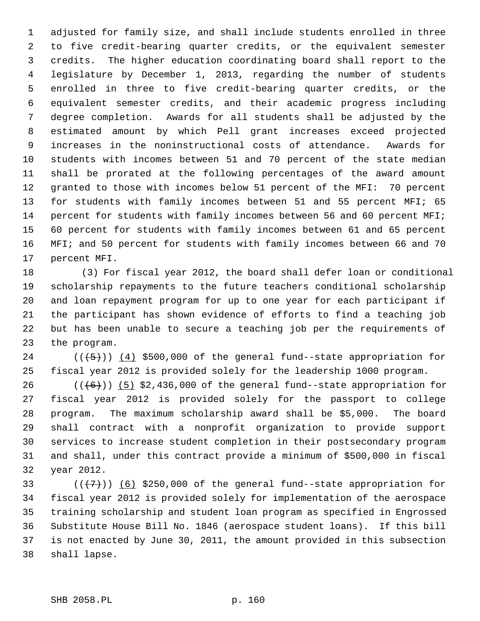1 adjusted for family size, and shall include students enrolled in three 2 to five credit-bearing quarter credits, or the equivalent semester 3 credits. The higher education coordinating board shall report to the 4 legislature by December 1, 2013, regarding the number of students 5 enrolled in three to five credit-bearing quarter credits, or the 6 equivalent semester credits, and their academic progress including 7 degree completion. Awards for all students shall be adjusted by the 8 estimated amount by which Pell grant increases exceed projected 9 increases in the noninstructional costs of attendance. Awards for 10 students with incomes between 51 and 70 percent of the state median 11 shall be prorated at the following percentages of the award amount 12 granted to those with incomes below 51 percent of the MFI: 70 percent 13 for students with family incomes between 51 and 55 percent MFI; 65 14 percent for students with family incomes between 56 and 60 percent MFI; 15 60 percent for students with family incomes between 61 and 65 percent 16 MFI; and 50 percent for students with family incomes between 66 and 70 17 percent MFI.

18 (3) For fiscal year 2012, the board shall defer loan or conditional 19 scholarship repayments to the future teachers conditional scholarship 20 and loan repayment program for up to one year for each participant if 21 the participant has shown evidence of efforts to find a teaching job 22 but has been unable to secure a teaching job per the requirements of 23 the program.

24  $((+5))$  (4) \$500,000 of the general fund--state appropriation for 25 fiscal year 2012 is provided solely for the leadership 1000 program.

26  $((+6))$  (5) \$2,436,000 of the general fund--state appropriation for 27 fiscal year 2012 is provided solely for the passport to college 28 program. The maximum scholarship award shall be \$5,000. The board 29 shall contract with a nonprofit organization to provide support 30 services to increase student completion in their postsecondary program 31 and shall, under this contract provide a minimum of \$500,000 in fiscal 32 year 2012.

33  $((+7))$  (6) \$250,000 of the general fund--state appropriation for 34 fiscal year 2012 is provided solely for implementation of the aerospace 35 training scholarship and student loan program as specified in Engrossed 36 Substitute House Bill No. 1846 (aerospace student loans). If this bill 37 is not enacted by June 30, 2011, the amount provided in this subsection 38 shall lapse.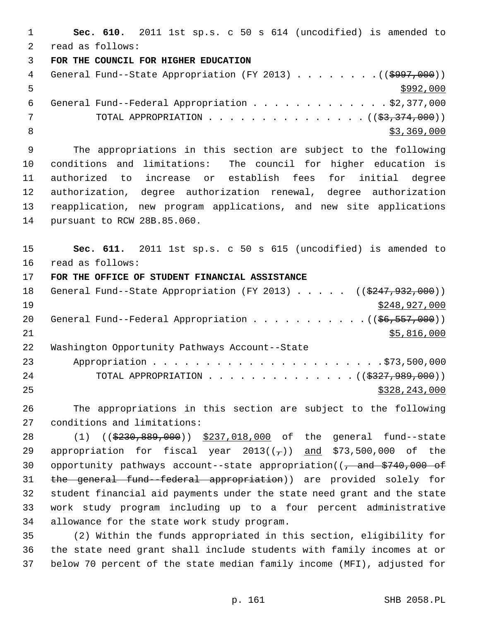1 **Sec. 610.** 2011 1st sp.s. c 50 s 614 (uncodified) is amended to 2 read as follows: 3 **FOR THE COUNCIL FOR HIGHER EDUCATION** 4 General Fund--State Appropriation (FY 2013) . . . . . . . . ((\$997,000))  $5 - 5$  6 General Fund--Federal Appropriation . . . . . . . . . . . . . \$2,377,000 7 TOTAL APPROPRIATION . . . . . . . . . . . . . . ((<del>\$3,374,000</del>)) 8  $\frac{1}{33,369,000}$  9 The appropriations in this section are subject to the following 10 conditions and limitations: The council for higher education is 11 authorized to increase or establish fees for initial degree 12 authorization, degree authorization renewal, degree authorization 13 reapplication, new program applications, and new site applications 14 pursuant to RCW 28B.85.060. 15 **Sec. 611.** 2011 1st sp.s. c 50 s 615 (uncodified) is amended to 16 read as follows: 17 **FOR THE OFFICE OF STUDENT FINANCIAL ASSISTANCE** 18 General Fund--State Appropriation (FY 2013) . . . . . ((\$247,932,000)) 19 \$248,927,000 20 General Fund--Federal Appropriation . . . . . . . . . .  $($   $($ \$6,557,000))  $21$  \$5,816,000 22 Washington Opportunity Pathways Account--State 23 Appropriation . . . . . . . . . . . . . . . . . . . . . .\$73,500,000 24 TOTAL APPROPRIATION . . . . . . . . . . . . . ((<del>\$327,989,000</del>)) 25 \$328,243,000 26 The appropriations in this section are subject to the following 27 conditions and limitations: 28 (1) ((\$230,889,000)) \$237,018,000 of the general fund--state 29 appropriation for fiscal year  $2013((7))$  and \$73,500,000 of the 30 opportunity pathways account--state appropriation( $\left(-\right)$  and  $\frac{2740}{000}$  of

31 the general fund--federal appropriation)) are provided solely for 32 student financial aid payments under the state need grant and the state 33 work study program including up to a four percent administrative 34 allowance for the state work study program.

35 (2) Within the funds appropriated in this section, eligibility for 36 the state need grant shall include students with family incomes at or 37 below 70 percent of the state median family income (MFI), adjusted for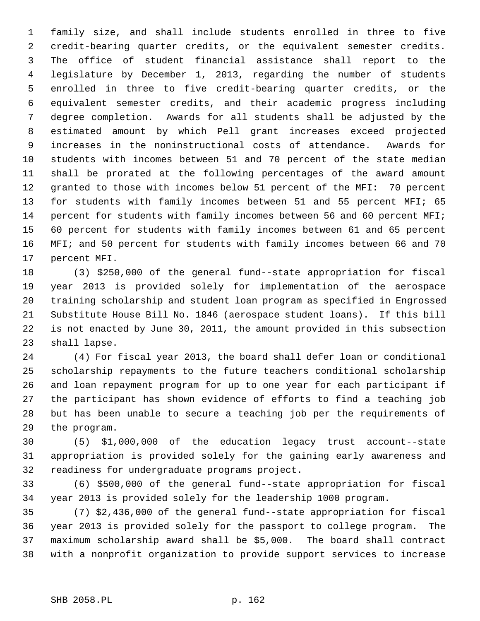1 family size, and shall include students enrolled in three to five 2 credit-bearing quarter credits, or the equivalent semester credits. 3 The office of student financial assistance shall report to the 4 legislature by December 1, 2013, regarding the number of students 5 enrolled in three to five credit-bearing quarter credits, or the 6 equivalent semester credits, and their academic progress including 7 degree completion. Awards for all students shall be adjusted by the 8 estimated amount by which Pell grant increases exceed projected 9 increases in the noninstructional costs of attendance. Awards for 10 students with incomes between 51 and 70 percent of the state median 11 shall be prorated at the following percentages of the award amount 12 granted to those with incomes below 51 percent of the MFI: 70 percent 13 for students with family incomes between 51 and 55 percent MFI; 65 14 percent for students with family incomes between 56 and 60 percent MFI; 15 60 percent for students with family incomes between 61 and 65 percent 16 MFI; and 50 percent for students with family incomes between 66 and 70 17 percent MFI.

18 (3) \$250,000 of the general fund--state appropriation for fiscal 19 year 2013 is provided solely for implementation of the aerospace 20 training scholarship and student loan program as specified in Engrossed 21 Substitute House Bill No. 1846 (aerospace student loans). If this bill 22 is not enacted by June 30, 2011, the amount provided in this subsection 23 shall lapse.

24 (4) For fiscal year 2013, the board shall defer loan or conditional 25 scholarship repayments to the future teachers conditional scholarship 26 and loan repayment program for up to one year for each participant if 27 the participant has shown evidence of efforts to find a teaching job 28 but has been unable to secure a teaching job per the requirements of 29 the program.

30 (5) \$1,000,000 of the education legacy trust account--state 31 appropriation is provided solely for the gaining early awareness and 32 readiness for undergraduate programs project.

33 (6) \$500,000 of the general fund--state appropriation for fiscal 34 year 2013 is provided solely for the leadership 1000 program.

35 (7) \$2,436,000 of the general fund--state appropriation for fiscal 36 year 2013 is provided solely for the passport to college program. The 37 maximum scholarship award shall be \$5,000. The board shall contract 38 with a nonprofit organization to provide support services to increase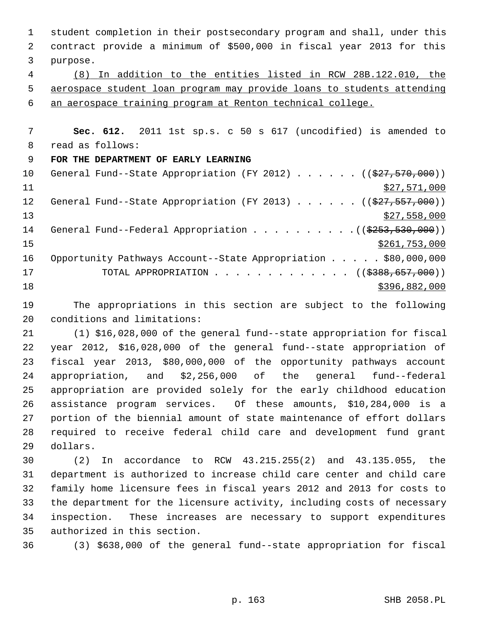1 student completion in their postsecondary program and shall, under this 2 contract provide a minimum of \$500,000 in fiscal year 2013 for this 3 purpose. 4 (8) In addition to the entities listed in RCW 28B.122.010, the 5 aerospace student loan program may provide loans to students attending 6 an aerospace training program at Renton technical college. 7 **Sec. 612.** 2011 1st sp.s. c 50 s 617 (uncodified) is amended to 8 read as follows: 9 **FOR THE DEPARTMENT OF EARLY LEARNING** 10 General Fund--State Appropriation (FY 2012) . . . . . . ((\$27,570,000))  $11$  \$27,571,000 12 General Fund--State Appropriation (FY 2013) . . . . . ((\$27,557,000)) 13 \$27,558,000 14 General Fund--Federal Appropriation . . . . . . . . . . ((\$253,530,000))  $\frac{$261,753,000}{2}$ 16 Opportunity Pathways Account--State Appropriation . . . . . \$80,000,000 17 TOTAL APPROPRIATION . . . . . . . . . . . . ((<del>\$388,657,000</del>)) 18 \$396,882,000 19 The appropriations in this section are subject to the following 20 conditions and limitations: 21 (1) \$16,028,000 of the general fund--state appropriation for fiscal 22 year 2012, \$16,028,000 of the general fund--state appropriation of 23 fiscal year 2013, \$80,000,000 of the opportunity pathways account 24 appropriation, and \$2,256,000 of the general fund--federal 25 appropriation are provided solely for the early childhood education

26 assistance program services. Of these amounts, \$10,284,000 is a 27 portion of the biennial amount of state maintenance of effort dollars 28 required to receive federal child care and development fund grant 29 dollars.

30 (2) In accordance to RCW 43.215.255(2) and 43.135.055, the 31 department is authorized to increase child care center and child care 32 family home licensure fees in fiscal years 2012 and 2013 for costs to 33 the department for the licensure activity, including costs of necessary 34 inspection. These increases are necessary to support expenditures 35 authorized in this section.

36 (3) \$638,000 of the general fund--state appropriation for fiscal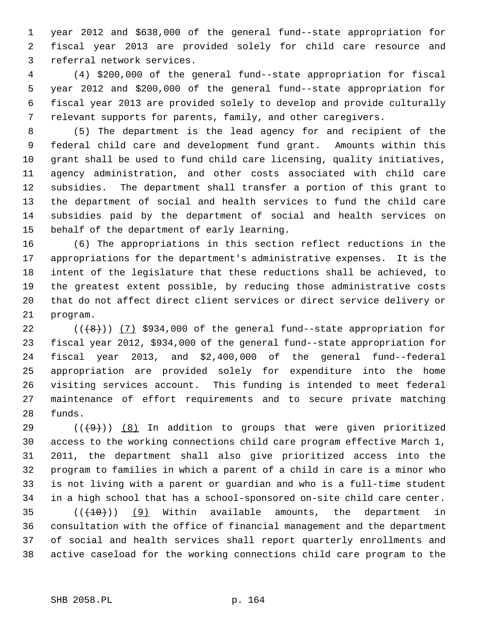1 year 2012 and \$638,000 of the general fund--state appropriation for 2 fiscal year 2013 are provided solely for child care resource and 3 referral network services.

 4 (4) \$200,000 of the general fund--state appropriation for fiscal 5 year 2012 and \$200,000 of the general fund--state appropriation for 6 fiscal year 2013 are provided solely to develop and provide culturally 7 relevant supports for parents, family, and other caregivers.

 8 (5) The department is the lead agency for and recipient of the 9 federal child care and development fund grant. Amounts within this 10 grant shall be used to fund child care licensing, quality initiatives, 11 agency administration, and other costs associated with child care 12 subsidies. The department shall transfer a portion of this grant to 13 the department of social and health services to fund the child care 14 subsidies paid by the department of social and health services on 15 behalf of the department of early learning.

16 (6) The appropriations in this section reflect reductions in the 17 appropriations for the department's administrative expenses. It is the 18 intent of the legislature that these reductions shall be achieved, to 19 the greatest extent possible, by reducing those administrative costs 20 that do not affect direct client services or direct service delivery or 21 program.

22  $((+8))$   $(7)$  \$934,000 of the general fund--state appropriation for 23 fiscal year 2012, \$934,000 of the general fund--state appropriation for 24 fiscal year 2013, and \$2,400,000 of the general fund--federal 25 appropriation are provided solely for expenditure into the home 26 visiting services account. This funding is intended to meet federal 27 maintenance of effort requirements and to secure private matching 28 funds.

29  $((+9))$  (8) In addition to groups that were given prioritized 30 access to the working connections child care program effective March 1, 31 2011, the department shall also give prioritized access into the 32 program to families in which a parent of a child in care is a minor who 33 is not living with a parent or guardian and who is a full-time student 34 in a high school that has a school-sponsored on-site child care center. 35  $((+10))$  (9) Within available amounts, the department in

36 consultation with the office of financial management and the department 37 of social and health services shall report quarterly enrollments and 38 active caseload for the working connections child care program to the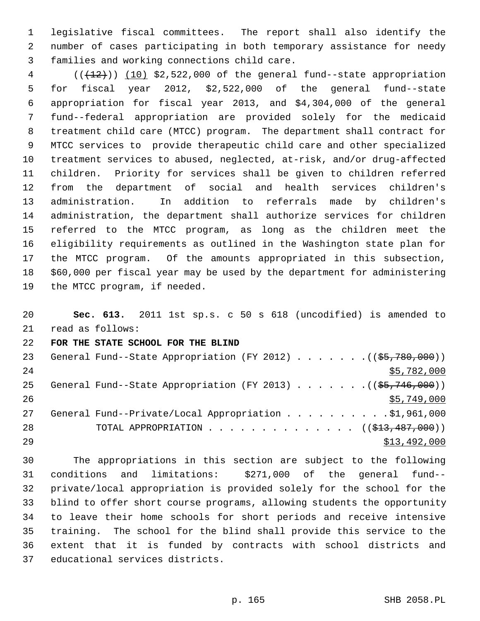1 legislative fiscal committees. The report shall also identify the 2 number of cases participating in both temporary assistance for needy 3 families and working connections child care.

 $4$  ( $(\frac{12}{12})$ ) (10) \$2,522,000 of the general fund--state appropriation 5 for fiscal year 2012, \$2,522,000 of the general fund--state 6 appropriation for fiscal year 2013, and \$4,304,000 of the general 7 fund--federal appropriation are provided solely for the medicaid 8 treatment child care (MTCC) program. The department shall contract for 9 MTCC services to provide therapeutic child care and other specialized 10 treatment services to abused, neglected, at-risk, and/or drug-affected 11 children. Priority for services shall be given to children referred 12 from the department of social and health services children's 13 administration. In addition to referrals made by children's 14 administration, the department shall authorize services for children 15 referred to the MTCC program, as long as the children meet the 16 eligibility requirements as outlined in the Washington state plan for 17 the MTCC program. Of the amounts appropriated in this subsection, 18 \$60,000 per fiscal year may be used by the department for administering 19 the MTCC program, if needed.

20 **Sec. 613.** 2011 1st sp.s. c 50 s 618 (uncodified) is amended to 21 read as follows: 22 **FOR THE STATE SCHOOL FOR THE BLIND** 23 General Fund--State Appropriation (FY 2012) . . . . . . . ((\$5,780,000)) 24 \$5,782,000 25 General Fund--State Appropriation (FY 2013) . . . . . . . ((\$5,746,000))  $26$   $\frac{$5,749,000}{ }$ 27 General Fund--Private/Local Appropriation . . . . . . . . . \$1,961,000 28 TOTAL APPROPRIATION . . . . . . . . . . . . . ((<del>\$13,487,000</del>))  $29$   $513,492,000$ 

30 The appropriations in this section are subject to the following 31 conditions and limitations: \$271,000 of the general fund-- 32 private/local appropriation is provided solely for the school for the 33 blind to offer short course programs, allowing students the opportunity 34 to leave their home schools for short periods and receive intensive 35 training. The school for the blind shall provide this service to the 36 extent that it is funded by contracts with school districts and 37 educational services districts.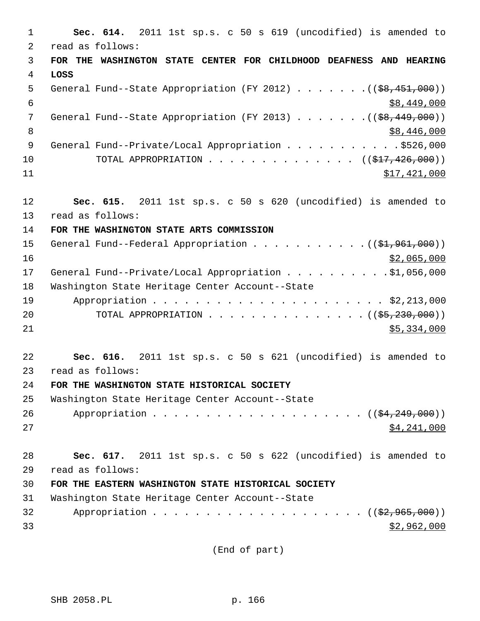1 **Sec. 614.** 2011 1st sp.s. c 50 s 619 (uncodified) is amended to 2 read as follows: 3 **FOR THE WASHINGTON STATE CENTER FOR CHILDHOOD DEAFNESS AND HEARING** 4 **LOSS** 5 General Fund--State Appropriation (FY 2012) . . . . . . .((\$8,451,000))  $\frac{1}{6}$  \$8,449,000 7 General Fund--State Appropriation (FY 2013) . . . . . . . ((<del>\$8,449,000</del>)) 8  $38,446,000$ 9 General Fund--Private/Local Appropriation . . . . . . . . . . \$526,000 10 TOTAL APPROPRIATION . . . . . . . . . . . . . ((<del>\$17,426,000</del>)) 11 \$17,421,000 12 **Sec. 615.** 2011 1st sp.s. c 50 s 620 (uncodified) is amended to 13 read as follows: 14 **FOR THE WASHINGTON STATE ARTS COMMISSION** 15 General Fund--Federal Appropriation . . . . . . . . . . . ((\$1,961,000)) 16 \$2,065,000 17 General Fund--Private/Local Appropriation . . . . . . . . . \$1,056,000 18 Washington State Heritage Center Account--State 19 Appropriation . . . . . . . . . . . . . . . . . . . . . . \$2,213,000 20 TOTAL APPROPRIATION . . . . . . . . . . . . . . ((\$5,230,000))  $21$  \$5,334,000 22 **Sec. 616.** 2011 1st sp.s. c 50 s 621 (uncodified) is amended to 23 read as follows: 24 **FOR THE WASHINGTON STATE HISTORICAL SOCIETY** 25 Washington State Heritage Center Account--State 26 Appropriation . . . . . . . . . . . . . . . . . . (  $(\frac{24,249,000}{2})$  $27$   $$4,241,000$ 28 **Sec. 617.** 2011 1st sp.s. c 50 s 622 (uncodified) is amended to 29 read as follows: 30 **FOR THE EASTERN WASHINGTON STATE HISTORICAL SOCIETY** 31 Washington State Heritage Center Account--State 32 Appropriation . . . . . . . . . . . . . . . . . . (  $(\frac{2}{2}, 965, 000)$  ) 33 \$2,962,000

(End of part)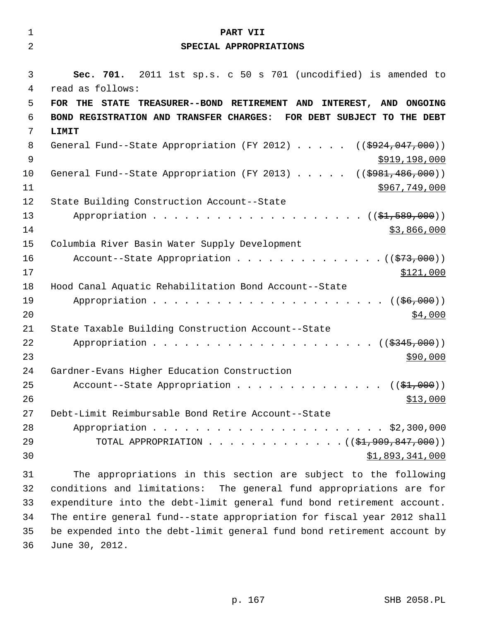| 1  | PART VII                                                                               |
|----|----------------------------------------------------------------------------------------|
| 2  | SPECIAL APPROPRIATIONS                                                                 |
|    |                                                                                        |
| 3  | Sec. 701. 2011 1st sp.s. c 50 s 701 (uncodified) is amended to                         |
| 4  | read as follows:                                                                       |
| 5  | FOR THE STATE TREASURER--BOND RETIREMENT AND INTEREST, AND ONGOING                     |
| 6  | BOND REGISTRATION AND TRANSFER CHARGES:<br>FOR DEBT SUBJECT TO THE DEBT                |
| 7  | LIMIT                                                                                  |
| 8  | General Fund--State Appropriation (FY 2012) $($ $($ $\frac{1}{2924}$ , 047, 000))      |
| 9  | \$919, 198, 000                                                                        |
| 10 | General Fund--State Appropriation (FY 2013) $($ $($ $\frac{1}{2981}, \frac{486}{100})$ |
| 11 | \$967,749,000                                                                          |
| 12 | State Building Construction Account--State                                             |
| 13 |                                                                                        |
| 14 | \$3,866,000                                                                            |
| 15 | Columbia River Basin Water Supply Development                                          |
| 16 | Account--State Appropriation $($ $($ $573,000)$ )                                      |
| 17 | \$121,000                                                                              |
| 18 | Hood Canal Aquatic Rehabilitation Bond Account--State                                  |
| 19 | (( <del>\$6,000</del> ))                                                               |
| 20 | \$4,000                                                                                |
| 21 | State Taxable Building Construction Account--State                                     |
| 22 | Appropriation<br>(( <del>\$345,000</del> ))                                            |
| 23 | \$90,000                                                                               |
| 24 | Gardner-Evans Higher Education Construction                                            |
| 25 | Account--State Appropriation $($ $($ \$1,000) $)$                                      |
| 26 | \$13,000                                                                               |
| 27 | Debt-Limit Reimbursable Bond Retire Account--State                                     |
| 28 |                                                                                        |
| 29 | TOTAL APPROPRIATION ( $(\frac{21}{7909}, \frac{847}{1000})$ )                          |
| 30 | \$1,893,341,000                                                                        |
| 31 | The appropriations in this section are subject to the following                        |

32 conditions and limitations: The general fund appropriations are for 33 expenditure into the debt-limit general fund bond retirement account. 34 The entire general fund--state appropriation for fiscal year 2012 shall 35 be expended into the debt-limit general fund bond retirement account by 36 June 30, 2012.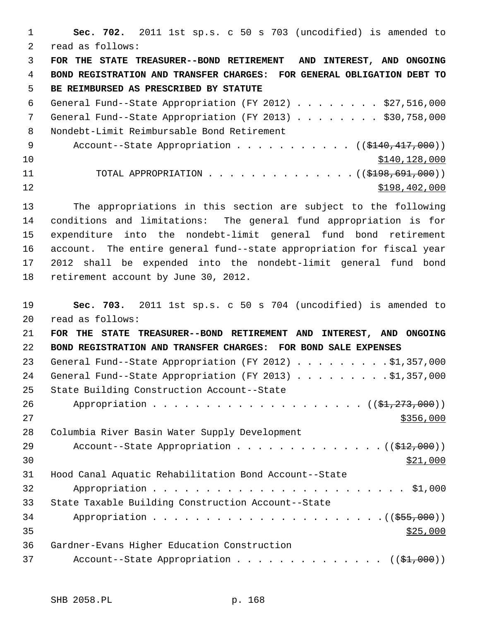1 **Sec. 702.** 2011 1st sp.s. c 50 s 703 (uncodified) is amended to 2 read as follows: 3 **FOR THE STATE TREASURER--BOND RETIREMENT AND INTEREST, AND ONGOING** 4 **BOND REGISTRATION AND TRANSFER CHARGES: FOR GENERAL OBLIGATION DEBT TO** 5 **BE REIMBURSED AS PRESCRIBED BY STATUTE** 6 General Fund--State Appropriation (FY 2012) . . . . . . . . \$27,516,000 7 General Fund--State Appropriation (FY 2013) . . . . . . . \$30,758,000 8 Nondebt-Limit Reimbursable Bond Retirement 9 Account--State Appropriation . . . . . . . . . . ((\$140,417,000))  $\frac{$140}{128,000}$ 11 TOTAL APPROPRIATION . . . . . . . . . . . . . . ((\$198,691,000))  $12$  \$198,402,000 13 The appropriations in this section are subject to the following 14 conditions and limitations: The general fund appropriation is for 15 expenditure into the nondebt-limit general fund bond retirement 16 account. The entire general fund--state appropriation for fiscal year 17 2012 shall be expended into the nondebt-limit general fund bond 18 retirement account by June 30, 2012. 19 **Sec. 703.** 2011 1st sp.s. c 50 s 704 (uncodified) is amended to 20 read as follows: 21 **FOR THE STATE TREASURER--BOND RETIREMENT AND INTEREST, AND ONGOING** 22 **BOND REGISTRATION AND TRANSFER CHARGES: FOR BOND SALE EXPENSES** 23 General Fund--State Appropriation (FY 2012) . . . . . . . . . \$1,357,000 24 General Fund--State Appropriation (FY 2013) . . . . . . . . . \$1,357,000 25 State Building Construction Account--State 26 Appropriation . . . . . . . . . . . . . . . . . . (  $(\frac{27}{273},000)$  )  $27$ 28 Columbia River Basin Water Supply Development 29 Account--State Appropriation . . . . . . . . . . . . . . ((\$12,000))  $30 \frac{$21,000}{ }$ 31 Hood Canal Aquatic Rehabilitation Bond Account--State 32 Appropriation . . . . . . . . . . . . . . . . . . . . . . . . \$1,000 33 State Taxable Building Construction Account--State 34 Appropriation . . . . . . . . . . . . . . . . . . . . . .((\$55,000))  $35$ 36 Gardner-Evans Higher Education Construction 37 Account--State Appropriation . . . . . . . . . . . .  $($   $($ \$1,000))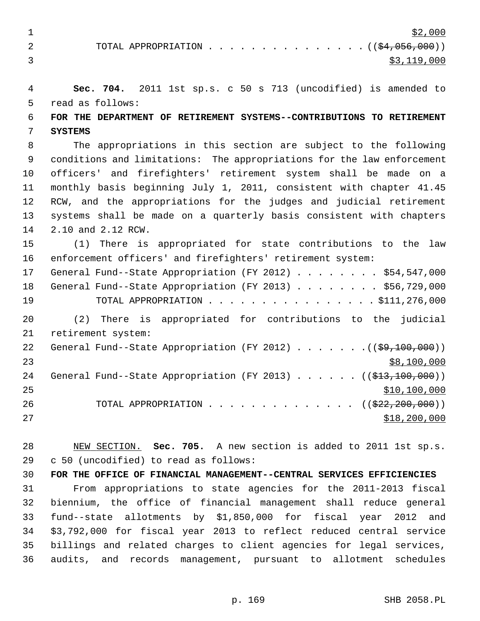$\frac{$2,000}{ }$ 2 TOTAL APPROPRIATION . . . . . . . . . . . . . . ((\$4,056,000))  $\frac{1}{3}$ , 119,000

 4 **Sec. 704.** 2011 1st sp.s. c 50 s 713 (uncodified) is amended to 5 read as follows: 6 **FOR THE DEPARTMENT OF RETIREMENT SYSTEMS--CONTRIBUTIONS TO RETIREMENT** 7 **SYSTEMS** 8 The appropriations in this section are subject to the following 9 conditions and limitations: The appropriations for the law enforcement 10 officers' and firefighters' retirement system shall be made on a 11 monthly basis beginning July 1, 2011, consistent with chapter 41.45 12 RCW, and the appropriations for the judges and judicial retirement 13 systems shall be made on a quarterly basis consistent with chapters 14 2.10 and 2.12 RCW. 15 (1) There is appropriated for state contributions to the law 16 enforcement officers' and firefighters' retirement system: 17 General Fund--State Appropriation (FY 2012) . . . . . . . . \$54,547,000 18 General Fund--State Appropriation (FY 2013) . . . . . . . . \$56,729,000 19 TOTAL APPROPRIATION . . . . . . . . . . . . . . . . \$111,276,000 20 (2) There is appropriated for contributions to the judicial 21 retirement system: 22 General Fund--State Appropriation (FY 2012) . . . . . . . ((\$9,100,000))

 $23$  \$8,100,000 24 General Fund--State Appropriation (FY 2013) . . . . . . ((\$13,100,000))  $25$  \$10,100,000 26 TOTAL APPROPRIATION . . . . . . . . . . . . . ((<del>\$22,200,000</del>))  $27$  \$18,200,000

28 NEW SECTION. **Sec. 705.** A new section is added to 2011 1st sp.s. 29 c 50 (uncodified) to read as follows:

30 **FOR THE OFFICE OF FINANCIAL MANAGEMENT--CENTRAL SERVICES EFFICIENCIES** 31 From appropriations to state agencies for the 2011-2013 fiscal 32 biennium, the office of financial management shall reduce general 33 fund--state allotments by \$1,850,000 for fiscal year 2012 and 34 \$3,792,000 for fiscal year 2013 to reflect reduced central service 35 billings and related charges to client agencies for legal services, 36 audits, and records management, pursuant to allotment schedules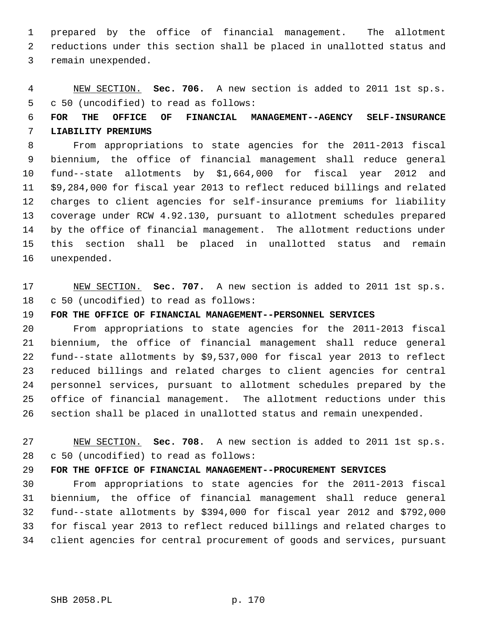1 prepared by the office of financial management. The allotment 2 reductions under this section shall be placed in unallotted status and 3 remain unexpended.

 4 NEW SECTION. **Sec. 706.** A new section is added to 2011 1st sp.s. 5 c 50 (uncodified) to read as follows:

## 6 **FOR THE OFFICE OF FINANCIAL MANAGEMENT--AGENCY SELF-INSURANCE** 7 **LIABILITY PREMIUMS**

 8 From appropriations to state agencies for the 2011-2013 fiscal 9 biennium, the office of financial management shall reduce general 10 fund--state allotments by \$1,664,000 for fiscal year 2012 and 11 \$9,284,000 for fiscal year 2013 to reflect reduced billings and related 12 charges to client agencies for self-insurance premiums for liability 13 coverage under RCW 4.92.130, pursuant to allotment schedules prepared 14 by the office of financial management. The allotment reductions under 15 this section shall be placed in unallotted status and remain 16 unexpended.

17 NEW SECTION. **Sec. 707.** A new section is added to 2011 1st sp.s. 18 c 50 (uncodified) to read as follows:

## 19 **FOR THE OFFICE OF FINANCIAL MANAGEMENT--PERSONNEL SERVICES**

20 From appropriations to state agencies for the 2011-2013 fiscal 21 biennium, the office of financial management shall reduce general 22 fund--state allotments by \$9,537,000 for fiscal year 2013 to reflect 23 reduced billings and related charges to client agencies for central 24 personnel services, pursuant to allotment schedules prepared by the 25 office of financial management. The allotment reductions under this 26 section shall be placed in unallotted status and remain unexpended.

27 NEW SECTION. **Sec. 708.** A new section is added to 2011 1st sp.s. 28 c 50 (uncodified) to read as follows:

## 29 **FOR THE OFFICE OF FINANCIAL MANAGEMENT--PROCUREMENT SERVICES**

30 From appropriations to state agencies for the 2011-2013 fiscal 31 biennium, the office of financial management shall reduce general 32 fund--state allotments by \$394,000 for fiscal year 2012 and \$792,000 33 for fiscal year 2013 to reflect reduced billings and related charges to 34 client agencies for central procurement of goods and services, pursuant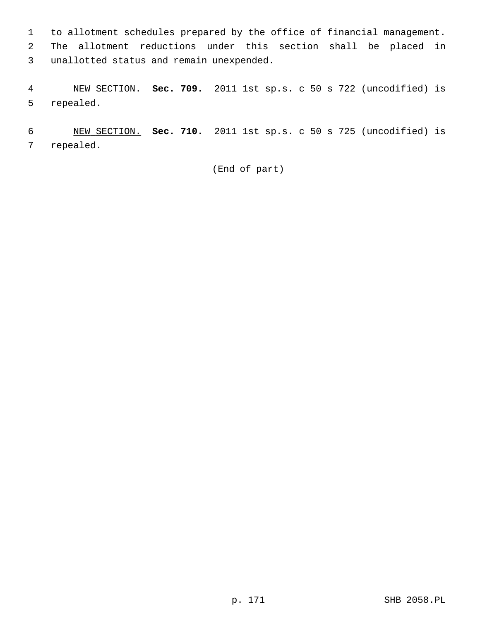1 to allotment schedules prepared by the office of financial management. 2 The allotment reductions under this section shall be placed in 3 unallotted status and remain unexpended.

 4 NEW SECTION. **Sec. 709.** 2011 1st sp.s. c 50 s 722 (uncodified) is 5 repealed.

 6 NEW SECTION. **Sec. 710.** 2011 1st sp.s. c 50 s 725 (uncodified) is 7 repealed.

(End of part)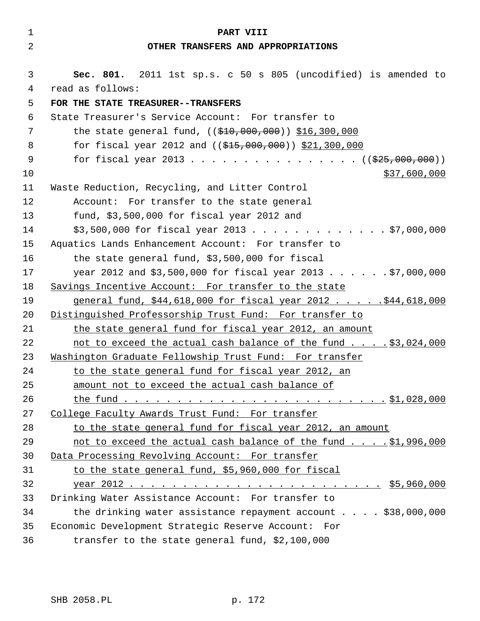| $\mathbf 1$    | PART VIII                                                                          |
|----------------|------------------------------------------------------------------------------------|
| $\overline{2}$ | OTHER TRANSFERS AND APPROPRIATIONS                                                 |
| 3              |                                                                                    |
| 4              | Sec. 801. 2011 1st sp.s. c 50 s 805 (uncodified) is amended to<br>read as follows: |
| 5              | FOR THE STATE TREASURER--TRANSFERS                                                 |
| 6              | State Treasurer's Service Account: For transfer to                                 |
| 7              | the state general fund, $((\frac{210}{200}, 0.00, 0.00)$ \$16,300,000              |
| 8              | for fiscal year 2012 and ((\$15,000,000)) \$21,300,000                             |
| 9              | for fiscal year 2013 ( $(\frac{225}{100}, 000, 000)$ )                             |
| 10             | \$37,600,000                                                                       |
| 11             | Waste Reduction, Recycling, and Litter Control                                     |
| 12             | Account: For transfer to the state general                                         |
| 13             | fund, $$3,500,000$ for fiscal year 2012 and                                        |
| 14             | $$3,500,000$ for fiscal year 2013 \$7,000,000                                      |
| 15             | Aquatics Lands Enhancement Account: For transfer to                                |
| 16             | the state general fund, \$3,500,000 for fiscal                                     |
| 17             | year 2012 and \$3,500,000 for fiscal year 2013 \$7,000,000                         |
| 18             | Savings Incentive Account: For transfer to the state                               |
| 19             | general fund, \$44,618,000 for fiscal year 2012 \$44,618,000                       |
| 20             | Distinguished Professorship Trust Fund: For transfer to                            |
| 21             | the state general fund for fiscal year 2012, an amount                             |
| 22             | not to exceed the actual cash balance of the fund \$3,024,000                      |
| 23             | Mashington Graduate Fellowship Trust Fund: For transfer                            |
| 24             | to the state general fund for fiscal year 2012, an                                 |
| 25             | amount not to exceed the actual cash balance of                                    |
| 26             |                                                                                    |
| 27             | College Faculty Awards Trust Fund: For transfer                                    |
| 28             | to the state general fund for fiscal year 2012, an amount                          |
| 29             | not to exceed the actual cash balance of the fund \$1,996,000                      |
| 30             | Data Processing Revolving Account: For transfer                                    |
| 31             | to the state general fund, \$5,960,000 for fiscal                                  |
| 32             |                                                                                    |
| 33             | Drinking Water Assistance Account: For transfer to                                 |
| 34             | the drinking water assistance repayment account \$38,000,000                       |
| 35             | Economic Development Strategic Reserve Account: For                                |
| 36             | transfer to the state general fund, \$2,100,000                                    |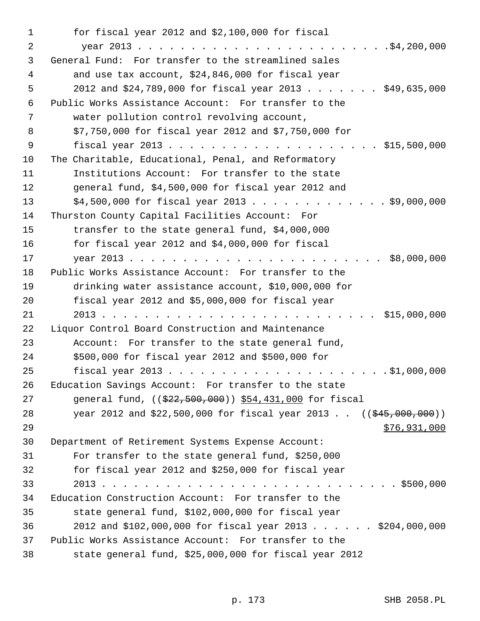1 for fiscal year 2012 and \$2,100,000 for fiscal 2 year 2013 . . . . . . . . . . . . . . . . . . . . . . . .\$4,200,000 3 General Fund: For transfer to the streamlined sales 4 and use tax account, \$24,846,000 for fiscal year 5 2012 and \$24,789,000 for fiscal year 2013 . . . . . . . \$49,635,000 6 Public Works Assistance Account: For transfer to the 7 water pollution control revolving account, 8 \$7,750,000 for fiscal year 2012 and \$7,750,000 for 9 fiscal year 2013 . . . . . . . . . . . . . . . . . . . . \$15,500,000 10 The Charitable, Educational, Penal, and Reformatory 11 Institutions Account: For transfer to the state 12 general fund, \$4,500,000 for fiscal year 2012 and 13 \$4,500,000 for fiscal year 2013 . . . . . . . . . . . . . \$9,000,000 14 Thurston County Capital Facilities Account: For 15 transfer to the state general fund, \$4,000,000 16 for fiscal year 2012 and \$4,000,000 for fiscal 17 year 2013 . . . . . . . . . . . . . . . . . . . . . . . . \$8,000,000 18 Public Works Assistance Account: For transfer to the 19 drinking water assistance account, \$10,000,000 for 20 fiscal year 2012 and \$5,000,000 for fiscal year 21 2013 . . . . . . . . . . . . . . . . . . . . . . . . . . \$15,000,000 22 Liquor Control Board Construction and Maintenance 23 Account: For transfer to the state general fund, 24 \$500,000 for fiscal year 2012 and \$500,000 for 25 fiscal year 2013 . . . . . . . . . . . . . . . . . . . . . \$1,000,000 26 Education Savings Account: For transfer to the state 27 general fund, ((\$22,500,000)) \$54,431,000 for fiscal 28 year 2012 and \$22,500,000 for fiscal year 2013. ((\$45,000,000)) 29 \$76,931,000 30 Department of Retirement Systems Expense Account: 31 For transfer to the state general fund, \$250,000 32 for fiscal year 2012 and \$250,000 for fiscal year 33 2013 . . . . . . . . . . . . . . . . . . . . . . . . . . . . \$500,000 34 Education Construction Account: For transfer to the 35 state general fund, \$102,000,000 for fiscal year 36 2012 and \$102,000,000 for fiscal year 2013 . . . . . . \$204,000,000 37 Public Works Assistance Account: For transfer to the 38 state general fund, \$25,000,000 for fiscal year 2012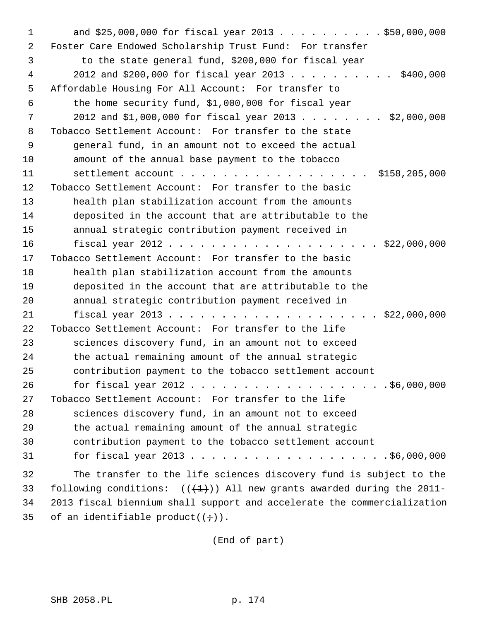1 and \$25,000,000 for fiscal year 2013 . . . . . . . . . . \$50,000,000 2 Foster Care Endowed Scholarship Trust Fund: For transfer 3 to the state general fund, \$200,000 for fiscal year 4 2012 and \$200,000 for fiscal year 2013 . . . . . . . . . . \$400,000 5 Affordable Housing For All Account: For transfer to 6 the home security fund, \$1,000,000 for fiscal year 7 2012 and \$1,000,000 for fiscal year 2013 . . . . . . . . \$2,000,000 8 Tobacco Settlement Account: For transfer to the state 9 general fund, in an amount not to exceed the actual 10 amount of the annual base payment to the tobacco 11 settlement account . . . . . . . . . . . . . . . . . . \$158,205,000 12 Tobacco Settlement Account: For transfer to the basic 13 health plan stabilization account from the amounts 14 deposited in the account that are attributable to the 15 annual strategic contribution payment received in 16 fiscal year 2012 . . . . . . . . . . . . . . . . . . . . \$22,000,000 17 Tobacco Settlement Account: For transfer to the basic 18 health plan stabilization account from the amounts 19 deposited in the account that are attributable to the 20 annual strategic contribution payment received in 21 fiscal year 2013 . . . . . . . . . . . . . . . . . . . . \$22,000,000 22 Tobacco Settlement Account: For transfer to the life 23 sciences discovery fund, in an amount not to exceed 24 the actual remaining amount of the annual strategic 25 contribution payment to the tobacco settlement account 26 for fiscal year 2012 . . . . . . . . . . . . . . . . . . \$6,000,000 27 Tobacco Settlement Account: For transfer to the life 28 sciences discovery fund, in an amount not to exceed 29 the actual remaining amount of the annual strategic 30 contribution payment to the tobacco settlement account 31 for fiscal year 2013 . . . . . . . . . . . . . . . . . . .\$6,000,000 32 The transfer to the life sciences discovery fund is subject to the 33 following conditions:  $((+1))$  All new grants awarded during the 2011-34 2013 fiscal biennium shall support and accelerate the commercialization 35 of an identifiable product( $(i+)$ ).

(End of part)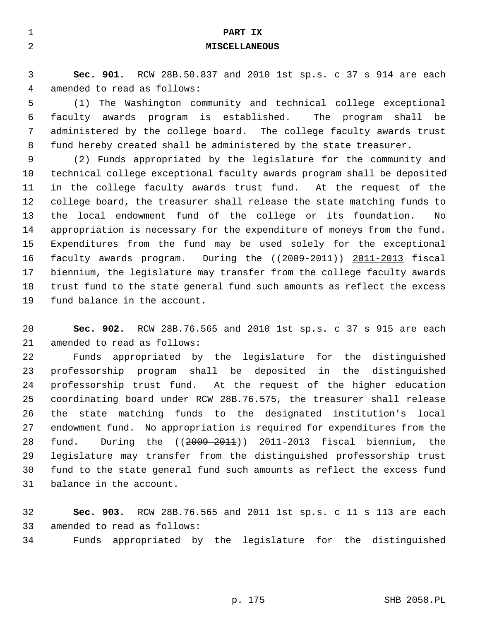| 1              | PART IX                                                                 |
|----------------|-------------------------------------------------------------------------|
| $\overline{2}$ | <b>MISCELLANEOUS</b>                                                    |
|                |                                                                         |
| 3              | Sec. 901. RCW 28B.50.837 and 2010 1st sp.s. c 37 s 914 are each         |
| 4              | amended to read as follows:                                             |
| 5              | The Washington community and technical college exceptional<br>(1)       |
| 6              | faculty awards program is established. The program<br>shall be          |
| 7              | administered by the college board. The college faculty awards trust     |
| 8              | fund hereby created shall be administered by the state treasurer.       |
| 9              | (2) Funds appropriated by the legislature for the community and         |
| 10             | technical college exceptional faculty awards program shall be deposited |
| 11             | in the college faculty awards trust fund. At the request of the         |
| 12             | college board, the treasurer shall release the state matching funds to  |
| 13             | the local endowment fund of the college or its foundation.<br>No        |
| 14             | appropriation is necessary for the expenditure of moneys from the fund. |
| 15             | Expenditures from the fund may be used solely for the exceptional       |
| 16             | faculty awards program. During the $((2009 - 2011))$ 2011-2013 fiscal   |
| 17             | biennium, the legislature may transfer from the college faculty awards  |
| 18             | trust fund to the state general fund such amounts as reflect the excess |
| 19             | fund balance in the account.                                            |
|                |                                                                         |

20 **Sec. 902.** RCW 28B.76.565 and 2010 1st sp.s. c 37 s 915 are each 21 amended to read as follows:

22 Funds appropriated by the legislature for the distinguished 23 professorship program shall be deposited in the distinguished 24 professorship trust fund. At the request of the higher education 25 coordinating board under RCW 28B.76.575, the treasurer shall release 26 the state matching funds to the designated institution's local 27 endowment fund. No appropriation is required for expenditures from the 28 fund. During the ((2009-2011)) 2011-2013 fiscal biennium, the 29 legislature may transfer from the distinguished professorship trust 30 fund to the state general fund such amounts as reflect the excess fund 31 balance in the account.

32 **Sec. 903.** RCW 28B.76.565 and 2011 1st sp.s. c 11 s 113 are each 33 amended to read as follows:

34 Funds appropriated by the legislature for the distinguished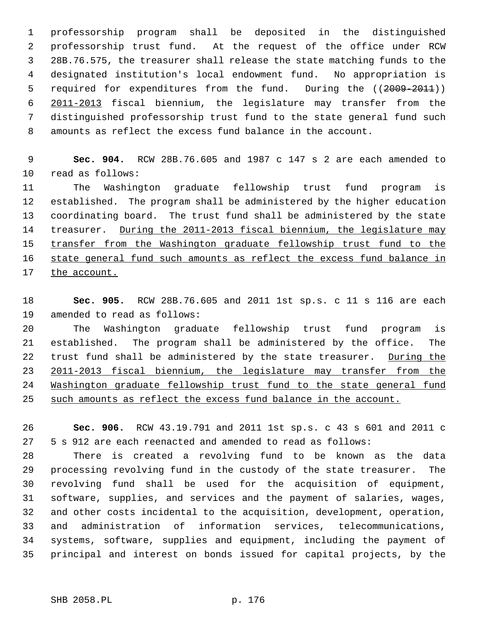1 professorship program shall be deposited in the distinguished 2 professorship trust fund. At the request of the office under RCW 3 28B.76.575, the treasurer shall release the state matching funds to the 4 designated institution's local endowment fund. No appropriation is 5 required for expenditures from the fund. During the ((2009-2011)) 6 2011-2013 fiscal biennium, the legislature may transfer from the 7 distinguished professorship trust fund to the state general fund such 8 amounts as reflect the excess fund balance in the account.

 9 **Sec. 904.** RCW 28B.76.605 and 1987 c 147 s 2 are each amended to 10 read as follows:

11 The Washington graduate fellowship trust fund program is 12 established. The program shall be administered by the higher education 13 coordinating board. The trust fund shall be administered by the state 14 treasurer. During the 2011-2013 fiscal biennium, the legislature may 15 transfer from the Washington graduate fellowship trust fund to the 16 state general fund such amounts as reflect the excess fund balance in 17 the account.

18 **Sec. 905.** RCW 28B.76.605 and 2011 1st sp.s. c 11 s 116 are each 19 amended to read as follows:

20 The Washington graduate fellowship trust fund program is 21 established. The program shall be administered by the office. The 22 trust fund shall be administered by the state treasurer. During the 23 2011-2013 fiscal biennium, the legislature may transfer from the 24 Washington graduate fellowship trust fund to the state general fund 25 such amounts as reflect the excess fund balance in the account.

26 **Sec. 906.** RCW 43.19.791 and 2011 1st sp.s. c 43 s 601 and 2011 c 27 5 s 912 are each reenacted and amended to read as follows:

28 There is created a revolving fund to be known as the data 29 processing revolving fund in the custody of the state treasurer. The 30 revolving fund shall be used for the acquisition of equipment, 31 software, supplies, and services and the payment of salaries, wages, 32 and other costs incidental to the acquisition, development, operation, 33 and administration of information services, telecommunications, 34 systems, software, supplies and equipment, including the payment of 35 principal and interest on bonds issued for capital projects, by the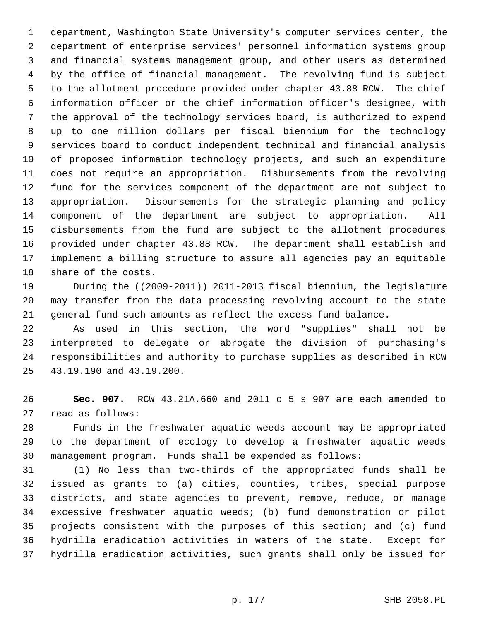1 department, Washington State University's computer services center, the 2 department of enterprise services' personnel information systems group 3 and financial systems management group, and other users as determined 4 by the office of financial management. The revolving fund is subject 5 to the allotment procedure provided under chapter 43.88 RCW. The chief 6 information officer or the chief information officer's designee, with 7 the approval of the technology services board, is authorized to expend 8 up to one million dollars per fiscal biennium for the technology 9 services board to conduct independent technical and financial analysis 10 of proposed information technology projects, and such an expenditure 11 does not require an appropriation. Disbursements from the revolving 12 fund for the services component of the department are not subject to 13 appropriation. Disbursements for the strategic planning and policy 14 component of the department are subject to appropriation. All 15 disbursements from the fund are subject to the allotment procedures 16 provided under chapter 43.88 RCW. The department shall establish and 17 implement a billing structure to assure all agencies pay an equitable 18 share of the costs.

19 During the ((2009-2011)) 2011-2013 fiscal biennium, the legislature 20 may transfer from the data processing revolving account to the state 21 general fund such amounts as reflect the excess fund balance.

22 As used in this section, the word "supplies" shall not be 23 interpreted to delegate or abrogate the division of purchasing's 24 responsibilities and authority to purchase supplies as described in RCW 25 43.19.190 and 43.19.200.

26 **Sec. 907.** RCW 43.21A.660 and 2011 c 5 s 907 are each amended to 27 read as follows:

28 Funds in the freshwater aquatic weeds account may be appropriated 29 to the department of ecology to develop a freshwater aquatic weeds 30 management program. Funds shall be expended as follows:

31 (1) No less than two-thirds of the appropriated funds shall be 32 issued as grants to (a) cities, counties, tribes, special purpose 33 districts, and state agencies to prevent, remove, reduce, or manage 34 excessive freshwater aquatic weeds; (b) fund demonstration or pilot 35 projects consistent with the purposes of this section; and (c) fund 36 hydrilla eradication activities in waters of the state. Except for 37 hydrilla eradication activities, such grants shall only be issued for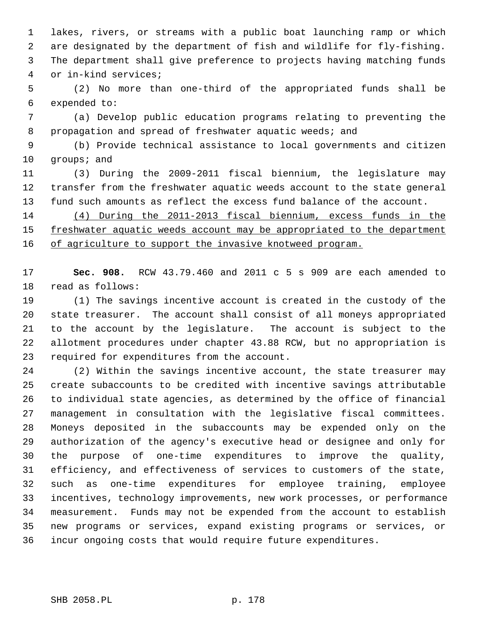1 lakes, rivers, or streams with a public boat launching ramp or which 2 are designated by the department of fish and wildlife for fly-fishing. 3 The department shall give preference to projects having matching funds 4 or in-kind services;

 5 (2) No more than one-third of the appropriated funds shall be 6 expended to:

 7 (a) Develop public education programs relating to preventing the 8 propagation and spread of freshwater aquatic weeds; and

 9 (b) Provide technical assistance to local governments and citizen 10 groups; and

11 (3) During the 2009-2011 fiscal biennium, the legislature may 12 transfer from the freshwater aquatic weeds account to the state general 13 fund such amounts as reflect the excess fund balance of the account.

14 (4) During the 2011-2013 fiscal biennium, excess funds in the 15 freshwater aquatic weeds account may be appropriated to the department 16 of agriculture to support the invasive knotweed program.

17 **Sec. 908.** RCW 43.79.460 and 2011 c 5 s 909 are each amended to 18 read as follows:

19 (1) The savings incentive account is created in the custody of the 20 state treasurer. The account shall consist of all moneys appropriated 21 to the account by the legislature. The account is subject to the 22 allotment procedures under chapter 43.88 RCW, but no appropriation is 23 required for expenditures from the account.

24 (2) Within the savings incentive account, the state treasurer may 25 create subaccounts to be credited with incentive savings attributable 26 to individual state agencies, as determined by the office of financial 27 management in consultation with the legislative fiscal committees. 28 Moneys deposited in the subaccounts may be expended only on the 29 authorization of the agency's executive head or designee and only for 30 the purpose of one-time expenditures to improve the quality, 31 efficiency, and effectiveness of services to customers of the state, 32 such as one-time expenditures for employee training, employee 33 incentives, technology improvements, new work processes, or performance 34 measurement. Funds may not be expended from the account to establish 35 new programs or services, expand existing programs or services, or 36 incur ongoing costs that would require future expenditures.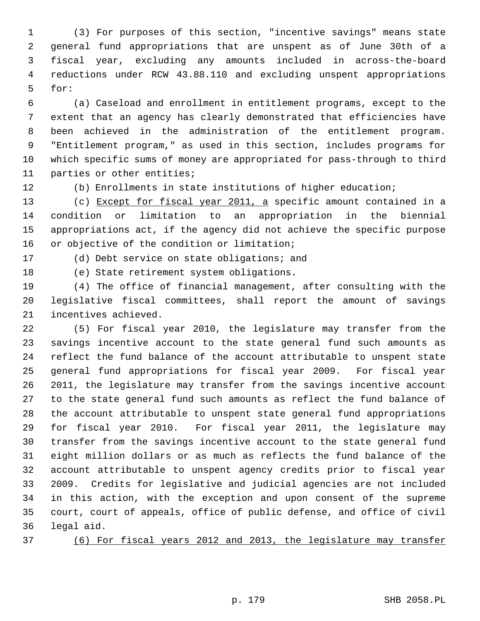1 (3) For purposes of this section, "incentive savings" means state 2 general fund appropriations that are unspent as of June 30th of a 3 fiscal year, excluding any amounts included in across-the-board 4 reductions under RCW 43.88.110 and excluding unspent appropriations 5 for:

 6 (a) Caseload and enrollment in entitlement programs, except to the 7 extent that an agency has clearly demonstrated that efficiencies have 8 been achieved in the administration of the entitlement program. 9 "Entitlement program," as used in this section, includes programs for 10 which specific sums of money are appropriated for pass-through to third 11 parties or other entities;

12 (b) Enrollments in state institutions of higher education;

13 (c) Except for fiscal year 2011, a specific amount contained in a 14 condition or limitation to an appropriation in the biennial 15 appropriations act, if the agency did not achieve the specific purpose 16 or objective of the condition or limitation;

17 (d) Debt service on state obligations; and

18 (e) State retirement system obligations.

19 (4) The office of financial management, after consulting with the 20 legislative fiscal committees, shall report the amount of savings 21 incentives achieved.

22 (5) For fiscal year 2010, the legislature may transfer from the 23 savings incentive account to the state general fund such amounts as 24 reflect the fund balance of the account attributable to unspent state 25 general fund appropriations for fiscal year 2009. For fiscal year 26 2011, the legislature may transfer from the savings incentive account 27 to the state general fund such amounts as reflect the fund balance of 28 the account attributable to unspent state general fund appropriations 29 for fiscal year 2010. For fiscal year 2011, the legislature may 30 transfer from the savings incentive account to the state general fund 31 eight million dollars or as much as reflects the fund balance of the 32 account attributable to unspent agency credits prior to fiscal year 33 2009. Credits for legislative and judicial agencies are not included 34 in this action, with the exception and upon consent of the supreme 35 court, court of appeals, office of public defense, and office of civil 36 legal aid.

37 (6) For fiscal years 2012 and 2013, the legislature may transfer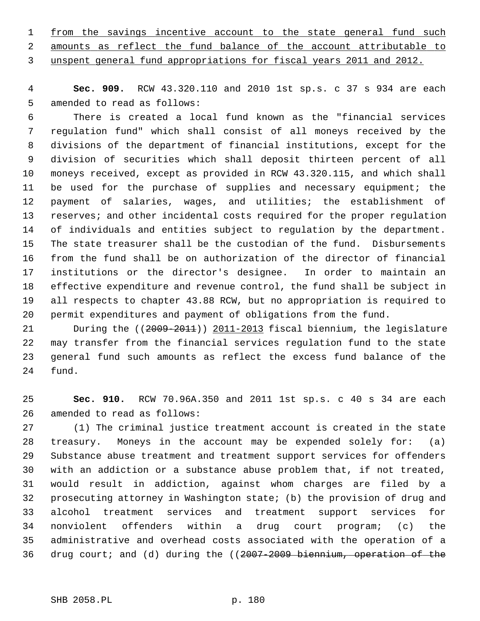| 1 from the savings incentive account to the state general fund such |                                                                       |  |  |  |  |  |
|---------------------------------------------------------------------|-----------------------------------------------------------------------|--|--|--|--|--|
|                                                                     | 2 amounts as reflect the fund balance of the account attributable to  |  |  |  |  |  |
|                                                                     | 3 unspent general fund appropriations for fiscal years 2011 and 2012. |  |  |  |  |  |

 4 **Sec. 909.** RCW 43.320.110 and 2010 1st sp.s. c 37 s 934 are each 5 amended to read as follows:

 6 There is created a local fund known as the "financial services 7 regulation fund" which shall consist of all moneys received by the 8 divisions of the department of financial institutions, except for the 9 division of securities which shall deposit thirteen percent of all 10 moneys received, except as provided in RCW 43.320.115, and which shall 11 be used for the purchase of supplies and necessary equipment; the 12 payment of salaries, wages, and utilities; the establishment of 13 reserves; and other incidental costs required for the proper regulation 14 of individuals and entities subject to regulation by the department. 15 The state treasurer shall be the custodian of the fund. Disbursements 16 from the fund shall be on authorization of the director of financial 17 institutions or the director's designee. In order to maintain an 18 effective expenditure and revenue control, the fund shall be subject in 19 all respects to chapter 43.88 RCW, but no appropriation is required to 20 permit expenditures and payment of obligations from the fund.

21 During the ((2009-2011)) 2011-2013 fiscal biennium, the legislature 22 may transfer from the financial services regulation fund to the state 23 general fund such amounts as reflect the excess fund balance of the 24 fund.

25 **Sec. 910.** RCW 70.96A.350 and 2011 1st sp.s. c 40 s 34 are each 26 amended to read as follows:

27 (1) The criminal justice treatment account is created in the state 28 treasury. Moneys in the account may be expended solely for: (a) 29 Substance abuse treatment and treatment support services for offenders 30 with an addiction or a substance abuse problem that, if not treated, 31 would result in addiction, against whom charges are filed by a 32 prosecuting attorney in Washington state; (b) the provision of drug and 33 alcohol treatment services and treatment support services for 34 nonviolent offenders within a drug court program; (c) the 35 administrative and overhead costs associated with the operation of a 36 drug court; and (d) during the ((2007-2009 biennium, operation of the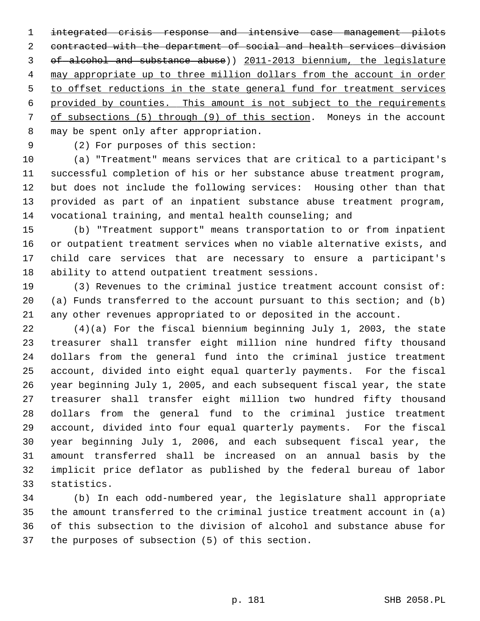integrated crisis response and intensive case management pilots contracted with the department of social and health services division of alcohol and substance abuse)) 2011-2013 biennium, the legislature may appropriate up to three million dollars from the account in order to offset reductions in the state general fund for treatment services provided by counties. This amount is not subject to the requirements of subsections (5) through (9) of this section. Moneys in the account 8 may be spent only after appropriation.

9 (2) For purposes of this section:

10 (a) "Treatment" means services that are critical to a participant's 11 successful completion of his or her substance abuse treatment program, 12 but does not include the following services: Housing other than that 13 provided as part of an inpatient substance abuse treatment program, 14 vocational training, and mental health counseling; and

15 (b) "Treatment support" means transportation to or from inpatient 16 or outpatient treatment services when no viable alternative exists, and 17 child care services that are necessary to ensure a participant's 18 ability to attend outpatient treatment sessions.

19 (3) Revenues to the criminal justice treatment account consist of: 20 (a) Funds transferred to the account pursuant to this section; and (b) 21 any other revenues appropriated to or deposited in the account.

22 (4)(a) For the fiscal biennium beginning July 1, 2003, the state 23 treasurer shall transfer eight million nine hundred fifty thousand 24 dollars from the general fund into the criminal justice treatment 25 account, divided into eight equal quarterly payments. For the fiscal 26 year beginning July 1, 2005, and each subsequent fiscal year, the state 27 treasurer shall transfer eight million two hundred fifty thousand 28 dollars from the general fund to the criminal justice treatment 29 account, divided into four equal quarterly payments. For the fiscal 30 year beginning July 1, 2006, and each subsequent fiscal year, the 31 amount transferred shall be increased on an annual basis by the 32 implicit price deflator as published by the federal bureau of labor 33 statistics.

34 (b) In each odd-numbered year, the legislature shall appropriate 35 the amount transferred to the criminal justice treatment account in (a) 36 of this subsection to the division of alcohol and substance abuse for 37 the purposes of subsection (5) of this section.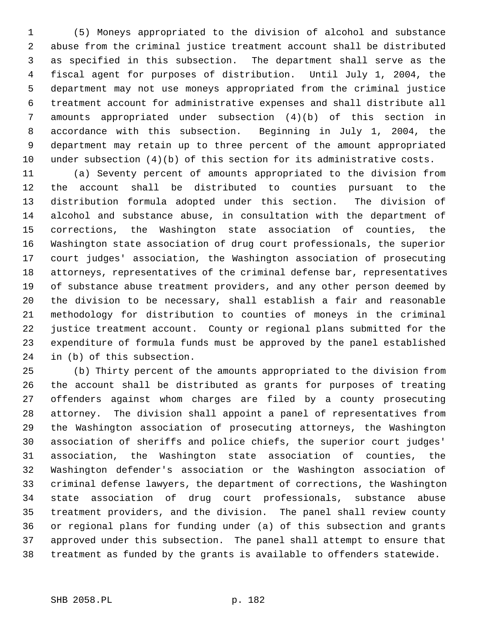1 (5) Moneys appropriated to the division of alcohol and substance 2 abuse from the criminal justice treatment account shall be distributed 3 as specified in this subsection. The department shall serve as the 4 fiscal agent for purposes of distribution. Until July 1, 2004, the 5 department may not use moneys appropriated from the criminal justice 6 treatment account for administrative expenses and shall distribute all 7 amounts appropriated under subsection (4)(b) of this section in 8 accordance with this subsection. Beginning in July 1, 2004, the 9 department may retain up to three percent of the amount appropriated 10 under subsection (4)(b) of this section for its administrative costs.

11 (a) Seventy percent of amounts appropriated to the division from 12 the account shall be distributed to counties pursuant to the 13 distribution formula adopted under this section. The division of 14 alcohol and substance abuse, in consultation with the department of 15 corrections, the Washington state association of counties, the 16 Washington state association of drug court professionals, the superior 17 court judges' association, the Washington association of prosecuting 18 attorneys, representatives of the criminal defense bar, representatives 19 of substance abuse treatment providers, and any other person deemed by 20 the division to be necessary, shall establish a fair and reasonable 21 methodology for distribution to counties of moneys in the criminal 22 justice treatment account. County or regional plans submitted for the 23 expenditure of formula funds must be approved by the panel established 24 in (b) of this subsection.

25 (b) Thirty percent of the amounts appropriated to the division from 26 the account shall be distributed as grants for purposes of treating 27 offenders against whom charges are filed by a county prosecuting 28 attorney. The division shall appoint a panel of representatives from 29 the Washington association of prosecuting attorneys, the Washington 30 association of sheriffs and police chiefs, the superior court judges' 31 association, the Washington state association of counties, the 32 Washington defender's association or the Washington association of 33 criminal defense lawyers, the department of corrections, the Washington 34 state association of drug court professionals, substance abuse 35 treatment providers, and the division. The panel shall review county 36 or regional plans for funding under (a) of this subsection and grants 37 approved under this subsection. The panel shall attempt to ensure that 38 treatment as funded by the grants is available to offenders statewide.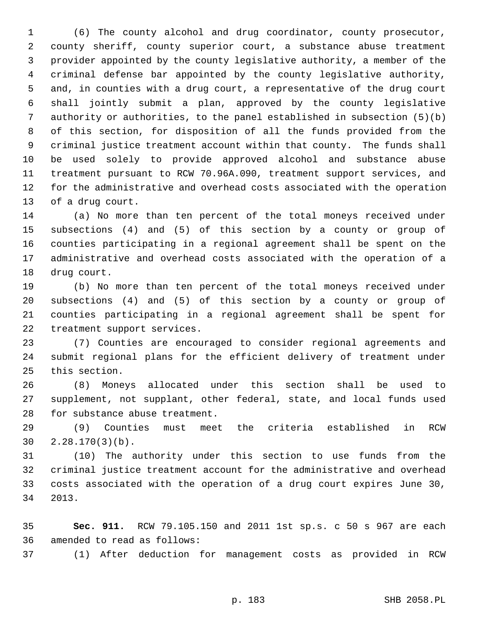1 (6) The county alcohol and drug coordinator, county prosecutor, 2 county sheriff, county superior court, a substance abuse treatment 3 provider appointed by the county legislative authority, a member of the 4 criminal defense bar appointed by the county legislative authority, 5 and, in counties with a drug court, a representative of the drug court 6 shall jointly submit a plan, approved by the county legislative 7 authority or authorities, to the panel established in subsection (5)(b) 8 of this section, for disposition of all the funds provided from the 9 criminal justice treatment account within that county. The funds shall 10 be used solely to provide approved alcohol and substance abuse 11 treatment pursuant to RCW 70.96A.090, treatment support services, and 12 for the administrative and overhead costs associated with the operation 13 of a drug court.

14 (a) No more than ten percent of the total moneys received under 15 subsections (4) and (5) of this section by a county or group of 16 counties participating in a regional agreement shall be spent on the 17 administrative and overhead costs associated with the operation of a 18 drug court.

19 (b) No more than ten percent of the total moneys received under 20 subsections (4) and (5) of this section by a county or group of 21 counties participating in a regional agreement shall be spent for 22 treatment support services.

23 (7) Counties are encouraged to consider regional agreements and 24 submit regional plans for the efficient delivery of treatment under 25 this section.

26 (8) Moneys allocated under this section shall be used to 27 supplement, not supplant, other federal, state, and local funds used 28 for substance abuse treatment.

29 (9) Counties must meet the criteria established in RCW 30 2.28.170(3)(b).

31 (10) The authority under this section to use funds from the 32 criminal justice treatment account for the administrative and overhead 33 costs associated with the operation of a drug court expires June 30, 34 2013.

35 **Sec. 911.** RCW 79.105.150 and 2011 1st sp.s. c 50 s 967 are each 36 amended to read as follows:

37 (1) After deduction for management costs as provided in RCW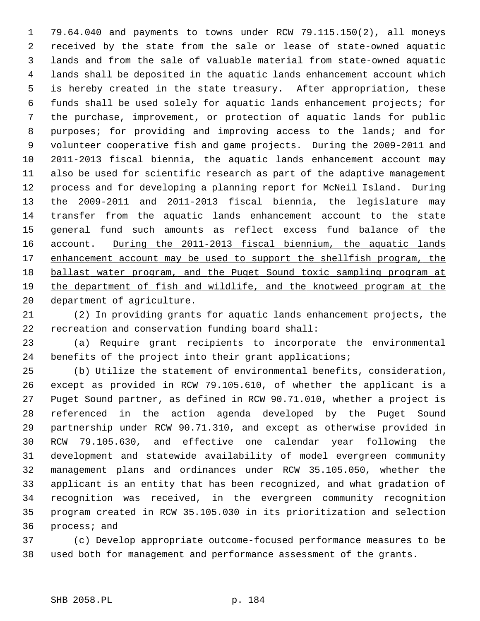1 79.64.040 and payments to towns under RCW 79.115.150(2), all moneys 2 received by the state from the sale or lease of state-owned aquatic 3 lands and from the sale of valuable material from state-owned aquatic 4 lands shall be deposited in the aquatic lands enhancement account which 5 is hereby created in the state treasury. After appropriation, these 6 funds shall be used solely for aquatic lands enhancement projects; for 7 the purchase, improvement, or protection of aquatic lands for public 8 purposes; for providing and improving access to the lands; and for 9 volunteer cooperative fish and game projects. During the 2009-2011 and 10 2011-2013 fiscal biennia, the aquatic lands enhancement account may 11 also be used for scientific research as part of the adaptive management 12 process and for developing a planning report for McNeil Island. During 13 the 2009-2011 and 2011-2013 fiscal biennia, the legislature may 14 transfer from the aquatic lands enhancement account to the state 15 general fund such amounts as reflect excess fund balance of the 16 account. During the 2011-2013 fiscal biennium, the aquatic lands 17 enhancement account may be used to support the shellfish program, the 18 ballast water program, and the Puget Sound toxic sampling program at 19 the department of fish and wildlife, and the knotweed program at the 20 department of agriculture.

21 (2) In providing grants for aquatic lands enhancement projects, the 22 recreation and conservation funding board shall:

23 (a) Require grant recipients to incorporate the environmental 24 benefits of the project into their grant applications;

25 (b) Utilize the statement of environmental benefits, consideration, 26 except as provided in RCW 79.105.610, of whether the applicant is a 27 Puget Sound partner, as defined in RCW 90.71.010, whether a project is 28 referenced in the action agenda developed by the Puget Sound 29 partnership under RCW 90.71.310, and except as otherwise provided in 30 RCW 79.105.630, and effective one calendar year following the 31 development and statewide availability of model evergreen community 32 management plans and ordinances under RCW 35.105.050, whether the 33 applicant is an entity that has been recognized, and what gradation of 34 recognition was received, in the evergreen community recognition 35 program created in RCW 35.105.030 in its prioritization and selection 36 process; and

37 (c) Develop appropriate outcome-focused performance measures to be 38 used both for management and performance assessment of the grants.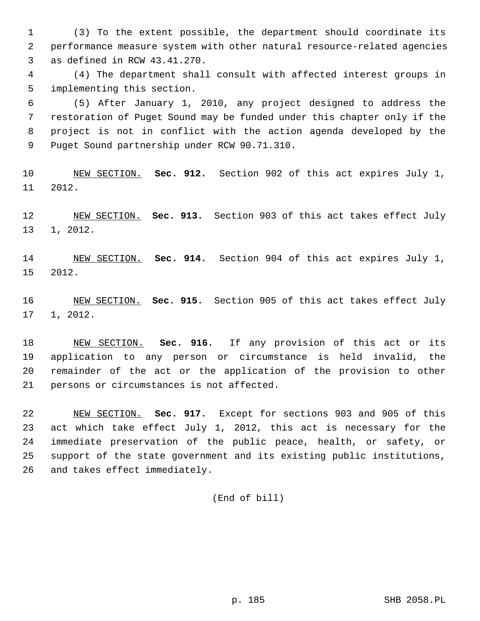1 (3) To the extent possible, the department should coordinate its 2 performance measure system with other natural resource-related agencies 3 as defined in RCW 43.41.270.

 4 (4) The department shall consult with affected interest groups in 5 implementing this section.

 6 (5) After January 1, 2010, any project designed to address the 7 restoration of Puget Sound may be funded under this chapter only if the 8 project is not in conflict with the action agenda developed by the 9 Puget Sound partnership under RCW 90.71.310.

10 NEW SECTION. **Sec. 912.** Section 902 of this act expires July 1, 11 2012.

12 NEW SECTION. **Sec. 913.** Section 903 of this act takes effect July 13 1, 2012.

14 NEW SECTION. **Sec. 914.** Section 904 of this act expires July 1, 15 2012.

16 NEW SECTION. **Sec. 915.** Section 905 of this act takes effect July 17 1, 2012.

18 NEW SECTION. **Sec. 916.** If any provision of this act or its 19 application to any person or circumstance is held invalid, the 20 remainder of the act or the application of the provision to other 21 persons or circumstances is not affected.

22 NEW SECTION. **Sec. 917.** Except for sections 903 and 905 of this 23 act which take effect July 1, 2012, this act is necessary for the 24 immediate preservation of the public peace, health, or safety, or 25 support of the state government and its existing public institutions, 26 and takes effect immediately.

(End of bill)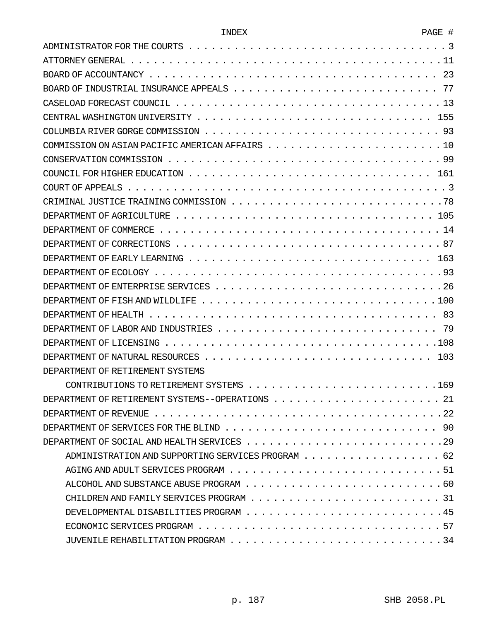| ٦D<br>. . |  |
|-----------|--|
|           |  |

| DEPARTMENT OF RETIREMENT SYSTEMS |
|----------------------------------|
|                                  |
|                                  |
|                                  |
|                                  |
|                                  |
|                                  |
|                                  |
|                                  |
|                                  |
|                                  |
|                                  |
|                                  |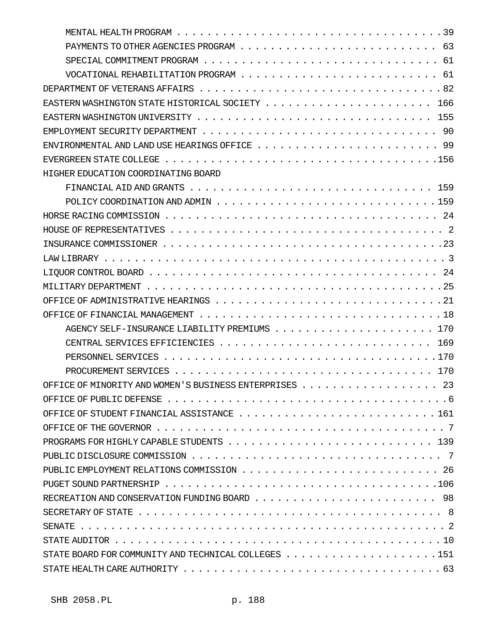| HIGHER EDUCATION COORDINATING BOARD                                                                                      |
|--------------------------------------------------------------------------------------------------------------------------|
|                                                                                                                          |
|                                                                                                                          |
|                                                                                                                          |
|                                                                                                                          |
|                                                                                                                          |
|                                                                                                                          |
|                                                                                                                          |
|                                                                                                                          |
|                                                                                                                          |
|                                                                                                                          |
|                                                                                                                          |
|                                                                                                                          |
|                                                                                                                          |
|                                                                                                                          |
| OFFICE OF MINORITY AND WOMEN'S BUSINESS ENTERPRISES 23                                                                   |
|                                                                                                                          |
|                                                                                                                          |
|                                                                                                                          |
|                                                                                                                          |
|                                                                                                                          |
|                                                                                                                          |
|                                                                                                                          |
|                                                                                                                          |
|                                                                                                                          |
|                                                                                                                          |
|                                                                                                                          |
| STATE BOARD FOR COMMUNITY AND TECHNICAL COLLEGES $\ldots \ldots \ldots \ldots \ldots \ldots \ldots \ldots 151$           |
| STATE HEALTH CARE AUTHORITY $\ldots \ldots \ldots \ldots \ldots \ldots \ldots \ldots \ldots \ldots \ldots \ldots \ldots$ |